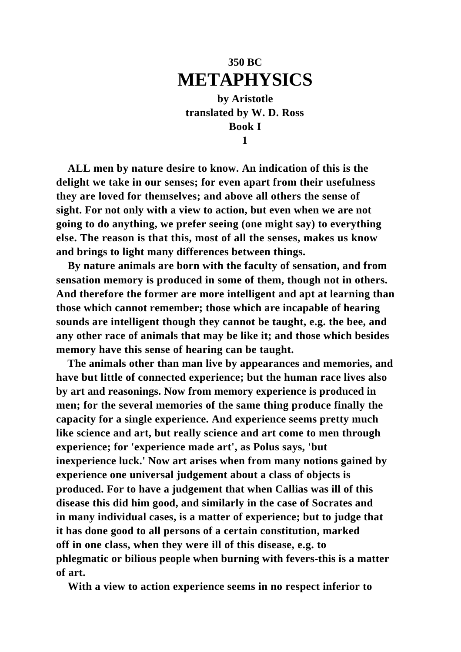## **350 BC METAPHYSICS**

**by Aristotle translated by W. D. Ross Book I 1**

 **ALL men by nature desire to know. An indication of this is the delight we take in our senses; for even apart from their usefulness they are loved for themselves; and above all others the sense of sight. For not only with a view to action, but even when we are not going to do anything, we prefer seeing (one might say) to everything else. The reason is that this, most of all the senses, makes us know and brings to light many differences between things.**

 **By nature animals are born with the faculty of sensation, and from sensation memory is produced in some of them, though not in others. And therefore the former are more intelligent and apt at learning than those which cannot remember; those which are incapable of hearing sounds are intelligent though they cannot be taught, e.g. the bee, and any other race of animals that may be like it; and those which besides memory have this sense of hearing can be taught.**

 **The animals other than man live by appearances and memories, and have but little of connected experience; but the human race lives also by art and reasonings. Now from memory experience is produced in men; for the several memories of the same thing produce finally the capacity for a single experience. And experience seems pretty much like science and art, but really science and art come to men through experience; for 'experience made art', as Polus says, 'but inexperience luck.' Now art arises when from many notions gained by experience one universal judgement about a class of objects is produced. For to have a judgement that when Callias was ill of this disease this did him good, and similarly in the case of Socrates and in many individual cases, is a matter of experience; but to judge that it has done good to all persons of a certain constitution, marked off in one class, when they were ill of this disease, e.g. to phlegmatic or bilious people when burning with fevers-this is a matter of art.**

 **With a view to action experience seems in no respect inferior to**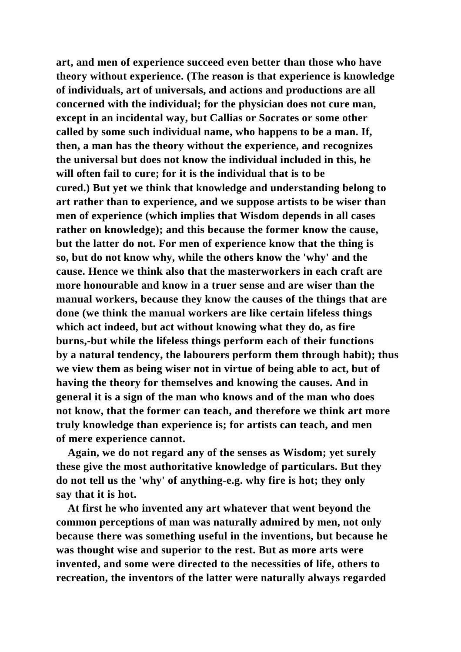**art, and men of experience succeed even better than those who have theory without experience. (The reason is that experience is knowledge of individuals, art of universals, and actions and productions are all concerned with the individual; for the physician does not cure man, except in an incidental way, but Callias or Socrates or some other called by some such individual name, who happens to be a man. If, then, a man has the theory without the experience, and recognizes the universal but does not know the individual included in this, he will often fail to cure; for it is the individual that is to be cured.) But yet we think that knowledge and understanding belong to art rather than to experience, and we suppose artists to be wiser than men of experience (which implies that Wisdom depends in all cases rather on knowledge); and this because the former know the cause, but the latter do not. For men of experience know that the thing is so, but do not know why, while the others know the 'why' and the cause. Hence we think also that the masterworkers in each craft are more honourable and know in a truer sense and are wiser than the manual workers, because they know the causes of the things that are done (we think the manual workers are like certain lifeless things which act indeed, but act without knowing what they do, as fire burns,-but while the lifeless things perform each of their functions by a natural tendency, the labourers perform them through habit); thus we view them as being wiser not in virtue of being able to act, but of having the theory for themselves and knowing the causes. And in general it is a sign of the man who knows and of the man who does not know, that the former can teach, and therefore we think art more truly knowledge than experience is; for artists can teach, and men of mere experience cannot.**

 **Again, we do not regard any of the senses as Wisdom; yet surely these give the most authoritative knowledge of particulars. But they do not tell us the 'why' of anything-e.g. why fire is hot; they only say that it is hot.**

 **At first he who invented any art whatever that went beyond the common perceptions of man was naturally admired by men, not only because there was something useful in the inventions, but because he was thought wise and superior to the rest. But as more arts were invented, and some were directed to the necessities of life, others to recreation, the inventors of the latter were naturally always regarded**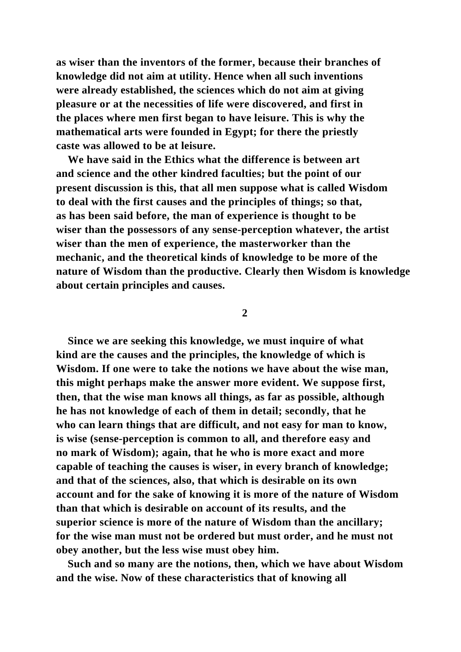**as wiser than the inventors of the former, because their branches of knowledge did not aim at utility. Hence when all such inventions were already established, the sciences which do not aim at giving pleasure or at the necessities of life were discovered, and first in the places where men first began to have leisure. This is why the mathematical arts were founded in Egypt; for there the priestly caste was allowed to be at leisure.**

 **We have said in the Ethics what the difference is between art and science and the other kindred faculties; but the point of our present discussion is this, that all men suppose what is called Wisdom to deal with the first causes and the principles of things; so that, as has been said before, the man of experience is thought to be wiser than the possessors of any sense-perception whatever, the artist wiser than the men of experience, the masterworker than the mechanic, and the theoretical kinds of knowledge to be more of the nature of Wisdom than the productive. Clearly then Wisdom is knowledge about certain principles and causes.**

**2**

 **Since we are seeking this knowledge, we must inquire of what kind are the causes and the principles, the knowledge of which is Wisdom. If one were to take the notions we have about the wise man, this might perhaps make the answer more evident. We suppose first, then, that the wise man knows all things, as far as possible, although he has not knowledge of each of them in detail; secondly, that he who can learn things that are difficult, and not easy for man to know, is wise (sense-perception is common to all, and therefore easy and no mark of Wisdom); again, that he who is more exact and more capable of teaching the causes is wiser, in every branch of knowledge; and that of the sciences, also, that which is desirable on its own account and for the sake of knowing it is more of the nature of Wisdom than that which is desirable on account of its results, and the superior science is more of the nature of Wisdom than the ancillary; for the wise man must not be ordered but must order, and he must not obey another, but the less wise must obey him.**

 **Such and so many are the notions, then, which we have about Wisdom and the wise. Now of these characteristics that of knowing all**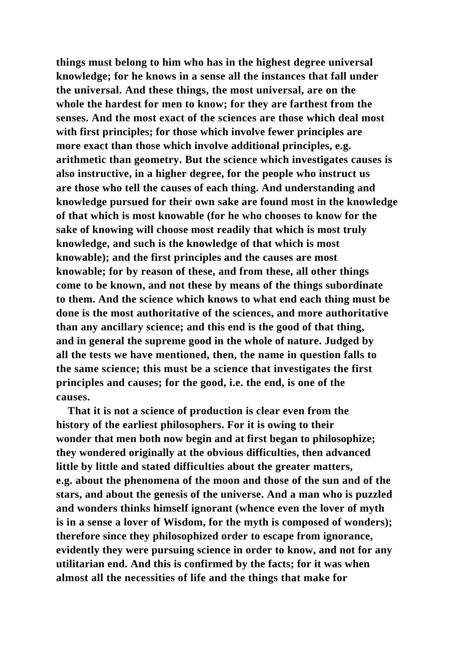**things must belong to him who has in the highest degree universal knowledge; for he knows in a sense all the instances that fall under the universal. And these things, the most universal, are on the whole the hardest for men to know; for they are farthest from the senses. And the most exact of the sciences are those which deal most with first principles; for those which involve fewer principles are more exact than those which involve additional principles, e.g. arithmetic than geometry. But the science which investigates causes is also instructive, in a higher degree, for the people who instruct us are those who tell the causes of each thing. And understanding and knowledge pursued for their own sake are found most in the knowledge of that which is most knowable (for he who chooses to know for the sake of knowing will choose most readily that which is most truly knowledge, and such is the knowledge of that which is most knowable); and the first principles and the causes are most knowable; for by reason of these, and from these, all other things come to be known, and not these by means of the things subordinate to them. And the science which knows to what end each thing must be done is the most authoritative of the sciences, and more authoritative than any ancillary science; and this end is the good of that thing, and in general the supreme good in the whole of nature. Judged by all the tests we have mentioned, then, the name in question falls to the same science; this must be a science that investigates the first principles and causes; for the good, i.e. the end, is one of the causes.**

 **That it is not a science of production is clear even from the history of the earliest philosophers. For it is owing to their wonder that men both now begin and at first began to philosophize; they wondered originally at the obvious difficulties, then advanced little by little and stated difficulties about the greater matters, e.g. about the phenomena of the moon and those of the sun and of the stars, and about the genesis of the universe. And a man who is puzzled and wonders thinks himself ignorant (whence even the lover of myth is in a sense a lover of Wisdom, for the myth is composed of wonders); therefore since they philosophized order to escape from ignorance, evidently they were pursuing science in order to know, and not for any utilitarian end. And this is confirmed by the facts; for it was when almost all the necessities of life and the things that make for**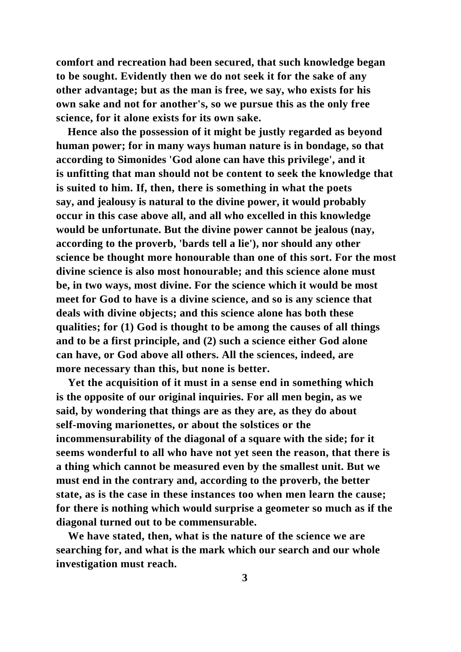**comfort and recreation had been secured, that such knowledge began to be sought. Evidently then we do not seek it for the sake of any other advantage; but as the man is free, we say, who exists for his own sake and not for another's, so we pursue this as the only free science, for it alone exists for its own sake.**

 **Hence also the possession of it might be justly regarded as beyond human power; for in many ways human nature is in bondage, so that according to Simonides 'God alone can have this privilege', and it is unfitting that man should not be content to seek the knowledge that is suited to him. If, then, there is something in what the poets say, and jealousy is natural to the divine power, it would probably occur in this case above all, and all who excelled in this knowledge would be unfortunate. But the divine power cannot be jealous (nay, according to the proverb, 'bards tell a lie'), nor should any other science be thought more honourable than one of this sort. For the most divine science is also most honourable; and this science alone must be, in two ways, most divine. For the science which it would be most meet for God to have is a divine science, and so is any science that deals with divine objects; and this science alone has both these qualities; for (1) God is thought to be among the causes of all things and to be a first principle, and (2) such a science either God alone can have, or God above all others. All the sciences, indeed, are more necessary than this, but none is better.**

 **Yet the acquisition of it must in a sense end in something which is the opposite of our original inquiries. For all men begin, as we said, by wondering that things are as they are, as they do about self-moving marionettes, or about the solstices or the incommensurability of the diagonal of a square with the side; for it seems wonderful to all who have not yet seen the reason, that there is a thing which cannot be measured even by the smallest unit. But we must end in the contrary and, according to the proverb, the better state, as is the case in these instances too when men learn the cause; for there is nothing which would surprise a geometer so much as if the diagonal turned out to be commensurable.**

 **We have stated, then, what is the nature of the science we are searching for, and what is the mark which our search and our whole investigation must reach.**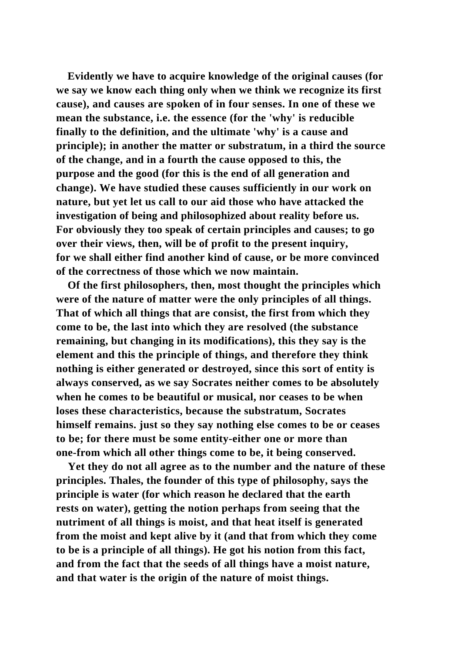**Evidently we have to acquire knowledge of the original causes (for we say we know each thing only when we think we recognize its first cause), and causes are spoken of in four senses. In one of these we mean the substance, i.e. the essence (for the 'why' is reducible finally to the definition, and the ultimate 'why' is a cause and principle); in another the matter or substratum, in a third the source of the change, and in a fourth the cause opposed to this, the purpose and the good (for this is the end of all generation and change). We have studied these causes sufficiently in our work on nature, but yet let us call to our aid those who have attacked the investigation of being and philosophized about reality before us. For obviously they too speak of certain principles and causes; to go over their views, then, will be of profit to the present inquiry, for we shall either find another kind of cause, or be more convinced of the correctness of those which we now maintain.**

 **Of the first philosophers, then, most thought the principles which were of the nature of matter were the only principles of all things. That of which all things that are consist, the first from which they come to be, the last into which they are resolved (the substance remaining, but changing in its modifications), this they say is the element and this the principle of things, and therefore they think nothing is either generated or destroyed, since this sort of entity is always conserved, as we say Socrates neither comes to be absolutely when he comes to be beautiful or musical, nor ceases to be when loses these characteristics, because the substratum, Socrates himself remains. just so they say nothing else comes to be or ceases to be; for there must be some entity-either one or more than one-from which all other things come to be, it being conserved.**

 **Yet they do not all agree as to the number and the nature of these principles. Thales, the founder of this type of philosophy, says the principle is water (for which reason he declared that the earth rests on water), getting the notion perhaps from seeing that the nutriment of all things is moist, and that heat itself is generated from the moist and kept alive by it (and that from which they come to be is a principle of all things). He got his notion from this fact, and from the fact that the seeds of all things have a moist nature, and that water is the origin of the nature of moist things.**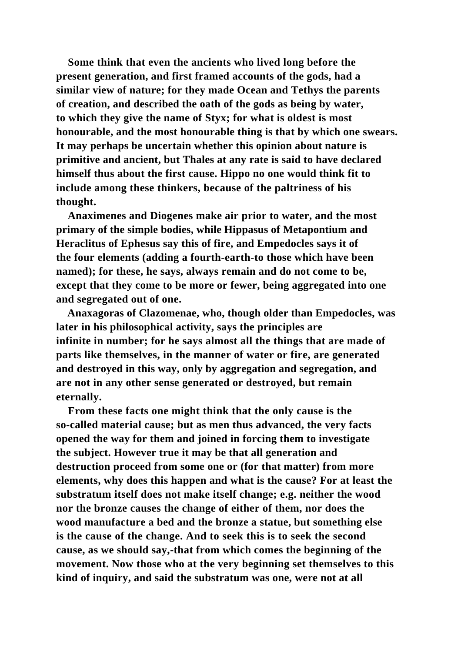**Some think that even the ancients who lived long before the present generation, and first framed accounts of the gods, had a similar view of nature; for they made Ocean and Tethys the parents of creation, and described the oath of the gods as being by water, to which they give the name of Styx; for what is oldest is most honourable, and the most honourable thing is that by which one swears. It may perhaps be uncertain whether this opinion about nature is primitive and ancient, but Thales at any rate is said to have declared himself thus about the first cause. Hippo no one would think fit to include among these thinkers, because of the paltriness of his thought.**

 **Anaximenes and Diogenes make air prior to water, and the most primary of the simple bodies, while Hippasus of Metapontium and Heraclitus of Ephesus say this of fire, and Empedocles says it of the four elements (adding a fourth-earth-to those which have been named); for these, he says, always remain and do not come to be, except that they come to be more or fewer, being aggregated into one and segregated out of one.**

 **Anaxagoras of Clazomenae, who, though older than Empedocles, was later in his philosophical activity, says the principles are infinite in number; for he says almost all the things that are made of parts like themselves, in the manner of water or fire, are generated and destroyed in this way, only by aggregation and segregation, and are not in any other sense generated or destroyed, but remain eternally.**

 **From these facts one might think that the only cause is the so-called material cause; but as men thus advanced, the very facts opened the way for them and joined in forcing them to investigate the subject. However true it may be that all generation and destruction proceed from some one or (for that matter) from more elements, why does this happen and what is the cause? For at least the substratum itself does not make itself change; e.g. neither the wood nor the bronze causes the change of either of them, nor does the wood manufacture a bed and the bronze a statue, but something else is the cause of the change. And to seek this is to seek the second cause, as we should say,-that from which comes the beginning of the movement. Now those who at the very beginning set themselves to this kind of inquiry, and said the substratum was one, were not at all**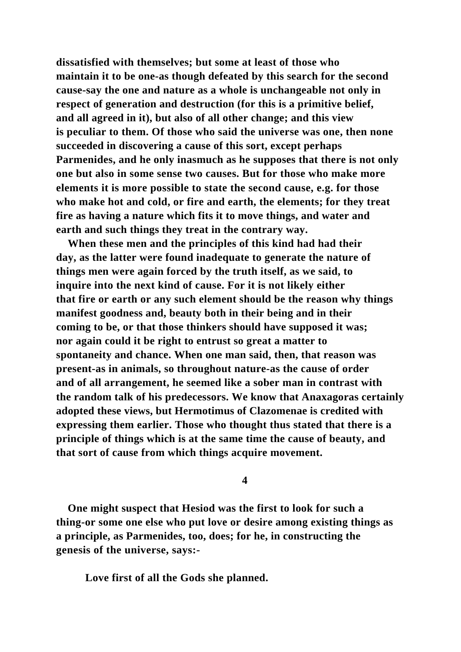**dissatisfied with themselves; but some at least of those who maintain it to be one-as though defeated by this search for the second cause-say the one and nature as a whole is unchangeable not only in respect of generation and destruction (for this is a primitive belief, and all agreed in it), but also of all other change; and this view is peculiar to them. Of those who said the universe was one, then none succeeded in discovering a cause of this sort, except perhaps Parmenides, and he only inasmuch as he supposes that there is not only one but also in some sense two causes. But for those who make more elements it is more possible to state the second cause, e.g. for those who make hot and cold, or fire and earth, the elements; for they treat fire as having a nature which fits it to move things, and water and earth and such things they treat in the contrary way.**

 **When these men and the principles of this kind had had their day, as the latter were found inadequate to generate the nature of things men were again forced by the truth itself, as we said, to inquire into the next kind of cause. For it is not likely either that fire or earth or any such element should be the reason why things manifest goodness and, beauty both in their being and in their coming to be, or that those thinkers should have supposed it was; nor again could it be right to entrust so great a matter to spontaneity and chance. When one man said, then, that reason was present-as in animals, so throughout nature-as the cause of order and of all arrangement, he seemed like a sober man in contrast with the random talk of his predecessors. We know that Anaxagoras certainly adopted these views, but Hermotimus of Clazomenae is credited with expressing them earlier. Those who thought thus stated that there is a principle of things which is at the same time the cause of beauty, and that sort of cause from which things acquire movement.**

**4**

 **One might suspect that Hesiod was the first to look for such a thing-or some one else who put love or desire among existing things as a principle, as Parmenides, too, does; for he, in constructing the genesis of the universe, says:-**

 **Love first of all the Gods she planned.**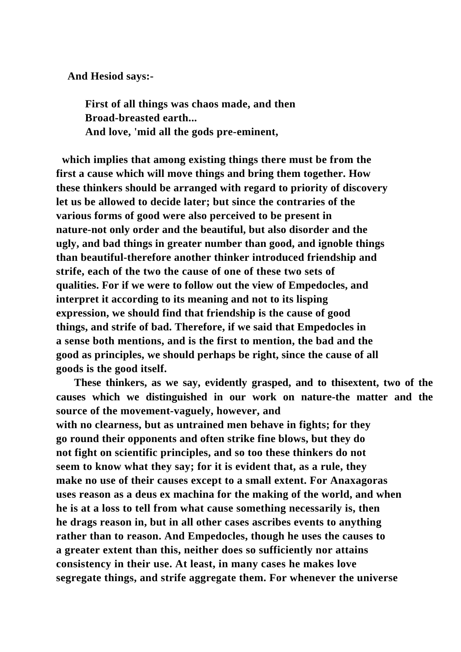**And Hesiod says:-**

 **First of all things was chaos made, and then Broad-breasted earth... And love, 'mid all the gods pre-eminent,**

 **which implies that among existing things there must be from the first a cause which will move things and bring them together. How these thinkers should be arranged with regard to priority of discovery let us be allowed to decide later; but since the contraries of the various forms of good were also perceived to be present in nature-not only order and the beautiful, but also disorder and the ugly, and bad things in greater number than good, and ignoble things than beautiful-therefore another thinker introduced friendship and strife, each of the two the cause of one of these two sets of qualities. For if we were to follow out the view of Empedocles, and interpret it according to its meaning and not to its lisping expression, we should find that friendship is the cause of good things, and strife of bad. Therefore, if we said that Empedocles in a sense both mentions, and is the first to mention, the bad and the good as principles, we should perhaps be right, since the cause of all goods is the good itself.**

 **These thinkers, as we say, evidently grasped, and to thisextent, two of the causes which we distinguished in our work on nature-the matter and the source of the movement-vaguely, however, and with no clearness, but as untrained men behave in fights; for they go round their opponents and often strike fine blows, but they do not fight on scientific principles, and so too these thinkers do not seem to know what they say; for it is evident that, as a rule, they make no use of their causes except to a small extent. For Anaxagoras uses reason as a deus ex machina for the making of the world, and when he is at a loss to tell from what cause something necessarily is, then he drags reason in, but in all other cases ascribes events to anything rather than to reason. And Empedocles, though he uses the causes to a greater extent than this, neither does so sufficiently nor attains consistency in their use. At least, in many cases he makes love segregate things, and strife aggregate them. For whenever the universe**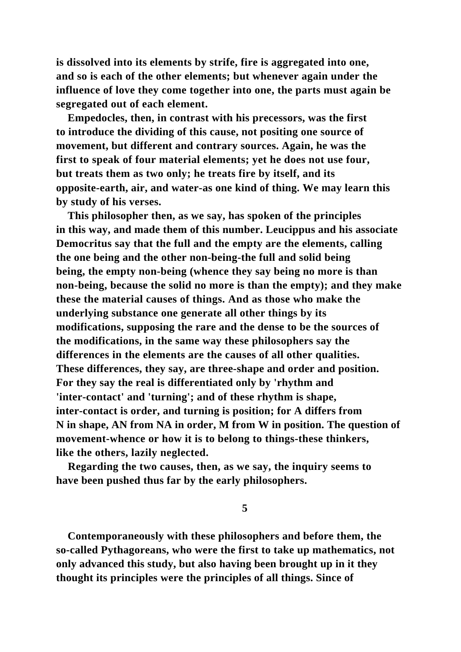**is dissolved into its elements by strife, fire is aggregated into one, and so is each of the other elements; but whenever again under the influence of love they come together into one, the parts must again be segregated out of each element.**

 **Empedocles, then, in contrast with his precessors, was the first to introduce the dividing of this cause, not positing one source of movement, but different and contrary sources. Again, he was the first to speak of four material elements; yet he does not use four, but treats them as two only; he treats fire by itself, and its opposite-earth, air, and water-as one kind of thing. We may learn this by study of his verses.**

 **This philosopher then, as we say, has spoken of the principles in this way, and made them of this number. Leucippus and his associate Democritus say that the full and the empty are the elements, calling the one being and the other non-being-the full and solid being being, the empty non-being (whence they say being no more is than non-being, because the solid no more is than the empty); and they make these the material causes of things. And as those who make the underlying substance one generate all other things by its modifications, supposing the rare and the dense to be the sources of the modifications, in the same way these philosophers say the differences in the elements are the causes of all other qualities. These differences, they say, are three-shape and order and position. For they say the real is differentiated only by 'rhythm and 'inter-contact' and 'turning'; and of these rhythm is shape, inter-contact is order, and turning is position; for A differs from N in shape, AN from NA in order, M from W in position. The question of movement-whence or how it is to belong to things-these thinkers, like the others, lazily neglected.**

 **Regarding the two causes, then, as we say, the inquiry seems to have been pushed thus far by the early philosophers.**

**5**

 **Contemporaneously with these philosophers and before them, the so-called Pythagoreans, who were the first to take up mathematics, not only advanced this study, but also having been brought up in it they thought its principles were the principles of all things. Since of**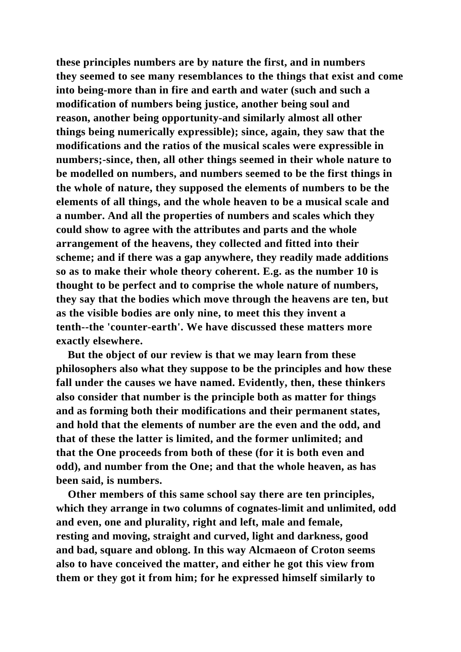**these principles numbers are by nature the first, and in numbers they seemed to see many resemblances to the things that exist and come into being-more than in fire and earth and water (such and such a modification of numbers being justice, another being soul and reason, another being opportunity-and similarly almost all other things being numerically expressible); since, again, they saw that the modifications and the ratios of the musical scales were expressible in numbers;-since, then, all other things seemed in their whole nature to be modelled on numbers, and numbers seemed to be the first things in the whole of nature, they supposed the elements of numbers to be the elements of all things, and the whole heaven to be a musical scale and a number. And all the properties of numbers and scales which they could show to agree with the attributes and parts and the whole arrangement of the heavens, they collected and fitted into their scheme; and if there was a gap anywhere, they readily made additions so as to make their whole theory coherent. E.g. as the number 10 is thought to be perfect and to comprise the whole nature of numbers, they say that the bodies which move through the heavens are ten, but as the visible bodies are only nine, to meet this they invent a tenth--the 'counter-earth'. We have discussed these matters more exactly elsewhere.**

 **But the object of our review is that we may learn from these philosophers also what they suppose to be the principles and how these fall under the causes we have named. Evidently, then, these thinkers also consider that number is the principle both as matter for things and as forming both their modifications and their permanent states, and hold that the elements of number are the even and the odd, and that of these the latter is limited, and the former unlimited; and that the One proceeds from both of these (for it is both even and odd), and number from the One; and that the whole heaven, as has been said, is numbers.**

 **Other members of this same school say there are ten principles, which they arrange in two columns of cognates-limit and unlimited, odd and even, one and plurality, right and left, male and female, resting and moving, straight and curved, light and darkness, good and bad, square and oblong. In this way Alcmaeon of Croton seems also to have conceived the matter, and either he got this view from them or they got it from him; for he expressed himself similarly to**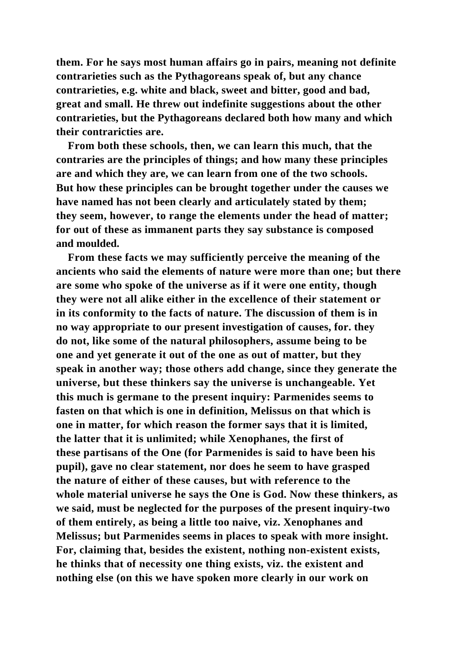**them. For he says most human affairs go in pairs, meaning not definite contrarieties such as the Pythagoreans speak of, but any chance contrarieties, e.g. white and black, sweet and bitter, good and bad, great and small. He threw out indefinite suggestions about the other contrarieties, but the Pythagoreans declared both how many and which their contraricties are.**

 **From both these schools, then, we can learn this much, that the contraries are the principles of things; and how many these principles are and which they are, we can learn from one of the two schools. But how these principles can be brought together under the causes we have named has not been clearly and articulately stated by them; they seem, however, to range the elements under the head of matter; for out of these as immanent parts they say substance is composed and moulded.**

 **From these facts we may sufficiently perceive the meaning of the ancients who said the elements of nature were more than one; but there are some who spoke of the universe as if it were one entity, though they were not all alike either in the excellence of their statement or in its conformity to the facts of nature. The discussion of them is in no way appropriate to our present investigation of causes, for. they do not, like some of the natural philosophers, assume being to be one and yet generate it out of the one as out of matter, but they speak in another way; those others add change, since they generate the universe, but these thinkers say the universe is unchangeable. Yet this much is germane to the present inquiry: Parmenides seems to fasten on that which is one in definition, Melissus on that which is one in matter, for which reason the former says that it is limited, the latter that it is unlimited; while Xenophanes, the first of these partisans of the One (for Parmenides is said to have been his pupil), gave no clear statement, nor does he seem to have grasped the nature of either of these causes, but with reference to the whole material universe he says the One is God. Now these thinkers, as we said, must be neglected for the purposes of the present inquiry-two of them entirely, as being a little too naive, viz. Xenophanes and Melissus; but Parmenides seems in places to speak with more insight. For, claiming that, besides the existent, nothing non-existent exists, he thinks that of necessity one thing exists, viz. the existent and nothing else (on this we have spoken more clearly in our work on**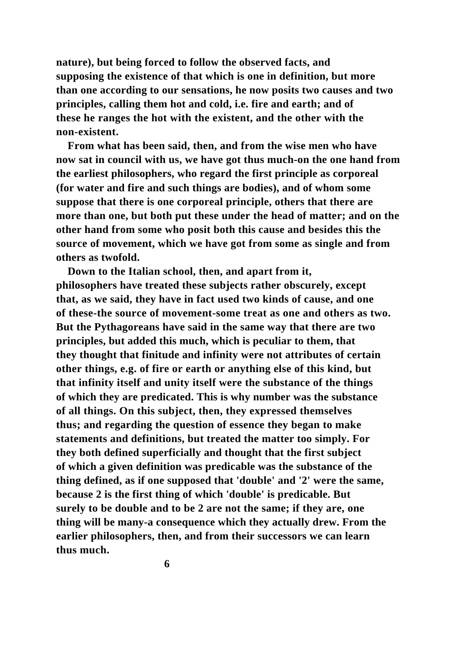**nature), but being forced to follow the observed facts, and supposing the existence of that which is one in definition, but more than one according to our sensations, he now posits two causes and two principles, calling them hot and cold, i.e. fire and earth; and of these he ranges the hot with the existent, and the other with the non-existent.**

 **From what has been said, then, and from the wise men who have now sat in council with us, we have got thus much-on the one hand from the earliest philosophers, who regard the first principle as corporeal (for water and fire and such things are bodies), and of whom some suppose that there is one corporeal principle, others that there are more than one, but both put these under the head of matter; and on the other hand from some who posit both this cause and besides this the source of movement, which we have got from some as single and from others as twofold.**

 **Down to the Italian school, then, and apart from it, philosophers have treated these subjects rather obscurely, except that, as we said, they have in fact used two kinds of cause, and one of these-the source of movement-some treat as one and others as two. But the Pythagoreans have said in the same way that there are two principles, but added this much, which is peculiar to them, that they thought that finitude and infinity were not attributes of certain other things, e.g. of fire or earth or anything else of this kind, but that infinity itself and unity itself were the substance of the things of which they are predicated. This is why number was the substance of all things. On this subject, then, they expressed themselves thus; and regarding the question of essence they began to make statements and definitions, but treated the matter too simply. For they both defined superficially and thought that the first subject of which a given definition was predicable was the substance of the thing defined, as if one supposed that 'double' and '2' were the same, because 2 is the first thing of which 'double' is predicable. But surely to be double and to be 2 are not the same; if they are, one thing will be many-a consequence which they actually drew. From the earlier philosophers, then, and from their successors we can learn thus much.**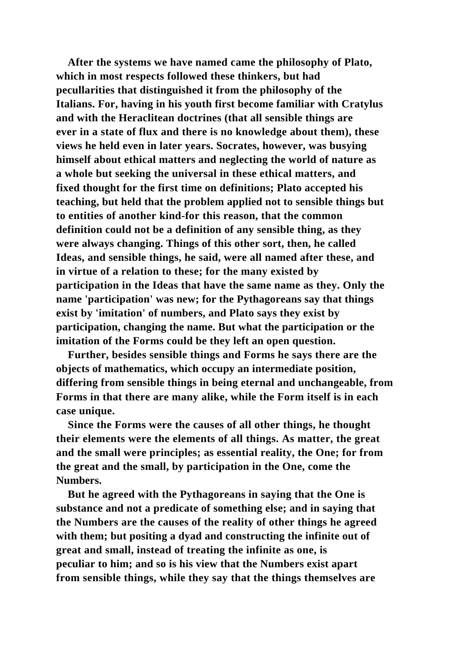**After the systems we have named came the philosophy of Plato, which in most respects followed these thinkers, but had pecullarities that distinguished it from the philosophy of the Italians. For, having in his youth first become familiar with Cratylus and with the Heraclitean doctrines (that all sensible things are ever in a state of flux and there is no knowledge about them), these views he held even in later years. Socrates, however, was busying himself about ethical matters and neglecting the world of nature as a whole but seeking the universal in these ethical matters, and fixed thought for the first time on definitions; Plato accepted his teaching, but held that the problem applied not to sensible things but to entities of another kind-for this reason, that the common definition could not be a definition of any sensible thing, as they were always changing. Things of this other sort, then, he called Ideas, and sensible things, he said, were all named after these, and in virtue of a relation to these; for the many existed by participation in the Ideas that have the same name as they. Only the name 'participation' was new; for the Pythagoreans say that things exist by 'imitation' of numbers, and Plato says they exist by participation, changing the name. But what the participation or the imitation of the Forms could be they left an open question.**

 **Further, besides sensible things and Forms he says there are the objects of mathematics, which occupy an intermediate position, differing from sensible things in being eternal and unchangeable, from Forms in that there are many alike, while the Form itself is in each case unique.**

 **Since the Forms were the causes of all other things, he thought their elements were the elements of all things. As matter, the great and the small were principles; as essential reality, the One; for from the great and the small, by participation in the One, come the Numbers.**

 **But he agreed with the Pythagoreans in saying that the One is substance and not a predicate of something else; and in saying that the Numbers are the causes of the reality of other things he agreed with them; but positing a dyad and constructing the infinite out of great and small, instead of treating the infinite as one, is peculiar to him; and so is his view that the Numbers exist apart from sensible things, while they say that the things themselves are**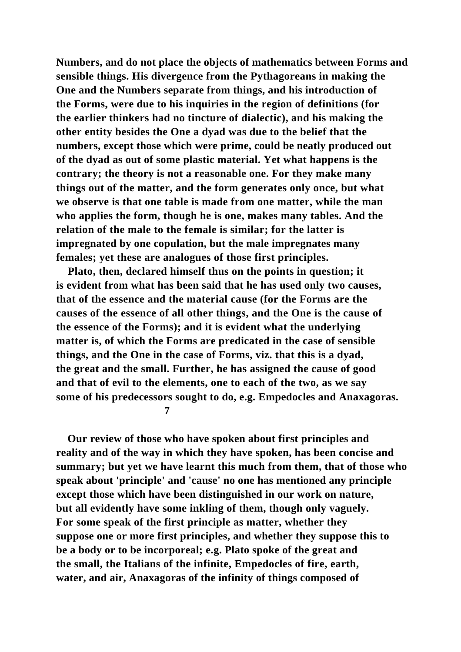**Numbers, and do not place the objects of mathematics between Forms and sensible things. His divergence from the Pythagoreans in making the One and the Numbers separate from things, and his introduction of the Forms, were due to his inquiries in the region of definitions (for the earlier thinkers had no tincture of dialectic), and his making the other entity besides the One a dyad was due to the belief that the numbers, except those which were prime, could be neatly produced out of the dyad as out of some plastic material. Yet what happens is the contrary; the theory is not a reasonable one. For they make many things out of the matter, and the form generates only once, but what we observe is that one table is made from one matter, while the man who applies the form, though he is one, makes many tables. And the relation of the male to the female is similar; for the latter is impregnated by one copulation, but the male impregnates many females; yet these are analogues of those first principles.**

 **Plato, then, declared himself thus on the points in question; it is evident from what has been said that he has used only two causes, that of the essence and the material cause (for the Forms are the causes of the essence of all other things, and the One is the cause of the essence of the Forms); and it is evident what the underlying matter is, of which the Forms are predicated in the case of sensible things, and the One in the case of Forms, viz. that this is a dyad, the great and the small. Further, he has assigned the cause of good and that of evil to the elements, one to each of the two, as we say some of his predecessors sought to do, e.g. Empedocles and Anaxagoras. 7**

 **Our review of those who have spoken about first principles and reality and of the way in which they have spoken, has been concise and summary; but yet we have learnt this much from them, that of those who speak about 'principle' and 'cause' no one has mentioned any principle except those which have been distinguished in our work on nature, but all evidently have some inkling of them, though only vaguely. For some speak of the first principle as matter, whether they suppose one or more first principles, and whether they suppose this to be a body or to be incorporeal; e.g. Plato spoke of the great and the small, the Italians of the infinite, Empedocles of fire, earth, water, and air, Anaxagoras of the infinity of things composed of**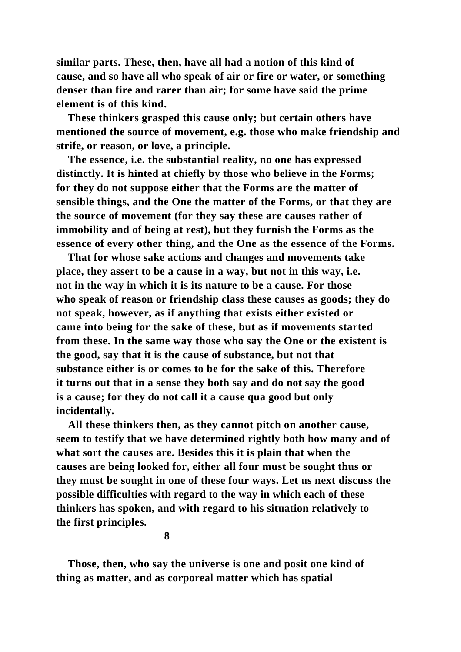**similar parts. These, then, have all had a notion of this kind of cause, and so have all who speak of air or fire or water, or something denser than fire and rarer than air; for some have said the prime element is of this kind.**

 **These thinkers grasped this cause only; but certain others have mentioned the source of movement, e.g. those who make friendship and strife, or reason, or love, a principle.**

 **The essence, i.e. the substantial reality, no one has expressed distinctly. It is hinted at chiefly by those who believe in the Forms; for they do not suppose either that the Forms are the matter of sensible things, and the One the matter of the Forms, or that they are the source of movement (for they say these are causes rather of immobility and of being at rest), but they furnish the Forms as the essence of every other thing, and the One as the essence of the Forms.**

 **That for whose sake actions and changes and movements take place, they assert to be a cause in a way, but not in this way, i.e. not in the way in which it is its nature to be a cause. For those who speak of reason or friendship class these causes as goods; they do not speak, however, as if anything that exists either existed or came into being for the sake of these, but as if movements started from these. In the same way those who say the One or the existent is the good, say that it is the cause of substance, but not that substance either is or comes to be for the sake of this. Therefore it turns out that in a sense they both say and do not say the good is a cause; for they do not call it a cause qua good but only incidentally.**

 **All these thinkers then, as they cannot pitch on another cause, seem to testify that we have determined rightly both how many and of what sort the causes are. Besides this it is plain that when the causes are being looked for, either all four must be sought thus or they must be sought in one of these four ways. Let us next discuss the possible difficulties with regard to the way in which each of these thinkers has spoken, and with regard to his situation relatively to the first principles.**

 **8**

 **Those, then, who say the universe is one and posit one kind of thing as matter, and as corporeal matter which has spatial**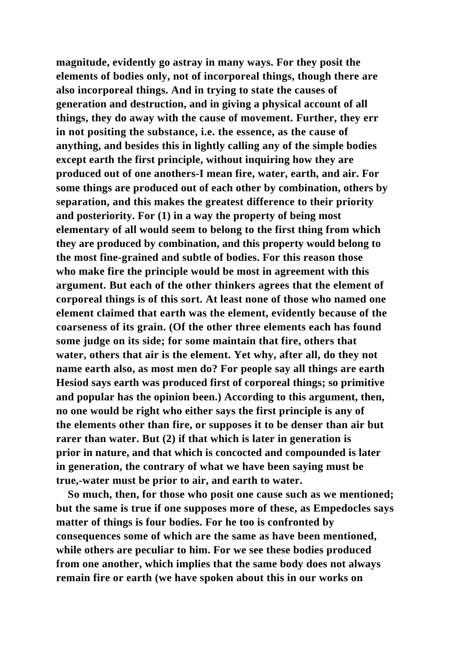**magnitude, evidently go astray in many ways. For they posit the elements of bodies only, not of incorporeal things, though there are also incorporeal things. And in trying to state the causes of generation and destruction, and in giving a physical account of all things, they do away with the cause of movement. Further, they err in not positing the substance, i.e. the essence, as the cause of anything, and besides this in lightly calling any of the simple bodies except earth the first principle, without inquiring how they are produced out of one anothers-I mean fire, water, earth, and air. For some things are produced out of each other by combination, others by separation, and this makes the greatest difference to their priority and posteriority. For (1) in a way the property of being most elementary of all would seem to belong to the first thing from which they are produced by combination, and this property would belong to the most fine-grained and subtle of bodies. For this reason those who make fire the principle would be most in agreement with this argument. But each of the other thinkers agrees that the element of corporeal things is of this sort. At least none of those who named one element claimed that earth was the element, evidently because of the coarseness of its grain. (Of the other three elements each has found some judge on its side; for some maintain that fire, others that water, others that air is the element. Yet why, after all, do they not name earth also, as most men do? For people say all things are earth Hesiod says earth was produced first of corporeal things; so primitive and popular has the opinion been.) According to this argument, then, no one would be right who either says the first principle is any of the elements other than fire, or supposes it to be denser than air but rarer than water. But (2) if that which is later in generation is prior in nature, and that which is concocted and compounded is later in generation, the contrary of what we have been saying must be true,-water must be prior to air, and earth to water.**

 **So much, then, for those who posit one cause such as we mentioned; but the same is true if one supposes more of these, as Empedocles says matter of things is four bodies. For he too is confronted by consequences some of which are the same as have been mentioned, while others are peculiar to him. For we see these bodies produced from one another, which implies that the same body does not always remain fire or earth (we have spoken about this in our works on**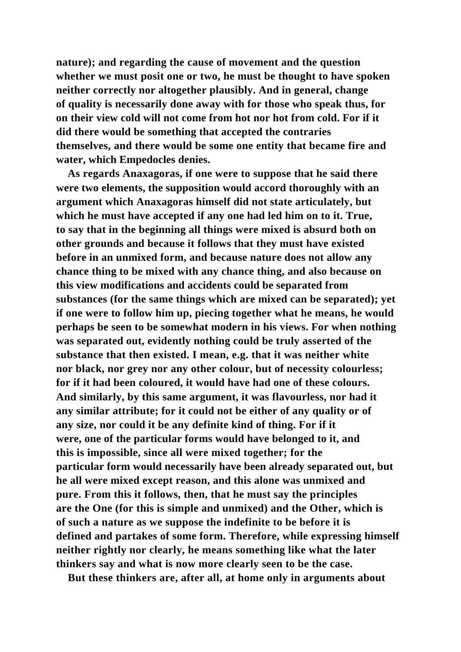**nature); and regarding the cause of movement and the question whether we must posit one or two, he must be thought to have spoken neither correctly nor altogether plausibly. And in general, change of quality is necessarily done away with for those who speak thus, for on their view cold will not come from hot nor hot from cold. For if it did there would be something that accepted the contraries themselves, and there would be some one entity that became fire and water, which Empedocles denies.**

 **As regards Anaxagoras, if one were to suppose that he said there were two elements, the supposition would accord thoroughly with an argument which Anaxagoras himself did not state articulately, but which he must have accepted if any one had led him on to it. True, to say that in the beginning all things were mixed is absurd both on other grounds and because it follows that they must have existed before in an unmixed form, and because nature does not allow any chance thing to be mixed with any chance thing, and also because on this view modifications and accidents could be separated from substances (for the same things which are mixed can be separated); yet if one were to follow him up, piecing together what he means, he would perhaps be seen to be somewhat modern in his views. For when nothing was separated out, evidently nothing could be truly asserted of the substance that then existed. I mean, e.g. that it was neither white nor black, nor grey nor any other colour, but of necessity colourless; for if it had been coloured, it would have had one of these colours. And similarly, by this same argument, it was flavourless, nor had it any similar attribute; for it could not be either of any quality or of any size, nor could it be any definite kind of thing. For if it were, one of the particular forms would have belonged to it, and this is impossible, since all were mixed together; for the particular form would necessarily have been already separated out, but he all were mixed except reason, and this alone was unmixed and pure. From this it follows, then, that he must say the principles are the One (for this is simple and unmixed) and the Other, which is of such a nature as we suppose the indefinite to be before it is defined and partakes of some form. Therefore, while expressing himself neither rightly nor clearly, he means something like what the later thinkers say and what is now more clearly seen to be the case.**

 **But these thinkers are, after all, at home only in arguments about**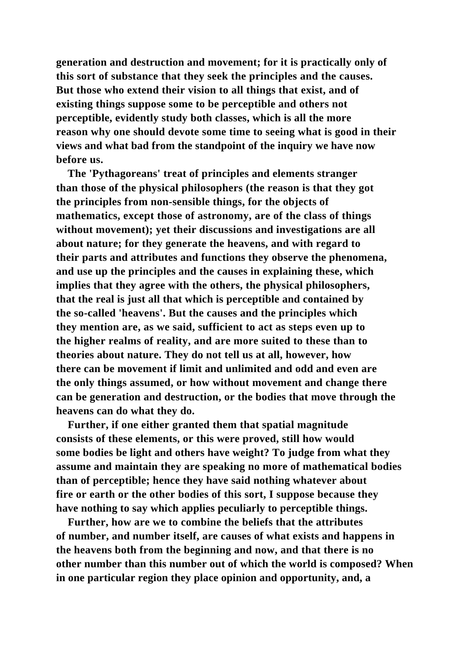**generation and destruction and movement; for it is practically only of this sort of substance that they seek the principles and the causes. But those who extend their vision to all things that exist, and of existing things suppose some to be perceptible and others not perceptible, evidently study both classes, which is all the more reason why one should devote some time to seeing what is good in their views and what bad from the standpoint of the inquiry we have now before us.**

 **The 'Pythagoreans' treat of principles and elements stranger than those of the physical philosophers (the reason is that they got the principles from non-sensible things, for the objects of mathematics, except those of astronomy, are of the class of things without movement); yet their discussions and investigations are all about nature; for they generate the heavens, and with regard to their parts and attributes and functions they observe the phenomena, and use up the principles and the causes in explaining these, which implies that they agree with the others, the physical philosophers, that the real is just all that which is perceptible and contained by the so-called 'heavens'. But the causes and the principles which they mention are, as we said, sufficient to act as steps even up to the higher realms of reality, and are more suited to these than to theories about nature. They do not tell us at all, however, how there can be movement if limit and unlimited and odd and even are the only things assumed, or how without movement and change there can be generation and destruction, or the bodies that move through the heavens can do what they do.**

 **Further, if one either granted them that spatial magnitude consists of these elements, or this were proved, still how would some bodies be light and others have weight? To judge from what they assume and maintain they are speaking no more of mathematical bodies than of perceptible; hence they have said nothing whatever about fire or earth or the other bodies of this sort, I suppose because they have nothing to say which applies peculiarly to perceptible things.**

 **Further, how are we to combine the beliefs that the attributes of number, and number itself, are causes of what exists and happens in the heavens both from the beginning and now, and that there is no other number than this number out of which the world is composed? When in one particular region they place opinion and opportunity, and, a**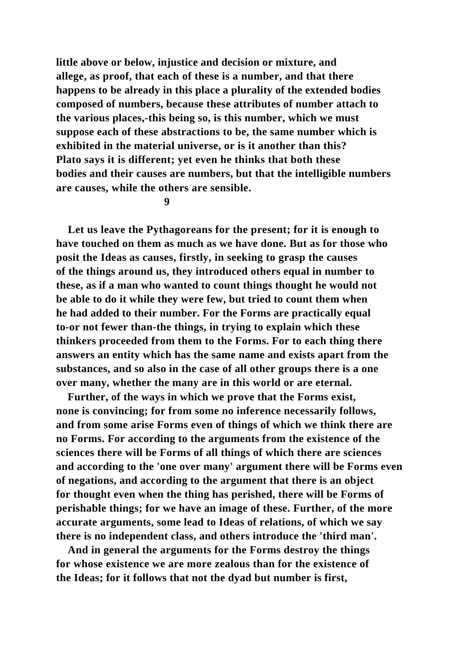**little above or below, injustice and decision or mixture, and allege, as proof, that each of these is a number, and that there happens to be already in this place a plurality of the extended bodies composed of numbers, because these attributes of number attach to the various places,-this being so, is this number, which we must suppose each of these abstractions to be, the same number which is exhibited in the material universe, or is it another than this? Plato says it is different; yet even he thinks that both these bodies and their causes are numbers, but that the intelligible numbers are causes, while the others are sensible.**

**9** 

 **Let us leave the Pythagoreans for the present; for it is enough to have touched on them as much as we have done. But as for those who posit the Ideas as causes, firstly, in seeking to grasp the causes of the things around us, they introduced others equal in number to these, as if a man who wanted to count things thought he would not be able to do it while they were few, but tried to count them when he had added to their number. For the Forms are practically equal to-or not fewer than-the things, in trying to explain which these thinkers proceeded from them to the Forms. For to each thing there answers an entity which has the same name and exists apart from the substances, and so also in the case of all other groups there is a one over many, whether the many are in this world or are eternal.**

 **Further, of the ways in which we prove that the Forms exist, none is convincing; for from some no inference necessarily follows, and from some arise Forms even of things of which we think there are no Forms. For according to the arguments from the existence of the sciences there will be Forms of all things of which there are sciences and according to the 'one over many' argument there will be Forms even of negations, and according to the argument that there is an object for thought even when the thing has perished, there will be Forms of perishable things; for we have an image of these. Further, of the more accurate arguments, some lead to Ideas of relations, of which we say there is no independent class, and others introduce the 'third man'.**

 **And in general the arguments for the Forms destroy the things for whose existence we are more zealous than for the existence of the Ideas; for it follows that not the dyad but number is first,**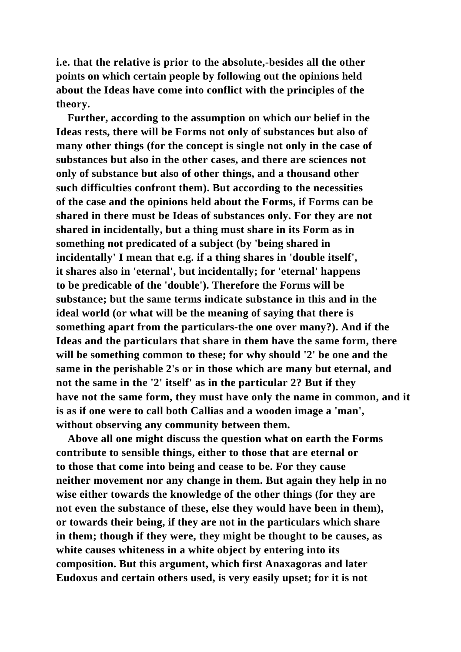**i.e. that the relative is prior to the absolute,-besides all the other points on which certain people by following out the opinions held about the Ideas have come into conflict with the principles of the theory.**

 **Further, according to the assumption on which our belief in the Ideas rests, there will be Forms not only of substances but also of many other things (for the concept is single not only in the case of substances but also in the other cases, and there are sciences not only of substance but also of other things, and a thousand other such difficulties confront them). But according to the necessities of the case and the opinions held about the Forms, if Forms can be shared in there must be Ideas of substances only. For they are not shared in incidentally, but a thing must share in its Form as in something not predicated of a subject (by 'being shared in incidentally' I mean that e.g. if a thing shares in 'double itself', it shares also in 'eternal', but incidentally; for 'eternal' happens to be predicable of the 'double'). Therefore the Forms will be substance; but the same terms indicate substance in this and in the ideal world (or what will be the meaning of saying that there is something apart from the particulars-the one over many?). And if the Ideas and the particulars that share in them have the same form, there will be something common to these; for why should '2' be one and the same in the perishable 2's or in those which are many but eternal, and not the same in the '2' itself' as in the particular 2? But if they have not the same form, they must have only the name in common, and it is as if one were to call both Callias and a wooden image a 'man', without observing any community between them.**

 **Above all one might discuss the question what on earth the Forms contribute to sensible things, either to those that are eternal or to those that come into being and cease to be. For they cause neither movement nor any change in them. But again they help in no wise either towards the knowledge of the other things (for they are not even the substance of these, else they would have been in them), or towards their being, if they are not in the particulars which share in them; though if they were, they might be thought to be causes, as white causes whiteness in a white object by entering into its composition. But this argument, which first Anaxagoras and later Eudoxus and certain others used, is very easily upset; for it is not**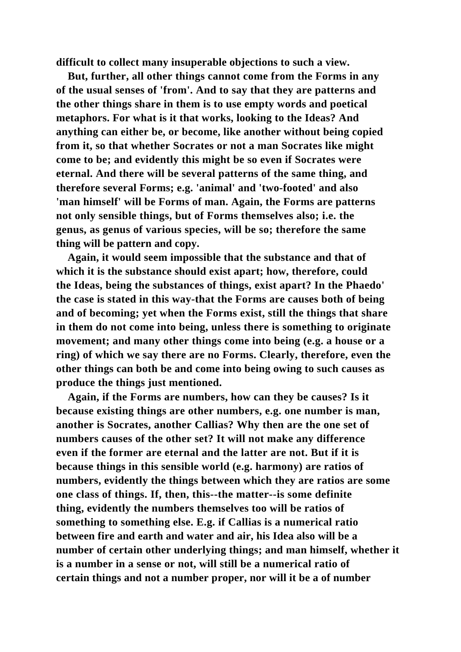**difficult to collect many insuperable objections to such a view.**

 **But, further, all other things cannot come from the Forms in any of the usual senses of 'from'. And to say that they are patterns and the other things share in them is to use empty words and poetical metaphors. For what is it that works, looking to the Ideas? And anything can either be, or become, like another without being copied from it, so that whether Socrates or not a man Socrates like might come to be; and evidently this might be so even if Socrates were eternal. And there will be several patterns of the same thing, and therefore several Forms; e.g. 'animal' and 'two-footed' and also 'man himself' will be Forms of man. Again, the Forms are patterns not only sensible things, but of Forms themselves also; i.e. the genus, as genus of various species, will be so; therefore the same thing will be pattern and copy.**

 **Again, it would seem impossible that the substance and that of which it is the substance should exist apart; how, therefore, could the Ideas, being the substances of things, exist apart? In the Phaedo' the case is stated in this way-that the Forms are causes both of being and of becoming; yet when the Forms exist, still the things that share in them do not come into being, unless there is something to originate movement; and many other things come into being (e.g. a house or a ring) of which we say there are no Forms. Clearly, therefore, even the other things can both be and come into being owing to such causes as produce the things just mentioned.**

 **Again, if the Forms are numbers, how can they be causes? Is it because existing things are other numbers, e.g. one number is man, another is Socrates, another Callias? Why then are the one set of numbers causes of the other set? It will not make any difference even if the former are eternal and the latter are not. But if it is because things in this sensible world (e.g. harmony) are ratios of numbers, evidently the things between which they are ratios are some one class of things. If, then, this--the matter--is some definite thing, evidently the numbers themselves too will be ratios of something to something else. E.g. if Callias is a numerical ratio between fire and earth and water and air, his Idea also will be a number of certain other underlying things; and man himself, whether it is a number in a sense or not, will still be a numerical ratio of certain things and not a number proper, nor will it be a of number**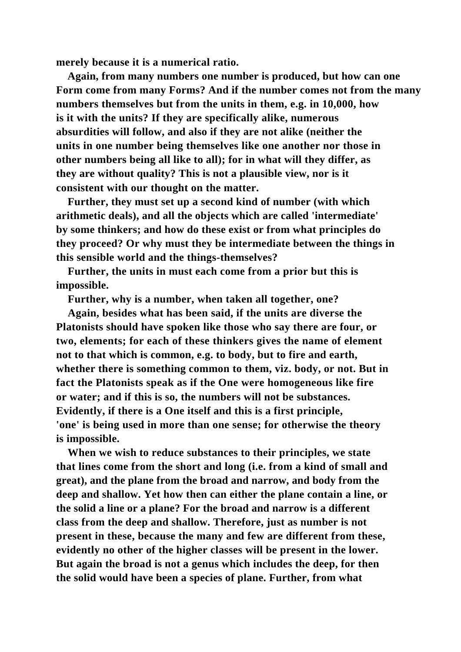**merely because it is a numerical ratio.**

 **Again, from many numbers one number is produced, but how can one Form come from many Forms? And if the number comes not from the many numbers themselves but from the units in them, e.g. in 10,000, how is it with the units? If they are specifically alike, numerous absurdities will follow, and also if they are not alike (neither the units in one number being themselves like one another nor those in other numbers being all like to all); for in what will they differ, as they are without quality? This is not a plausible view, nor is it consistent with our thought on the matter.**

 **Further, they must set up a second kind of number (with which arithmetic deals), and all the objects which are called 'intermediate' by some thinkers; and how do these exist or from what principles do they proceed? Or why must they be intermediate between the things in this sensible world and the things-themselves?**

 **Further, the units in must each come from a prior but this is impossible.**

 **Further, why is a number, when taken all together, one?**

 **Again, besides what has been said, if the units are diverse the Platonists should have spoken like those who say there are four, or two, elements; for each of these thinkers gives the name of element not to that which is common, e.g. to body, but to fire and earth, whether there is something common to them, viz. body, or not. But in fact the Platonists speak as if the One were homogeneous like fire or water; and if this is so, the numbers will not be substances. Evidently, if there is a One itself and this is a first principle, 'one' is being used in more than one sense; for otherwise the theory is impossible.**

 **When we wish to reduce substances to their principles, we state that lines come from the short and long (i.e. from a kind of small and great), and the plane from the broad and narrow, and body from the deep and shallow. Yet how then can either the plane contain a line, or the solid a line or a plane? For the broad and narrow is a different class from the deep and shallow. Therefore, just as number is not present in these, because the many and few are different from these, evidently no other of the higher classes will be present in the lower. But again the broad is not a genus which includes the deep, for then the solid would have been a species of plane. Further, from what**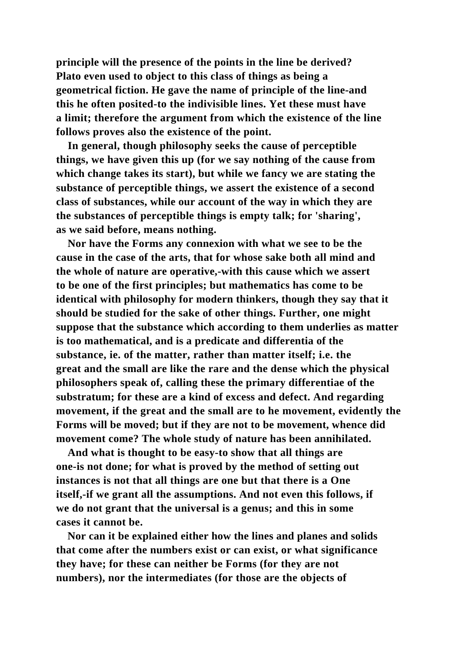**principle will the presence of the points in the line be derived? Plato even used to object to this class of things as being a geometrical fiction. He gave the name of principle of the line-and this he often posited-to the indivisible lines. Yet these must have a limit; therefore the argument from which the existence of the line follows proves also the existence of the point.**

 **In general, though philosophy seeks the cause of perceptible things, we have given this up (for we say nothing of the cause from which change takes its start), but while we fancy we are stating the substance of perceptible things, we assert the existence of a second class of substances, while our account of the way in which they are the substances of perceptible things is empty talk; for 'sharing', as we said before, means nothing.**

 **Nor have the Forms any connexion with what we see to be the cause in the case of the arts, that for whose sake both all mind and the whole of nature are operative,-with this cause which we assert to be one of the first principles; but mathematics has come to be identical with philosophy for modern thinkers, though they say that it should be studied for the sake of other things. Further, one might suppose that the substance which according to them underlies as matter is too mathematical, and is a predicate and differentia of the substance, ie. of the matter, rather than matter itself; i.e. the great and the small are like the rare and the dense which the physical philosophers speak of, calling these the primary differentiae of the substratum; for these are a kind of excess and defect. And regarding movement, if the great and the small are to he movement, evidently the Forms will be moved; but if they are not to be movement, whence did movement come? The whole study of nature has been annihilated.**

 **And what is thought to be easy-to show that all things are one-is not done; for what is proved by the method of setting out instances is not that all things are one but that there is a One itself,-if we grant all the assumptions. And not even this follows, if we do not grant that the universal is a genus; and this in some cases it cannot be.**

 **Nor can it be explained either how the lines and planes and solids that come after the numbers exist or can exist, or what significance they have; for these can neither be Forms (for they are not numbers), nor the intermediates (for those are the objects of**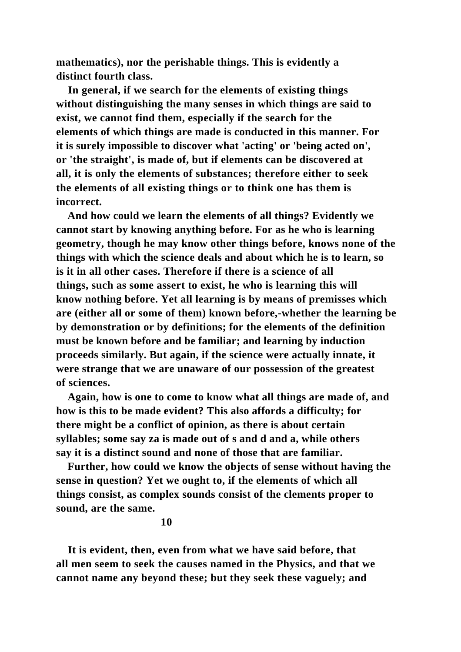**mathematics), nor the perishable things. This is evidently a distinct fourth class.**

 **In general, if we search for the elements of existing things without distinguishing the many senses in which things are said to exist, we cannot find them, especially if the search for the elements of which things are made is conducted in this manner. For it is surely impossible to discover what 'acting' or 'being acted on', or 'the straight', is made of, but if elements can be discovered at all, it is only the elements of substances; therefore either to seek the elements of all existing things or to think one has them is incorrect.**

 **And how could we learn the elements of all things? Evidently we cannot start by knowing anything before. For as he who is learning geometry, though he may know other things before, knows none of the things with which the science deals and about which he is to learn, so is it in all other cases. Therefore if there is a science of all things, such as some assert to exist, he who is learning this will know nothing before. Yet all learning is by means of premisses which are (either all or some of them) known before,-whether the learning be by demonstration or by definitions; for the elements of the definition must be known before and be familiar; and learning by induction proceeds similarly. But again, if the science were actually innate, it were strange that we are unaware of our possession of the greatest of sciences.**

 **Again, how is one to come to know what all things are made of, and how is this to be made evident? This also affords a difficulty; for there might be a conflict of opinion, as there is about certain syllables; some say za is made out of s and d and a, while others say it is a distinct sound and none of those that are familiar.**

 **Further, how could we know the objects of sense without having the sense in question? Yet we ought to, if the elements of which all things consist, as complex sounds consist of the clements proper to sound, are the same.**

**10** 

 **It is evident, then, even from what we have said before, that all men seem to seek the causes named in the Physics, and that we cannot name any beyond these; but they seek these vaguely; and**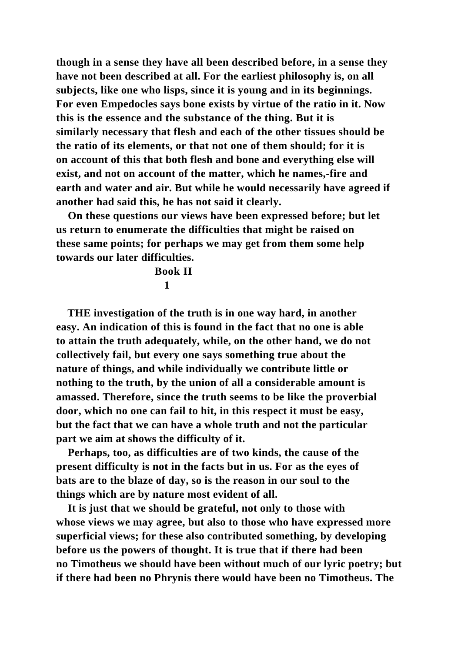**though in a sense they have all been described before, in a sense they have not been described at all. For the earliest philosophy is, on all subjects, like one who lisps, since it is young and in its beginnings. For even Empedocles says bone exists by virtue of the ratio in it. Now this is the essence and the substance of the thing. But it is similarly necessary that flesh and each of the other tissues should be the ratio of its elements, or that not one of them should; for it is on account of this that both flesh and bone and everything else will exist, and not on account of the matter, which he names,-fire and earth and water and air. But while he would necessarily have agreed if another had said this, he has not said it clearly.**

 **On these questions our views have been expressed before; but let us return to enumerate the difficulties that might be raised on these same points; for perhaps we may get from them some help towards our later difficulties.**

 **Book II 1** 

 **THE investigation of the truth is in one way hard, in another easy. An indication of this is found in the fact that no one is able to attain the truth adequately, while, on the other hand, we do not collectively fail, but every one says something true about the nature of things, and while individually we contribute little or nothing to the truth, by the union of all a considerable amount is amassed. Therefore, since the truth seems to be like the proverbial door, which no one can fail to hit, in this respect it must be easy, but the fact that we can have a whole truth and not the particular part we aim at shows the difficulty of it.**

 **Perhaps, too, as difficulties are of two kinds, the cause of the present difficulty is not in the facts but in us. For as the eyes of bats are to the blaze of day, so is the reason in our soul to the things which are by nature most evident of all.**

 **It is just that we should be grateful, not only to those with whose views we may agree, but also to those who have expressed more superficial views; for these also contributed something, by developing before us the powers of thought. It is true that if there had been no Timotheus we should have been without much of our lyric poetry; but if there had been no Phrynis there would have been no Timotheus. The**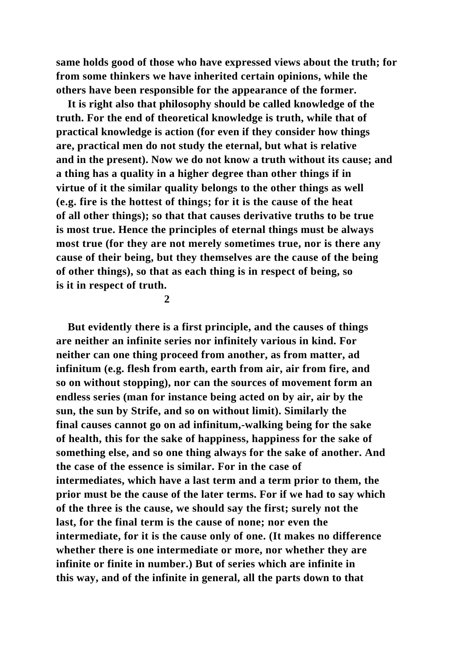**same holds good of those who have expressed views about the truth; for from some thinkers we have inherited certain opinions, while the others have been responsible for the appearance of the former.**

 **It is right also that philosophy should be called knowledge of the truth. For the end of theoretical knowledge is truth, while that of practical knowledge is action (for even if they consider how things are, practical men do not study the eternal, but what is relative and in the present). Now we do not know a truth without its cause; and a thing has a quality in a higher degree than other things if in virtue of it the similar quality belongs to the other things as well (e.g. fire is the hottest of things; for it is the cause of the heat of all other things); so that that causes derivative truths to be true is most true. Hence the principles of eternal things must be always most true (for they are not merely sometimes true, nor is there any cause of their being, but they themselves are the cause of the being of other things), so that as each thing is in respect of being, so is it in respect of truth.**

**2** 

 **But evidently there is a first principle, and the causes of things are neither an infinite series nor infinitely various in kind. For neither can one thing proceed from another, as from matter, ad infinitum (e.g. flesh from earth, earth from air, air from fire, and so on without stopping), nor can the sources of movement form an endless series (man for instance being acted on by air, air by the sun, the sun by Strife, and so on without limit). Similarly the final causes cannot go on ad infinitum,-walking being for the sake of health, this for the sake of happiness, happiness for the sake of something else, and so one thing always for the sake of another. And the case of the essence is similar. For in the case of intermediates, which have a last term and a term prior to them, the prior must be the cause of the later terms. For if we had to say which of the three is the cause, we should say the first; surely not the last, for the final term is the cause of none; nor even the intermediate, for it is the cause only of one. (It makes no difference whether there is one intermediate or more, nor whether they are infinite or finite in number.) But of series which are infinite in this way, and of the infinite in general, all the parts down to that**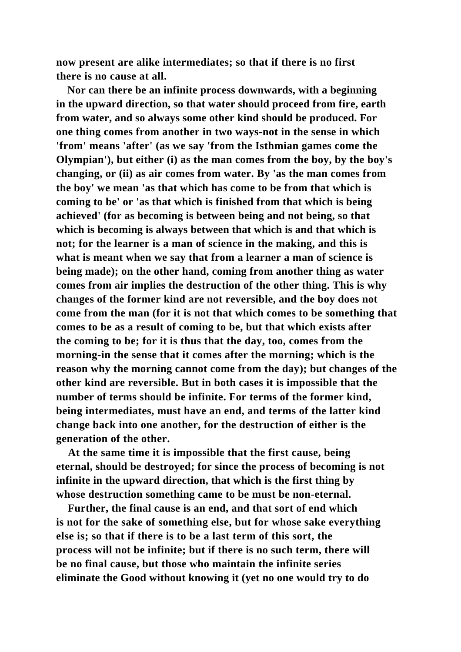**now present are alike intermediates; so that if there is no first there is no cause at all.**

 **Nor can there be an infinite process downwards, with a beginning in the upward direction, so that water should proceed from fire, earth from water, and so always some other kind should be produced. For one thing comes from another in two ways-not in the sense in which 'from' means 'after' (as we say 'from the Isthmian games come the Olympian'), but either (i) as the man comes from the boy, by the boy's changing, or (ii) as air comes from water. By 'as the man comes from the boy' we mean 'as that which has come to be from that which is coming to be' or 'as that which is finished from that which is being achieved' (for as becoming is between being and not being, so that which is becoming is always between that which is and that which is not; for the learner is a man of science in the making, and this is what is meant when we say that from a learner a man of science is being made); on the other hand, coming from another thing as water comes from air implies the destruction of the other thing. This is why changes of the former kind are not reversible, and the boy does not come from the man (for it is not that which comes to be something that comes to be as a result of coming to be, but that which exists after the coming to be; for it is thus that the day, too, comes from the morning-in the sense that it comes after the morning; which is the reason why the morning cannot come from the day); but changes of the other kind are reversible. But in both cases it is impossible that the number of terms should be infinite. For terms of the former kind, being intermediates, must have an end, and terms of the latter kind change back into one another, for the destruction of either is the generation of the other.**

 **At the same time it is impossible that the first cause, being eternal, should be destroyed; for since the process of becoming is not infinite in the upward direction, that which is the first thing by whose destruction something came to be must be non-eternal.**

 **Further, the final cause is an end, and that sort of end which is not for the sake of something else, but for whose sake everything else is; so that if there is to be a last term of this sort, the process will not be infinite; but if there is no such term, there will be no final cause, but those who maintain the infinite series eliminate the Good without knowing it (yet no one would try to do**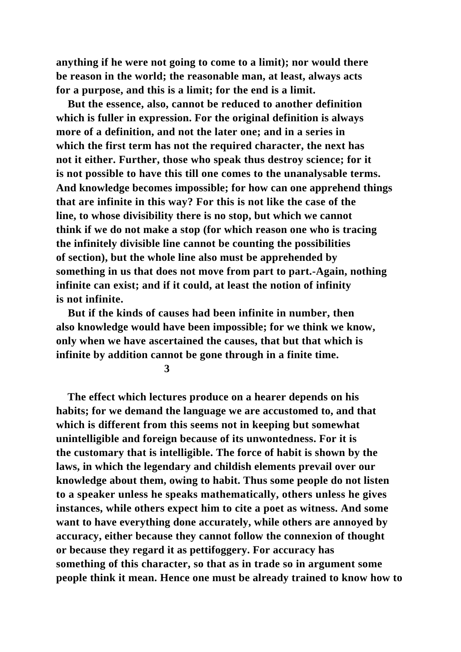**anything if he were not going to come to a limit); nor would there be reason in the world; the reasonable man, at least, always acts for a purpose, and this is a limit; for the end is a limit.**

 **But the essence, also, cannot be reduced to another definition which is fuller in expression. For the original definition is always more of a definition, and not the later one; and in a series in which the first term has not the required character, the next has not it either. Further, those who speak thus destroy science; for it is not possible to have this till one comes to the unanalysable terms. And knowledge becomes impossible; for how can one apprehend things that are infinite in this way? For this is not like the case of the line, to whose divisibility there is no stop, but which we cannot think if we do not make a stop (for which reason one who is tracing the infinitely divisible line cannot be counting the possibilities of section), but the whole line also must be apprehended by something in us that does not move from part to part.-Again, nothing infinite can exist; and if it could, at least the notion of infinity is not infinite.**

 **But if the kinds of causes had been infinite in number, then also knowledge would have been impossible; for we think we know, only when we have ascertained the causes, that but that which is infinite by addition cannot be gone through in a finite time.**

**3** 

 **The effect which lectures produce on a hearer depends on his habits; for we demand the language we are accustomed to, and that which is different from this seems not in keeping but somewhat unintelligible and foreign because of its unwontedness. For it is the customary that is intelligible. The force of habit is shown by the laws, in which the legendary and childish elements prevail over our knowledge about them, owing to habit. Thus some people do not listen to a speaker unless he speaks mathematically, others unless he gives instances, while others expect him to cite a poet as witness. And some want to have everything done accurately, while others are annoyed by accuracy, either because they cannot follow the connexion of thought or because they regard it as pettifoggery. For accuracy has something of this character, so that as in trade so in argument some people think it mean. Hence one must be already trained to know how to**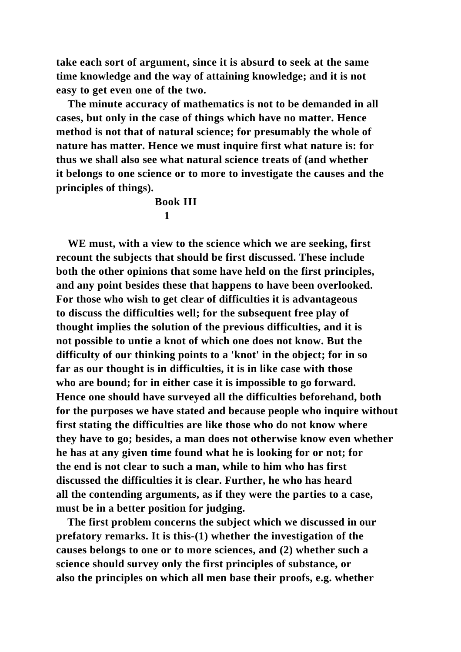**take each sort of argument, since it is absurd to seek at the same time knowledge and the way of attaining knowledge; and it is not easy to get even one of the two.**

 **The minute accuracy of mathematics is not to be demanded in all cases, but only in the case of things which have no matter. Hence method is not that of natural science; for presumably the whole of nature has matter. Hence we must inquire first what nature is: for thus we shall also see what natural science treats of (and whether it belongs to one science or to more to investigate the causes and the principles of things).**

## **Book III 1**

 **WE must, with a view to the science which we are seeking, first recount the subjects that should be first discussed. These include both the other opinions that some have held on the first principles, and any point besides these that happens to have been overlooked. For those who wish to get clear of difficulties it is advantageous to discuss the difficulties well; for the subsequent free play of thought implies the solution of the previous difficulties, and it is not possible to untie a knot of which one does not know. But the difficulty of our thinking points to a 'knot' in the object; for in so far as our thought is in difficulties, it is in like case with those who are bound; for in either case it is impossible to go forward. Hence one should have surveyed all the difficulties beforehand, both for the purposes we have stated and because people who inquire without first stating the difficulties are like those who do not know where they have to go; besides, a man does not otherwise know even whether he has at any given time found what he is looking for or not; for the end is not clear to such a man, while to him who has first discussed the difficulties it is clear. Further, he who has heard all the contending arguments, as if they were the parties to a case, must be in a better position for judging.**

 **The first problem concerns the subject which we discussed in our prefatory remarks. It is this-(1) whether the investigation of the causes belongs to one or to more sciences, and (2) whether such a science should survey only the first principles of substance, or also the principles on which all men base their proofs, e.g. whether**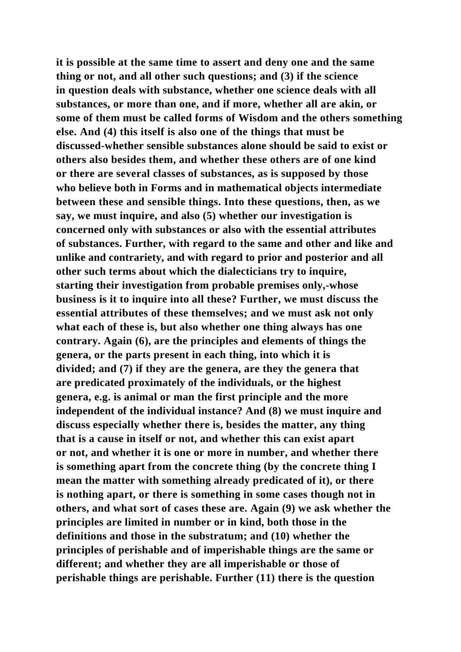**it is possible at the same time to assert and deny one and the same thing or not, and all other such questions; and (3) if the science in question deals with substance, whether one science deals with all substances, or more than one, and if more, whether all are akin, or some of them must be called forms of Wisdom and the others something else. And (4) this itself is also one of the things that must be discussed-whether sensible substances alone should be said to exist or others also besides them, and whether these others are of one kind or there are several classes of substances, as is supposed by those who believe both in Forms and in mathematical objects intermediate between these and sensible things. Into these questions, then, as we say, we must inquire, and also (5) whether our investigation is concerned only with substances or also with the essential attributes of substances. Further, with regard to the same and other and like and unlike and contrariety, and with regard to prior and posterior and all other such terms about which the dialecticians try to inquire, starting their investigation from probable premises only,-whose business is it to inquire into all these? Further, we must discuss the essential attributes of these themselves; and we must ask not only what each of these is, but also whether one thing always has one contrary. Again (6), are the principles and elements of things the genera, or the parts present in each thing, into which it is divided; and (7) if they are the genera, are they the genera that are predicated proximately of the individuals, or the highest genera, e.g. is animal or man the first principle and the more independent of the individual instance? And (8) we must inquire and discuss especially whether there is, besides the matter, any thing that is a cause in itself or not, and whether this can exist apart or not, and whether it is one or more in number, and whether there is something apart from the concrete thing (by the concrete thing I mean the matter with something already predicated of it), or there is nothing apart, or there is something in some cases though not in others, and what sort of cases these are. Again (9) we ask whether the principles are limited in number or in kind, both those in the definitions and those in the substratum; and (10) whether the principles of perishable and of imperishable things are the same or different; and whether they are all imperishable or those of perishable things are perishable. Further (11) there is the question**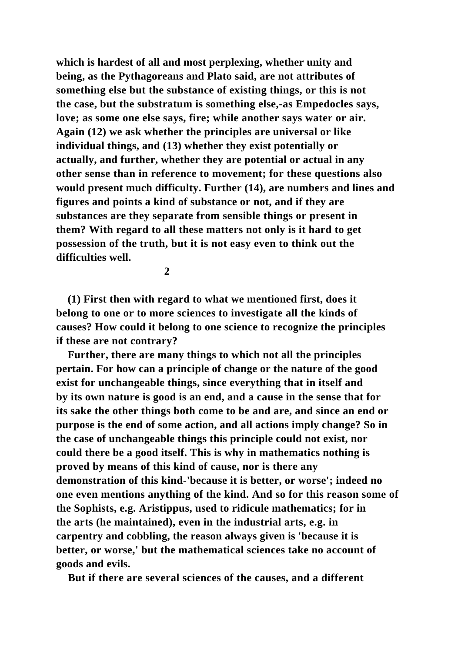**which is hardest of all and most perplexing, whether unity and being, as the Pythagoreans and Plato said, are not attributes of something else but the substance of existing things, or this is not the case, but the substratum is something else,-as Empedocles says, love; as some one else says, fire; while another says water or air. Again (12) we ask whether the principles are universal or like individual things, and (13) whether they exist potentially or actually, and further, whether they are potential or actual in any other sense than in reference to movement; for these questions also would present much difficulty. Further (14), are numbers and lines and figures and points a kind of substance or not, and if they are substances are they separate from sensible things or present in them? With regard to all these matters not only is it hard to get possession of the truth, but it is not easy even to think out the difficulties well.**

**2** 

 **(1) First then with regard to what we mentioned first, does it belong to one or to more sciences to investigate all the kinds of causes? How could it belong to one science to recognize the principles if these are not contrary?**

 **Further, there are many things to which not all the principles pertain. For how can a principle of change or the nature of the good exist for unchangeable things, since everything that in itself and by its own nature is good is an end, and a cause in the sense that for its sake the other things both come to be and are, and since an end or purpose is the end of some action, and all actions imply change? So in the case of unchangeable things this principle could not exist, nor could there be a good itself. This is why in mathematics nothing is proved by means of this kind of cause, nor is there any demonstration of this kind-'because it is better, or worse'; indeed no one even mentions anything of the kind. And so for this reason some of the Sophists, e.g. Aristippus, used to ridicule mathematics; for in the arts (he maintained), even in the industrial arts, e.g. in carpentry and cobbling, the reason always given is 'because it is better, or worse,' but the mathematical sciences take no account of goods and evils.**

 **But if there are several sciences of the causes, and a different**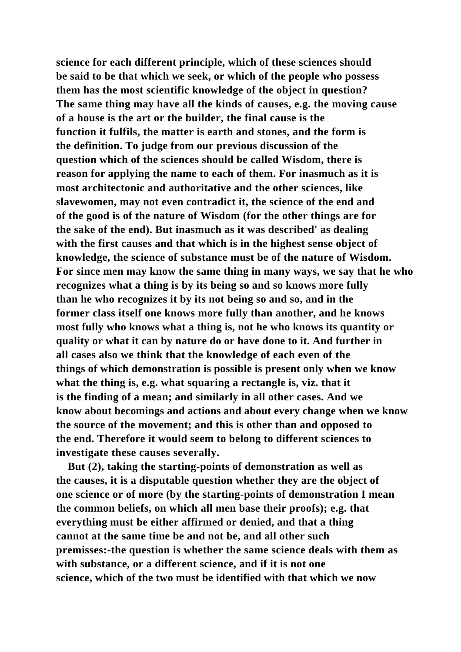**science for each different principle, which of these sciences should be said to be that which we seek, or which of the people who possess them has the most scientific knowledge of the object in question? The same thing may have all the kinds of causes, e.g. the moving cause of a house is the art or the builder, the final cause is the function it fulfils, the matter is earth and stones, and the form is the definition. To judge from our previous discussion of the question which of the sciences should be called Wisdom, there is reason for applying the name to each of them. For inasmuch as it is most architectonic and authoritative and the other sciences, like slavewomen, may not even contradict it, the science of the end and of the good is of the nature of Wisdom (for the other things are for the sake of the end). But inasmuch as it was described' as dealing with the first causes and that which is in the highest sense object of knowledge, the science of substance must be of the nature of Wisdom. For since men may know the same thing in many ways, we say that he who recognizes what a thing is by its being so and so knows more fully than he who recognizes it by its not being so and so, and in the former class itself one knows more fully than another, and he knows most fully who knows what a thing is, not he who knows its quantity or quality or what it can by nature do or have done to it. And further in all cases also we think that the knowledge of each even of the things of which demonstration is possible is present only when we know what the thing is, e.g. what squaring a rectangle is, viz. that it is the finding of a mean; and similarly in all other cases. And we know about becomings and actions and about every change when we know the source of the movement; and this is other than and opposed to the end. Therefore it would seem to belong to different sciences to investigate these causes severally.**

 **But (2), taking the starting-points of demonstration as well as the causes, it is a disputable question whether they are the object of one science or of more (by the starting-points of demonstration I mean the common beliefs, on which all men base their proofs); e.g. that everything must be either affirmed or denied, and that a thing cannot at the same time be and not be, and all other such premisses:-the question is whether the same science deals with them as with substance, or a different science, and if it is not one science, which of the two must be identified with that which we now**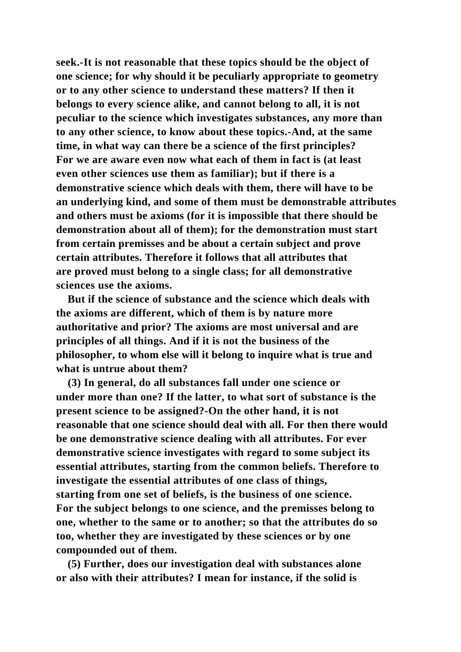**seek.-It is not reasonable that these topics should be the object of one science; for why should it be peculiarly appropriate to geometry or to any other science to understand these matters? If then it belongs to every science alike, and cannot belong to all, it is not peculiar to the science which investigates substances, any more than to any other science, to know about these topics.-And, at the same time, in what way can there be a science of the first principles? For we are aware even now what each of them in fact is (at least even other sciences use them as familiar); but if there is a demonstrative science which deals with them, there will have to be an underlying kind, and some of them must be demonstrable attributes and others must be axioms (for it is impossible that there should be demonstration about all of them); for the demonstration must start from certain premisses and be about a certain subject and prove certain attributes. Therefore it follows that all attributes that are proved must belong to a single class; for all demonstrative sciences use the axioms.**

 **But if the science of substance and the science which deals with the axioms are different, which of them is by nature more authoritative and prior? The axioms are most universal and are principles of all things. And if it is not the business of the philosopher, to whom else will it belong to inquire what is true and what is untrue about them?**

 **(3) In general, do all substances fall under one science or under more than one? If the latter, to what sort of substance is the present science to be assigned?-On the other hand, it is not reasonable that one science should deal with all. For then there would be one demonstrative science dealing with all attributes. For ever demonstrative science investigates with regard to some subject its essential attributes, starting from the common beliefs. Therefore to investigate the essential attributes of one class of things, starting from one set of beliefs, is the business of one science. For the subject belongs to one science, and the premisses belong to one, whether to the same or to another; so that the attributes do so too, whether they are investigated by these sciences or by one compounded out of them.**

 **(5) Further, does our investigation deal with substances alone or also with their attributes? I mean for instance, if the solid is**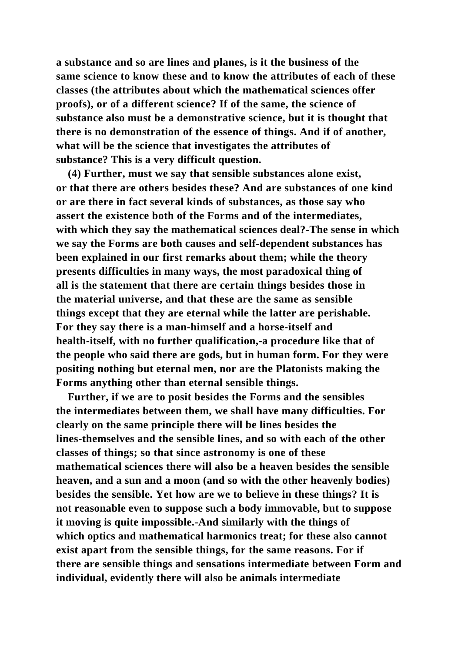**a substance and so are lines and planes, is it the business of the same science to know these and to know the attributes of each of these classes (the attributes about which the mathematical sciences offer proofs), or of a different science? If of the same, the science of substance also must be a demonstrative science, but it is thought that there is no demonstration of the essence of things. And if of another, what will be the science that investigates the attributes of substance? This is a very difficult question.**

 **(4) Further, must we say that sensible substances alone exist, or that there are others besides these? And are substances of one kind or are there in fact several kinds of substances, as those say who assert the existence both of the Forms and of the intermediates, with which they say the mathematical sciences deal?-The sense in which we say the Forms are both causes and self-dependent substances has been explained in our first remarks about them; while the theory presents difficulties in many ways, the most paradoxical thing of all is the statement that there are certain things besides those in the material universe, and that these are the same as sensible things except that they are eternal while the latter are perishable. For they say there is a man-himself and a horse-itself and health-itself, with no further qualification,-a procedure like that of the people who said there are gods, but in human form. For they were positing nothing but eternal men, nor are the Platonists making the Forms anything other than eternal sensible things.**

 **Further, if we are to posit besides the Forms and the sensibles the intermediates between them, we shall have many difficulties. For clearly on the same principle there will be lines besides the lines-themselves and the sensible lines, and so with each of the other classes of things; so that since astronomy is one of these mathematical sciences there will also be a heaven besides the sensible heaven, and a sun and a moon (and so with the other heavenly bodies) besides the sensible. Yet how are we to believe in these things? It is not reasonable even to suppose such a body immovable, but to suppose it moving is quite impossible.-And similarly with the things of which optics and mathematical harmonics treat; for these also cannot exist apart from the sensible things, for the same reasons. For if there are sensible things and sensations intermediate between Form and individual, evidently there will also be animals intermediate**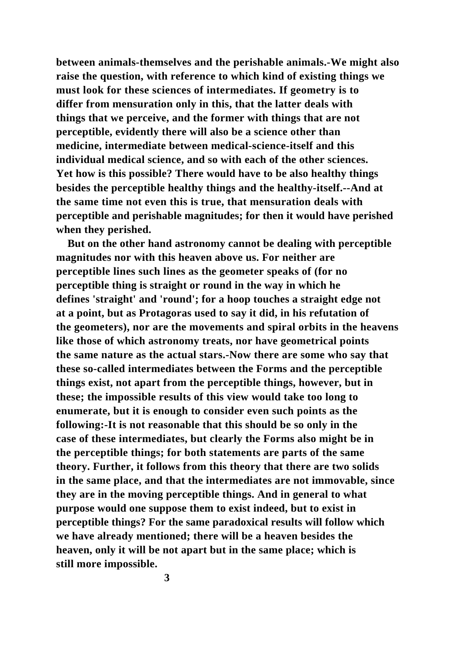**between animals-themselves and the perishable animals.-We might also raise the question, with reference to which kind of existing things we must look for these sciences of intermediates. If geometry is to differ from mensuration only in this, that the latter deals with things that we perceive, and the former with things that are not perceptible, evidently there will also be a science other than medicine, intermediate between medical-science-itself and this individual medical science, and so with each of the other sciences. Yet how is this possible? There would have to be also healthy things besides the perceptible healthy things and the healthy-itself.--And at the same time not even this is true, that mensuration deals with perceptible and perishable magnitudes; for then it would have perished when they perished.**

 **But on the other hand astronomy cannot be dealing with perceptible magnitudes nor with this heaven above us. For neither are perceptible lines such lines as the geometer speaks of (for no perceptible thing is straight or round in the way in which he defines 'straight' and 'round'; for a hoop touches a straight edge not at a point, but as Protagoras used to say it did, in his refutation of the geometers), nor are the movements and spiral orbits in the heavens like those of which astronomy treats, nor have geometrical points the same nature as the actual stars.-Now there are some who say that these so-called intermediates between the Forms and the perceptible things exist, not apart from the perceptible things, however, but in these; the impossible results of this view would take too long to enumerate, but it is enough to consider even such points as the following:-It is not reasonable that this should be so only in the case of these intermediates, but clearly the Forms also might be in the perceptible things; for both statements are parts of the same theory. Further, it follows from this theory that there are two solids in the same place, and that the intermediates are not immovable, since they are in the moving perceptible things. And in general to what purpose would one suppose them to exist indeed, but to exist in perceptible things? For the same paradoxical results will follow which we have already mentioned; there will be a heaven besides the heaven, only it will be not apart but in the same place; which is still more impossible.**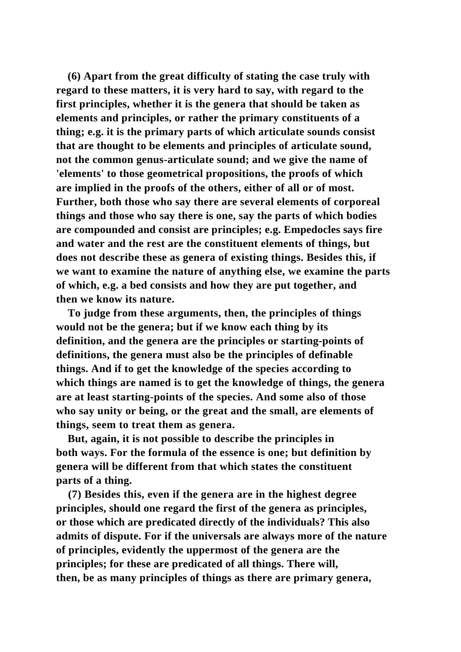**(6) Apart from the great difficulty of stating the case truly with regard to these matters, it is very hard to say, with regard to the first principles, whether it is the genera that should be taken as elements and principles, or rather the primary constituents of a thing; e.g. it is the primary parts of which articulate sounds consist that are thought to be elements and principles of articulate sound, not the common genus-articulate sound; and we give the name of 'elements' to those geometrical propositions, the proofs of which are implied in the proofs of the others, either of all or of most. Further, both those who say there are several elements of corporeal things and those who say there is one, say the parts of which bodies are compounded and consist are principles; e.g. Empedocles says fire and water and the rest are the constituent elements of things, but does not describe these as genera of existing things. Besides this, if we want to examine the nature of anything else, we examine the parts of which, e.g. a bed consists and how they are put together, and then we know its nature.**

 **To judge from these arguments, then, the principles of things would not be the genera; but if we know each thing by its definition, and the genera are the principles or starting-points of definitions, the genera must also be the principles of definable things. And if to get the knowledge of the species according to which things are named is to get the knowledge of things, the genera are at least starting-points of the species. And some also of those who say unity or being, or the great and the small, are elements of things, seem to treat them as genera.**

 **But, again, it is not possible to describe the principles in both ways. For the formula of the essence is one; but definition by genera will be different from that which states the constituent parts of a thing.**

 **(7) Besides this, even if the genera are in the highest degree principles, should one regard the first of the genera as principles, or those which are predicated directly of the individuals? This also admits of dispute. For if the universals are always more of the nature of principles, evidently the uppermost of the genera are the principles; for these are predicated of all things. There will, then, be as many principles of things as there are primary genera,**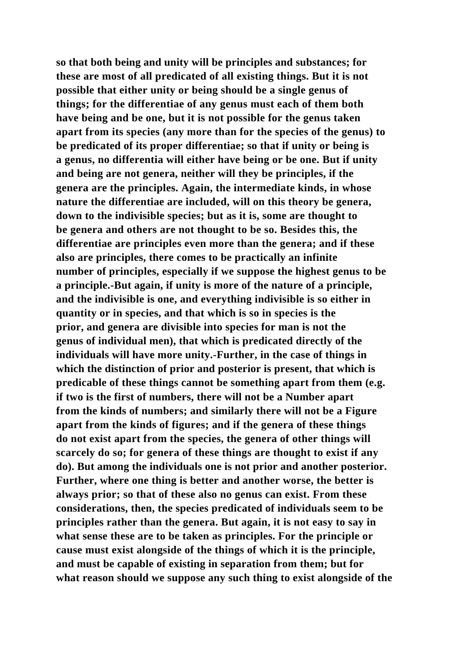**so that both being and unity will be principles and substances; for these are most of all predicated of all existing things. But it is not possible that either unity or being should be a single genus of things; for the differentiae of any genus must each of them both have being and be one, but it is not possible for the genus taken apart from its species (any more than for the species of the genus) to be predicated of its proper differentiae; so that if unity or being is a genus, no differentia will either have being or be one. But if unity and being are not genera, neither will they be principles, if the genera are the principles. Again, the intermediate kinds, in whose nature the differentiae are included, will on this theory be genera, down to the indivisible species; but as it is, some are thought to be genera and others are not thought to be so. Besides this, the differentiae are principles even more than the genera; and if these also are principles, there comes to be practically an infinite number of principles, especially if we suppose the highest genus to be a principle.-But again, if unity is more of the nature of a principle, and the indivisible is one, and everything indivisible is so either in quantity or in species, and that which is so in species is the prior, and genera are divisible into species for man is not the genus of individual men), that which is predicated directly of the individuals will have more unity.-Further, in the case of things in which the distinction of prior and posterior is present, that which is predicable of these things cannot be something apart from them (e.g. if two is the first of numbers, there will not be a Number apart from the kinds of numbers; and similarly there will not be a Figure apart from the kinds of figures; and if the genera of these things do not exist apart from the species, the genera of other things will scarcely do so; for genera of these things are thought to exist if any do). But among the individuals one is not prior and another posterior. Further, where one thing is better and another worse, the better is always prior; so that of these also no genus can exist. From these considerations, then, the species predicated of individuals seem to be principles rather than the genera. But again, it is not easy to say in what sense these are to be taken as principles. For the principle or cause must exist alongside of the things of which it is the principle, and must be capable of existing in separation from them; but for what reason should we suppose any such thing to exist alongside of the**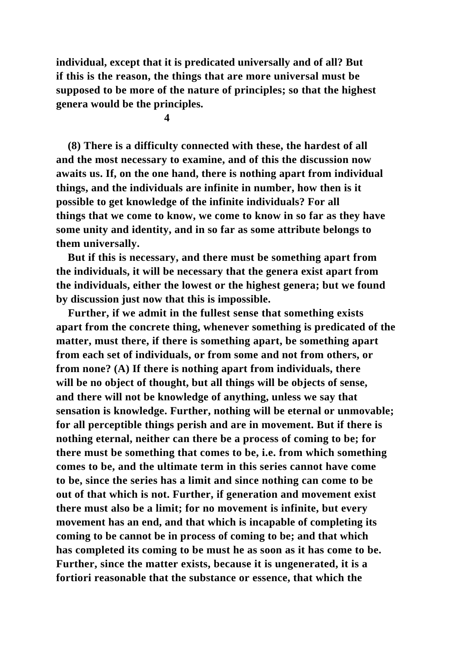**individual, except that it is predicated universally and of all? But if this is the reason, the things that are more universal must be supposed to be more of the nature of principles; so that the highest genera would be the principles.**

**4 4** 

 **(8) There is a difficulty connected with these, the hardest of all and the most necessary to examine, and of this the discussion now awaits us. If, on the one hand, there is nothing apart from individual things, and the individuals are infinite in number, how then is it possible to get knowledge of the infinite individuals? For all things that we come to know, we come to know in so far as they have some unity and identity, and in so far as some attribute belongs to them universally.**

 **But if this is necessary, and there must be something apart from the individuals, it will be necessary that the genera exist apart from the individuals, either the lowest or the highest genera; but we found by discussion just now that this is impossible.**

 **Further, if we admit in the fullest sense that something exists apart from the concrete thing, whenever something is predicated of the matter, must there, if there is something apart, be something apart from each set of individuals, or from some and not from others, or from none? (A) If there is nothing apart from individuals, there will be no object of thought, but all things will be objects of sense, and there will not be knowledge of anything, unless we say that sensation is knowledge. Further, nothing will be eternal or unmovable; for all perceptible things perish and are in movement. But if there is nothing eternal, neither can there be a process of coming to be; for there must be something that comes to be, i.e. from which something comes to be, and the ultimate term in this series cannot have come to be, since the series has a limit and since nothing can come to be out of that which is not. Further, if generation and movement exist there must also be a limit; for no movement is infinite, but every movement has an end, and that which is incapable of completing its coming to be cannot be in process of coming to be; and that which has completed its coming to be must he as soon as it has come to be. Further, since the matter exists, because it is ungenerated, it is a fortiori reasonable that the substance or essence, that which the**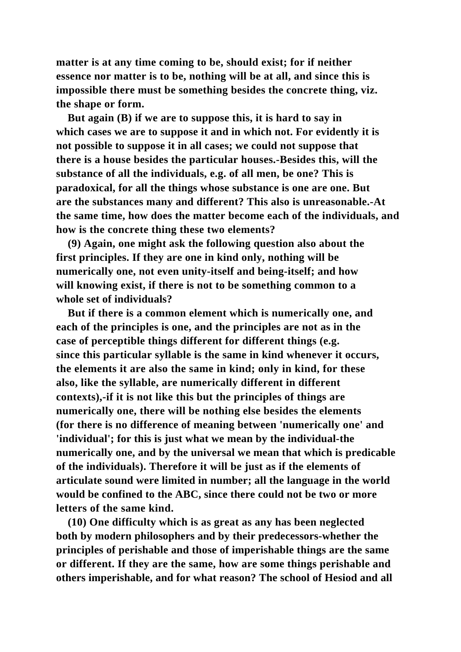**matter is at any time coming to be, should exist; for if neither essence nor matter is to be, nothing will be at all, and since this is impossible there must be something besides the concrete thing, viz. the shape or form.**

 **But again (B) if we are to suppose this, it is hard to say in which cases we are to suppose it and in which not. For evidently it is not possible to suppose it in all cases; we could not suppose that there is a house besides the particular houses.-Besides this, will the substance of all the individuals, e.g. of all men, be one? This is paradoxical, for all the things whose substance is one are one. But are the substances many and different? This also is unreasonable.-At the same time, how does the matter become each of the individuals, and how is the concrete thing these two elements?**

 **(9) Again, one might ask the following question also about the first principles. If they are one in kind only, nothing will be numerically one, not even unity-itself and being-itself; and how will knowing exist, if there is not to be something common to a whole set of individuals?**

 **But if there is a common element which is numerically one, and each of the principles is one, and the principles are not as in the case of perceptible things different for different things (e.g. since this particular syllable is the same in kind whenever it occurs, the elements it are also the same in kind; only in kind, for these also, like the syllable, are numerically different in different contexts),-if it is not like this but the principles of things are numerically one, there will be nothing else besides the elements (for there is no difference of meaning between 'numerically one' and 'individual'; for this is just what we mean by the individual-the numerically one, and by the universal we mean that which is predicable of the individuals). Therefore it will be just as if the elements of articulate sound were limited in number; all the language in the world would be confined to the ABC, since there could not be two or more letters of the same kind.**

 **(10) One difficulty which is as great as any has been neglected both by modern philosophers and by their predecessors-whether the principles of perishable and those of imperishable things are the same or different. If they are the same, how are some things perishable and others imperishable, and for what reason? The school of Hesiod and all**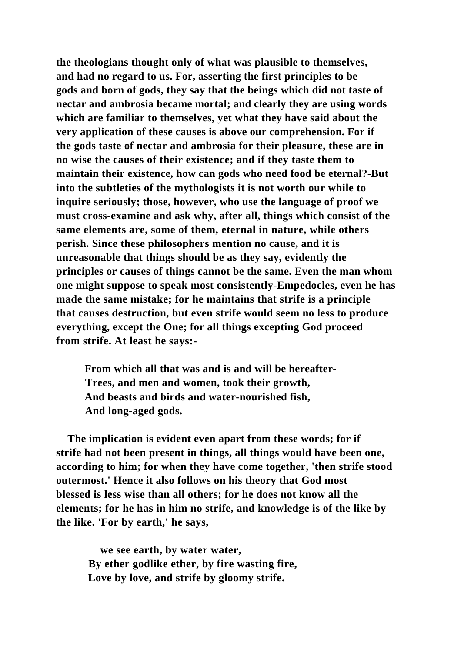**the theologians thought only of what was plausible to themselves, and had no regard to us. For, asserting the first principles to be gods and born of gods, they say that the beings which did not taste of nectar and ambrosia became mortal; and clearly they are using words which are familiar to themselves, yet what they have said about the very application of these causes is above our comprehension. For if the gods taste of nectar and ambrosia for their pleasure, these are in no wise the causes of their existence; and if they taste them to maintain their existence, how can gods who need food be eternal?-But into the subtleties of the mythologists it is not worth our while to inquire seriously; those, however, who use the language of proof we must cross-examine and ask why, after all, things which consist of the same elements are, some of them, eternal in nature, while others perish. Since these philosophers mention no cause, and it is unreasonable that things should be as they say, evidently the principles or causes of things cannot be the same. Even the man whom one might suppose to speak most consistently-Empedocles, even he has made the same mistake; for he maintains that strife is a principle that causes destruction, but even strife would seem no less to produce everything, except the One; for all things excepting God proceed from strife. At least he says:-**

 **From which all that was and is and will be hereafter- Trees, and men and women, took their growth, And beasts and birds and water-nourished fish, And long-aged gods.**

 **The implication is evident even apart from these words; for if strife had not been present in things, all things would have been one, according to him; for when they have come together, 'then strife stood outermost.' Hence it also follows on his theory that God most blessed is less wise than all others; for he does not know all the elements; for he has in him no strife, and knowledge is of the like by the like. 'For by earth,' he says,**

 **we see earth, by water water, By ether godlike ether, by fire wasting fire, Love by love, and strife by gloomy strife.**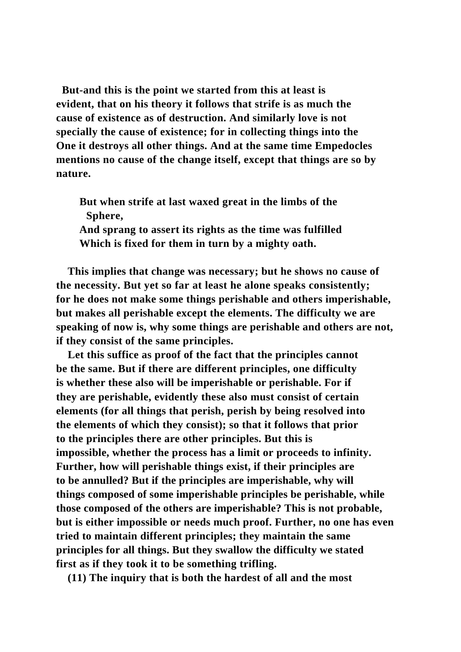**But-and this is the point we started from this at least is evident, that on his theory it follows that strife is as much the cause of existence as of destruction. And similarly love is not specially the cause of existence; for in collecting things into the One it destroys all other things. And at the same time Empedocles mentions no cause of the change itself, except that things are so by nature.**

 **But when strife at last waxed great in the limbs of the Sphere, And sprang to assert its rights as the time was fulfilled Which is fixed for them in turn by a mighty oath.**

 **This implies that change was necessary; but he shows no cause of the necessity. But yet so far at least he alone speaks consistently; for he does not make some things perishable and others imperishable, but makes all perishable except the elements. The difficulty we are speaking of now is, why some things are perishable and others are not, if they consist of the same principles.**

 **Let this suffice as proof of the fact that the principles cannot be the same. But if there are different principles, one difficulty is whether these also will be imperishable or perishable. For if they are perishable, evidently these also must consist of certain elements (for all things that perish, perish by being resolved into the elements of which they consist); so that it follows that prior to the principles there are other principles. But this is impossible, whether the process has a limit or proceeds to infinity. Further, how will perishable things exist, if their principles are to be annulled? But if the principles are imperishable, why will things composed of some imperishable principles be perishable, while those composed of the others are imperishable? This is not probable, but is either impossible or needs much proof. Further, no one has even tried to maintain different principles; they maintain the same principles for all things. But they swallow the difficulty we stated first as if they took it to be something trifling.**

 **(11) The inquiry that is both the hardest of all and the most**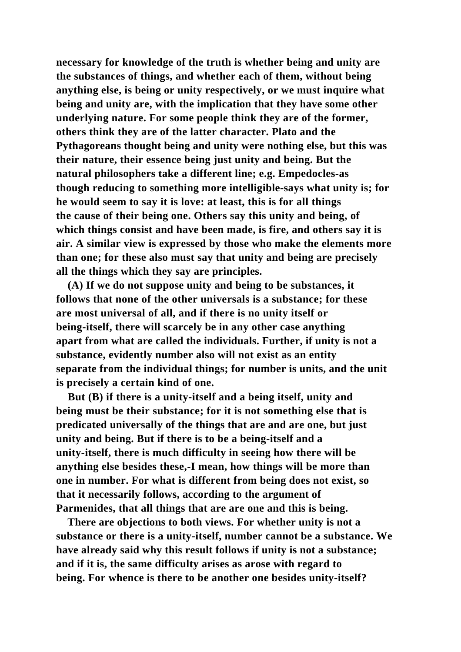**necessary for knowledge of the truth is whether being and unity are the substances of things, and whether each of them, without being anything else, is being or unity respectively, or we must inquire what being and unity are, with the implication that they have some other underlying nature. For some people think they are of the former, others think they are of the latter character. Plato and the Pythagoreans thought being and unity were nothing else, but this was their nature, their essence being just unity and being. But the natural philosophers take a different line; e.g. Empedocles-as though reducing to something more intelligible-says what unity is; for he would seem to say it is love: at least, this is for all things the cause of their being one. Others say this unity and being, of which things consist and have been made, is fire, and others say it is air. A similar view is expressed by those who make the elements more than one; for these also must say that unity and being are precisely all the things which they say are principles.**

 **(A) If we do not suppose unity and being to be substances, it follows that none of the other universals is a substance; for these are most universal of all, and if there is no unity itself or being-itself, there will scarcely be in any other case anything apart from what are called the individuals. Further, if unity is not a substance, evidently number also will not exist as an entity separate from the individual things; for number is units, and the unit is precisely a certain kind of one.**

 **But (B) if there is a unity-itself and a being itself, unity and being must be their substance; for it is not something else that is predicated universally of the things that are and are one, but just unity and being. But if there is to be a being-itself and a unity-itself, there is much difficulty in seeing how there will be anything else besides these,-I mean, how things will be more than one in number. For what is different from being does not exist, so that it necessarily follows, according to the argument of Parmenides, that all things that are are one and this is being.**

 **There are objections to both views. For whether unity is not a substance or there is a unity-itself, number cannot be a substance. We have already said why this result follows if unity is not a substance; and if it is, the same difficulty arises as arose with regard to being. For whence is there to be another one besides unity-itself?**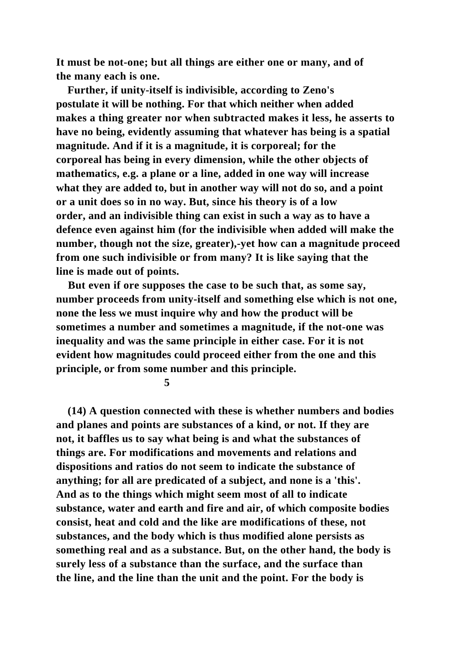**It must be not-one; but all things are either one or many, and of the many each is one.**

 **Further, if unity-itself is indivisible, according to Zeno's postulate it will be nothing. For that which neither when added makes a thing greater nor when subtracted makes it less, he asserts to have no being, evidently assuming that whatever has being is a spatial magnitude. And if it is a magnitude, it is corporeal; for the corporeal has being in every dimension, while the other objects of mathematics, e.g. a plane or a line, added in one way will increase what they are added to, but in another way will not do so, and a point or a unit does so in no way. But, since his theory is of a low order, and an indivisible thing can exist in such a way as to have a defence even against him (for the indivisible when added will make the number, though not the size, greater),-yet how can a magnitude proceed from one such indivisible or from many? It is like saying that the line is made out of points.**

 **But even if ore supposes the case to be such that, as some say, number proceeds from unity-itself and something else which is not one, none the less we must inquire why and how the product will be sometimes a number and sometimes a magnitude, if the not-one was inequality and was the same principle in either case. For it is not evident how magnitudes could proceed either from the one and this principle, or from some number and this principle.**

**5** 

 **(14) A question connected with these is whether numbers and bodies and planes and points are substances of a kind, or not. If they are not, it baffles us to say what being is and what the substances of things are. For modifications and movements and relations and dispositions and ratios do not seem to indicate the substance of anything; for all are predicated of a subject, and none is a 'this'. And as to the things which might seem most of all to indicate substance, water and earth and fire and air, of which composite bodies consist, heat and cold and the like are modifications of these, not substances, and the body which is thus modified alone persists as something real and as a substance. But, on the other hand, the body is surely less of a substance than the surface, and the surface than the line, and the line than the unit and the point. For the body is**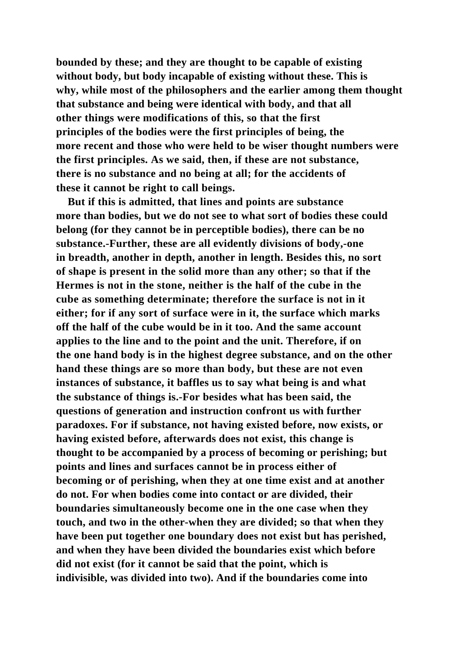**bounded by these; and they are thought to be capable of existing without body, but body incapable of existing without these. This is why, while most of the philosophers and the earlier among them thought that substance and being were identical with body, and that all other things were modifications of this, so that the first principles of the bodies were the first principles of being, the more recent and those who were held to be wiser thought numbers were the first principles. As we said, then, if these are not substance, there is no substance and no being at all; for the accidents of these it cannot be right to call beings.**

 **But if this is admitted, that lines and points are substance more than bodies, but we do not see to what sort of bodies these could belong (for they cannot be in perceptible bodies), there can be no substance.-Further, these are all evidently divisions of body,-one in breadth, another in depth, another in length. Besides this, no sort of shape is present in the solid more than any other; so that if the Hermes is not in the stone, neither is the half of the cube in the cube as something determinate; therefore the surface is not in it either; for if any sort of surface were in it, the surface which marks off the half of the cube would be in it too. And the same account applies to the line and to the point and the unit. Therefore, if on the one hand body is in the highest degree substance, and on the other hand these things are so more than body, but these are not even instances of substance, it baffles us to say what being is and what the substance of things is.-For besides what has been said, the questions of generation and instruction confront us with further paradoxes. For if substance, not having existed before, now exists, or having existed before, afterwards does not exist, this change is thought to be accompanied by a process of becoming or perishing; but points and lines and surfaces cannot be in process either of becoming or of perishing, when they at one time exist and at another do not. For when bodies come into contact or are divided, their boundaries simultaneously become one in the one case when they touch, and two in the other-when they are divided; so that when they have been put together one boundary does not exist but has perished, and when they have been divided the boundaries exist which before did not exist (for it cannot be said that the point, which is indivisible, was divided into two). And if the boundaries come into**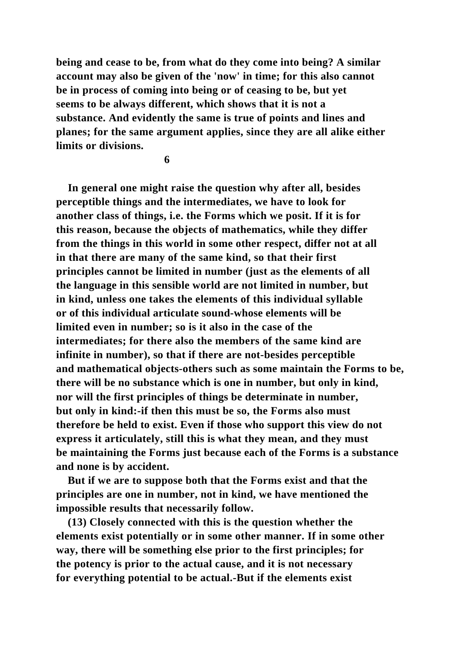**being and cease to be, from what do they come into being? A similar account may also be given of the 'now' in time; for this also cannot be in process of coming into being or of ceasing to be, but yet seems to be always different, which shows that it is not a substance. And evidently the same is true of points and lines and planes; for the same argument applies, since they are all alike either limits or divisions.**

 **6**

 **In general one might raise the question why after all, besides perceptible things and the intermediates, we have to look for another class of things, i.e. the Forms which we posit. If it is for this reason, because the objects of mathematics, while they differ from the things in this world in some other respect, differ not at all in that there are many of the same kind, so that their first principles cannot be limited in number (just as the elements of all the language in this sensible world are not limited in number, but in kind, unless one takes the elements of this individual syllable or of this individual articulate sound-whose elements will be limited even in number; so is it also in the case of the intermediates; for there also the members of the same kind are infinite in number), so that if there are not-besides perceptible and mathematical objects-others such as some maintain the Forms to be, there will be no substance which is one in number, but only in kind, nor will the first principles of things be determinate in number, but only in kind:-if then this must be so, the Forms also must therefore be held to exist. Even if those who support this view do not express it articulately, still this is what they mean, and they must be maintaining the Forms just because each of the Forms is a substance and none is by accident.**

 **But if we are to suppose both that the Forms exist and that the principles are one in number, not in kind, we have mentioned the impossible results that necessarily follow.**

 **(13) Closely connected with this is the question whether the elements exist potentially or in some other manner. If in some other way, there will be something else prior to the first principles; for the potency is prior to the actual cause, and it is not necessary for everything potential to be actual.-But if the elements exist**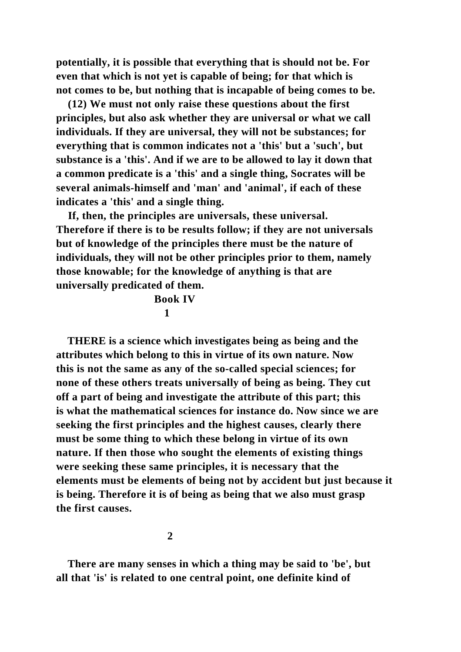**potentially, it is possible that everything that is should not be. For even that which is not yet is capable of being; for that which is not comes to be, but nothing that is incapable of being comes to be.**

 **(12) We must not only raise these questions about the first principles, but also ask whether they are universal or what we call individuals. If they are universal, they will not be substances; for everything that is common indicates not a 'this' but a 'such', but substance is a 'this'. And if we are to be allowed to lay it down that a common predicate is a 'this' and a single thing, Socrates will be several animals-himself and 'man' and 'animal', if each of these indicates a 'this' and a single thing.**

 **If, then, the principles are universals, these universal. Therefore if there is to be results follow; if they are not universals but of knowledge of the principles there must be the nature of individuals, they will not be other principles prior to them, namely those knowable; for the knowledge of anything is that are universally predicated of them.**

 **Book IV 1** 

 **THERE is a science which investigates being as being and the attributes which belong to this in virtue of its own nature. Now this is not the same as any of the so-called special sciences; for none of these others treats universally of being as being. They cut off a part of being and investigate the attribute of this part; this is what the mathematical sciences for instance do. Now since we are seeking the first principles and the highest causes, clearly there must be some thing to which these belong in virtue of its own nature. If then those who sought the elements of existing things were seeking these same principles, it is necessary that the elements must be elements of being not by accident but just because it is being. Therefore it is of being as being that we also must grasp the first causes.**

**2** 

 **There are many senses in which a thing may be said to 'be', but all that 'is' is related to one central point, one definite kind of**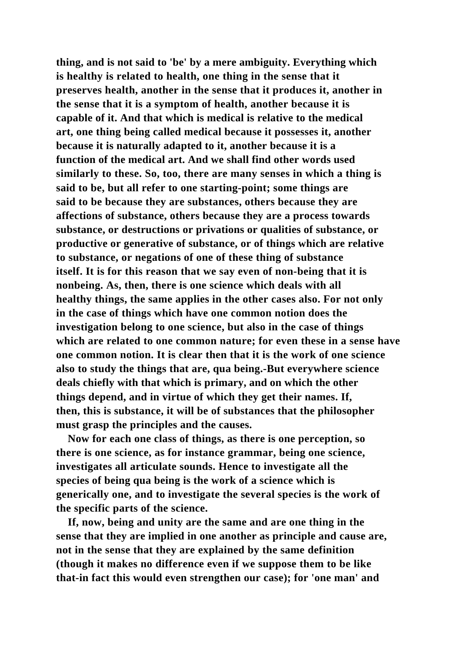**thing, and is not said to 'be' by a mere ambiguity. Everything which is healthy is related to health, one thing in the sense that it preserves health, another in the sense that it produces it, another in the sense that it is a symptom of health, another because it is capable of it. And that which is medical is relative to the medical art, one thing being called medical because it possesses it, another because it is naturally adapted to it, another because it is a function of the medical art. And we shall find other words used similarly to these. So, too, there are many senses in which a thing is said to be, but all refer to one starting-point; some things are said to be because they are substances, others because they are affections of substance, others because they are a process towards substance, or destructions or privations or qualities of substance, or productive or generative of substance, or of things which are relative to substance, or negations of one of these thing of substance itself. It is for this reason that we say even of non-being that it is nonbeing. As, then, there is one science which deals with all healthy things, the same applies in the other cases also. For not only in the case of things which have one common notion does the investigation belong to one science, but also in the case of things which are related to one common nature; for even these in a sense have one common notion. It is clear then that it is the work of one science also to study the things that are, qua being.-But everywhere science deals chiefly with that which is primary, and on which the other things depend, and in virtue of which they get their names. If, then, this is substance, it will be of substances that the philosopher must grasp the principles and the causes.**

 **Now for each one class of things, as there is one perception, so there is one science, as for instance grammar, being one science, investigates all articulate sounds. Hence to investigate all the species of being qua being is the work of a science which is generically one, and to investigate the several species is the work of the specific parts of the science.**

 **If, now, being and unity are the same and are one thing in the sense that they are implied in one another as principle and cause are, not in the sense that they are explained by the same definition (though it makes no difference even if we suppose them to be like that-in fact this would even strengthen our case); for 'one man' and**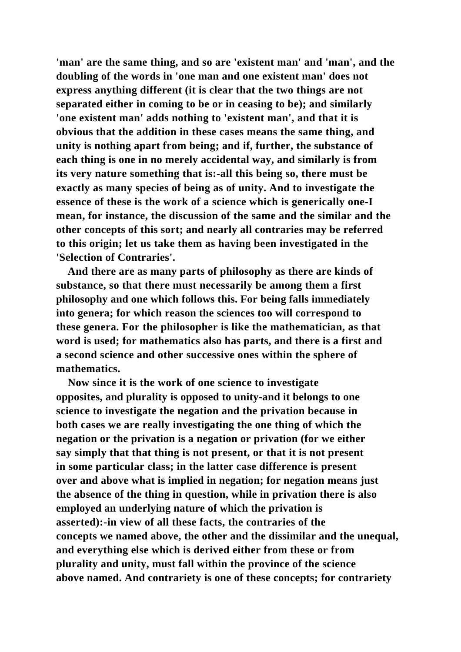**'man' are the same thing, and so are 'existent man' and 'man', and the doubling of the words in 'one man and one existent man' does not express anything different (it is clear that the two things are not separated either in coming to be or in ceasing to be); and similarly 'one existent man' adds nothing to 'existent man', and that it is obvious that the addition in these cases means the same thing, and unity is nothing apart from being; and if, further, the substance of each thing is one in no merely accidental way, and similarly is from its very nature something that is:-all this being so, there must be exactly as many species of being as of unity. And to investigate the essence of these is the work of a science which is generically one-I mean, for instance, the discussion of the same and the similar and the other concepts of this sort; and nearly all contraries may be referred to this origin; let us take them as having been investigated in the 'Selection of Contraries'.**

 **And there are as many parts of philosophy as there are kinds of substance, so that there must necessarily be among them a first philosophy and one which follows this. For being falls immediately into genera; for which reason the sciences too will correspond to these genera. For the philosopher is like the mathematician, as that word is used; for mathematics also has parts, and there is a first and a second science and other successive ones within the sphere of mathematics.**

 **Now since it is the work of one science to investigate opposites, and plurality is opposed to unity-and it belongs to one science to investigate the negation and the privation because in both cases we are really investigating the one thing of which the negation or the privation is a negation or privation (for we either say simply that that thing is not present, or that it is not present in some particular class; in the latter case difference is present over and above what is implied in negation; for negation means just the absence of the thing in question, while in privation there is also employed an underlying nature of which the privation is asserted):-in view of all these facts, the contraries of the concepts we named above, the other and the dissimilar and the unequal, and everything else which is derived either from these or from plurality and unity, must fall within the province of the science above named. And contrariety is one of these concepts; for contrariety**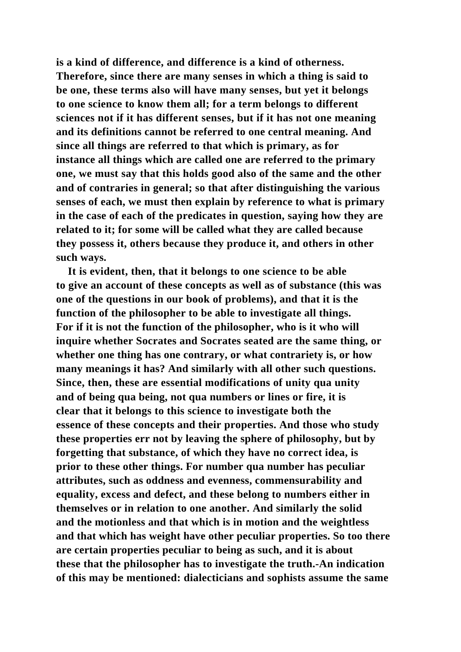**is a kind of difference, and difference is a kind of otherness. Therefore, since there are many senses in which a thing is said to be one, these terms also will have many senses, but yet it belongs to one science to know them all; for a term belongs to different sciences not if it has different senses, but if it has not one meaning and its definitions cannot be referred to one central meaning. And since all things are referred to that which is primary, as for instance all things which are called one are referred to the primary one, we must say that this holds good also of the same and the other and of contraries in general; so that after distinguishing the various senses of each, we must then explain by reference to what is primary in the case of each of the predicates in question, saying how they are related to it; for some will be called what they are called because they possess it, others because they produce it, and others in other such ways.**

 **It is evident, then, that it belongs to one science to be able to give an account of these concepts as well as of substance (this was one of the questions in our book of problems), and that it is the function of the philosopher to be able to investigate all things. For if it is not the function of the philosopher, who is it who will inquire whether Socrates and Socrates seated are the same thing, or whether one thing has one contrary, or what contrariety is, or how many meanings it has? And similarly with all other such questions. Since, then, these are essential modifications of unity qua unity and of being qua being, not qua numbers or lines or fire, it is clear that it belongs to this science to investigate both the essence of these concepts and their properties. And those who study these properties err not by leaving the sphere of philosophy, but by forgetting that substance, of which they have no correct idea, is prior to these other things. For number qua number has peculiar attributes, such as oddness and evenness, commensurability and equality, excess and defect, and these belong to numbers either in themselves or in relation to one another. And similarly the solid and the motionless and that which is in motion and the weightless and that which has weight have other peculiar properties. So too there are certain properties peculiar to being as such, and it is about these that the philosopher has to investigate the truth.-An indication of this may be mentioned: dialecticians and sophists assume the same**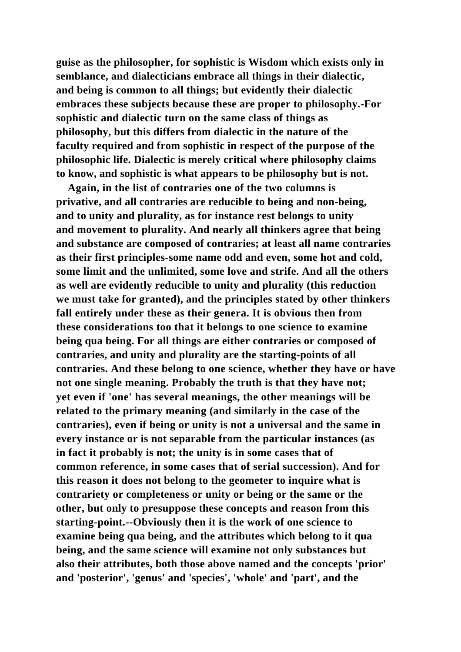**guise as the philosopher, for sophistic is Wisdom which exists only in semblance, and dialecticians embrace all things in their dialectic, and being is common to all things; but evidently their dialectic embraces these subjects because these are proper to philosophy.-For sophistic and dialectic turn on the same class of things as philosophy, but this differs from dialectic in the nature of the faculty required and from sophistic in respect of the purpose of the philosophic life. Dialectic is merely critical where philosophy claims to know, and sophistic is what appears to be philosophy but is not.**

 **Again, in the list of contraries one of the two columns is privative, and all contraries are reducible to being and non-being, and to unity and plurality, as for instance rest belongs to unity and movement to plurality. And nearly all thinkers agree that being and substance are composed of contraries; at least all name contraries as their first principles-some name odd and even, some hot and cold, some limit and the unlimited, some love and strife. And all the others as well are evidently reducible to unity and plurality (this reduction we must take for granted), and the principles stated by other thinkers fall entirely under these as their genera. It is obvious then from these considerations too that it belongs to one science to examine being qua being. For all things are either contraries or composed of contraries, and unity and plurality are the starting-points of all contraries. And these belong to one science, whether they have or have not one single meaning. Probably the truth is that they have not; yet even if 'one' has several meanings, the other meanings will be related to the primary meaning (and similarly in the case of the contraries), even if being or unity is not a universal and the same in every instance or is not separable from the particular instances (as in fact it probably is not; the unity is in some cases that of common reference, in some cases that of serial succession). And for this reason it does not belong to the geometer to inquire what is contrariety or completeness or unity or being or the same or the other, but only to presuppose these concepts and reason from this starting-point.--Obviously then it is the work of one science to examine being qua being, and the attributes which belong to it qua being, and the same science will examine not only substances but also their attributes, both those above named and the concepts 'prior' and 'posterior', 'genus' and 'species', 'whole' and 'part', and the**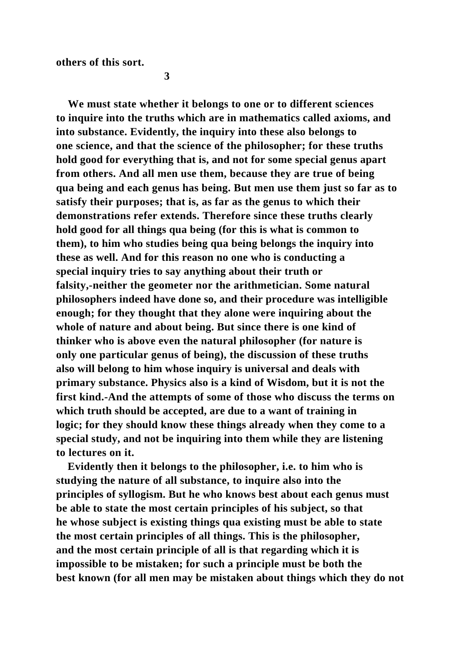**others of this sort.**

**3** 

 **We must state whether it belongs to one or to different sciences to inquire into the truths which are in mathematics called axioms, and into substance. Evidently, the inquiry into these also belongs to one science, and that the science of the philosopher; for these truths hold good for everything that is, and not for some special genus apart from others. And all men use them, because they are true of being qua being and each genus has being. But men use them just so far as to satisfy their purposes; that is, as far as the genus to which their demonstrations refer extends. Therefore since these truths clearly hold good for all things qua being (for this is what is common to them), to him who studies being qua being belongs the inquiry into these as well. And for this reason no one who is conducting a special inquiry tries to say anything about their truth or falsity,-neither the geometer nor the arithmetician. Some natural philosophers indeed have done so, and their procedure was intelligible enough; for they thought that they alone were inquiring about the whole of nature and about being. But since there is one kind of thinker who is above even the natural philosopher (for nature is only one particular genus of being), the discussion of these truths also will belong to him whose inquiry is universal and deals with primary substance. Physics also is a kind of Wisdom, but it is not the first kind.-And the attempts of some of those who discuss the terms on which truth should be accepted, are due to a want of training in logic; for they should know these things already when they come to a special study, and not be inquiring into them while they are listening to lectures on it.**

 **Evidently then it belongs to the philosopher, i.e. to him who is studying the nature of all substance, to inquire also into the principles of syllogism. But he who knows best about each genus must be able to state the most certain principles of his subject, so that he whose subject is existing things qua existing must be able to state the most certain principles of all things. This is the philosopher, and the most certain principle of all is that regarding which it is impossible to be mistaken; for such a principle must be both the best known (for all men may be mistaken about things which they do not**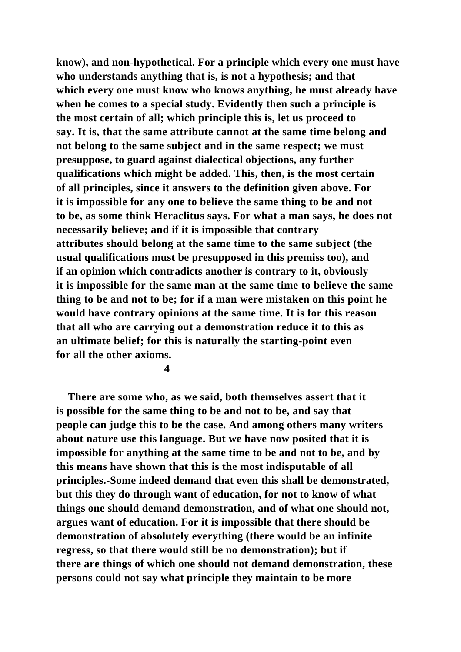**know), and non-hypothetical. For a principle which every one must have who understands anything that is, is not a hypothesis; and that which every one must know who knows anything, he must already have when he comes to a special study. Evidently then such a principle is the most certain of all; which principle this is, let us proceed to say. It is, that the same attribute cannot at the same time belong and not belong to the same subject and in the same respect; we must presuppose, to guard against dialectical objections, any further qualifications which might be added. This, then, is the most certain of all principles, since it answers to the definition given above. For it is impossible for any one to believe the same thing to be and not to be, as some think Heraclitus says. For what a man says, he does not necessarily believe; and if it is impossible that contrary attributes should belong at the same time to the same subject (the usual qualifications must be presupposed in this premiss too), and if an opinion which contradicts another is contrary to it, obviously it is impossible for the same man at the same time to believe the same thing to be and not to be; for if a man were mistaken on this point he would have contrary opinions at the same time. It is for this reason that all who are carrying out a demonstration reduce it to this as an ultimate belief; for this is naturally the starting-point even for all the other axioms.**

**4 4** 

 **There are some who, as we said, both themselves assert that it is possible for the same thing to be and not to be, and say that people can judge this to be the case. And among others many writers about nature use this language. But we have now posited that it is impossible for anything at the same time to be and not to be, and by this means have shown that this is the most indisputable of all principles.-Some indeed demand that even this shall be demonstrated, but this they do through want of education, for not to know of what things one should demand demonstration, and of what one should not, argues want of education. For it is impossible that there should be demonstration of absolutely everything (there would be an infinite regress, so that there would still be no demonstration); but if there are things of which one should not demand demonstration, these persons could not say what principle they maintain to be more**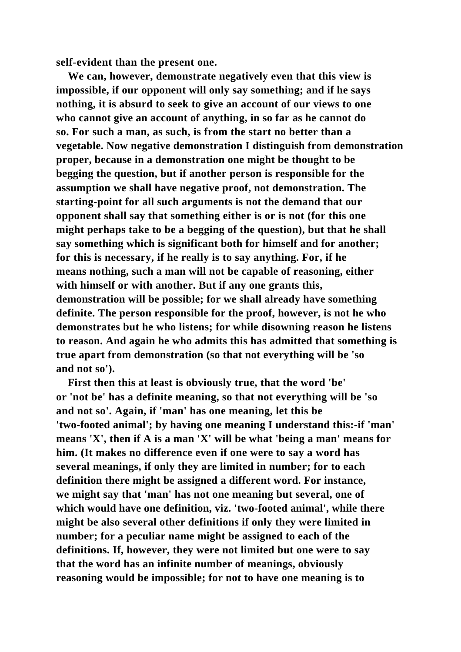**self-evident than the present one.**

 **We can, however, demonstrate negatively even that this view is impossible, if our opponent will only say something; and if he says nothing, it is absurd to seek to give an account of our views to one who cannot give an account of anything, in so far as he cannot do so. For such a man, as such, is from the start no better than a vegetable. Now negative demonstration I distinguish from demonstration proper, because in a demonstration one might be thought to be begging the question, but if another person is responsible for the assumption we shall have negative proof, not demonstration. The starting-point for all such arguments is not the demand that our opponent shall say that something either is or is not (for this one might perhaps take to be a begging of the question), but that he shall say something which is significant both for himself and for another; for this is necessary, if he really is to say anything. For, if he means nothing, such a man will not be capable of reasoning, either with himself or with another. But if any one grants this, demonstration will be possible; for we shall already have something definite. The person responsible for the proof, however, is not he who demonstrates but he who listens; for while disowning reason he listens to reason. And again he who admits this has admitted that something is true apart from demonstration (so that not everything will be 'so and not so').**

 **First then this at least is obviously true, that the word 'be' or 'not be' has a definite meaning, so that not everything will be 'so and not so'. Again, if 'man' has one meaning, let this be 'two-footed animal'; by having one meaning I understand this:-if 'man' means 'X', then if A is a man 'X' will be what 'being a man' means for him. (It makes no difference even if one were to say a word has several meanings, if only they are limited in number; for to each definition there might be assigned a different word. For instance, we might say that 'man' has not one meaning but several, one of which would have one definition, viz. 'two-footed animal', while there might be also several other definitions if only they were limited in number; for a peculiar name might be assigned to each of the definitions. If, however, they were not limited but one were to say that the word has an infinite number of meanings, obviously reasoning would be impossible; for not to have one meaning is to**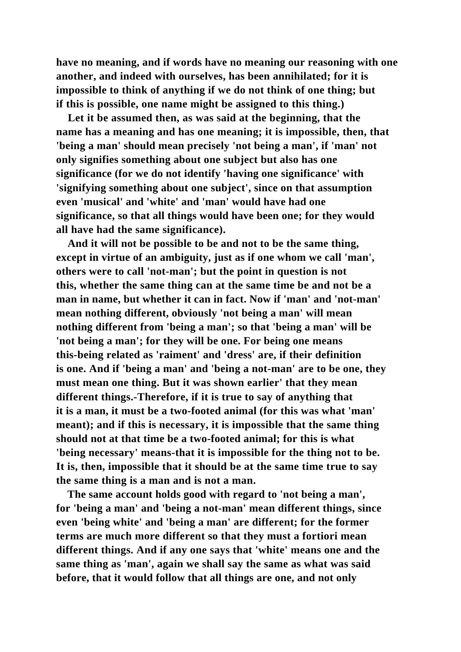**have no meaning, and if words have no meaning our reasoning with one another, and indeed with ourselves, has been annihilated; for it is impossible to think of anything if we do not think of one thing; but if this is possible, one name might be assigned to this thing.)**

 **Let it be assumed then, as was said at the beginning, that the name has a meaning and has one meaning; it is impossible, then, that 'being a man' should mean precisely 'not being a man', if 'man' not only signifies something about one subject but also has one significance (for we do not identify 'having one significance' with 'signifying something about one subject', since on that assumption even 'musical' and 'white' and 'man' would have had one significance, so that all things would have been one; for they would all have had the same significance).**

 **And it will not be possible to be and not to be the same thing, except in virtue of an ambiguity, just as if one whom we call 'man', others were to call 'not-man'; but the point in question is not this, whether the same thing can at the same time be and not be a man in name, but whether it can in fact. Now if 'man' and 'not-man' mean nothing different, obviously 'not being a man' will mean nothing different from 'being a man'; so that 'being a man' will be 'not being a man'; for they will be one. For being one means this-being related as 'raiment' and 'dress' are, if their definition is one. And if 'being a man' and 'being a not-man' are to be one, they must mean one thing. But it was shown earlier' that they mean different things.-Therefore, if it is true to say of anything that it is a man, it must be a two-footed animal (for this was what 'man' meant); and if this is necessary, it is impossible that the same thing should not at that time be a two-footed animal; for this is what 'being necessary' means-that it is impossible for the thing not to be. It is, then, impossible that it should be at the same time true to say the same thing is a man and is not a man.**

 **The same account holds good with regard to 'not being a man', for 'being a man' and 'being a not-man' mean different things, since even 'being white' and 'being a man' are different; for the former terms are much more different so that they must a fortiori mean different things. And if any one says that 'white' means one and the same thing as 'man', again we shall say the same as what was said before, that it would follow that all things are one, and not only**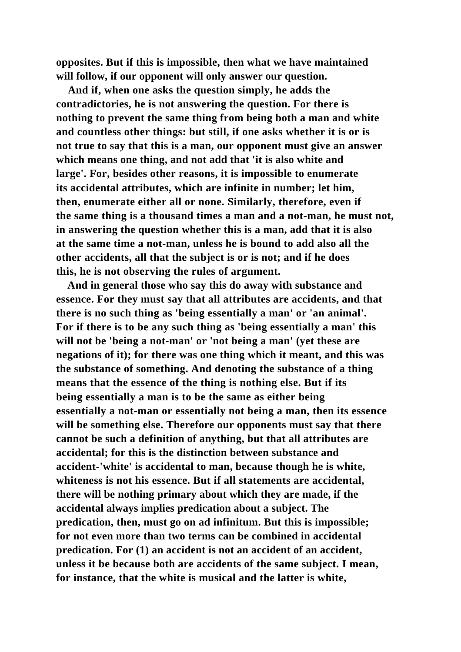**opposites. But if this is impossible, then what we have maintained will follow, if our opponent will only answer our question.**

 **And if, when one asks the question simply, he adds the contradictories, he is not answering the question. For there is nothing to prevent the same thing from being both a man and white and countless other things: but still, if one asks whether it is or is not true to say that this is a man, our opponent must give an answer which means one thing, and not add that 'it is also white and large'. For, besides other reasons, it is impossible to enumerate its accidental attributes, which are infinite in number; let him, then, enumerate either all or none. Similarly, therefore, even if the same thing is a thousand times a man and a not-man, he must not, in answering the question whether this is a man, add that it is also at the same time a not-man, unless he is bound to add also all the other accidents, all that the subject is or is not; and if he does this, he is not observing the rules of argument.**

 **And in general those who say this do away with substance and essence. For they must say that all attributes are accidents, and that there is no such thing as 'being essentially a man' or 'an animal'. For if there is to be any such thing as 'being essentially a man' this will not be 'being a not-man' or 'not being a man' (yet these are negations of it); for there was one thing which it meant, and this was the substance of something. And denoting the substance of a thing means that the essence of the thing is nothing else. But if its being essentially a man is to be the same as either being essentially a not-man or essentially not being a man, then its essence will be something else. Therefore our opponents must say that there cannot be such a definition of anything, but that all attributes are accidental; for this is the distinction between substance and accident-'white' is accidental to man, because though he is white, whiteness is not his essence. But if all statements are accidental, there will be nothing primary about which they are made, if the accidental always implies predication about a subject. The predication, then, must go on ad infinitum. But this is impossible; for not even more than two terms can be combined in accidental predication. For (1) an accident is not an accident of an accident, unless it be because both are accidents of the same subject. I mean, for instance, that the white is musical and the latter is white,**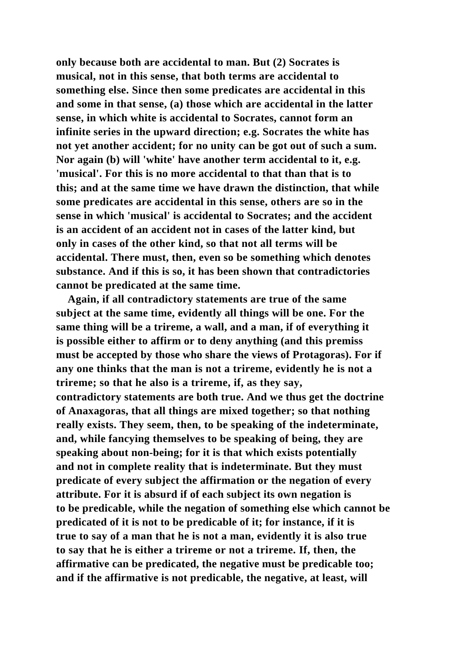**only because both are accidental to man. But (2) Socrates is musical, not in this sense, that both terms are accidental to something else. Since then some predicates are accidental in this and some in that sense, (a) those which are accidental in the latter sense, in which white is accidental to Socrates, cannot form an infinite series in the upward direction; e.g. Socrates the white has not yet another accident; for no unity can be got out of such a sum. Nor again (b) will 'white' have another term accidental to it, e.g. 'musical'. For this is no more accidental to that than that is to this; and at the same time we have drawn the distinction, that while some predicates are accidental in this sense, others are so in the sense in which 'musical' is accidental to Socrates; and the accident is an accident of an accident not in cases of the latter kind, but only in cases of the other kind, so that not all terms will be accidental. There must, then, even so be something which denotes substance. And if this is so, it has been shown that contradictories cannot be predicated at the same time.**

 **Again, if all contradictory statements are true of the same subject at the same time, evidently all things will be one. For the same thing will be a trireme, a wall, and a man, if of everything it is possible either to affirm or to deny anything (and this premiss must be accepted by those who share the views of Protagoras). For if any one thinks that the man is not a trireme, evidently he is not a trireme; so that he also is a trireme, if, as they say, contradictory statements are both true. And we thus get the doctrine of Anaxagoras, that all things are mixed together; so that nothing really exists. They seem, then, to be speaking of the indeterminate, and, while fancying themselves to be speaking of being, they are speaking about non-being; for it is that which exists potentially and not in complete reality that is indeterminate. But they must predicate of every subject the affirmation or the negation of every attribute. For it is absurd if of each subject its own negation is to be predicable, while the negation of something else which cannot be predicated of it is not to be predicable of it; for instance, if it is true to say of a man that he is not a man, evidently it is also true to say that he is either a trireme or not a trireme. If, then, the affirmative can be predicated, the negative must be predicable too; and if the affirmative is not predicable, the negative, at least, will**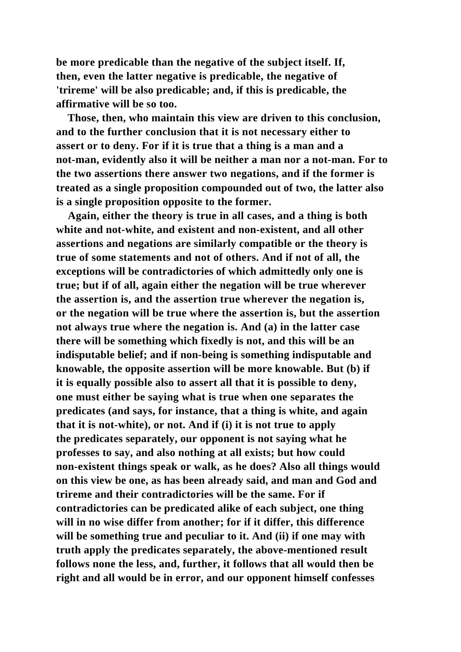**be more predicable than the negative of the subject itself. If, then, even the latter negative is predicable, the negative of 'trireme' will be also predicable; and, if this is predicable, the affirmative will be so too.**

 **Those, then, who maintain this view are driven to this conclusion, and to the further conclusion that it is not necessary either to assert or to deny. For if it is true that a thing is a man and a not-man, evidently also it will be neither a man nor a not-man. For to the two assertions there answer two negations, and if the former is treated as a single proposition compounded out of two, the latter also is a single proposition opposite to the former.**

 **Again, either the theory is true in all cases, and a thing is both white and not-white, and existent and non-existent, and all other assertions and negations are similarly compatible or the theory is true of some statements and not of others. And if not of all, the exceptions will be contradictories of which admittedly only one is true; but if of all, again either the negation will be true wherever the assertion is, and the assertion true wherever the negation is, or the negation will be true where the assertion is, but the assertion not always true where the negation is. And (a) in the latter case there will be something which fixedly is not, and this will be an indisputable belief; and if non-being is something indisputable and knowable, the opposite assertion will be more knowable. But (b) if it is equally possible also to assert all that it is possible to deny, one must either be saying what is true when one separates the predicates (and says, for instance, that a thing is white, and again that it is not-white), or not. And if (i) it is not true to apply the predicates separately, our opponent is not saying what he professes to say, and also nothing at all exists; but how could non-existent things speak or walk, as he does? Also all things would on this view be one, as has been already said, and man and God and trireme and their contradictories will be the same. For if contradictories can be predicated alike of each subject, one thing will in no wise differ from another; for if it differ, this difference will be something true and peculiar to it. And (ii) if one may with truth apply the predicates separately, the above-mentioned result follows none the less, and, further, it follows that all would then be right and all would be in error, and our opponent himself confesses**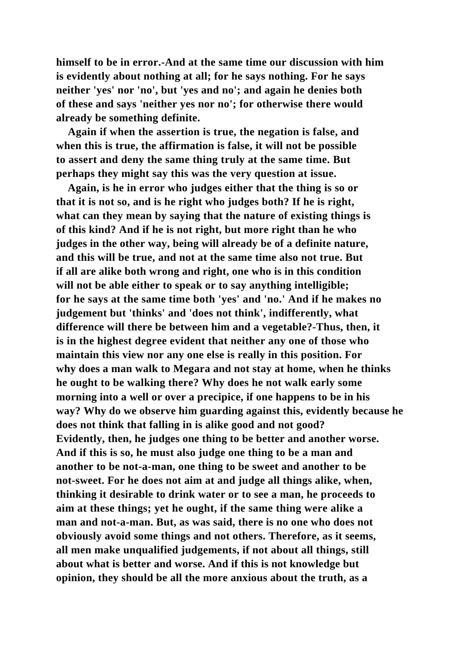**himself to be in error.-And at the same time our discussion with him is evidently about nothing at all; for he says nothing. For he says neither 'yes' nor 'no', but 'yes and no'; and again he denies both of these and says 'neither yes nor no'; for otherwise there would already be something definite.**

 **Again if when the assertion is true, the negation is false, and when this is true, the affirmation is false, it will not be possible to assert and deny the same thing truly at the same time. But perhaps they might say this was the very question at issue.**

 **Again, is he in error who judges either that the thing is so or that it is not so, and is he right who judges both? If he is right, what can they mean by saying that the nature of existing things is of this kind? And if he is not right, but more right than he who judges in the other way, being will already be of a definite nature, and this will be true, and not at the same time also not true. But if all are alike both wrong and right, one who is in this condition will not be able either to speak or to say anything intelligible; for he says at the same time both 'yes' and 'no.' And if he makes no judgement but 'thinks' and 'does not think', indifferently, what difference will there be between him and a vegetable?-Thus, then, it is in the highest degree evident that neither any one of those who maintain this view nor any one else is really in this position. For why does a man walk to Megara and not stay at home, when he thinks he ought to be walking there? Why does he not walk early some morning into a well or over a precipice, if one happens to be in his way? Why do we observe him guarding against this, evidently because he does not think that falling in is alike good and not good? Evidently, then, he judges one thing to be better and another worse. And if this is so, he must also judge one thing to be a man and another to be not-a-man, one thing to be sweet and another to be not-sweet. For he does not aim at and judge all things alike, when, thinking it desirable to drink water or to see a man, he proceeds to aim at these things; yet he ought, if the same thing were alike a man and not-a-man. But, as was said, there is no one who does not obviously avoid some things and not others. Therefore, as it seems, all men make unqualified judgements, if not about all things, still about what is better and worse. And if this is not knowledge but opinion, they should be all the more anxious about the truth, as a**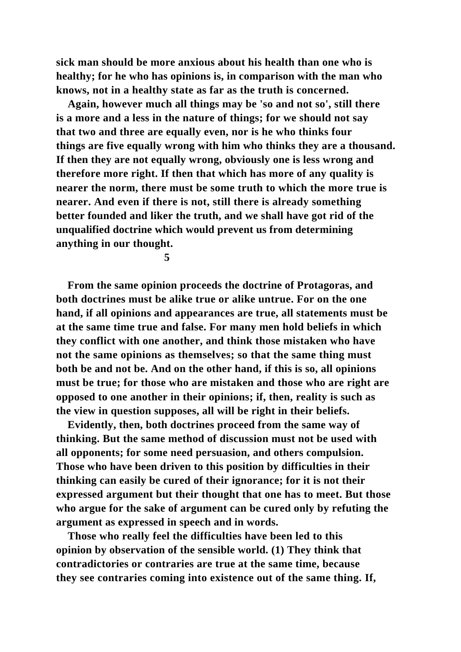**sick man should be more anxious about his health than one who is healthy; for he who has opinions is, in comparison with the man who knows, not in a healthy state as far as the truth is concerned.**

 **Again, however much all things may be 'so and not so', still there is a more and a less in the nature of things; for we should not say that two and three are equally even, nor is he who thinks four things are five equally wrong with him who thinks they are a thousand. If then they are not equally wrong, obviously one is less wrong and therefore more right. If then that which has more of any quality is nearer the norm, there must be some truth to which the more true is nearer. And even if there is not, still there is already something better founded and liker the truth, and we shall have got rid of the unqualified doctrine which would prevent us from determining anything in our thought.**

**5** 

 **From the same opinion proceeds the doctrine of Protagoras, and both doctrines must be alike true or alike untrue. For on the one hand, if all opinions and appearances are true, all statements must be at the same time true and false. For many men hold beliefs in which they conflict with one another, and think those mistaken who have not the same opinions as themselves; so that the same thing must both be and not be. And on the other hand, if this is so, all opinions must be true; for those who are mistaken and those who are right are opposed to one another in their opinions; if, then, reality is such as the view in question supposes, all will be right in their beliefs.**

 **Evidently, then, both doctrines proceed from the same way of thinking. But the same method of discussion must not be used with all opponents; for some need persuasion, and others compulsion. Those who have been driven to this position by difficulties in their thinking can easily be cured of their ignorance; for it is not their expressed argument but their thought that one has to meet. But those who argue for the sake of argument can be cured only by refuting the argument as expressed in speech and in words.**

 **Those who really feel the difficulties have been led to this opinion by observation of the sensible world. (1) They think that contradictories or contraries are true at the same time, because they see contraries coming into existence out of the same thing. If,**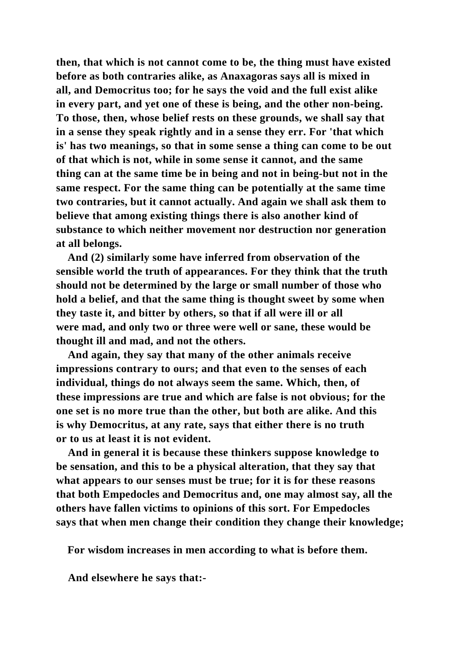**then, that which is not cannot come to be, the thing must have existed before as both contraries alike, as Anaxagoras says all is mixed in all, and Democritus too; for he says the void and the full exist alike in every part, and yet one of these is being, and the other non-being. To those, then, whose belief rests on these grounds, we shall say that in a sense they speak rightly and in a sense they err. For 'that which is' has two meanings, so that in some sense a thing can come to be out of that which is not, while in some sense it cannot, and the same thing can at the same time be in being and not in being-but not in the same respect. For the same thing can be potentially at the same time two contraries, but it cannot actually. And again we shall ask them to believe that among existing things there is also another kind of substance to which neither movement nor destruction nor generation at all belongs.**

 **And (2) similarly some have inferred from observation of the sensible world the truth of appearances. For they think that the truth should not be determined by the large or small number of those who hold a belief, and that the same thing is thought sweet by some when they taste it, and bitter by others, so that if all were ill or all were mad, and only two or three were well or sane, these would be thought ill and mad, and not the others.**

 **And again, they say that many of the other animals receive impressions contrary to ours; and that even to the senses of each individual, things do not always seem the same. Which, then, of these impressions are true and which are false is not obvious; for the one set is no more true than the other, but both are alike. And this is why Democritus, at any rate, says that either there is no truth or to us at least it is not evident.**

 **And in general it is because these thinkers suppose knowledge to be sensation, and this to be a physical alteration, that they say that what appears to our senses must be true; for it is for these reasons that both Empedocles and Democritus and, one may almost say, all the others have fallen victims to opinions of this sort. For Empedocles says that when men change their condition they change their knowledge;**

 **For wisdom increases in men according to what is before them.**

 **And elsewhere he says that:-**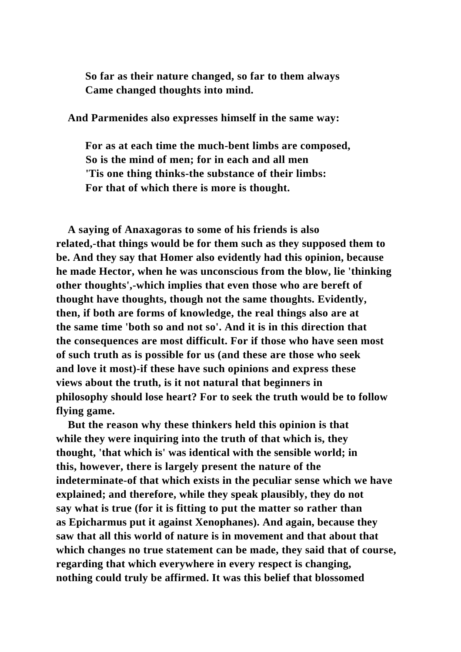**So far as their nature changed, so far to them always Came changed thoughts into mind.**

 **And Parmenides also expresses himself in the same way:**

 **For as at each time the much-bent limbs are composed, So is the mind of men; for in each and all men 'Tis one thing thinks-the substance of their limbs: For that of which there is more is thought.**

 **A saying of Anaxagoras to some of his friends is also related,-that things would be for them such as they supposed them to be. And they say that Homer also evidently had this opinion, because he made Hector, when he was unconscious from the blow, lie 'thinking other thoughts',-which implies that even those who are bereft of thought have thoughts, though not the same thoughts. Evidently, then, if both are forms of knowledge, the real things also are at the same time 'both so and not so'. And it is in this direction that the consequences are most difficult. For if those who have seen most of such truth as is possible for us (and these are those who seek and love it most)-if these have such opinions and express these views about the truth, is it not natural that beginners in philosophy should lose heart? For to seek the truth would be to follow flying game.**

 **But the reason why these thinkers held this opinion is that while they were inquiring into the truth of that which is, they thought, 'that which is' was identical with the sensible world; in this, however, there is largely present the nature of the indeterminate-of that which exists in the peculiar sense which we have explained; and therefore, while they speak plausibly, they do not say what is true (for it is fitting to put the matter so rather than as Epicharmus put it against Xenophanes). And again, because they saw that all this world of nature is in movement and that about that which changes no true statement can be made, they said that of course, regarding that which everywhere in every respect is changing, nothing could truly be affirmed. It was this belief that blossomed**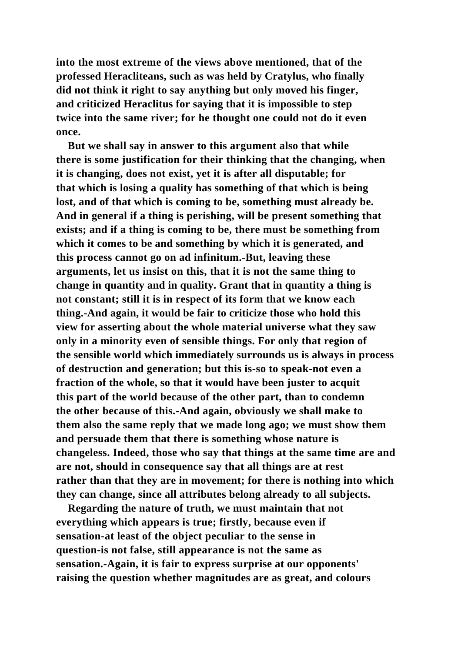**into the most extreme of the views above mentioned, that of the professed Heracliteans, such as was held by Cratylus, who finally did not think it right to say anything but only moved his finger, and criticized Heraclitus for saying that it is impossible to step twice into the same river; for he thought one could not do it even once.**

 **But we shall say in answer to this argument also that while there is some justification for their thinking that the changing, when it is changing, does not exist, yet it is after all disputable; for that which is losing a quality has something of that which is being lost, and of that which is coming to be, something must already be. And in general if a thing is perishing, will be present something that exists; and if a thing is coming to be, there must be something from which it comes to be and something by which it is generated, and this process cannot go on ad infinitum.-But, leaving these arguments, let us insist on this, that it is not the same thing to change in quantity and in quality. Grant that in quantity a thing is not constant; still it is in respect of its form that we know each thing.-And again, it would be fair to criticize those who hold this view for asserting about the whole material universe what they saw only in a minority even of sensible things. For only that region of the sensible world which immediately surrounds us is always in process of destruction and generation; but this is-so to speak-not even a fraction of the whole, so that it would have been juster to acquit this part of the world because of the other part, than to condemn the other because of this.-And again, obviously we shall make to them also the same reply that we made long ago; we must show them and persuade them that there is something whose nature is changeless. Indeed, those who say that things at the same time are and are not, should in consequence say that all things are at rest rather than that they are in movement; for there is nothing into which they can change, since all attributes belong already to all subjects.**

 **Regarding the nature of truth, we must maintain that not everything which appears is true; firstly, because even if sensation-at least of the object peculiar to the sense in question-is not false, still appearance is not the same as sensation.-Again, it is fair to express surprise at our opponents' raising the question whether magnitudes are as great, and colours**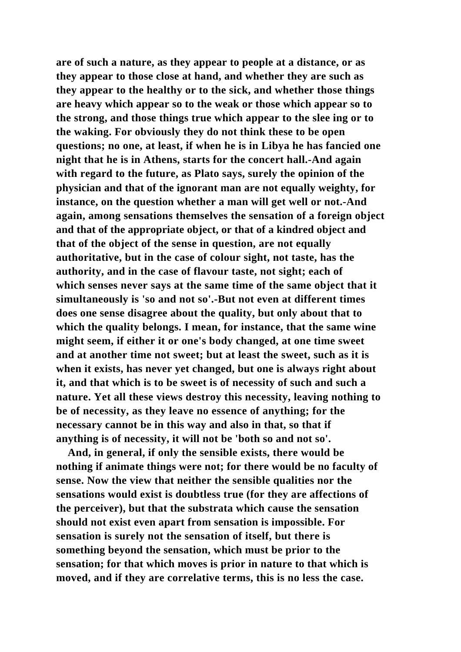**are of such a nature, as they appear to people at a distance, or as they appear to those close at hand, and whether they are such as they appear to the healthy or to the sick, and whether those things are heavy which appear so to the weak or those which appear so to the strong, and those things true which appear to the slee ing or to the waking. For obviously they do not think these to be open questions; no one, at least, if when he is in Libya he has fancied one night that he is in Athens, starts for the concert hall.-And again with regard to the future, as Plato says, surely the opinion of the physician and that of the ignorant man are not equally weighty, for instance, on the question whether a man will get well or not.-And again, among sensations themselves the sensation of a foreign object and that of the appropriate object, or that of a kindred object and that of the object of the sense in question, are not equally authoritative, but in the case of colour sight, not taste, has the authority, and in the case of flavour taste, not sight; each of which senses never says at the same time of the same object that it simultaneously is 'so and not so'.-But not even at different times does one sense disagree about the quality, but only about that to which the quality belongs. I mean, for instance, that the same wine might seem, if either it or one's body changed, at one time sweet and at another time not sweet; but at least the sweet, such as it is when it exists, has never yet changed, but one is always right about it, and that which is to be sweet is of necessity of such and such a nature. Yet all these views destroy this necessity, leaving nothing to be of necessity, as they leave no essence of anything; for the necessary cannot be in this way and also in that, so that if anything is of necessity, it will not be 'both so and not so'.**

 **And, in general, if only the sensible exists, there would be nothing if animate things were not; for there would be no faculty of sense. Now the view that neither the sensible qualities nor the sensations would exist is doubtless true (for they are affections of the perceiver), but that the substrata which cause the sensation should not exist even apart from sensation is impossible. For sensation is surely not the sensation of itself, but there is something beyond the sensation, which must be prior to the sensation; for that which moves is prior in nature to that which is moved, and if they are correlative terms, this is no less the case.**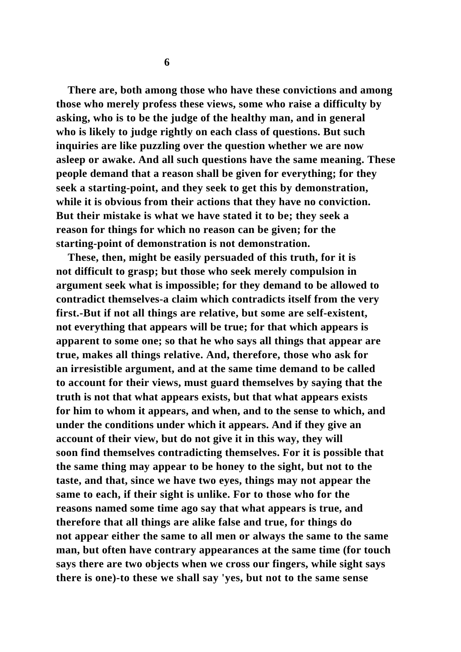**There are, both among those who have these convictions and among those who merely profess these views, some who raise a difficulty by asking, who is to be the judge of the healthy man, and in general who is likely to judge rightly on each class of questions. But such inquiries are like puzzling over the question whether we are now asleep or awake. And all such questions have the same meaning. These people demand that a reason shall be given for everything; for they seek a starting-point, and they seek to get this by demonstration, while it is obvious from their actions that they have no conviction. But their mistake is what we have stated it to be; they seek a reason for things for which no reason can be given; for the starting-point of demonstration is not demonstration.**

 **These, then, might be easily persuaded of this truth, for it is not difficult to grasp; but those who seek merely compulsion in argument seek what is impossible; for they demand to be allowed to contradict themselves-a claim which contradicts itself from the very first.-But if not all things are relative, but some are self-existent, not everything that appears will be true; for that which appears is apparent to some one; so that he who says all things that appear are true, makes all things relative. And, therefore, those who ask for an irresistible argument, and at the same time demand to be called to account for their views, must guard themselves by saying that the truth is not that what appears exists, but that what appears exists for him to whom it appears, and when, and to the sense to which, and under the conditions under which it appears. And if they give an account of their view, but do not give it in this way, they will soon find themselves contradicting themselves. For it is possible that the same thing may appear to be honey to the sight, but not to the taste, and that, since we have two eyes, things may not appear the same to each, if their sight is unlike. For to those who for the reasons named some time ago say that what appears is true, and therefore that all things are alike false and true, for things do not appear either the same to all men or always the same to the same man, but often have contrary appearances at the same time (for touch says there are two objects when we cross our fingers, while sight says there is one)-to these we shall say 'yes, but not to the same sense**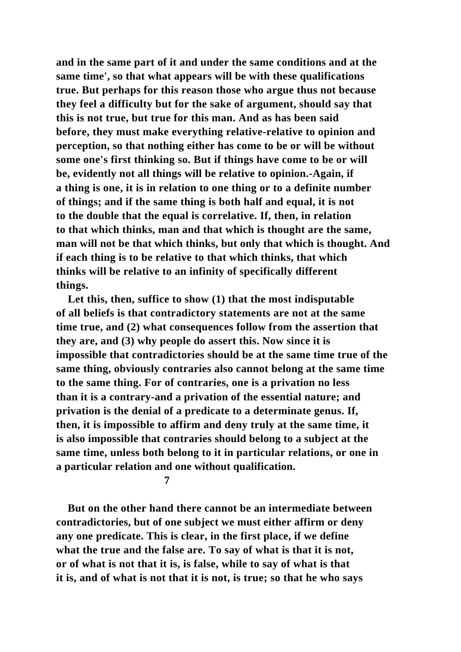**and in the same part of it and under the same conditions and at the same time', so that what appears will be with these qualifications true. But perhaps for this reason those who argue thus not because they feel a difficulty but for the sake of argument, should say that this is not true, but true for this man. And as has been said before, they must make everything relative-relative to opinion and perception, so that nothing either has come to be or will be without some one's first thinking so. But if things have come to be or will be, evidently not all things will be relative to opinion.-Again, if a thing is one, it is in relation to one thing or to a definite number of things; and if the same thing is both half and equal, it is not to the double that the equal is correlative. If, then, in relation to that which thinks, man and that which is thought are the same, man will not be that which thinks, but only that which is thought. And if each thing is to be relative to that which thinks, that which thinks will be relative to an infinity of specifically different things.**

 **Let this, then, suffice to show (1) that the most indisputable of all beliefs is that contradictory statements are not at the same time true, and (2) what consequences follow from the assertion that they are, and (3) why people do assert this. Now since it is impossible that contradictories should be at the same time true of the same thing, obviously contraries also cannot belong at the same time to the same thing. For of contraries, one is a privation no less than it is a contrary-and a privation of the essential nature; and privation is the denial of a predicate to a determinate genus. If, then, it is impossible to affirm and deny truly at the same time, it is also impossible that contraries should belong to a subject at the same time, unless both belong to it in particular relations, or one in a particular relation and one without qualification.**

 **7**

 **But on the other hand there cannot be an intermediate between contradictories, but of one subject we must either affirm or deny any one predicate. This is clear, in the first place, if we define what the true and the false are. To say of what is that it is not, or of what is not that it is, is false, while to say of what is that it is, and of what is not that it is not, is true; so that he who says**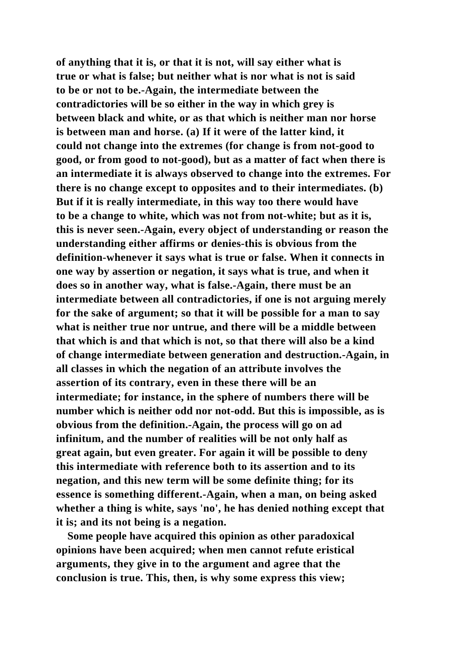**of anything that it is, or that it is not, will say either what is true or what is false; but neither what is nor what is not is said to be or not to be.-Again, the intermediate between the contradictories will be so either in the way in which grey is between black and white, or as that which is neither man nor horse is between man and horse. (a) If it were of the latter kind, it could not change into the extremes (for change is from not-good to good, or from good to not-good), but as a matter of fact when there is an intermediate it is always observed to change into the extremes. For there is no change except to opposites and to their intermediates. (b) But if it is really intermediate, in this way too there would have to be a change to white, which was not from not-white; but as it is, this is never seen.-Again, every object of understanding or reason the understanding either affirms or denies-this is obvious from the definition-whenever it says what is true or false. When it connects in one way by assertion or negation, it says what is true, and when it does so in another way, what is false.-Again, there must be an intermediate between all contradictories, if one is not arguing merely for the sake of argument; so that it will be possible for a man to say what is neither true nor untrue, and there will be a middle between that which is and that which is not, so that there will also be a kind of change intermediate between generation and destruction.-Again, in all classes in which the negation of an attribute involves the assertion of its contrary, even in these there will be an intermediate; for instance, in the sphere of numbers there will be number which is neither odd nor not-odd. But this is impossible, as is obvious from the definition.-Again, the process will go on ad infinitum, and the number of realities will be not only half as great again, but even greater. For again it will be possible to deny this intermediate with reference both to its assertion and to its negation, and this new term will be some definite thing; for its essence is something different.-Again, when a man, on being asked whether a thing is white, says 'no', he has denied nothing except that it is; and its not being is a negation.**

 **Some people have acquired this opinion as other paradoxical opinions have been acquired; when men cannot refute eristical arguments, they give in to the argument and agree that the conclusion is true. This, then, is why some express this view;**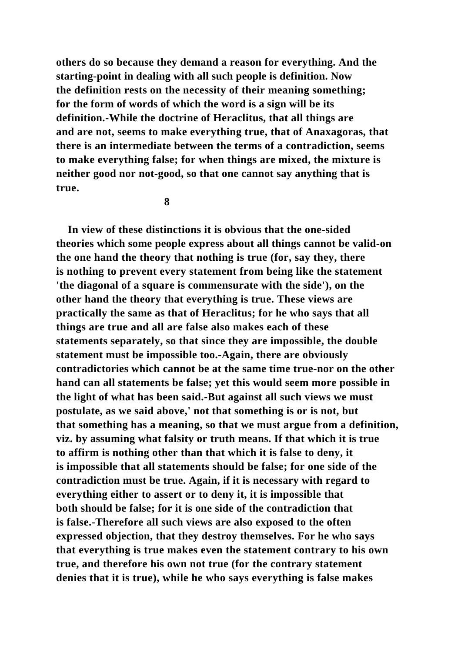**others do so because they demand a reason for everything. And the starting-point in dealing with all such people is definition. Now the definition rests on the necessity of their meaning something; for the form of words of which the word is a sign will be its definition.-While the doctrine of Heraclitus, that all things are and are not, seems to make everything true, that of Anaxagoras, that there is an intermediate between the terms of a contradiction, seems to make everything false; for when things are mixed, the mixture is neither good nor not-good, so that one cannot say anything that is true.**

**8 8 8** 

 **In view of these distinctions it is obvious that the one-sided theories which some people express about all things cannot be valid-on the one hand the theory that nothing is true (for, say they, there is nothing to prevent every statement from being like the statement 'the diagonal of a square is commensurate with the side'), on the other hand the theory that everything is true. These views are practically the same as that of Heraclitus; for he who says that all things are true and all are false also makes each of these statements separately, so that since they are impossible, the double statement must be impossible too.-Again, there are obviously contradictories which cannot be at the same time true-nor on the other hand can all statements be false; yet this would seem more possible in the light of what has been said.-But against all such views we must postulate, as we said above,' not that something is or is not, but that something has a meaning, so that we must argue from a definition, viz. by assuming what falsity or truth means. If that which it is true to affirm is nothing other than that which it is false to deny, it is impossible that all statements should be false; for one side of the contradiction must be true. Again, if it is necessary with regard to everything either to assert or to deny it, it is impossible that both should be false; for it is one side of the contradiction that is false.-Therefore all such views are also exposed to the often expressed objection, that they destroy themselves. For he who says that everything is true makes even the statement contrary to his own true, and therefore his own not true (for the contrary statement denies that it is true), while he who says everything is false makes**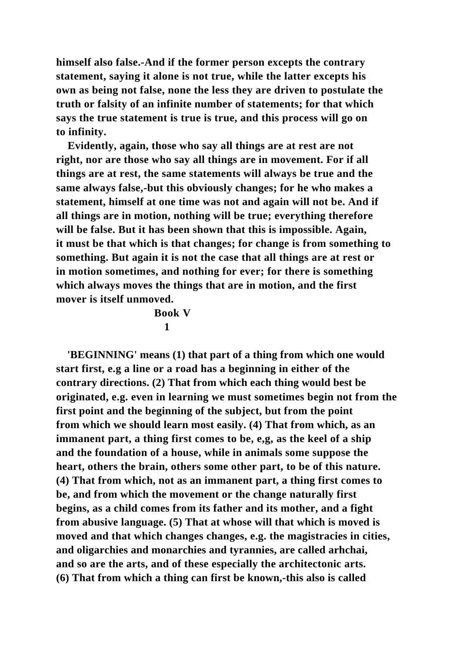**himself also false.-And if the former person excepts the contrary statement, saying it alone is not true, while the latter excepts his own as being not false, none the less they are driven to postulate the truth or falsity of an infinite number of statements; for that which says the true statement is true is true, and this process will go on to infinity.**

 **Evidently, again, those who say all things are at rest are not right, nor are those who say all things are in movement. For if all things are at rest, the same statements will always be true and the same always false,-but this obviously changes; for he who makes a statement, himself at one time was not and again will not be. And if all things are in motion, nothing will be true; everything therefore will be false. But it has been shown that this is impossible. Again, it must be that which is that changes; for change is from something to something. But again it is not the case that all things are at rest or in motion sometimes, and nothing for ever; for there is something which always moves the things that are in motion, and the first mover is itself unmoved.**

 **Book V 1** 

 **'BEGINNING' means (1) that part of a thing from which one would start first, e.g a line or a road has a beginning in either of the contrary directions. (2) That from which each thing would best be originated, e.g. even in learning we must sometimes begin not from the first point and the beginning of the subject, but from the point from which we should learn most easily. (4) That from which, as an immanent part, a thing first comes to be, e,g, as the keel of a ship and the foundation of a house, while in animals some suppose the heart, others the brain, others some other part, to be of this nature. (4) That from which, not as an immanent part, a thing first comes to be, and from which the movement or the change naturally first begins, as a child comes from its father and its mother, and a fight from abusive language. (5) That at whose will that which is moved is moved and that which changes changes, e.g. the magistracies in cities, and oligarchies and monarchies and tyrannies, are called arhchai, and so are the arts, and of these especially the architectonic arts. (6) That from which a thing can first be known,-this also is called**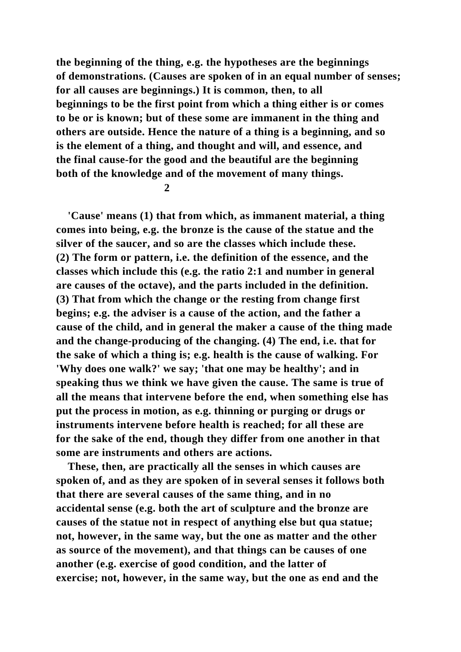**the beginning of the thing, e.g. the hypotheses are the beginnings of demonstrations. (Causes are spoken of in an equal number of senses; for all causes are beginnings.) It is common, then, to all beginnings to be the first point from which a thing either is or comes to be or is known; but of these some are immanent in the thing and others are outside. Hence the nature of a thing is a beginning, and so is the element of a thing, and thought and will, and essence, and the final cause-for the good and the beautiful are the beginning both of the knowledge and of the movement of many things.**

**2** 

 **'Cause' means (1) that from which, as immanent material, a thing comes into being, e.g. the bronze is the cause of the statue and the silver of the saucer, and so are the classes which include these. (2) The form or pattern, i.e. the definition of the essence, and the classes which include this (e.g. the ratio 2:1 and number in general are causes of the octave), and the parts included in the definition. (3) That from which the change or the resting from change first begins; e.g. the adviser is a cause of the action, and the father a cause of the child, and in general the maker a cause of the thing made and the change-producing of the changing. (4) The end, i.e. that for the sake of which a thing is; e.g. health is the cause of walking. For 'Why does one walk?' we say; 'that one may be healthy'; and in speaking thus we think we have given the cause. The same is true of all the means that intervene before the end, when something else has put the process in motion, as e.g. thinning or purging or drugs or instruments intervene before health is reached; for all these are for the sake of the end, though they differ from one another in that some are instruments and others are actions.**

 **These, then, are practically all the senses in which causes are spoken of, and as they are spoken of in several senses it follows both that there are several causes of the same thing, and in no accidental sense (e.g. both the art of sculpture and the bronze are causes of the statue not in respect of anything else but qua statue; not, however, in the same way, but the one as matter and the other as source of the movement), and that things can be causes of one another (e.g. exercise of good condition, and the latter of exercise; not, however, in the same way, but the one as end and the**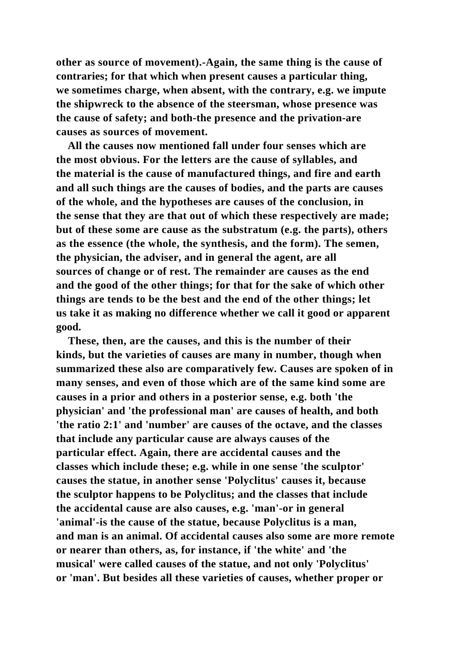**other as source of movement).-Again, the same thing is the cause of contraries; for that which when present causes a particular thing, we sometimes charge, when absent, with the contrary, e.g. we impute the shipwreck to the absence of the steersman, whose presence was the cause of safety; and both-the presence and the privation-are causes as sources of movement.**

 **All the causes now mentioned fall under four senses which are the most obvious. For the letters are the cause of syllables, and the material is the cause of manufactured things, and fire and earth and all such things are the causes of bodies, and the parts are causes of the whole, and the hypotheses are causes of the conclusion, in the sense that they are that out of which these respectively are made; but of these some are cause as the substratum (e.g. the parts), others as the essence (the whole, the synthesis, and the form). The semen, the physician, the adviser, and in general the agent, are all sources of change or of rest. The remainder are causes as the end and the good of the other things; for that for the sake of which other things are tends to be the best and the end of the other things; let us take it as making no difference whether we call it good or apparent good.**

 **These, then, are the causes, and this is the number of their kinds, but the varieties of causes are many in number, though when summarized these also are comparatively few. Causes are spoken of in many senses, and even of those which are of the same kind some are causes in a prior and others in a posterior sense, e.g. both 'the physician' and 'the professional man' are causes of health, and both 'the ratio 2:1' and 'number' are causes of the octave, and the classes that include any particular cause are always causes of the particular effect. Again, there are accidental causes and the classes which include these; e.g. while in one sense 'the sculptor' causes the statue, in another sense 'Polyclitus' causes it, because the sculptor happens to be Polyclitus; and the classes that include the accidental cause are also causes, e.g. 'man'-or in general 'animal'-is the cause of the statue, because Polyclitus is a man, and man is an animal. Of accidental causes also some are more remote or nearer than others, as, for instance, if 'the white' and 'the musical' were called causes of the statue, and not only 'Polyclitus' or 'man'. But besides all these varieties of causes, whether proper or**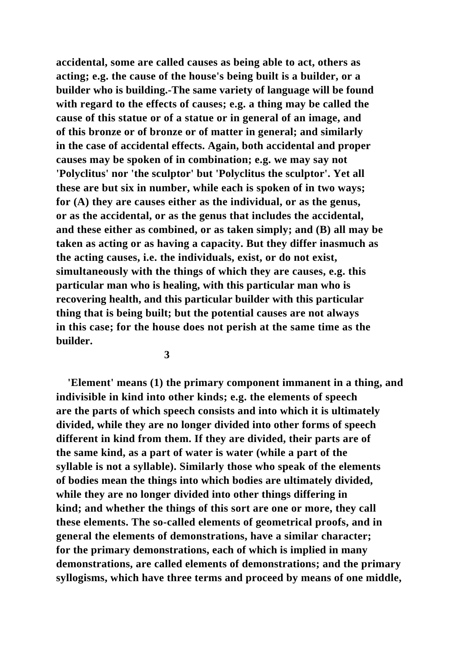**accidental, some are called causes as being able to act, others as acting; e.g. the cause of the house's being built is a builder, or a builder who is building.-The same variety of language will be found with regard to the effects of causes; e.g. a thing may be called the cause of this statue or of a statue or in general of an image, and of this bronze or of bronze or of matter in general; and similarly in the case of accidental effects. Again, both accidental and proper causes may be spoken of in combination; e.g. we may say not 'Polyclitus' nor 'the sculptor' but 'Polyclitus the sculptor'. Yet all these are but six in number, while each is spoken of in two ways; for (A) they are causes either as the individual, or as the genus, or as the accidental, or as the genus that includes the accidental, and these either as combined, or as taken simply; and (B) all may be taken as acting or as having a capacity. But they differ inasmuch as the acting causes, i.e. the individuals, exist, or do not exist, simultaneously with the things of which they are causes, e.g. this particular man who is healing, with this particular man who is recovering health, and this particular builder with this particular thing that is being built; but the potential causes are not always in this case; for the house does not perish at the same time as the builder.**

**3** 

 **'Element' means (1) the primary component immanent in a thing, and indivisible in kind into other kinds; e.g. the elements of speech are the parts of which speech consists and into which it is ultimately divided, while they are no longer divided into other forms of speech different in kind from them. If they are divided, their parts are of the same kind, as a part of water is water (while a part of the syllable is not a syllable). Similarly those who speak of the elements of bodies mean the things into which bodies are ultimately divided, while they are no longer divided into other things differing in kind; and whether the things of this sort are one or more, they call these elements. The so-called elements of geometrical proofs, and in general the elements of demonstrations, have a similar character; for the primary demonstrations, each of which is implied in many demonstrations, are called elements of demonstrations; and the primary syllogisms, which have three terms and proceed by means of one middle,**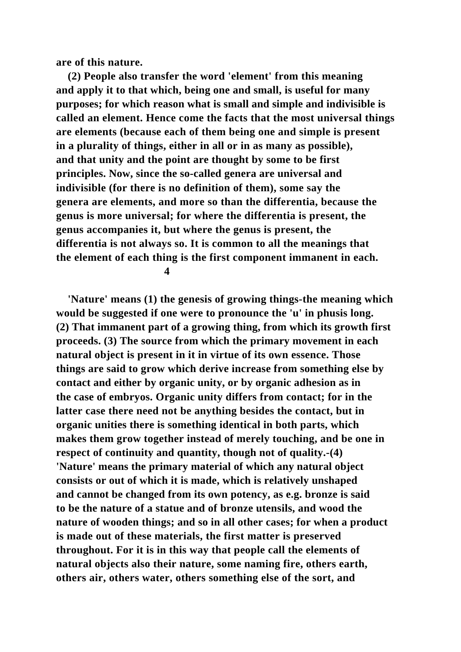**are of this nature.**

 **(2) People also transfer the word 'element' from this meaning and apply it to that which, being one and small, is useful for many purposes; for which reason what is small and simple and indivisible is called an element. Hence come the facts that the most universal things are elements (because each of them being one and simple is present in a plurality of things, either in all or in as many as possible), and that unity and the point are thought by some to be first principles. Now, since the so-called genera are universal and indivisible (for there is no definition of them), some say the genera are elements, and more so than the differentia, because the genus is more universal; for where the differentia is present, the genus accompanies it, but where the genus is present, the differentia is not always so. It is common to all the meanings that the element of each thing is the first component immanent in each.**

**4 4** 

 **'Nature' means (1) the genesis of growing things-the meaning which would be suggested if one were to pronounce the 'u' in phusis long. (2) That immanent part of a growing thing, from which its growth first proceeds. (3) The source from which the primary movement in each natural object is present in it in virtue of its own essence. Those things are said to grow which derive increase from something else by contact and either by organic unity, or by organic adhesion as in the case of embryos. Organic unity differs from contact; for in the latter case there need not be anything besides the contact, but in organic unities there is something identical in both parts, which makes them grow together instead of merely touching, and be one in respect of continuity and quantity, though not of quality.-(4) 'Nature' means the primary material of which any natural object consists or out of which it is made, which is relatively unshaped and cannot be changed from its own potency, as e.g. bronze is said to be the nature of a statue and of bronze utensils, and wood the nature of wooden things; and so in all other cases; for when a product is made out of these materials, the first matter is preserved throughout. For it is in this way that people call the elements of natural objects also their nature, some naming fire, others earth, others air, others water, others something else of the sort, and**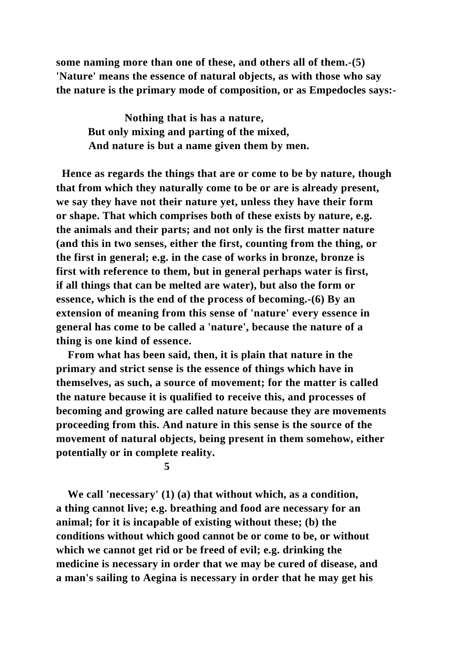**some naming more than one of these, and others all of them.-(5) 'Nature' means the essence of natural objects, as with those who say the nature is the primary mode of composition, or as Empedocles says:-**

 **Nothing that is has a nature, But only mixing and parting of the mixed, And nature is but a name given them by men.**

 **Hence as regards the things that are or come to be by nature, though that from which they naturally come to be or are is already present, we say they have not their nature yet, unless they have their form or shape. That which comprises both of these exists by nature, e.g. the animals and their parts; and not only is the first matter nature (and this in two senses, either the first, counting from the thing, or the first in general; e.g. in the case of works in bronze, bronze is first with reference to them, but in general perhaps water is first, if all things that can be melted are water), but also the form or essence, which is the end of the process of becoming.-(6) By an extension of meaning from this sense of 'nature' every essence in general has come to be called a 'nature', because the nature of a thing is one kind of essence.**

 **From what has been said, then, it is plain that nature in the primary and strict sense is the essence of things which have in themselves, as such, a source of movement; for the matter is called the nature because it is qualified to receive this, and processes of becoming and growing are called nature because they are movements proceeding from this. And nature in this sense is the source of the movement of natural objects, being present in them somehow, either potentially or in complete reality.**

**5** 

 **We call 'necessary' (1) (a) that without which, as a condition, a thing cannot live; e.g. breathing and food are necessary for an animal; for it is incapable of existing without these; (b) the conditions without which good cannot be or come to be, or without which we cannot get rid or be freed of evil; e.g. drinking the medicine is necessary in order that we may be cured of disease, and a man's sailing to Aegina is necessary in order that he may get his**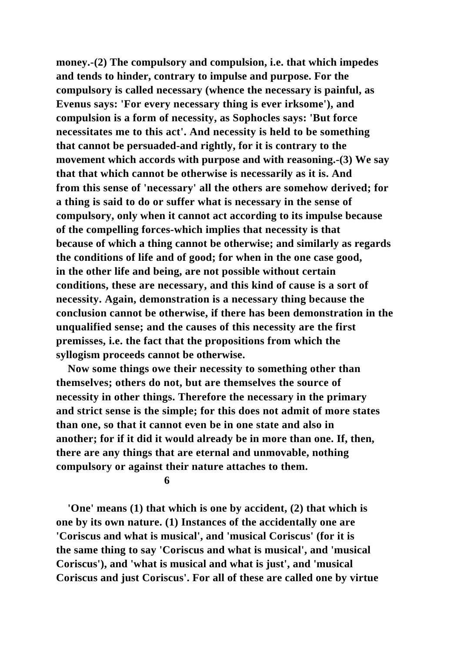**money.-(2) The compulsory and compulsion, i.e. that which impedes and tends to hinder, contrary to impulse and purpose. For the compulsory is called necessary (whence the necessary is painful, as Evenus says: 'For every necessary thing is ever irksome'), and compulsion is a form of necessity, as Sophocles says: 'But force necessitates me to this act'. And necessity is held to be something that cannot be persuaded-and rightly, for it is contrary to the movement which accords with purpose and with reasoning.-(3) We say that that which cannot be otherwise is necessarily as it is. And from this sense of 'necessary' all the others are somehow derived; for a thing is said to do or suffer what is necessary in the sense of compulsory, only when it cannot act according to its impulse because of the compelling forces-which implies that necessity is that because of which a thing cannot be otherwise; and similarly as regards the conditions of life and of good; for when in the one case good, in the other life and being, are not possible without certain conditions, these are necessary, and this kind of cause is a sort of necessity. Again, demonstration is a necessary thing because the conclusion cannot be otherwise, if there has been demonstration in the unqualified sense; and the causes of this necessity are the first premisses, i.e. the fact that the propositions from which the syllogism proceeds cannot be otherwise.**

 **Now some things owe their necessity to something other than themselves; others do not, but are themselves the source of necessity in other things. Therefore the necessary in the primary and strict sense is the simple; for this does not admit of more states than one, so that it cannot even be in one state and also in another; for if it did it would already be in more than one. If, then, there are any things that are eternal and unmovable, nothing compulsory or against their nature attaches to them.**

 **6**

 **'One' means (1) that which is one by accident, (2) that which is one by its own nature. (1) Instances of the accidentally one are 'Coriscus and what is musical', and 'musical Coriscus' (for it is the same thing to say 'Coriscus and what is musical', and 'musical Coriscus'), and 'what is musical and what is just', and 'musical Coriscus and just Coriscus'. For all of these are called one by virtue**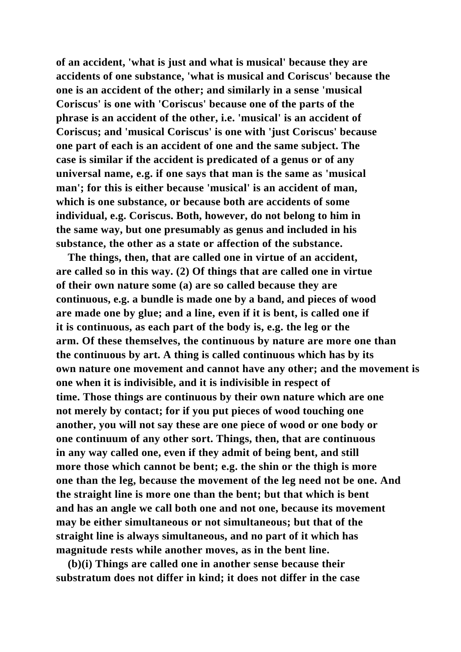**of an accident, 'what is just and what is musical' because they are accidents of one substance, 'what is musical and Coriscus' because the one is an accident of the other; and similarly in a sense 'musical Coriscus' is one with 'Coriscus' because one of the parts of the phrase is an accident of the other, i.e. 'musical' is an accident of Coriscus; and 'musical Coriscus' is one with 'just Coriscus' because one part of each is an accident of one and the same subject. The case is similar if the accident is predicated of a genus or of any universal name, e.g. if one says that man is the same as 'musical man'; for this is either because 'musical' is an accident of man, which is one substance, or because both are accidents of some individual, e.g. Coriscus. Both, however, do not belong to him in the same way, but one presumably as genus and included in his substance, the other as a state or affection of the substance.**

 **The things, then, that are called one in virtue of an accident, are called so in this way. (2) Of things that are called one in virtue of their own nature some (a) are so called because they are continuous, e.g. a bundle is made one by a band, and pieces of wood are made one by glue; and a line, even if it is bent, is called one if it is continuous, as each part of the body is, e.g. the leg or the arm. Of these themselves, the continuous by nature are more one than the continuous by art. A thing is called continuous which has by its own nature one movement and cannot have any other; and the movement is one when it is indivisible, and it is indivisible in respect of time. Those things are continuous by their own nature which are one not merely by contact; for if you put pieces of wood touching one another, you will not say these are one piece of wood or one body or one continuum of any other sort. Things, then, that are continuous in any way called one, even if they admit of being bent, and still more those which cannot be bent; e.g. the shin or the thigh is more one than the leg, because the movement of the leg need not be one. And the straight line is more one than the bent; but that which is bent and has an angle we call both one and not one, because its movement may be either simultaneous or not simultaneous; but that of the straight line is always simultaneous, and no part of it which has magnitude rests while another moves, as in the bent line.**

 **(b)(i) Things are called one in another sense because their substratum does not differ in kind; it does not differ in the case**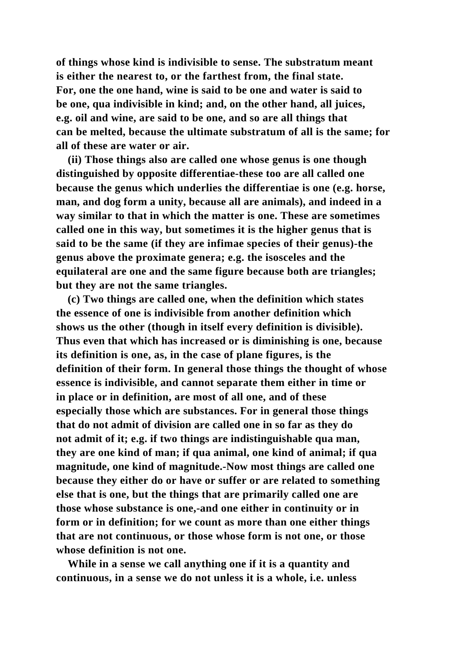**of things whose kind is indivisible to sense. The substratum meant is either the nearest to, or the farthest from, the final state. For, one the one hand, wine is said to be one and water is said to be one, qua indivisible in kind; and, on the other hand, all juices, e.g. oil and wine, are said to be one, and so are all things that can be melted, because the ultimate substratum of all is the same; for all of these are water or air.**

 **(ii) Those things also are called one whose genus is one though distinguished by opposite differentiae-these too are all called one because the genus which underlies the differentiae is one (e.g. horse, man, and dog form a unity, because all are animals), and indeed in a way similar to that in which the matter is one. These are sometimes called one in this way, but sometimes it is the higher genus that is said to be the same (if they are infimae species of their genus)-the genus above the proximate genera; e.g. the isosceles and the equilateral are one and the same figure because both are triangles; but they are not the same triangles.**

 **(c) Two things are called one, when the definition which states the essence of one is indivisible from another definition which shows us the other (though in itself every definition is divisible). Thus even that which has increased or is diminishing is one, because its definition is one, as, in the case of plane figures, is the definition of their form. In general those things the thought of whose essence is indivisible, and cannot separate them either in time or in place or in definition, are most of all one, and of these especially those which are substances. For in general those things that do not admit of division are called one in so far as they do not admit of it; e.g. if two things are indistinguishable qua man, they are one kind of man; if qua animal, one kind of animal; if qua magnitude, one kind of magnitude.-Now most things are called one because they either do or have or suffer or are related to something else that is one, but the things that are primarily called one are those whose substance is one,-and one either in continuity or in form or in definition; for we count as more than one either things that are not continuous, or those whose form is not one, or those whose definition is not one.**

 **While in a sense we call anything one if it is a quantity and continuous, in a sense we do not unless it is a whole, i.e. unless**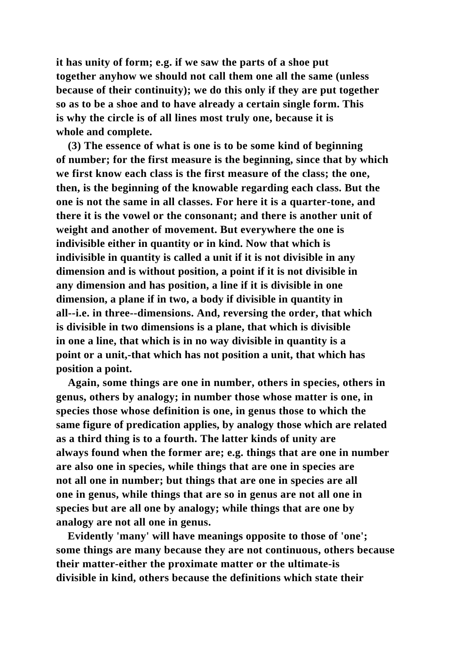**it has unity of form; e.g. if we saw the parts of a shoe put together anyhow we should not call them one all the same (unless because of their continuity); we do this only if they are put together so as to be a shoe and to have already a certain single form. This is why the circle is of all lines most truly one, because it is whole and complete.**

 **(3) The essence of what is one is to be some kind of beginning of number; for the first measure is the beginning, since that by which we first know each class is the first measure of the class; the one, then, is the beginning of the knowable regarding each class. But the one is not the same in all classes. For here it is a quarter-tone, and there it is the vowel or the consonant; and there is another unit of weight and another of movement. But everywhere the one is indivisible either in quantity or in kind. Now that which is indivisible in quantity is called a unit if it is not divisible in any dimension and is without position, a point if it is not divisible in any dimension and has position, a line if it is divisible in one dimension, a plane if in two, a body if divisible in quantity in all--i.e. in three--dimensions. And, reversing the order, that which is divisible in two dimensions is a plane, that which is divisible in one a line, that which is in no way divisible in quantity is a point or a unit,-that which has not position a unit, that which has position a point.**

 **Again, some things are one in number, others in species, others in genus, others by analogy; in number those whose matter is one, in species those whose definition is one, in genus those to which the same figure of predication applies, by analogy those which are related as a third thing is to a fourth. The latter kinds of unity are always found when the former are; e.g. things that are one in number are also one in species, while things that are one in species are not all one in number; but things that are one in species are all one in genus, while things that are so in genus are not all one in species but are all one by analogy; while things that are one by analogy are not all one in genus.**

 **Evidently 'many' will have meanings opposite to those of 'one'; some things are many because they are not continuous, others because their matter-either the proximate matter or the ultimate-is divisible in kind, others because the definitions which state their**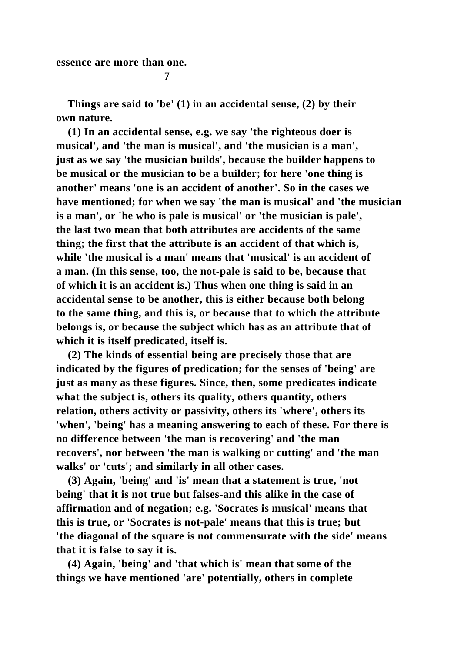**essence are more than one.**

 **Things are said to 'be' (1) in an accidental sense, (2) by their own nature.**

 **(1) In an accidental sense, e.g. we say 'the righteous doer is musical', and 'the man is musical', and 'the musician is a man', just as we say 'the musician builds', because the builder happens to be musical or the musician to be a builder; for here 'one thing is another' means 'one is an accident of another'. So in the cases we have mentioned; for when we say 'the man is musical' and 'the musician is a man', or 'he who is pale is musical' or 'the musician is pale', the last two mean that both attributes are accidents of the same thing; the first that the attribute is an accident of that which is, while 'the musical is a man' means that 'musical' is an accident of a man. (In this sense, too, the not-pale is said to be, because that of which it is an accident is.) Thus when one thing is said in an accidental sense to be another, this is either because both belong to the same thing, and this is, or because that to which the attribute belongs is, or because the subject which has as an attribute that of which it is itself predicated, itself is.**

 **(2) The kinds of essential being are precisely those that are indicated by the figures of predication; for the senses of 'being' are just as many as these figures. Since, then, some predicates indicate what the subject is, others its quality, others quantity, others relation, others activity or passivity, others its 'where', others its 'when', 'being' has a meaning answering to each of these. For there is no difference between 'the man is recovering' and 'the man recovers', nor between 'the man is walking or cutting' and 'the man walks' or 'cuts'; and similarly in all other cases.**

 **(3) Again, 'being' and 'is' mean that a statement is true, 'not being' that it is not true but falses-and this alike in the case of affirmation and of negation; e.g. 'Socrates is musical' means that this is true, or 'Socrates is not-pale' means that this is true; but 'the diagonal of the square is not commensurate with the side' means that it is false to say it is.**

 **(4) Again, 'being' and 'that which is' mean that some of the things we have mentioned 'are' potentially, others in complete**

**<sup>12</sup>** *1 1 1 1*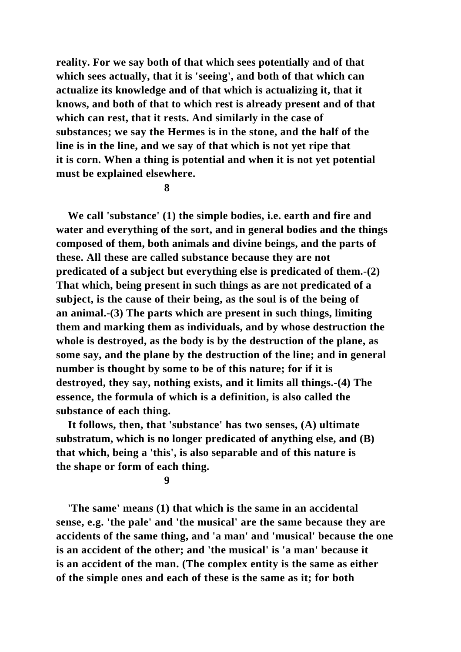**reality. For we say both of that which sees potentially and of that which sees actually, that it is 'seeing', and both of that which can actualize its knowledge and of that which is actualizing it, that it knows, and both of that to which rest is already present and of that which can rest, that it rests. And similarly in the case of substances; we say the Hermes is in the stone, and the half of the line is in the line, and we say of that which is not yet ripe that it is corn. When a thing is potential and when it is not yet potential must be explained elsewhere.**

**8 8 8** 

 **We call 'substance' (1) the simple bodies, i.e. earth and fire and water and everything of the sort, and in general bodies and the things composed of them, both animals and divine beings, and the parts of these. All these are called substance because they are not predicated of a subject but everything else is predicated of them.-(2) That which, being present in such things as are not predicated of a subject, is the cause of their being, as the soul is of the being of an animal.-(3) The parts which are present in such things, limiting them and marking them as individuals, and by whose destruction the whole is destroyed, as the body is by the destruction of the plane, as some say, and the plane by the destruction of the line; and in general number is thought by some to be of this nature; for if it is destroyed, they say, nothing exists, and it limits all things.-(4) The essence, the formula of which is a definition, is also called the substance of each thing.**

 **It follows, then, that 'substance' has two senses, (A) ultimate substratum, which is no longer predicated of anything else, and (B) that which, being a 'this', is also separable and of this nature is the shape or form of each thing.**

**9** 

 **'The same' means (1) that which is the same in an accidental sense, e.g. 'the pale' and 'the musical' are the same because they are accidents of the same thing, and 'a man' and 'musical' because the one is an accident of the other; and 'the musical' is 'a man' because it is an accident of the man. (The complex entity is the same as either of the simple ones and each of these is the same as it; for both**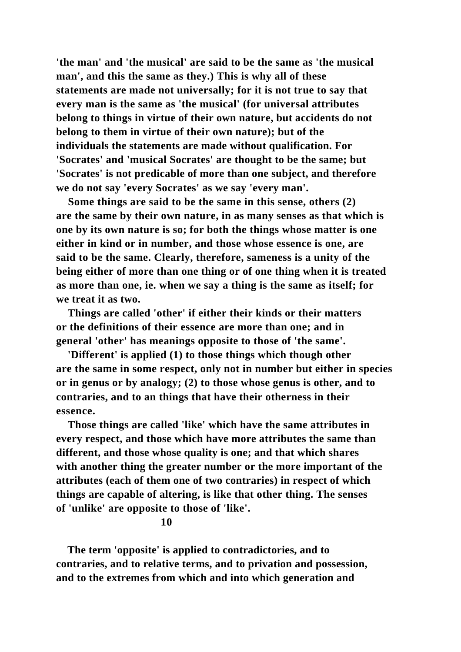**'the man' and 'the musical' are said to be the same as 'the musical man', and this the same as they.) This is why all of these statements are made not universally; for it is not true to say that every man is the same as 'the musical' (for universal attributes belong to things in virtue of their own nature, but accidents do not belong to them in virtue of their own nature); but of the individuals the statements are made without qualification. For 'Socrates' and 'musical Socrates' are thought to be the same; but 'Socrates' is not predicable of more than one subject, and therefore we do not say 'every Socrates' as we say 'every man'.**

 **Some things are said to be the same in this sense, others (2) are the same by their own nature, in as many senses as that which is one by its own nature is so; for both the things whose matter is one either in kind or in number, and those whose essence is one, are said to be the same. Clearly, therefore, sameness is a unity of the being either of more than one thing or of one thing when it is treated as more than one, ie. when we say a thing is the same as itself; for we treat it as two.**

 **Things are called 'other' if either their kinds or their matters or the definitions of their essence are more than one; and in general 'other' has meanings opposite to those of 'the same'.**

 **'Different' is applied (1) to those things which though other are the same in some respect, only not in number but either in species or in genus or by analogy; (2) to those whose genus is other, and to contraries, and to an things that have their otherness in their essence.**

 **Those things are called 'like' which have the same attributes in every respect, and those which have more attributes the same than different, and those whose quality is one; and that which shares with another thing the greater number or the more important of the attributes (each of them one of two contraries) in respect of which things are capable of altering, is like that other thing. The senses of 'unlike' are opposite to those of 'like'.**

### **10**

 **The term 'opposite' is applied to contradictories, and to contraries, and to relative terms, and to privation and possession, and to the extremes from which and into which generation and**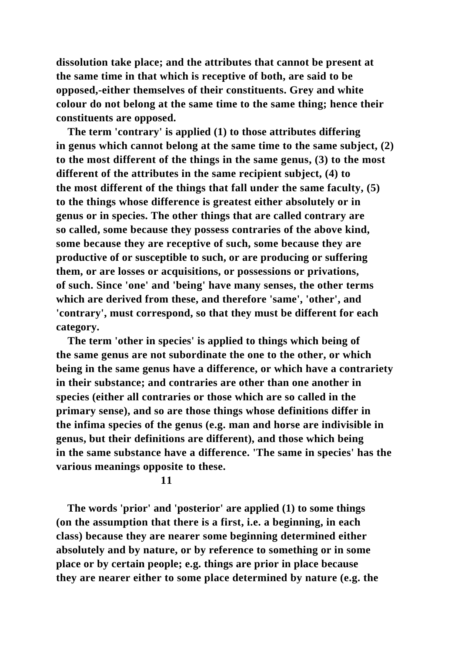**dissolution take place; and the attributes that cannot be present at the same time in that which is receptive of both, are said to be opposed,-either themselves of their constituents. Grey and white colour do not belong at the same time to the same thing; hence their constituents are opposed.**

 **The term 'contrary' is applied (1) to those attributes differing in genus which cannot belong at the same time to the same subject, (2) to the most different of the things in the same genus, (3) to the most different of the attributes in the same recipient subject, (4) to the most different of the things that fall under the same faculty, (5) to the things whose difference is greatest either absolutely or in genus or in species. The other things that are called contrary are so called, some because they possess contraries of the above kind, some because they are receptive of such, some because they are productive of or susceptible to such, or are producing or suffering them, or are losses or acquisitions, or possessions or privations, of such. Since 'one' and 'being' have many senses, the other terms which are derived from these, and therefore 'same', 'other', and 'contrary', must correspond, so that they must be different for each category.**

 **The term 'other in species' is applied to things which being of the same genus are not subordinate the one to the other, or which being in the same genus have a difference, or which have a contrariety in their substance; and contraries are other than one another in species (either all contraries or those which are so called in the primary sense), and so are those things whose definitions differ in the infima species of the genus (e.g. man and horse are indivisible in genus, but their definitions are different), and those which being in the same substance have a difference. 'The same in species' has the various meanings opposite to these.**

### **11**

 **The words 'prior' and 'posterior' are applied (1) to some things (on the assumption that there is a first, i.e. a beginning, in each class) because they are nearer some beginning determined either absolutely and by nature, or by reference to something or in some place or by certain people; e.g. things are prior in place because they are nearer either to some place determined by nature (e.g. the**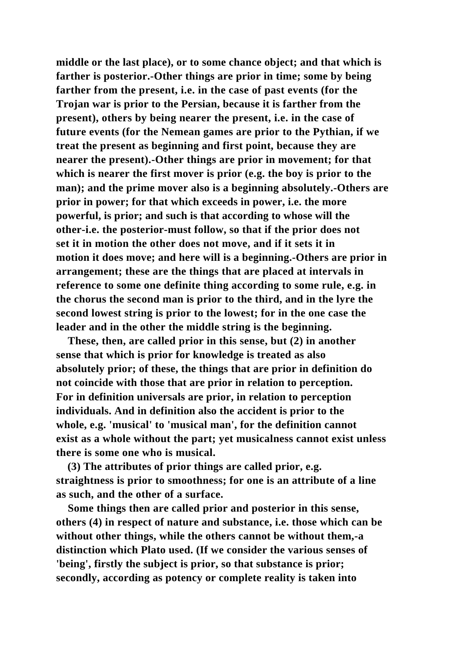**middle or the last place), or to some chance object; and that which is farther is posterior.-Other things are prior in time; some by being farther from the present, i.e. in the case of past events (for the Trojan war is prior to the Persian, because it is farther from the present), others by being nearer the present, i.e. in the case of future events (for the Nemean games are prior to the Pythian, if we treat the present as beginning and first point, because they are nearer the present).-Other things are prior in movement; for that which is nearer the first mover is prior (e.g. the boy is prior to the man); and the prime mover also is a beginning absolutely.-Others are prior in power; for that which exceeds in power, i.e. the more powerful, is prior; and such is that according to whose will the other-i.e. the posterior-must follow, so that if the prior does not set it in motion the other does not move, and if it sets it in motion it does move; and here will is a beginning.-Others are prior in arrangement; these are the things that are placed at intervals in reference to some one definite thing according to some rule, e.g. in the chorus the second man is prior to the third, and in the lyre the second lowest string is prior to the lowest; for in the one case the leader and in the other the middle string is the beginning.**

 **These, then, are called prior in this sense, but (2) in another sense that which is prior for knowledge is treated as also absolutely prior; of these, the things that are prior in definition do not coincide with those that are prior in relation to perception. For in definition universals are prior, in relation to perception individuals. And in definition also the accident is prior to the whole, e.g. 'musical' to 'musical man', for the definition cannot exist as a whole without the part; yet musicalness cannot exist unless there is some one who is musical.**

 **(3) The attributes of prior things are called prior, e.g. straightness is prior to smoothness; for one is an attribute of a line as such, and the other of a surface.**

 **Some things then are called prior and posterior in this sense, others (4) in respect of nature and substance, i.e. those which can be without other things, while the others cannot be without them,-a distinction which Plato used. (If we consider the various senses of 'being', firstly the subject is prior, so that substance is prior; secondly, according as potency or complete reality is taken into**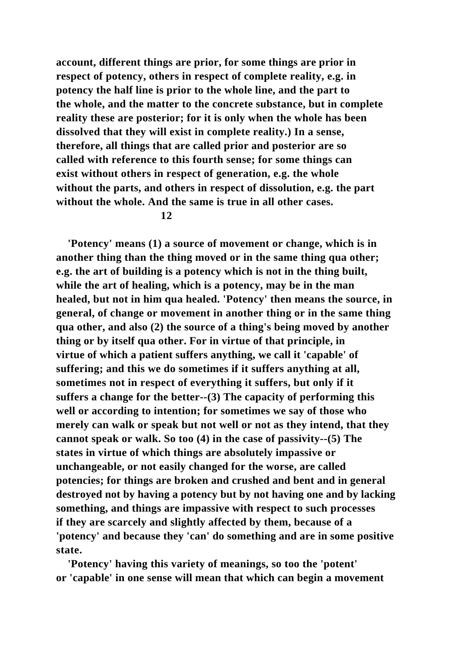**account, different things are prior, for some things are prior in respect of potency, others in respect of complete reality, e.g. in potency the half line is prior to the whole line, and the part to the whole, and the matter to the concrete substance, but in complete reality these are posterior; for it is only when the whole has been dissolved that they will exist in complete reality.) In a sense, therefore, all things that are called prior and posterior are so called with reference to this fourth sense; for some things can exist without others in respect of generation, e.g. the whole without the parts, and others in respect of dissolution, e.g. the part without the whole. And the same is true in all other cases.**

### **12**

 **'Potency' means (1) a source of movement or change, which is in another thing than the thing moved or in the same thing qua other; e.g. the art of building is a potency which is not in the thing built, while the art of healing, which is a potency, may be in the man healed, but not in him qua healed. 'Potency' then means the source, in general, of change or movement in another thing or in the same thing qua other, and also (2) the source of a thing's being moved by another thing or by itself qua other. For in virtue of that principle, in virtue of which a patient suffers anything, we call it 'capable' of suffering; and this we do sometimes if it suffers anything at all, sometimes not in respect of everything it suffers, but only if it suffers a change for the better--(3) The capacity of performing this well or according to intention; for sometimes we say of those who merely can walk or speak but not well or not as they intend, that they cannot speak or walk. So too (4) in the case of passivity--(5) The states in virtue of which things are absolutely impassive or unchangeable, or not easily changed for the worse, are called potencies; for things are broken and crushed and bent and in general destroyed not by having a potency but by not having one and by lacking something, and things are impassive with respect to such processes if they are scarcely and slightly affected by them, because of a 'potency' and because they 'can' do something and are in some positive state.**

 **'Potency' having this variety of meanings, so too the 'potent' or 'capable' in one sense will mean that which can begin a movement**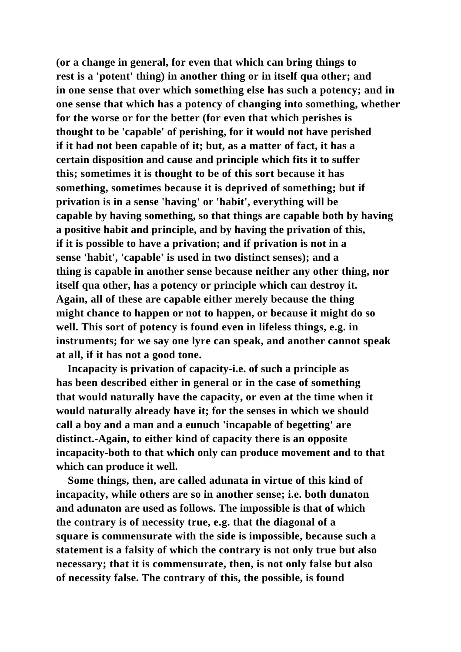**(or a change in general, for even that which can bring things to rest is a 'potent' thing) in another thing or in itself qua other; and in one sense that over which something else has such a potency; and in one sense that which has a potency of changing into something, whether for the worse or for the better (for even that which perishes is thought to be 'capable' of perishing, for it would not have perished if it had not been capable of it; but, as a matter of fact, it has a certain disposition and cause and principle which fits it to suffer this; sometimes it is thought to be of this sort because it has something, sometimes because it is deprived of something; but if privation is in a sense 'having' or 'habit', everything will be capable by having something, so that things are capable both by having a positive habit and principle, and by having the privation of this, if it is possible to have a privation; and if privation is not in a sense 'habit', 'capable' is used in two distinct senses); and a thing is capable in another sense because neither any other thing, nor itself qua other, has a potency or principle which can destroy it. Again, all of these are capable either merely because the thing might chance to happen or not to happen, or because it might do so well. This sort of potency is found even in lifeless things, e.g. in instruments; for we say one lyre can speak, and another cannot speak at all, if it has not a good tone.**

 **Incapacity is privation of capacity-i.e. of such a principle as has been described either in general or in the case of something that would naturally have the capacity, or even at the time when it would naturally already have it; for the senses in which we should call a boy and a man and a eunuch 'incapable of begetting' are distinct.-Again, to either kind of capacity there is an opposite incapacity-both to that which only can produce movement and to that which can produce it well.**

 **Some things, then, are called adunata in virtue of this kind of incapacity, while others are so in another sense; i.e. both dunaton and adunaton are used as follows. The impossible is that of which the contrary is of necessity true, e.g. that the diagonal of a square is commensurate with the side is impossible, because such a statement is a falsity of which the contrary is not only true but also necessary; that it is commensurate, then, is not only false but also of necessity false. The contrary of this, the possible, is found**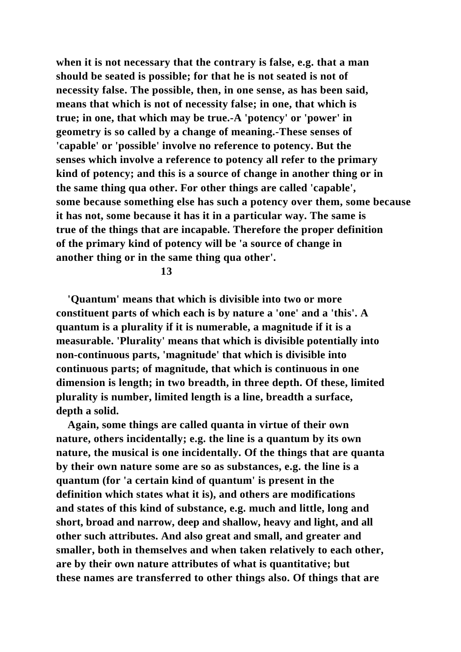**when it is not necessary that the contrary is false, e.g. that a man should be seated is possible; for that he is not seated is not of necessity false. The possible, then, in one sense, as has been said, means that which is not of necessity false; in one, that which is true; in one, that which may be true.-A 'potency' or 'power' in geometry is so called by a change of meaning.-These senses of 'capable' or 'possible' involve no reference to potency. But the senses which involve a reference to potency all refer to the primary kind of potency; and this is a source of change in another thing or in the same thing qua other. For other things are called 'capable', some because something else has such a potency over them, some because it has not, some because it has it in a particular way. The same is true of the things that are incapable. Therefore the proper definition of the primary kind of potency will be 'a source of change in another thing or in the same thing qua other'.**

**13** 

 **'Quantum' means that which is divisible into two or more constituent parts of which each is by nature a 'one' and a 'this'. A quantum is a plurality if it is numerable, a magnitude if it is a measurable. 'Plurality' means that which is divisible potentially into non-continuous parts, 'magnitude' that which is divisible into continuous parts; of magnitude, that which is continuous in one dimension is length; in two breadth, in three depth. Of these, limited plurality is number, limited length is a line, breadth a surface, depth a solid.**

 **Again, some things are called quanta in virtue of their own nature, others incidentally; e.g. the line is a quantum by its own nature, the musical is one incidentally. Of the things that are quanta by their own nature some are so as substances, e.g. the line is a quantum (for 'a certain kind of quantum' is present in the definition which states what it is), and others are modifications and states of this kind of substance, e.g. much and little, long and short, broad and narrow, deep and shallow, heavy and light, and all other such attributes. And also great and small, and greater and smaller, both in themselves and when taken relatively to each other, are by their own nature attributes of what is quantitative; but these names are transferred to other things also. Of things that are**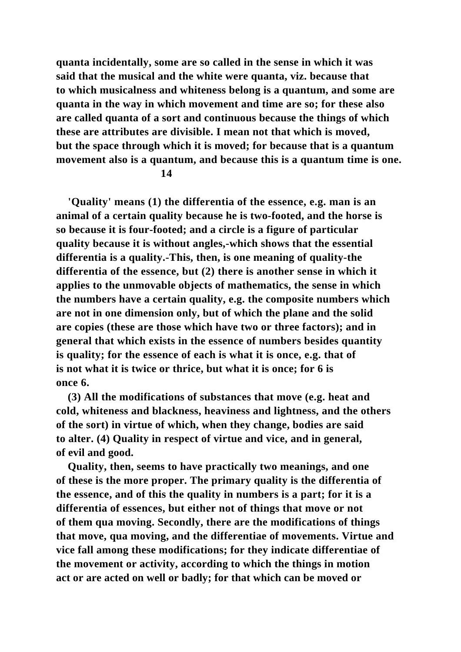**quanta incidentally, some are so called in the sense in which it was said that the musical and the white were quanta, viz. because that to which musicalness and whiteness belong is a quantum, and some are quanta in the way in which movement and time are so; for these also are called quanta of a sort and continuous because the things of which these are attributes are divisible. I mean not that which is moved, but the space through which it is moved; for because that is a quantum movement also is a quantum, and because this is a quantum time is one. 14** 

 **'Quality' means (1) the differentia of the essence, e.g. man is an animal of a certain quality because he is two-footed, and the horse is so because it is four-footed; and a circle is a figure of particular quality because it is without angles,-which shows that the essential differentia is a quality.-This, then, is one meaning of quality-the differentia of the essence, but (2) there is another sense in which it applies to the unmovable objects of mathematics, the sense in which the numbers have a certain quality, e.g. the composite numbers which are not in one dimension only, but of which the plane and the solid are copies (these are those which have two or three factors); and in general that which exists in the essence of numbers besides quantity is quality; for the essence of each is what it is once, e.g. that of is not what it is twice or thrice, but what it is once; for 6 is once 6.**

 **(3) All the modifications of substances that move (e.g. heat and cold, whiteness and blackness, heaviness and lightness, and the others of the sort) in virtue of which, when they change, bodies are said to alter. (4) Quality in respect of virtue and vice, and in general, of evil and good.**

 **Quality, then, seems to have practically two meanings, and one of these is the more proper. The primary quality is the differentia of the essence, and of this the quality in numbers is a part; for it is a differentia of essences, but either not of things that move or not of them qua moving. Secondly, there are the modifications of things that move, qua moving, and the differentiae of movements. Virtue and vice fall among these modifications; for they indicate differentiae of the movement or activity, according to which the things in motion act or are acted on well or badly; for that which can be moved or**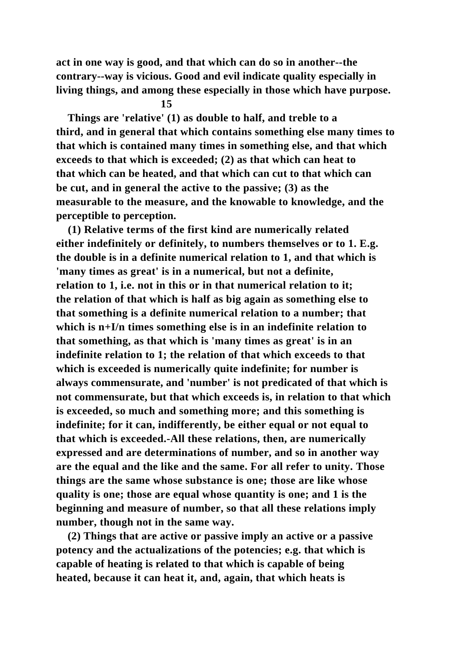**act in one way is good, and that which can do so in another--the contrary--way is vicious. Good and evil indicate quality especially in living things, and among these especially in those which have purpose.**

**15** 

 **Things are 'relative' (1) as double to half, and treble to a third, and in general that which contains something else many times to that which is contained many times in something else, and that which exceeds to that which is exceeded; (2) as that which can heat to that which can be heated, and that which can cut to that which can be cut, and in general the active to the passive; (3) as the measurable to the measure, and the knowable to knowledge, and the perceptible to perception.**

 **(1) Relative terms of the first kind are numerically related either indefinitely or definitely, to numbers themselves or to 1. E.g. the double is in a definite numerical relation to 1, and that which is 'many times as great' is in a numerical, but not a definite, relation to 1, i.e. not in this or in that numerical relation to it; the relation of that which is half as big again as something else to that something is a definite numerical relation to a number; that which is n+I/n times something else is in an indefinite relation to that something, as that which is 'many times as great' is in an indefinite relation to 1; the relation of that which exceeds to that which is exceeded is numerically quite indefinite; for number is always commensurate, and 'number' is not predicated of that which is not commensurate, but that which exceeds is, in relation to that which is exceeded, so much and something more; and this something is indefinite; for it can, indifferently, be either equal or not equal to that which is exceeded.-All these relations, then, are numerically expressed and are determinations of number, and so in another way are the equal and the like and the same. For all refer to unity. Those things are the same whose substance is one; those are like whose quality is one; those are equal whose quantity is one; and 1 is the beginning and measure of number, so that all these relations imply number, though not in the same way.**

 **(2) Things that are active or passive imply an active or a passive potency and the actualizations of the potencies; e.g. that which is capable of heating is related to that which is capable of being heated, because it can heat it, and, again, that which heats is**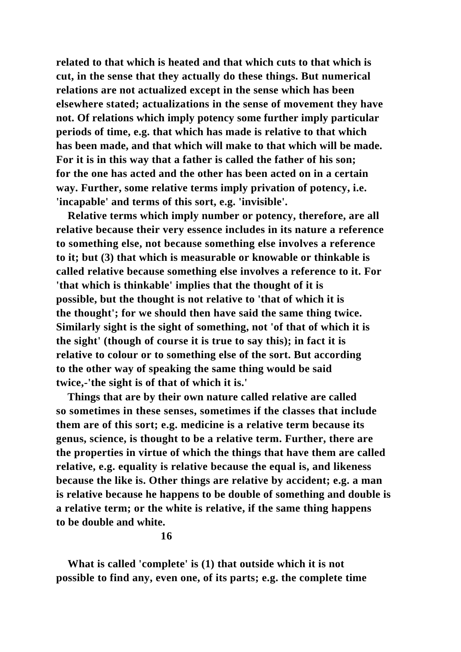**related to that which is heated and that which cuts to that which is cut, in the sense that they actually do these things. But numerical relations are not actualized except in the sense which has been elsewhere stated; actualizations in the sense of movement they have not. Of relations which imply potency some further imply particular periods of time, e.g. that which has made is relative to that which has been made, and that which will make to that which will be made. For it is in this way that a father is called the father of his son; for the one has acted and the other has been acted on in a certain way. Further, some relative terms imply privation of potency, i.e. 'incapable' and terms of this sort, e.g. 'invisible'.**

 **Relative terms which imply number or potency, therefore, are all relative because their very essence includes in its nature a reference to something else, not because something else involves a reference to it; but (3) that which is measurable or knowable or thinkable is called relative because something else involves a reference to it. For 'that which is thinkable' implies that the thought of it is possible, but the thought is not relative to 'that of which it is the thought'; for we should then have said the same thing twice. Similarly sight is the sight of something, not 'of that of which it is the sight' (though of course it is true to say this); in fact it is relative to colour or to something else of the sort. But according to the other way of speaking the same thing would be said twice,-'the sight is of that of which it is.'**

 **Things that are by their own nature called relative are called so sometimes in these senses, sometimes if the classes that include them are of this sort; e.g. medicine is a relative term because its genus, science, is thought to be a relative term. Further, there are the properties in virtue of which the things that have them are called relative, e.g. equality is relative because the equal is, and likeness because the like is. Other things are relative by accident; e.g. a man is relative because he happens to be double of something and double is a relative term; or the white is relative, if the same thing happens to be double and white.**

**16** 

 **What is called 'complete' is (1) that outside which it is not possible to find any, even one, of its parts; e.g. the complete time**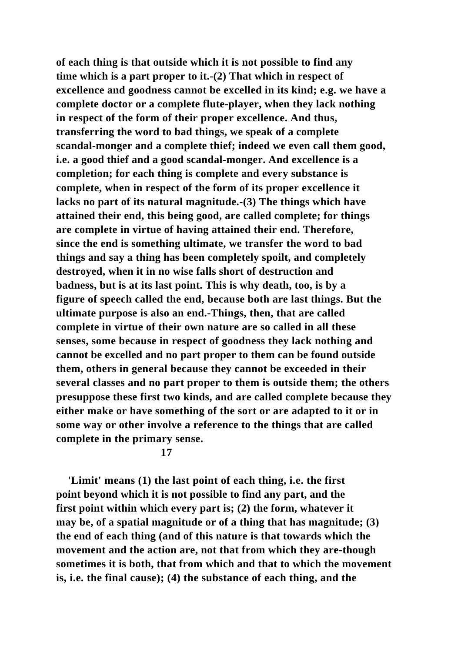**of each thing is that outside which it is not possible to find any time which is a part proper to it.-(2) That which in respect of excellence and goodness cannot be excelled in its kind; e.g. we have a complete doctor or a complete flute-player, when they lack nothing in respect of the form of their proper excellence. And thus, transferring the word to bad things, we speak of a complete scandal-monger and a complete thief; indeed we even call them good, i.e. a good thief and a good scandal-monger. And excellence is a completion; for each thing is complete and every substance is complete, when in respect of the form of its proper excellence it lacks no part of its natural magnitude.-(3) The things which have attained their end, this being good, are called complete; for things are complete in virtue of having attained their end. Therefore, since the end is something ultimate, we transfer the word to bad things and say a thing has been completely spoilt, and completely destroyed, when it in no wise falls short of destruction and badness, but is at its last point. This is why death, too, is by a figure of speech called the end, because both are last things. But the ultimate purpose is also an end.-Things, then, that are called complete in virtue of their own nature are so called in all these senses, some because in respect of goodness they lack nothing and cannot be excelled and no part proper to them can be found outside them, others in general because they cannot be exceeded in their several classes and no part proper to them is outside them; the others presuppose these first two kinds, and are called complete because they either make or have something of the sort or are adapted to it or in some way or other involve a reference to the things that are called complete in the primary sense.**

# **17**

 **'Limit' means (1) the last point of each thing, i.e. the first point beyond which it is not possible to find any part, and the first point within which every part is; (2) the form, whatever it may be, of a spatial magnitude or of a thing that has magnitude; (3) the end of each thing (and of this nature is that towards which the movement and the action are, not that from which they are-though sometimes it is both, that from which and that to which the movement is, i.e. the final cause); (4) the substance of each thing, and the**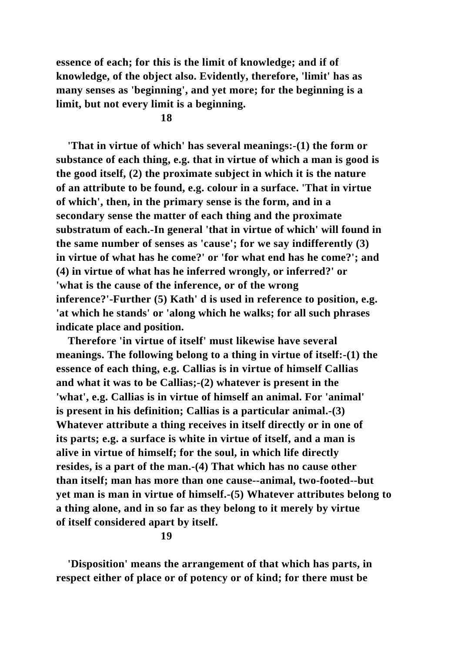**essence of each; for this is the limit of knowledge; and if of knowledge, of the object also. Evidently, therefore, 'limit' has as many senses as 'beginning', and yet more; for the beginning is a limit, but not every limit is a beginning.**

## **18**

 **'That in virtue of which' has several meanings:-(1) the form or substance of each thing, e.g. that in virtue of which a man is good is the good itself, (2) the proximate subject in which it is the nature of an attribute to be found, e.g. colour in a surface. 'That in virtue of which', then, in the primary sense is the form, and in a secondary sense the matter of each thing and the proximate substratum of each.-In general 'that in virtue of which' will found in the same number of senses as 'cause'; for we say indifferently (3) in virtue of what has he come?' or 'for what end has he come?'; and (4) in virtue of what has he inferred wrongly, or inferred?' or 'what is the cause of the inference, or of the wrong inference?'-Further (5) Kath' d is used in reference to position, e.g. 'at which he stands' or 'along which he walks; for all such phrases indicate place and position.**

 **Therefore 'in virtue of itself' must likewise have several meanings. The following belong to a thing in virtue of itself:-(1) the essence of each thing, e.g. Callias is in virtue of himself Callias and what it was to be Callias;-(2) whatever is present in the 'what', e.g. Callias is in virtue of himself an animal. For 'animal' is present in his definition; Callias is a particular animal.-(3) Whatever attribute a thing receives in itself directly or in one of its parts; e.g. a surface is white in virtue of itself, and a man is alive in virtue of himself; for the soul, in which life directly resides, is a part of the man.-(4) That which has no cause other than itself; man has more than one cause--animal, two-footed--but yet man is man in virtue of himself.-(5) Whatever attributes belong to a thing alone, and in so far as they belong to it merely by virtue of itself considered apart by itself.**

### **19**

 **'Disposition' means the arrangement of that which has parts, in respect either of place or of potency or of kind; for there must be**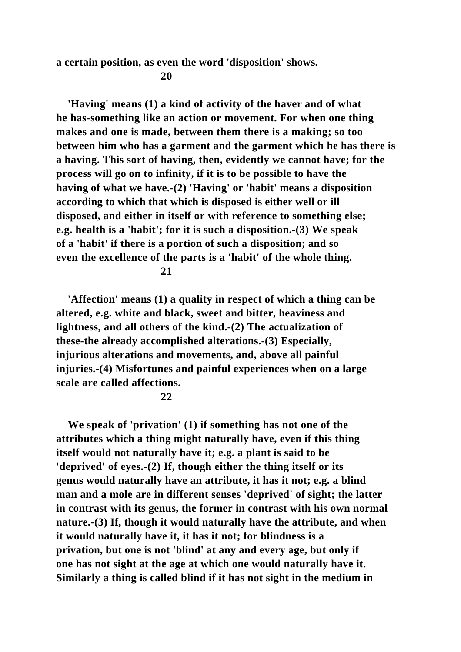**a certain position, as even the word 'disposition' shows.**

**20** 

 **'Having' means (1) a kind of activity of the haver and of what he has-something like an action or movement. For when one thing makes and one is made, between them there is a making; so too between him who has a garment and the garment which he has there is a having. This sort of having, then, evidently we cannot have; for the process will go on to infinity, if it is to be possible to have the having of what we have.-(2) 'Having' or 'habit' means a disposition according to which that which is disposed is either well or ill disposed, and either in itself or with reference to something else; e.g. health is a 'habit'; for it is such a disposition.-(3) We speak of a 'habit' if there is a portion of such a disposition; and so even the excellence of the parts is a 'habit' of the whole thing. 21**

 **'Affection' means (1) a quality in respect of which a thing can be altered, e.g. white and black, sweet and bitter, heaviness and lightness, and all others of the kind.-(2) The actualization of these-the already accomplished alterations.-(3) Especially, injurious alterations and movements, and, above all painful injuries.-(4) Misfortunes and painful experiences when on a large scale are called affections.**

### **22**

 **We speak of 'privation' (1) if something has not one of the attributes which a thing might naturally have, even if this thing itself would not naturally have it; e.g. a plant is said to be 'deprived' of eyes.-(2) If, though either the thing itself or its genus would naturally have an attribute, it has it not; e.g. a blind man and a mole are in different senses 'deprived' of sight; the latter in contrast with its genus, the former in contrast with his own normal nature.-(3) If, though it would naturally have the attribute, and when it would naturally have it, it has it not; for blindness is a privation, but one is not 'blind' at any and every age, but only if one has not sight at the age at which one would naturally have it. Similarly a thing is called blind if it has not sight in the medium in**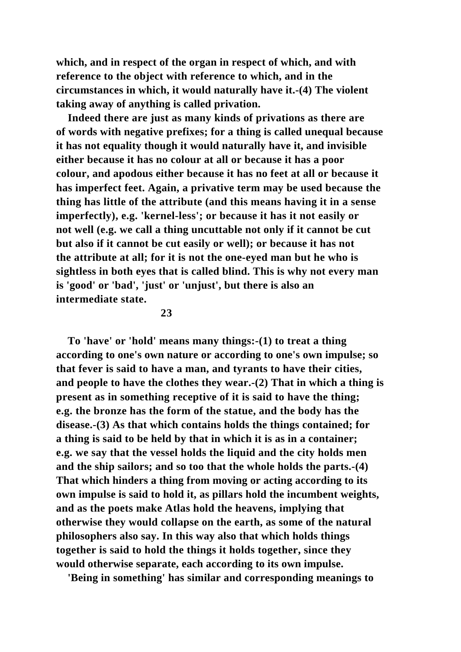**which, and in respect of the organ in respect of which, and with reference to the object with reference to which, and in the circumstances in which, it would naturally have it.-(4) The violent taking away of anything is called privation.**

 **Indeed there are just as many kinds of privations as there are of words with negative prefixes; for a thing is called unequal because it has not equality though it would naturally have it, and invisible either because it has no colour at all or because it has a poor colour, and apodous either because it has no feet at all or because it has imperfect feet. Again, a privative term may be used because the thing has little of the attribute (and this means having it in a sense imperfectly), e.g. 'kernel-less'; or because it has it not easily or not well (e.g. we call a thing uncuttable not only if it cannot be cut but also if it cannot be cut easily or well); or because it has not the attribute at all; for it is not the one-eyed man but he who is sightless in both eyes that is called blind. This is why not every man is 'good' or 'bad', 'just' or 'unjust', but there is also an intermediate state.**

 **23**

 **To 'have' or 'hold' means many things:-(1) to treat a thing according to one's own nature or according to one's own impulse; so that fever is said to have a man, and tyrants to have their cities, and people to have the clothes they wear.-(2) That in which a thing is present as in something receptive of it is said to have the thing; e.g. the bronze has the form of the statue, and the body has the disease.-(3) As that which contains holds the things contained; for a thing is said to be held by that in which it is as in a container; e.g. we say that the vessel holds the liquid and the city holds men and the ship sailors; and so too that the whole holds the parts.-(4) That which hinders a thing from moving or acting according to its own impulse is said to hold it, as pillars hold the incumbent weights, and as the poets make Atlas hold the heavens, implying that otherwise they would collapse on the earth, as some of the natural philosophers also say. In this way also that which holds things together is said to hold the things it holds together, since they would otherwise separate, each according to its own impulse.**

 **'Being in something' has similar and corresponding meanings to**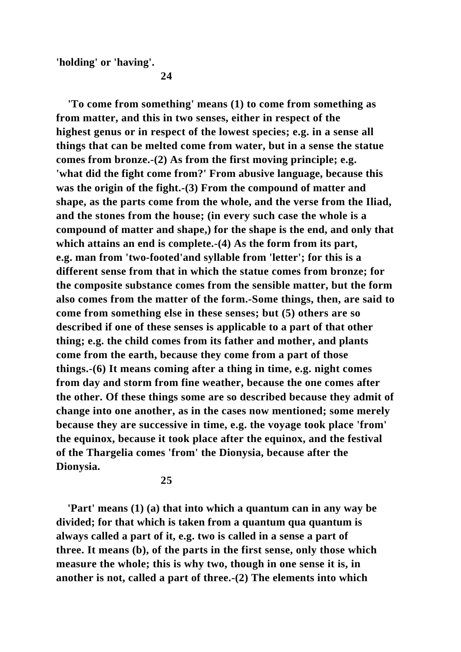**'holding' or 'having'.**

**24** 

 **'To come from something' means (1) to come from something as from matter, and this in two senses, either in respect of the highest genus or in respect of the lowest species; e.g. in a sense all things that can be melted come from water, but in a sense the statue comes from bronze.-(2) As from the first moving principle; e.g. 'what did the fight come from?' From abusive language, because this was the origin of the fight.-(3) From the compound of matter and shape, as the parts come from the whole, and the verse from the Iliad, and the stones from the house; (in every such case the whole is a compound of matter and shape,) for the shape is the end, and only that which attains an end is complete.-(4) As the form from its part, e.g. man from 'two-footed'and syllable from 'letter'; for this is a different sense from that in which the statue comes from bronze; for the composite substance comes from the sensible matter, but the form also comes from the matter of the form.-Some things, then, are said to come from something else in these senses; but (5) others are so described if one of these senses is applicable to a part of that other thing; e.g. the child comes from its father and mother, and plants come from the earth, because they come from a part of those things.-(6) It means coming after a thing in time, e.g. night comes from day and storm from fine weather, because the one comes after the other. Of these things some are so described because they admit of change into one another, as in the cases now mentioned; some merely because they are successive in time, e.g. the voyage took place 'from' the equinox, because it took place after the equinox, and the festival of the Thargelia comes 'from' the Dionysia, because after the Dionysia.**

**25** 

 **'Part' means (1) (a) that into which a quantum can in any way be divided; for that which is taken from a quantum qua quantum is always called a part of it, e.g. two is called in a sense a part of three. It means (b), of the parts in the first sense, only those which measure the whole; this is why two, though in one sense it is, in another is not, called a part of three.-(2) The elements into which**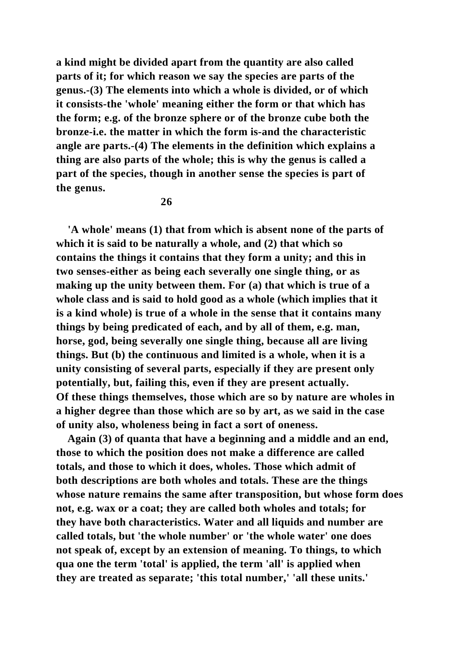**a kind might be divided apart from the quantity are also called parts of it; for which reason we say the species are parts of the genus.-(3) The elements into which a whole is divided, or of which it consists-the 'whole' meaning either the form or that which has the form; e.g. of the bronze sphere or of the bronze cube both the bronze-i.e. the matter in which the form is-and the characteristic angle are parts.-(4) The elements in the definition which explains a thing are also parts of the whole; this is why the genus is called a part of the species, though in another sense the species is part of the genus.**

### **26 20**

 **'A whole' means (1) that from which is absent none of the parts of which it is said to be naturally a whole, and (2) that which so contains the things it contains that they form a unity; and this in two senses-either as being each severally one single thing, or as making up the unity between them. For (a) that which is true of a whole class and is said to hold good as a whole (which implies that it is a kind whole) is true of a whole in the sense that it contains many things by being predicated of each, and by all of them, e.g. man, horse, god, being severally one single thing, because all are living things. But (b) the continuous and limited is a whole, when it is a unity consisting of several parts, especially if they are present only potentially, but, failing this, even if they are present actually. Of these things themselves, those which are so by nature are wholes in a higher degree than those which are so by art, as we said in the case of unity also, wholeness being in fact a sort of oneness.**

 **Again (3) of quanta that have a beginning and a middle and an end, those to which the position does not make a difference are called totals, and those to which it does, wholes. Those which admit of both descriptions are both wholes and totals. These are the things whose nature remains the same after transposition, but whose form does not, e.g. wax or a coat; they are called both wholes and totals; for they have both characteristics. Water and all liquids and number are called totals, but 'the whole number' or 'the whole water' one does not speak of, except by an extension of meaning. To things, to which qua one the term 'total' is applied, the term 'all' is applied when they are treated as separate; 'this total number,' 'all these units.'**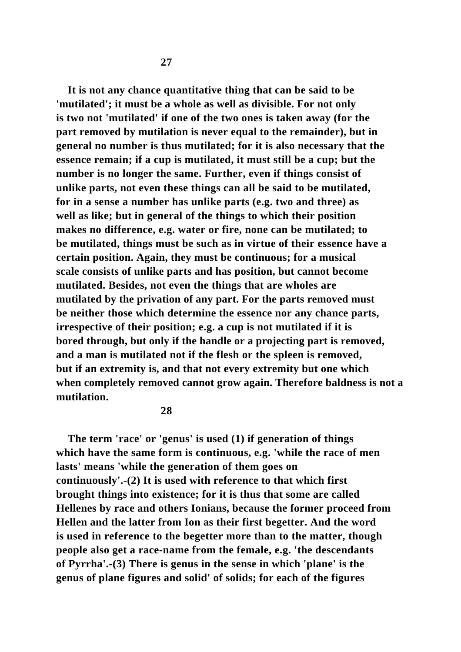**It is not any chance quantitative thing that can be said to be 'mutilated'; it must be a whole as well as divisible. For not only is two not 'mutilated' if one of the two ones is taken away (for the part removed by mutilation is never equal to the remainder), but in general no number is thus mutilated; for it is also necessary that the essence remain; if a cup is mutilated, it must still be a cup; but the number is no longer the same. Further, even if things consist of unlike parts, not even these things can all be said to be mutilated, for in a sense a number has unlike parts (e.g. two and three) as well as like; but in general of the things to which their position makes no difference, e.g. water or fire, none can be mutilated; to be mutilated, things must be such as in virtue of their essence have a certain position. Again, they must be continuous; for a musical scale consists of unlike parts and has position, but cannot become mutilated. Besides, not even the things that are wholes are mutilated by the privation of any part. For the parts removed must be neither those which determine the essence nor any chance parts, irrespective of their position; e.g. a cup is not mutilated if it is bored through, but only if the handle or a projecting part is removed, and a man is mutilated not if the flesh or the spleen is removed, but if an extremity is, and that not every extremity but one which when completely removed cannot grow again. Therefore baldness is not a mutilation.**

 **28**

 **The term 'race' or 'genus' is used (1) if generation of things which have the same form is continuous, e.g. 'while the race of men lasts' means 'while the generation of them goes on continuously'.-(2) It is used with reference to that which first brought things into existence; for it is thus that some are called Hellenes by race and others Ionians, because the former proceed from Hellen and the latter from Ion as their first begetter. And the word is used in reference to the begetter more than to the matter, though people also get a race-name from the female, e.g. 'the descendants of Pyrrha'.-(3) There is genus in the sense in which 'plane' is the genus of plane figures and solid' of solids; for each of the figures**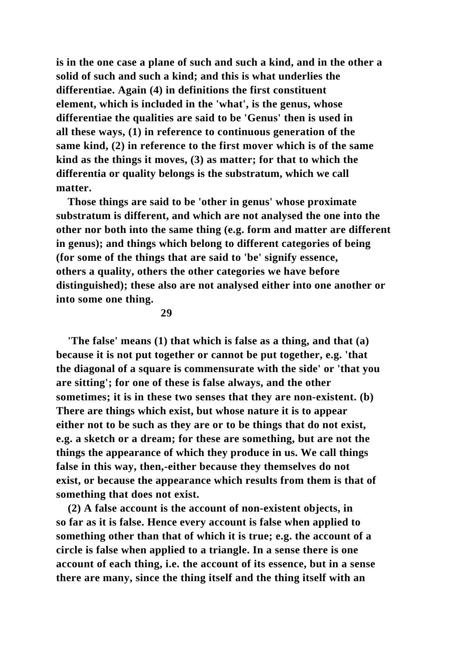**is in the one case a plane of such and such a kind, and in the other a solid of such and such a kind; and this is what underlies the differentiae. Again (4) in definitions the first constituent element, which is included in the 'what', is the genus, whose differentiae the qualities are said to be 'Genus' then is used in all these ways, (1) in reference to continuous generation of the same kind, (2) in reference to the first mover which is of the same kind as the things it moves, (3) as matter; for that to which the differentia or quality belongs is the substratum, which we call matter.**

 **Those things are said to be 'other in genus' whose proximate substratum is different, and which are not analysed the one into the other nor both into the same thing (e.g. form and matter are different in genus); and things which belong to different categories of being (for some of the things that are said to 'be' signify essence, others a quality, others the other categories we have before distinguished); these also are not analysed either into one another or into some one thing.**

**29** 

 **'The false' means (1) that which is false as a thing, and that (a) because it is not put together or cannot be put together, e.g. 'that the diagonal of a square is commensurate with the side' or 'that you are sitting'; for one of these is false always, and the other sometimes; it is in these two senses that they are non-existent. (b) There are things which exist, but whose nature it is to appear either not to be such as they are or to be things that do not exist, e.g. a sketch or a dream; for these are something, but are not the things the appearance of which they produce in us. We call things false in this way, then,-either because they themselves do not exist, or because the appearance which results from them is that of something that does not exist.**

 **(2) A false account is the account of non-existent objects, in so far as it is false. Hence every account is false when applied to something other than that of which it is true; e.g. the account of a circle is false when applied to a triangle. In a sense there is one account of each thing, i.e. the account of its essence, but in a sense there are many, since the thing itself and the thing itself with an**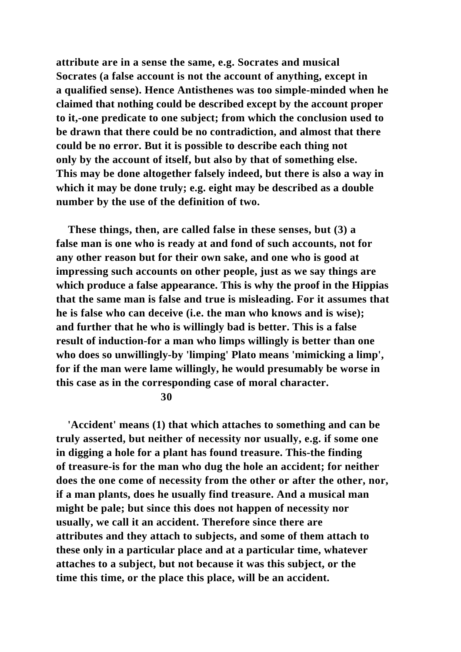**attribute are in a sense the same, e.g. Socrates and musical Socrates (a false account is not the account of anything, except in a qualified sense). Hence Antisthenes was too simple-minded when he claimed that nothing could be described except by the account proper to it,-one predicate to one subject; from which the conclusion used to be drawn that there could be no contradiction, and almost that there could be no error. But it is possible to describe each thing not only by the account of itself, but also by that of something else. This may be done altogether falsely indeed, but there is also a way in which it may be done truly; e.g. eight may be described as a double number by the use of the definition of two.**

 **These things, then, are called false in these senses, but (3) a false man is one who is ready at and fond of such accounts, not for any other reason but for their own sake, and one who is good at impressing such accounts on other people, just as we say things are which produce a false appearance. This is why the proof in the Hippias that the same man is false and true is misleading. For it assumes that he is false who can deceive (i.e. the man who knows and is wise); and further that he who is willingly bad is better. This is a false result of induction-for a man who limps willingly is better than one who does so unwillingly-by 'limping' Plato means 'mimicking a limp', for if the man were lame willingly, he would presumably be worse in this case as in the corresponding case of moral character.**

**30** 

 **'Accident' means (1) that which attaches to something and can be truly asserted, but neither of necessity nor usually, e.g. if some one in digging a hole for a plant has found treasure. This-the finding of treasure-is for the man who dug the hole an accident; for neither does the one come of necessity from the other or after the other, nor, if a man plants, does he usually find treasure. And a musical man might be pale; but since this does not happen of necessity nor usually, we call it an accident. Therefore since there are attributes and they attach to subjects, and some of them attach to these only in a particular place and at a particular time, whatever attaches to a subject, but not because it was this subject, or the time this time, or the place this place, will be an accident.**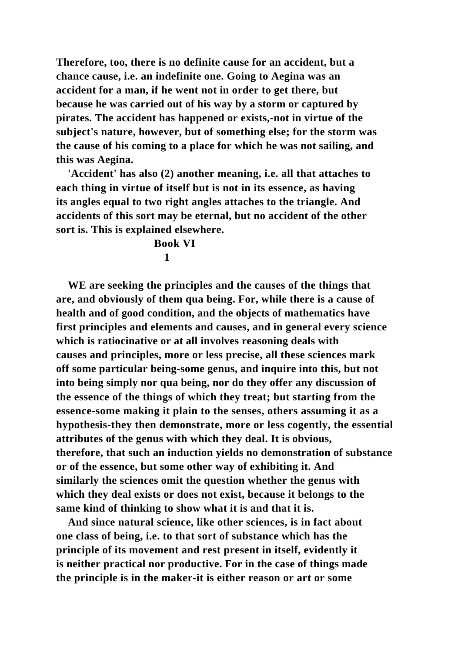**Therefore, too, there is no definite cause for an accident, but a chance cause, i.e. an indefinite one. Going to Aegina was an accident for a man, if he went not in order to get there, but because he was carried out of his way by a storm or captured by pirates. The accident has happened or exists,-not in virtue of the subject's nature, however, but of something else; for the storm was the cause of his coming to a place for which he was not sailing, and this was Aegina.**

 **'Accident' has also (2) another meaning, i.e. all that attaches to each thing in virtue of itself but is not in its essence, as having its angles equal to two right angles attaches to the triangle. And accidents of this sort may be eternal, but no accident of the other sort is. This is explained elsewhere.**

 **Book VI 1** 

 **WE are seeking the principles and the causes of the things that are, and obviously of them qua being. For, while there is a cause of health and of good condition, and the objects of mathematics have first principles and elements and causes, and in general every science which is ratiocinative or at all involves reasoning deals with causes and principles, more or less precise, all these sciences mark off some particular being-some genus, and inquire into this, but not into being simply nor qua being, nor do they offer any discussion of the essence of the things of which they treat; but starting from the essence-some making it plain to the senses, others assuming it as a hypothesis-they then demonstrate, more or less cogently, the essential attributes of the genus with which they deal. It is obvious, therefore, that such an induction yields no demonstration of substance or of the essence, but some other way of exhibiting it. And similarly the sciences omit the question whether the genus with which they deal exists or does not exist, because it belongs to the same kind of thinking to show what it is and that it is.**

 **And since natural science, like other sciences, is in fact about one class of being, i.e. to that sort of substance which has the principle of its movement and rest present in itself, evidently it is neither practical nor productive. For in the case of things made the principle is in the maker-it is either reason or art or some**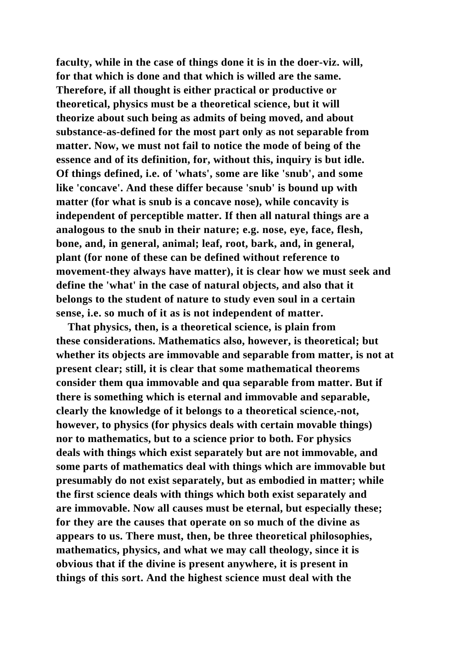**faculty, while in the case of things done it is in the doer-viz. will, for that which is done and that which is willed are the same. Therefore, if all thought is either practical or productive or theoretical, physics must be a theoretical science, but it will theorize about such being as admits of being moved, and about substance-as-defined for the most part only as not separable from matter. Now, we must not fail to notice the mode of being of the essence and of its definition, for, without this, inquiry is but idle. Of things defined, i.e. of 'whats', some are like 'snub', and some like 'concave'. And these differ because 'snub' is bound up with matter (for what is snub is a concave nose), while concavity is independent of perceptible matter. If then all natural things are a analogous to the snub in their nature; e.g. nose, eye, face, flesh, bone, and, in general, animal; leaf, root, bark, and, in general, plant (for none of these can be defined without reference to movement-they always have matter), it is clear how we must seek and define the 'what' in the case of natural objects, and also that it belongs to the student of nature to study even soul in a certain sense, i.e. so much of it as is not independent of matter.**

 **That physics, then, is a theoretical science, is plain from these considerations. Mathematics also, however, is theoretical; but whether its objects are immovable and separable from matter, is not at present clear; still, it is clear that some mathematical theorems consider them qua immovable and qua separable from matter. But if there is something which is eternal and immovable and separable, clearly the knowledge of it belongs to a theoretical science,-not, however, to physics (for physics deals with certain movable things) nor to mathematics, but to a science prior to both. For physics deals with things which exist separately but are not immovable, and some parts of mathematics deal with things which are immovable but presumably do not exist separately, but as embodied in matter; while the first science deals with things which both exist separately and are immovable. Now all causes must be eternal, but especially these; for they are the causes that operate on so much of the divine as appears to us. There must, then, be three theoretical philosophies, mathematics, physics, and what we may call theology, since it is obvious that if the divine is present anywhere, it is present in things of this sort. And the highest science must deal with the**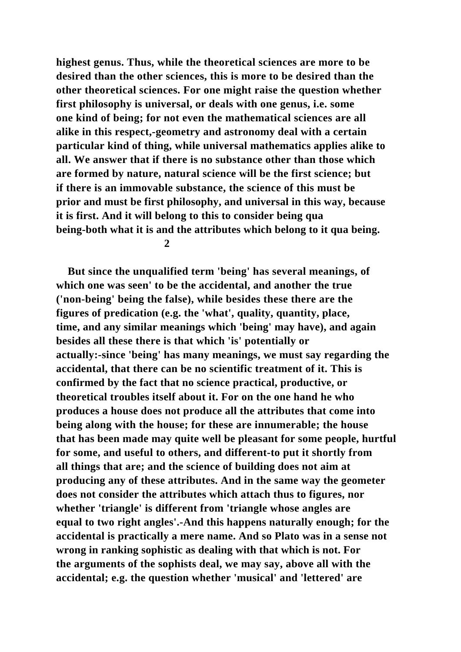**highest genus. Thus, while the theoretical sciences are more to be desired than the other sciences, this is more to be desired than the other theoretical sciences. For one might raise the question whether first philosophy is universal, or deals with one genus, i.e. some one kind of being; for not even the mathematical sciences are all alike in this respect,-geometry and astronomy deal with a certain particular kind of thing, while universal mathematics applies alike to all. We answer that if there is no substance other than those which are formed by nature, natural science will be the first science; but if there is an immovable substance, the science of this must be prior and must be first philosophy, and universal in this way, because it is first. And it will belong to this to consider being qua being-both what it is and the attributes which belong to it qua being. 2** 

 **But since the unqualified term 'being' has several meanings, of which one was seen' to be the accidental, and another the true ('non-being' being the false), while besides these there are the figures of predication (e.g. the 'what', quality, quantity, place, time, and any similar meanings which 'being' may have), and again besides all these there is that which 'is' potentially or actually:-since 'being' has many meanings, we must say regarding the accidental, that there can be no scientific treatment of it. This is confirmed by the fact that no science practical, productive, or theoretical troubles itself about it. For on the one hand he who produces a house does not produce all the attributes that come into being along with the house; for these are innumerable; the house that has been made may quite well be pleasant for some people, hurtful for some, and useful to others, and different-to put it shortly from all things that are; and the science of building does not aim at producing any of these attributes. And in the same way the geometer does not consider the attributes which attach thus to figures, nor whether 'triangle' is different from 'triangle whose angles are equal to two right angles'.-And this happens naturally enough; for the accidental is practically a mere name. And so Plato was in a sense not wrong in ranking sophistic as dealing with that which is not. For the arguments of the sophists deal, we may say, above all with the accidental; e.g. the question whether 'musical' and 'lettered' are**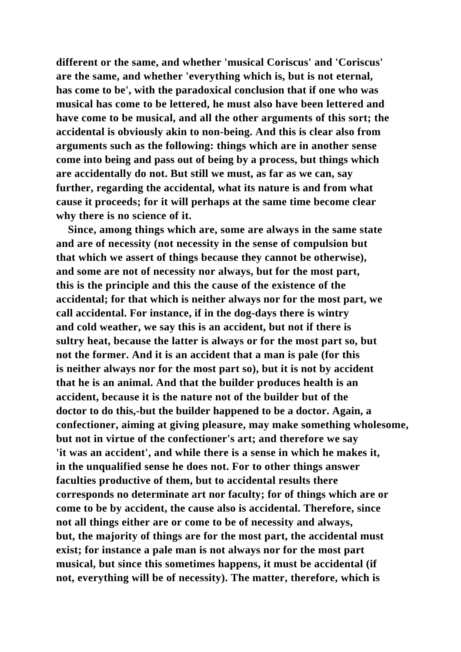**different or the same, and whether 'musical Coriscus' and 'Coriscus' are the same, and whether 'everything which is, but is not eternal, has come to be', with the paradoxical conclusion that if one who was musical has come to be lettered, he must also have been lettered and have come to be musical, and all the other arguments of this sort; the accidental is obviously akin to non-being. And this is clear also from arguments such as the following: things which are in another sense come into being and pass out of being by a process, but things which are accidentally do not. But still we must, as far as we can, say further, regarding the accidental, what its nature is and from what cause it proceeds; for it will perhaps at the same time become clear why there is no science of it.**

 **Since, among things which are, some are always in the same state and are of necessity (not necessity in the sense of compulsion but that which we assert of things because they cannot be otherwise), and some are not of necessity nor always, but for the most part, this is the principle and this the cause of the existence of the accidental; for that which is neither always nor for the most part, we call accidental. For instance, if in the dog-days there is wintry and cold weather, we say this is an accident, but not if there is sultry heat, because the latter is always or for the most part so, but not the former. And it is an accident that a man is pale (for this is neither always nor for the most part so), but it is not by accident that he is an animal. And that the builder produces health is an accident, because it is the nature not of the builder but of the doctor to do this,-but the builder happened to be a doctor. Again, a confectioner, aiming at giving pleasure, may make something wholesome, but not in virtue of the confectioner's art; and therefore we say 'it was an accident', and while there is a sense in which he makes it, in the unqualified sense he does not. For to other things answer faculties productive of them, but to accidental results there corresponds no determinate art nor faculty; for of things which are or come to be by accident, the cause also is accidental. Therefore, since not all things either are or come to be of necessity and always, but, the majority of things are for the most part, the accidental must exist; for instance a pale man is not always nor for the most part musical, but since this sometimes happens, it must be accidental (if not, everything will be of necessity). The matter, therefore, which is**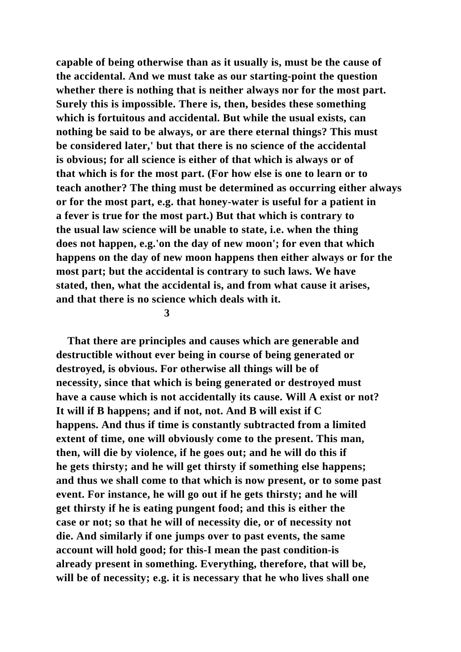**capable of being otherwise than as it usually is, must be the cause of the accidental. And we must take as our starting-point the question whether there is nothing that is neither always nor for the most part. Surely this is impossible. There is, then, besides these something which is fortuitous and accidental. But while the usual exists, can nothing be said to be always, or are there eternal things? This must be considered later,' but that there is no science of the accidental is obvious; for all science is either of that which is always or of that which is for the most part. (For how else is one to learn or to teach another? The thing must be determined as occurring either always or for the most part, e.g. that honey-water is useful for a patient in a fever is true for the most part.) But that which is contrary to the usual law science will be unable to state, i.e. when the thing does not happen, e.g.'on the day of new moon'; for even that which happens on the day of new moon happens then either always or for the most part; but the accidental is contrary to such laws. We have stated, then, what the accidental is, and from what cause it arises, and that there is no science which deals with it.**

**3** 

 **That there are principles and causes which are generable and destructible without ever being in course of being generated or destroyed, is obvious. For otherwise all things will be of necessity, since that which is being generated or destroyed must have a cause which is not accidentally its cause. Will A exist or not? It will if B happens; and if not, not. And B will exist if C happens. And thus if time is constantly subtracted from a limited extent of time, one will obviously come to the present. This man, then, will die by violence, if he goes out; and he will do this if he gets thirsty; and he will get thirsty if something else happens; and thus we shall come to that which is now present, or to some past event. For instance, he will go out if he gets thirsty; and he will get thirsty if he is eating pungent food; and this is either the case or not; so that he will of necessity die, or of necessity not die. And similarly if one jumps over to past events, the same account will hold good; for this-I mean the past condition-is already present in something. Everything, therefore, that will be, will be of necessity; e.g. it is necessary that he who lives shall one**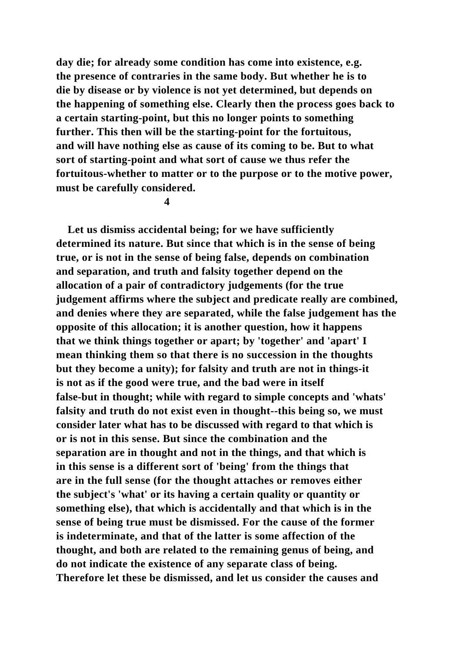**day die; for already some condition has come into existence, e.g. the presence of contraries in the same body. But whether he is to die by disease or by violence is not yet determined, but depends on the happening of something else. Clearly then the process goes back to a certain starting-point, but this no longer points to something further. This then will be the starting-point for the fortuitous, and will have nothing else as cause of its coming to be. But to what sort of starting-point and what sort of cause we thus refer the fortuitous-whether to matter or to the purpose or to the motive power, must be carefully considered.**

**4 4** 

 **Let us dismiss accidental being; for we have sufficiently determined its nature. But since that which is in the sense of being true, or is not in the sense of being false, depends on combination and separation, and truth and falsity together depend on the allocation of a pair of contradictory judgements (for the true judgement affirms where the subject and predicate really are combined, and denies where they are separated, while the false judgement has the opposite of this allocation; it is another question, how it happens that we think things together or apart; by 'together' and 'apart' I mean thinking them so that there is no succession in the thoughts but they become a unity); for falsity and truth are not in things-it is not as if the good were true, and the bad were in itself false-but in thought; while with regard to simple concepts and 'whats' falsity and truth do not exist even in thought--this being so, we must consider later what has to be discussed with regard to that which is or is not in this sense. But since the combination and the separation are in thought and not in the things, and that which is in this sense is a different sort of 'being' from the things that are in the full sense (for the thought attaches or removes either the subject's 'what' or its having a certain quality or quantity or something else), that which is accidentally and that which is in the sense of being true must be dismissed. For the cause of the former is indeterminate, and that of the latter is some affection of the thought, and both are related to the remaining genus of being, and do not indicate the existence of any separate class of being. Therefore let these be dismissed, and let us consider the causes and**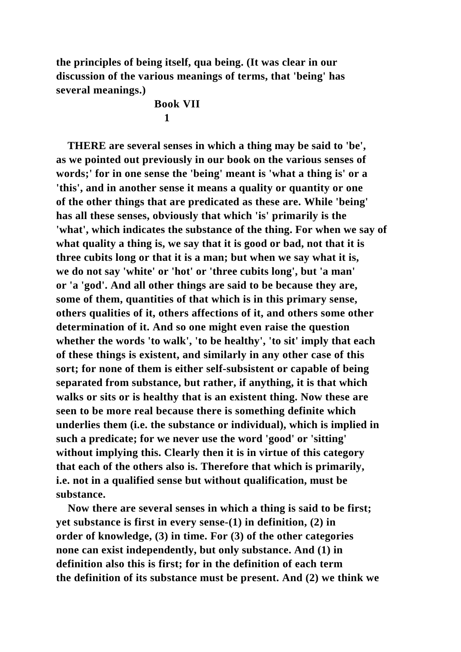**the principles of being itself, qua being. (It was clear in our discussion of the various meanings of terms, that 'being' has several meanings.)**

 **Book VII 1**

 **THERE are several senses in which a thing may be said to 'be', as we pointed out previously in our book on the various senses of words;' for in one sense the 'being' meant is 'what a thing is' or a 'this', and in another sense it means a quality or quantity or one of the other things that are predicated as these are. While 'being' has all these senses, obviously that which 'is' primarily is the 'what', which indicates the substance of the thing. For when we say of what quality a thing is, we say that it is good or bad, not that it is three cubits long or that it is a man; but when we say what it is, we do not say 'white' or 'hot' or 'three cubits long', but 'a man' or 'a 'god'. And all other things are said to be because they are, some of them, quantities of that which is in this primary sense, others qualities of it, others affections of it, and others some other determination of it. And so one might even raise the question whether the words 'to walk', 'to be healthy', 'to sit' imply that each of these things is existent, and similarly in any other case of this sort; for none of them is either self-subsistent or capable of being separated from substance, but rather, if anything, it is that which walks or sits or is healthy that is an existent thing. Now these are seen to be more real because there is something definite which underlies them (i.e. the substance or individual), which is implied in such a predicate; for we never use the word 'good' or 'sitting' without implying this. Clearly then it is in virtue of this category that each of the others also is. Therefore that which is primarily, i.e. not in a qualified sense but without qualification, must be substance.**

 **Now there are several senses in which a thing is said to be first; yet substance is first in every sense-(1) in definition, (2) in order of knowledge, (3) in time. For (3) of the other categories none can exist independently, but only substance. And (1) in definition also this is first; for in the definition of each term the definition of its substance must be present. And (2) we think we**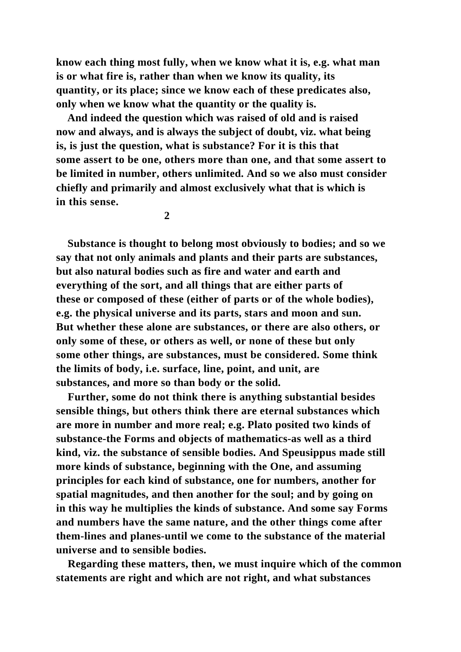**know each thing most fully, when we know what it is, e.g. what man is or what fire is, rather than when we know its quality, its quantity, or its place; since we know each of these predicates also, only when we know what the quantity or the quality is.**

 **And indeed the question which was raised of old and is raised now and always, and is always the subject of doubt, viz. what being is, is just the question, what is substance? For it is this that some assert to be one, others more than one, and that some assert to be limited in number, others unlimited. And so we also must consider chiefly and primarily and almost exclusively what that is which is in this sense.**

**2** 

 **Substance is thought to belong most obviously to bodies; and so we say that not only animals and plants and their parts are substances, but also natural bodies such as fire and water and earth and everything of the sort, and all things that are either parts of these or composed of these (either of parts or of the whole bodies), e.g. the physical universe and its parts, stars and moon and sun. But whether these alone are substances, or there are also others, or only some of these, or others as well, or none of these but only some other things, are substances, must be considered. Some think the limits of body, i.e. surface, line, point, and unit, are substances, and more so than body or the solid.**

 **Further, some do not think there is anything substantial besides sensible things, but others think there are eternal substances which are more in number and more real; e.g. Plato posited two kinds of substance-the Forms and objects of mathematics-as well as a third kind, viz. the substance of sensible bodies. And Speusippus made still more kinds of substance, beginning with the One, and assuming principles for each kind of substance, one for numbers, another for spatial magnitudes, and then another for the soul; and by going on in this way he multiplies the kinds of substance. And some say Forms and numbers have the same nature, and the other things come after them-lines and planes-until we come to the substance of the material universe and to sensible bodies.**

 **Regarding these matters, then, we must inquire which of the common statements are right and which are not right, and what substances**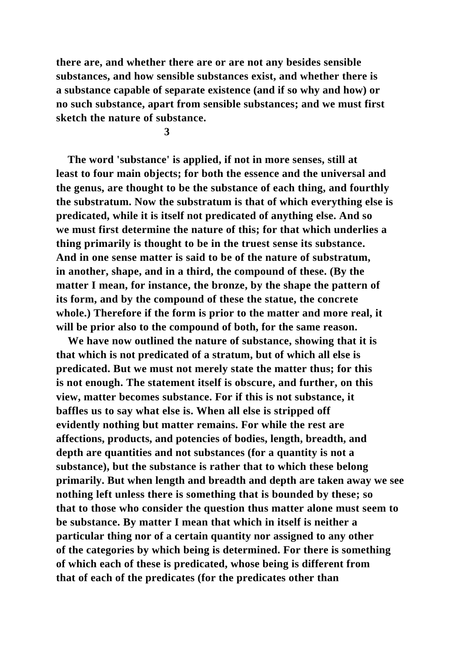**there are, and whether there are or are not any besides sensible substances, and how sensible substances exist, and whether there is a substance capable of separate existence (and if so why and how) or no such substance, apart from sensible substances; and we must first sketch the nature of substance.**

**3** 

 **The word 'substance' is applied, if not in more senses, still at least to four main objects; for both the essence and the universal and the genus, are thought to be the substance of each thing, and fourthly the substratum. Now the substratum is that of which everything else is predicated, while it is itself not predicated of anything else. And so we must first determine the nature of this; for that which underlies a thing primarily is thought to be in the truest sense its substance. And in one sense matter is said to be of the nature of substratum, in another, shape, and in a third, the compound of these. (By the matter I mean, for instance, the bronze, by the shape the pattern of its form, and by the compound of these the statue, the concrete whole.) Therefore if the form is prior to the matter and more real, it will be prior also to the compound of both, for the same reason.**

 **We have now outlined the nature of substance, showing that it is that which is not predicated of a stratum, but of which all else is predicated. But we must not merely state the matter thus; for this is not enough. The statement itself is obscure, and further, on this view, matter becomes substance. For if this is not substance, it baffles us to say what else is. When all else is stripped off evidently nothing but matter remains. For while the rest are affections, products, and potencies of bodies, length, breadth, and depth are quantities and not substances (for a quantity is not a substance), but the substance is rather that to which these belong primarily. But when length and breadth and depth are taken away we see nothing left unless there is something that is bounded by these; so that to those who consider the question thus matter alone must seem to be substance. By matter I mean that which in itself is neither a particular thing nor of a certain quantity nor assigned to any other of the categories by which being is determined. For there is something of which each of these is predicated, whose being is different from that of each of the predicates (for the predicates other than**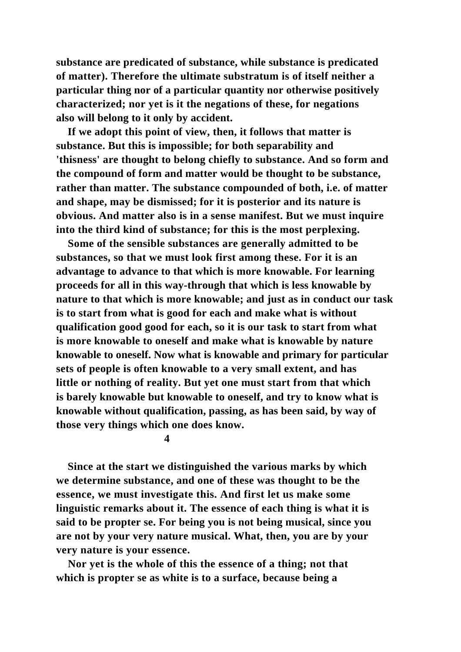**substance are predicated of substance, while substance is predicated of matter). Therefore the ultimate substratum is of itself neither a particular thing nor of a particular quantity nor otherwise positively characterized; nor yet is it the negations of these, for negations also will belong to it only by accident.**

 **If we adopt this point of view, then, it follows that matter is substance. But this is impossible; for both separability and 'thisness' are thought to belong chiefly to substance. And so form and the compound of form and matter would be thought to be substance, rather than matter. The substance compounded of both, i.e. of matter and shape, may be dismissed; for it is posterior and its nature is obvious. And matter also is in a sense manifest. But we must inquire into the third kind of substance; for this is the most perplexing.**

 **Some of the sensible substances are generally admitted to be substances, so that we must look first among these. For it is an advantage to advance to that which is more knowable. For learning proceeds for all in this way-through that which is less knowable by nature to that which is more knowable; and just as in conduct our task is to start from what is good for each and make what is without qualification good good for each, so it is our task to start from what is more knowable to oneself and make what is knowable by nature knowable to oneself. Now what is knowable and primary for particular sets of people is often knowable to a very small extent, and has little or nothing of reality. But yet one must start from that which is barely knowable but knowable to oneself, and try to know what is knowable without qualification, passing, as has been said, by way of those very things which one does know.**

**4 4** 

 **Since at the start we distinguished the various marks by which we determine substance, and one of these was thought to be the essence, we must investigate this. And first let us make some linguistic remarks about it. The essence of each thing is what it is said to be propter se. For being you is not being musical, since you are not by your very nature musical. What, then, you are by your very nature is your essence.**

 **Nor yet is the whole of this the essence of a thing; not that which is propter se as white is to a surface, because being a**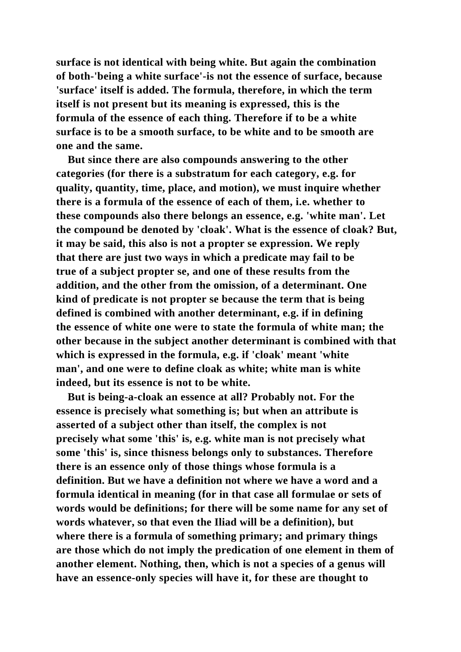**surface is not identical with being white. But again the combination of both-'being a white surface'-is not the essence of surface, because 'surface' itself is added. The formula, therefore, in which the term itself is not present but its meaning is expressed, this is the formula of the essence of each thing. Therefore if to be a white surface is to be a smooth surface, to be white and to be smooth are one and the same.**

 **But since there are also compounds answering to the other categories (for there is a substratum for each category, e.g. for quality, quantity, time, place, and motion), we must inquire whether there is a formula of the essence of each of them, i.e. whether to these compounds also there belongs an essence, e.g. 'white man'. Let the compound be denoted by 'cloak'. What is the essence of cloak? But, it may be said, this also is not a propter se expression. We reply that there are just two ways in which a predicate may fail to be true of a subject propter se, and one of these results from the addition, and the other from the omission, of a determinant. One kind of predicate is not propter se because the term that is being defined is combined with another determinant, e.g. if in defining the essence of white one were to state the formula of white man; the other because in the subject another determinant is combined with that which is expressed in the formula, e.g. if 'cloak' meant 'white man', and one were to define cloak as white; white man is white indeed, but its essence is not to be white.**

 **But is being-a-cloak an essence at all? Probably not. For the essence is precisely what something is; but when an attribute is asserted of a subject other than itself, the complex is not precisely what some 'this' is, e.g. white man is not precisely what some 'this' is, since thisness belongs only to substances. Therefore there is an essence only of those things whose formula is a definition. But we have a definition not where we have a word and a formula identical in meaning (for in that case all formulae or sets of words would be definitions; for there will be some name for any set of words whatever, so that even the Iliad will be a definition), but where there is a formula of something primary; and primary things are those which do not imply the predication of one element in them of another element. Nothing, then, which is not a species of a genus will have an essence-only species will have it, for these are thought to**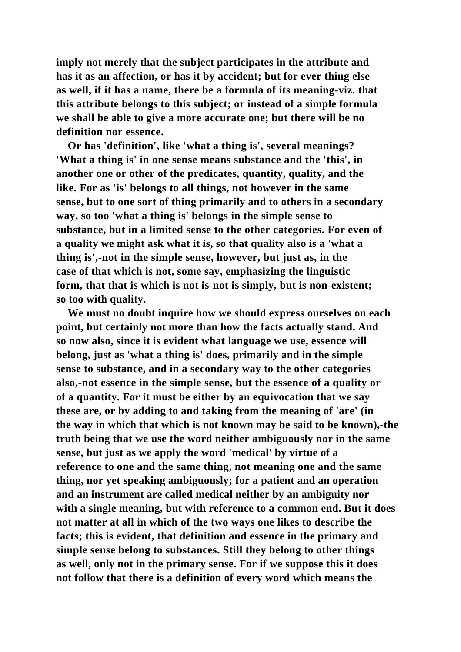**imply not merely that the subject participates in the attribute and has it as an affection, or has it by accident; but for ever thing else as well, if it has a name, there be a formula of its meaning-viz. that this attribute belongs to this subject; or instead of a simple formula we shall be able to give a more accurate one; but there will be no definition nor essence.**

 **Or has 'definition', like 'what a thing is', several meanings? 'What a thing is' in one sense means substance and the 'this', in another one or other of the predicates, quantity, quality, and the like. For as 'is' belongs to all things, not however in the same sense, but to one sort of thing primarily and to others in a secondary way, so too 'what a thing is' belongs in the simple sense to substance, but in a limited sense to the other categories. For even of a quality we might ask what it is, so that quality also is a 'what a thing is',-not in the simple sense, however, but just as, in the case of that which is not, some say, emphasizing the linguistic form, that that is which is not is-not is simply, but is non-existent; so too with quality.**

 **We must no doubt inquire how we should express ourselves on each point, but certainly not more than how the facts actually stand. And so now also, since it is evident what language we use, essence will belong, just as 'what a thing is' does, primarily and in the simple sense to substance, and in a secondary way to the other categories also,-not essence in the simple sense, but the essence of a quality or of a quantity. For it must be either by an equivocation that we say these are, or by adding to and taking from the meaning of 'are' (in the way in which that which is not known may be said to be known),-the truth being that we use the word neither ambiguously nor in the same sense, but just as we apply the word 'medical' by virtue of a reference to one and the same thing, not meaning one and the same thing, nor yet speaking ambiguously; for a patient and an operation and an instrument are called medical neither by an ambiguity nor with a single meaning, but with reference to a common end. But it does not matter at all in which of the two ways one likes to describe the facts; this is evident, that definition and essence in the primary and simple sense belong to substances. Still they belong to other things as well, only not in the primary sense. For if we suppose this it does not follow that there is a definition of every word which means the**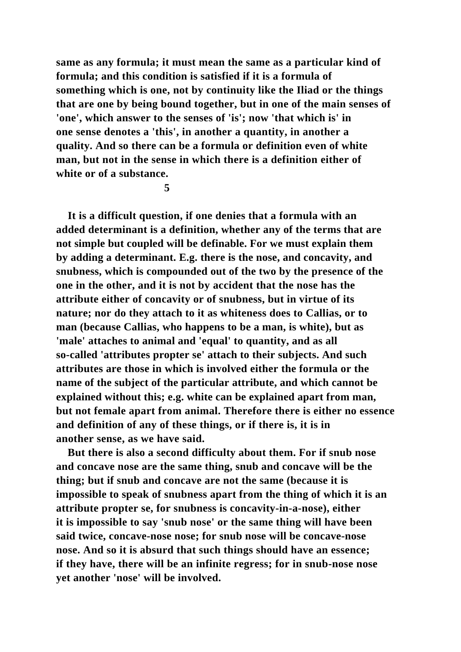**same as any formula; it must mean the same as a particular kind of formula; and this condition is satisfied if it is a formula of something which is one, not by continuity like the Iliad or the things that are one by being bound together, but in one of the main senses of 'one', which answer to the senses of 'is'; now 'that which is' in one sense denotes a 'this', in another a quantity, in another a quality. And so there can be a formula or definition even of white man, but not in the sense in which there is a definition either of white or of a substance.**

**5** 

 **It is a difficult question, if one denies that a formula with an added determinant is a definition, whether any of the terms that are not simple but coupled will be definable. For we must explain them by adding a determinant. E.g. there is the nose, and concavity, and snubness, which is compounded out of the two by the presence of the one in the other, and it is not by accident that the nose has the attribute either of concavity or of snubness, but in virtue of its nature; nor do they attach to it as whiteness does to Callias, or to man (because Callias, who happens to be a man, is white), but as 'male' attaches to animal and 'equal' to quantity, and as all so-called 'attributes propter se' attach to their subjects. And such attributes are those in which is involved either the formula or the name of the subject of the particular attribute, and which cannot be explained without this; e.g. white can be explained apart from man, but not female apart from animal. Therefore there is either no essence and definition of any of these things, or if there is, it is in another sense, as we have said.**

 **But there is also a second difficulty about them. For if snub nose and concave nose are the same thing, snub and concave will be the thing; but if snub and concave are not the same (because it is impossible to speak of snubness apart from the thing of which it is an attribute propter se, for snubness is concavity-in-a-nose), either it is impossible to say 'snub nose' or the same thing will have been said twice, concave-nose nose; for snub nose will be concave-nose nose. And so it is absurd that such things should have an essence; if they have, there will be an infinite regress; for in snub-nose nose yet another 'nose' will be involved.**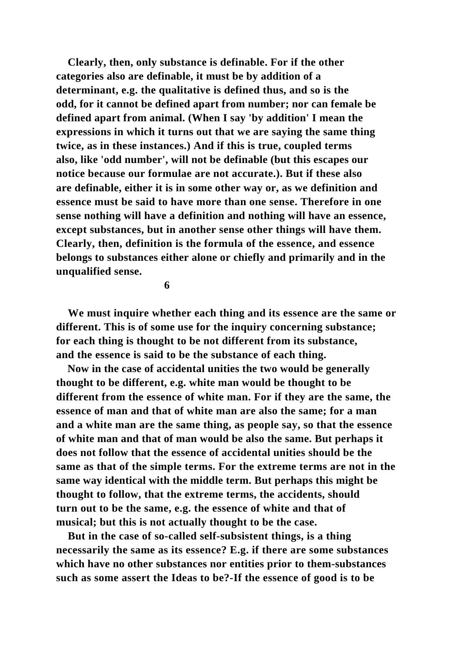**Clearly, then, only substance is definable. For if the other categories also are definable, it must be by addition of a determinant, e.g. the qualitative is defined thus, and so is the odd, for it cannot be defined apart from number; nor can female be defined apart from animal. (When I say 'by addition' I mean the expressions in which it turns out that we are saying the same thing twice, as in these instances.) And if this is true, coupled terms also, like 'odd number', will not be definable (but this escapes our notice because our formulae are not accurate.). But if these also are definable, either it is in some other way or, as we definition and essence must be said to have more than one sense. Therefore in one sense nothing will have a definition and nothing will have an essence, except substances, but in another sense other things will have them. Clearly, then, definition is the formula of the essence, and essence belongs to substances either alone or chiefly and primarily and in the unqualified sense.**

 **6**

 **We must inquire whether each thing and its essence are the same or different. This is of some use for the inquiry concerning substance; for each thing is thought to be not different from its substance, and the essence is said to be the substance of each thing.**

 **Now in the case of accidental unities the two would be generally thought to be different, e.g. white man would be thought to be different from the essence of white man. For if they are the same, the essence of man and that of white man are also the same; for a man and a white man are the same thing, as people say, so that the essence of white man and that of man would be also the same. But perhaps it does not follow that the essence of accidental unities should be the same as that of the simple terms. For the extreme terms are not in the same way identical with the middle term. But perhaps this might be thought to follow, that the extreme terms, the accidents, should turn out to be the same, e.g. the essence of white and that of musical; but this is not actually thought to be the case.**

 **But in the case of so-called self-subsistent things, is a thing necessarily the same as its essence? E.g. if there are some substances which have no other substances nor entities prior to them-substances such as some assert the Ideas to be?-If the essence of good is to be**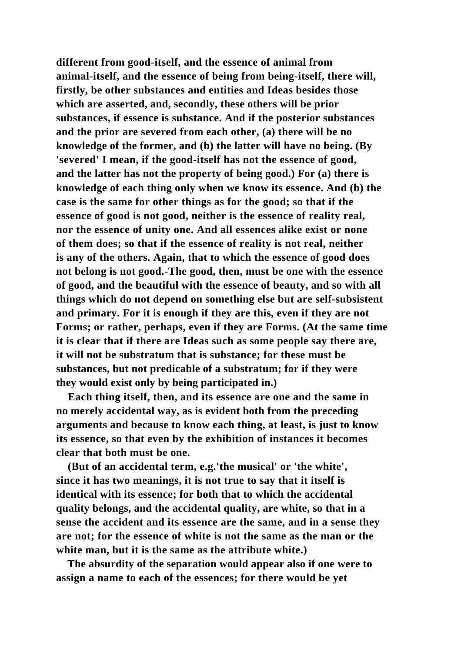**different from good-itself, and the essence of animal from animal-itself, and the essence of being from being-itself, there will, firstly, be other substances and entities and Ideas besides those which are asserted, and, secondly, these others will be prior substances, if essence is substance. And if the posterior substances and the prior are severed from each other, (a) there will be no knowledge of the former, and (b) the latter will have no being. (By 'severed' I mean, if the good-itself has not the essence of good, and the latter has not the property of being good.) For (a) there is knowledge of each thing only when we know its essence. And (b) the case is the same for other things as for the good; so that if the essence of good is not good, neither is the essence of reality real, nor the essence of unity one. And all essences alike exist or none of them does; so that if the essence of reality is not real, neither is any of the others. Again, that to which the essence of good does not belong is not good.-The good, then, must be one with the essence of good, and the beautiful with the essence of beauty, and so with all things which do not depend on something else but are self-subsistent and primary. For it is enough if they are this, even if they are not Forms; or rather, perhaps, even if they are Forms. (At the same time it is clear that if there are Ideas such as some people say there are, it will not be substratum that is substance; for these must be substances, but not predicable of a substratum; for if they were they would exist only by being participated in.)**

 **Each thing itself, then, and its essence are one and the same in no merely accidental way, as is evident both from the preceding arguments and because to know each thing, at least, is just to know its essence, so that even by the exhibition of instances it becomes clear that both must be one.**

 **(But of an accidental term, e.g.'the musical' or 'the white', since it has two meanings, it is not true to say that it itself is identical with its essence; for both that to which the accidental quality belongs, and the accidental quality, are white, so that in a sense the accident and its essence are the same, and in a sense they are not; for the essence of white is not the same as the man or the white man, but it is the same as the attribute white.)**

 **The absurdity of the separation would appear also if one were to assign a name to each of the essences; for there would be yet**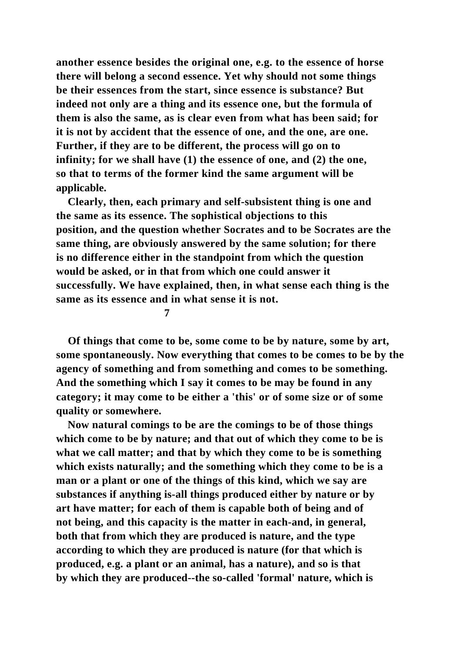**another essence besides the original one, e.g. to the essence of horse there will belong a second essence. Yet why should not some things be their essences from the start, since essence is substance? But indeed not only are a thing and its essence one, but the formula of them is also the same, as is clear even from what has been said; for it is not by accident that the essence of one, and the one, are one. Further, if they are to be different, the process will go on to infinity; for we shall have (1) the essence of one, and (2) the one, so that to terms of the former kind the same argument will be applicable.**

 **Clearly, then, each primary and self-subsistent thing is one and the same as its essence. The sophistical objections to this position, and the question whether Socrates and to be Socrates are the same thing, are obviously answered by the same solution; for there is no difference either in the standpoint from which the question would be asked, or in that from which one could answer it successfully. We have explained, then, in what sense each thing is the same as its essence and in what sense it is not.**

 **7**

 **Of things that come to be, some come to be by nature, some by art, some spontaneously. Now everything that comes to be comes to be by the agency of something and from something and comes to be something. And the something which I say it comes to be may be found in any category; it may come to be either a 'this' or of some size or of some quality or somewhere.**

 **Now natural comings to be are the comings to be of those things which come to be by nature; and that out of which they come to be is what we call matter; and that by which they come to be is something which exists naturally; and the something which they come to be is a man or a plant or one of the things of this kind, which we say are substances if anything is-all things produced either by nature or by art have matter; for each of them is capable both of being and of not being, and this capacity is the matter in each-and, in general, both that from which they are produced is nature, and the type according to which they are produced is nature (for that which is produced, e.g. a plant or an animal, has a nature), and so is that by which they are produced--the so-called 'formal' nature, which is**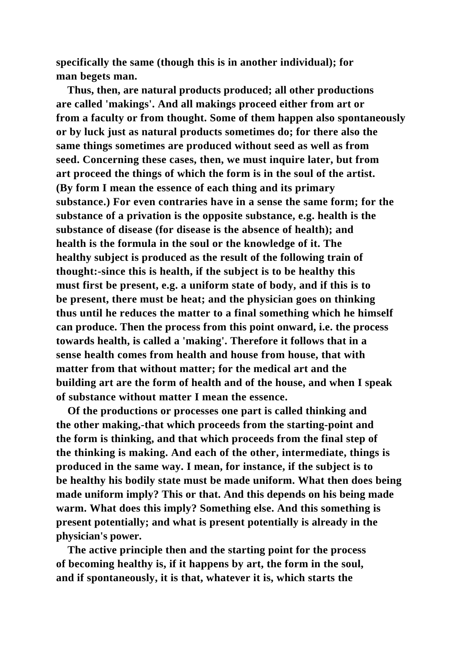**specifically the same (though this is in another individual); for man begets man.**

 **Thus, then, are natural products produced; all other productions are called 'makings'. And all makings proceed either from art or from a faculty or from thought. Some of them happen also spontaneously or by luck just as natural products sometimes do; for there also the same things sometimes are produced without seed as well as from seed. Concerning these cases, then, we must inquire later, but from art proceed the things of which the form is in the soul of the artist. (By form I mean the essence of each thing and its primary substance.) For even contraries have in a sense the same form; for the substance of a privation is the opposite substance, e.g. health is the substance of disease (for disease is the absence of health); and health is the formula in the soul or the knowledge of it. The healthy subject is produced as the result of the following train of thought:-since this is health, if the subject is to be healthy this must first be present, e.g. a uniform state of body, and if this is to be present, there must be heat; and the physician goes on thinking thus until he reduces the matter to a final something which he himself can produce. Then the process from this point onward, i.e. the process towards health, is called a 'making'. Therefore it follows that in a sense health comes from health and house from house, that with matter from that without matter; for the medical art and the building art are the form of health and of the house, and when I speak of substance without matter I mean the essence.**

 **Of the productions or processes one part is called thinking and the other making,-that which proceeds from the starting-point and the form is thinking, and that which proceeds from the final step of the thinking is making. And each of the other, intermediate, things is produced in the same way. I mean, for instance, if the subject is to be healthy his bodily state must be made uniform. What then does being made uniform imply? This or that. And this depends on his being made warm. What does this imply? Something else. And this something is present potentially; and what is present potentially is already in the physician's power.**

 **The active principle then and the starting point for the process of becoming healthy is, if it happens by art, the form in the soul, and if spontaneously, it is that, whatever it is, which starts the**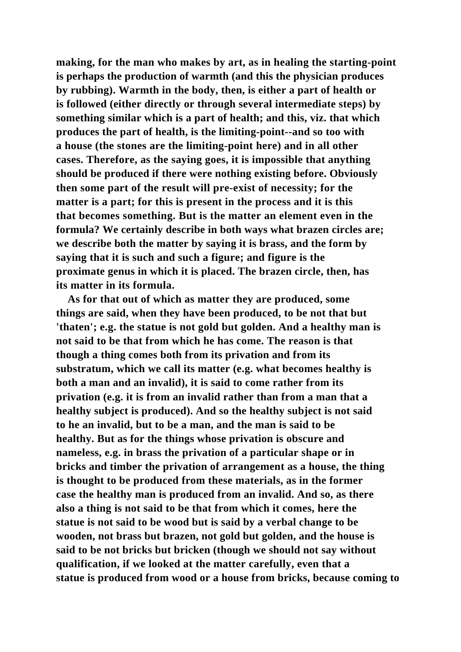**making, for the man who makes by art, as in healing the starting-point is perhaps the production of warmth (and this the physician produces by rubbing). Warmth in the body, then, is either a part of health or is followed (either directly or through several intermediate steps) by something similar which is a part of health; and this, viz. that which produces the part of health, is the limiting-point--and so too with a house (the stones are the limiting-point here) and in all other cases. Therefore, as the saying goes, it is impossible that anything should be produced if there were nothing existing before. Obviously then some part of the result will pre-exist of necessity; for the matter is a part; for this is present in the process and it is this that becomes something. But is the matter an element even in the formula? We certainly describe in both ways what brazen circles are; we describe both the matter by saying it is brass, and the form by saying that it is such and such a figure; and figure is the proximate genus in which it is placed. The brazen circle, then, has its matter in its formula.**

 **As for that out of which as matter they are produced, some things are said, when they have been produced, to be not that but 'thaten'; e.g. the statue is not gold but golden. And a healthy man is not said to be that from which he has come. The reason is that though a thing comes both from its privation and from its substratum, which we call its matter (e.g. what becomes healthy is both a man and an invalid), it is said to come rather from its privation (e.g. it is from an invalid rather than from a man that a healthy subject is produced). And so the healthy subject is not said to he an invalid, but to be a man, and the man is said to be healthy. But as for the things whose privation is obscure and nameless, e.g. in brass the privation of a particular shape or in bricks and timber the privation of arrangement as a house, the thing is thought to be produced from these materials, as in the former case the healthy man is produced from an invalid. And so, as there also a thing is not said to be that from which it comes, here the statue is not said to be wood but is said by a verbal change to be wooden, not brass but brazen, not gold but golden, and the house is said to be not bricks but bricken (though we should not say without qualification, if we looked at the matter carefully, even that a statue is produced from wood or a house from bricks, because coming to**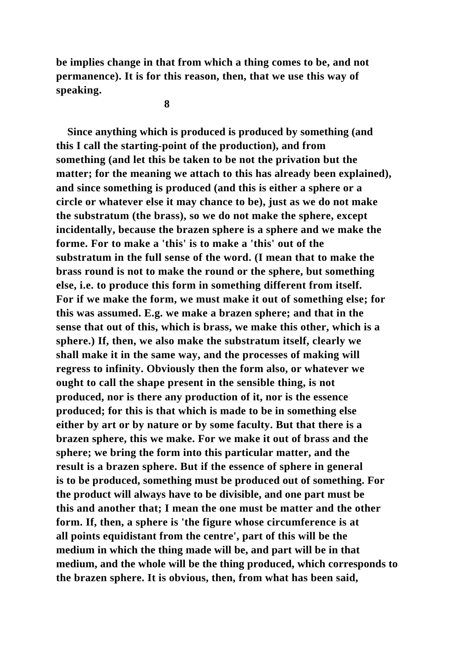**be implies change in that from which a thing comes to be, and not permanence). It is for this reason, then, that we use this way of speaking.**

**8 8 8** 

 **Since anything which is produced is produced by something (and this I call the starting-point of the production), and from something (and let this be taken to be not the privation but the matter; for the meaning we attach to this has already been explained), and since something is produced (and this is either a sphere or a circle or whatever else it may chance to be), just as we do not make the substratum (the brass), so we do not make the sphere, except incidentally, because the brazen sphere is a sphere and we make the forme. For to make a 'this' is to make a 'this' out of the substratum in the full sense of the word. (I mean that to make the brass round is not to make the round or the sphere, but something else, i.e. to produce this form in something different from itself. For if we make the form, we must make it out of something else; for this was assumed. E.g. we make a brazen sphere; and that in the sense that out of this, which is brass, we make this other, which is a sphere.) If, then, we also make the substratum itself, clearly we shall make it in the same way, and the processes of making will regress to infinity. Obviously then the form also, or whatever we ought to call the shape present in the sensible thing, is not produced, nor is there any production of it, nor is the essence produced; for this is that which is made to be in something else either by art or by nature or by some faculty. But that there is a brazen sphere, this we make. For we make it out of brass and the sphere; we bring the form into this particular matter, and the result is a brazen sphere. But if the essence of sphere in general is to be produced, something must be produced out of something. For the product will always have to be divisible, and one part must be this and another that; I mean the one must be matter and the other form. If, then, a sphere is 'the figure whose circumference is at all points equidistant from the centre', part of this will be the medium in which the thing made will be, and part will be in that medium, and the whole will be the thing produced, which corresponds to the brazen sphere. It is obvious, then, from what has been said,**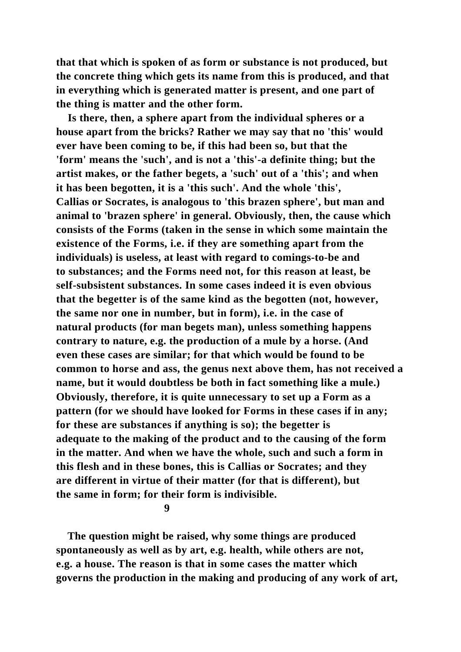**that that which is spoken of as form or substance is not produced, but the concrete thing which gets its name from this is produced, and that in everything which is generated matter is present, and one part of the thing is matter and the other form.**

 **Is there, then, a sphere apart from the individual spheres or a house apart from the bricks? Rather we may say that no 'this' would ever have been coming to be, if this had been so, but that the 'form' means the 'such', and is not a 'this'-a definite thing; but the artist makes, or the father begets, a 'such' out of a 'this'; and when it has been begotten, it is a 'this such'. And the whole 'this', Callias or Socrates, is analogous to 'this brazen sphere', but man and animal to 'brazen sphere' in general. Obviously, then, the cause which consists of the Forms (taken in the sense in which some maintain the existence of the Forms, i.e. if they are something apart from the individuals) is useless, at least with regard to comings-to-be and to substances; and the Forms need not, for this reason at least, be self-subsistent substances. In some cases indeed it is even obvious that the begetter is of the same kind as the begotten (not, however, the same nor one in number, but in form), i.e. in the case of natural products (for man begets man), unless something happens contrary to nature, e.g. the production of a mule by a horse. (And even these cases are similar; for that which would be found to be common to horse and ass, the genus next above them, has not received a name, but it would doubtless be both in fact something like a mule.) Obviously, therefore, it is quite unnecessary to set up a Form as a pattern (for we should have looked for Forms in these cases if in any; for these are substances if anything is so); the begetter is adequate to the making of the product and to the causing of the form in the matter. And when we have the whole, such and such a form in this flesh and in these bones, this is Callias or Socrates; and they are different in virtue of their matter (for that is different), but the same in form; for their form is indivisible.**

**9** 

 **The question might be raised, why some things are produced spontaneously as well as by art, e.g. health, while others are not, e.g. a house. The reason is that in some cases the matter which governs the production in the making and producing of any work of art,**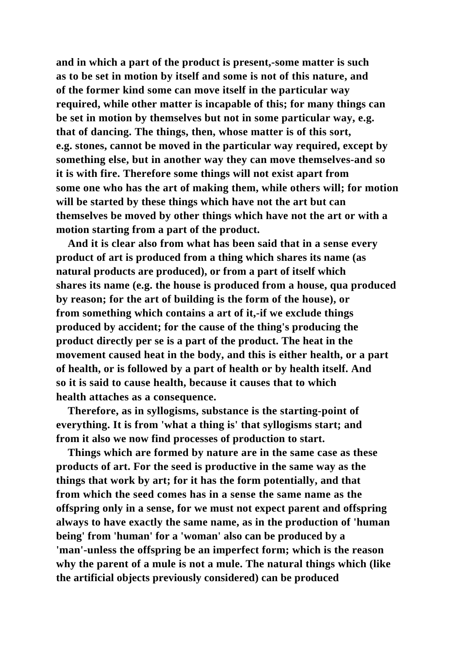**and in which a part of the product is present,-some matter is such as to be set in motion by itself and some is not of this nature, and of the former kind some can move itself in the particular way required, while other matter is incapable of this; for many things can be set in motion by themselves but not in some particular way, e.g. that of dancing. The things, then, whose matter is of this sort, e.g. stones, cannot be moved in the particular way required, except by something else, but in another way they can move themselves-and so it is with fire. Therefore some things will not exist apart from some one who has the art of making them, while others will; for motion will be started by these things which have not the art but can themselves be moved by other things which have not the art or with a motion starting from a part of the product.**

 **And it is clear also from what has been said that in a sense every product of art is produced from a thing which shares its name (as natural products are produced), or from a part of itself which shares its name (e.g. the house is produced from a house, qua produced by reason; for the art of building is the form of the house), or from something which contains a art of it,-if we exclude things produced by accident; for the cause of the thing's producing the product directly per se is a part of the product. The heat in the movement caused heat in the body, and this is either health, or a part of health, or is followed by a part of health or by health itself. And so it is said to cause health, because it causes that to which health attaches as a consequence.**

 **Therefore, as in syllogisms, substance is the starting-point of everything. It is from 'what a thing is' that syllogisms start; and from it also we now find processes of production to start.**

 **Things which are formed by nature are in the same case as these products of art. For the seed is productive in the same way as the things that work by art; for it has the form potentially, and that from which the seed comes has in a sense the same name as the offspring only in a sense, for we must not expect parent and offspring always to have exactly the same name, as in the production of 'human being' from 'human' for a 'woman' also can be produced by a 'man'-unless the offspring be an imperfect form; which is the reason why the parent of a mule is not a mule. The natural things which (like the artificial objects previously considered) can be produced**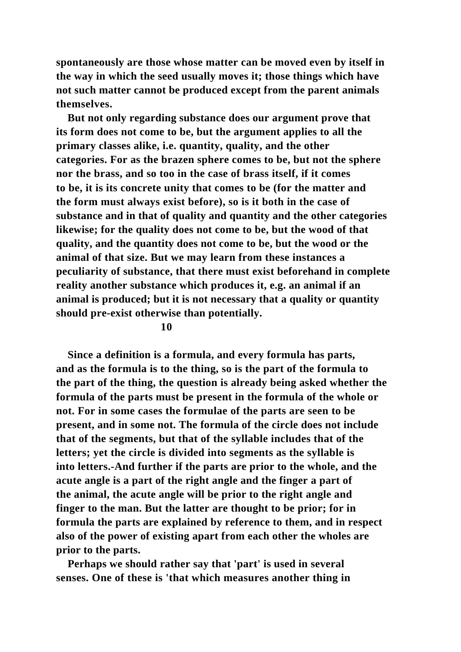**spontaneously are those whose matter can be moved even by itself in the way in which the seed usually moves it; those things which have not such matter cannot be produced except from the parent animals themselves.**

 **But not only regarding substance does our argument prove that its form does not come to be, but the argument applies to all the primary classes alike, i.e. quantity, quality, and the other categories. For as the brazen sphere comes to be, but not the sphere nor the brass, and so too in the case of brass itself, if it comes to be, it is its concrete unity that comes to be (for the matter and the form must always exist before), so is it both in the case of substance and in that of quality and quantity and the other categories likewise; for the quality does not come to be, but the wood of that quality, and the quantity does not come to be, but the wood or the animal of that size. But we may learn from these instances a peculiarity of substance, that there must exist beforehand in complete reality another substance which produces it, e.g. an animal if an animal is produced; but it is not necessary that a quality or quantity should pre-exist otherwise than potentially.**

**10** 

 **Since a definition is a formula, and every formula has parts, and as the formula is to the thing, so is the part of the formula to the part of the thing, the question is already being asked whether the formula of the parts must be present in the formula of the whole or not. For in some cases the formulae of the parts are seen to be present, and in some not. The formula of the circle does not include that of the segments, but that of the syllable includes that of the letters; yet the circle is divided into segments as the syllable is into letters.-And further if the parts are prior to the whole, and the acute angle is a part of the right angle and the finger a part of the animal, the acute angle will be prior to the right angle and finger to the man. But the latter are thought to be prior; for in formula the parts are explained by reference to them, and in respect also of the power of existing apart from each other the wholes are prior to the parts.**

 **Perhaps we should rather say that 'part' is used in several senses. One of these is 'that which measures another thing in**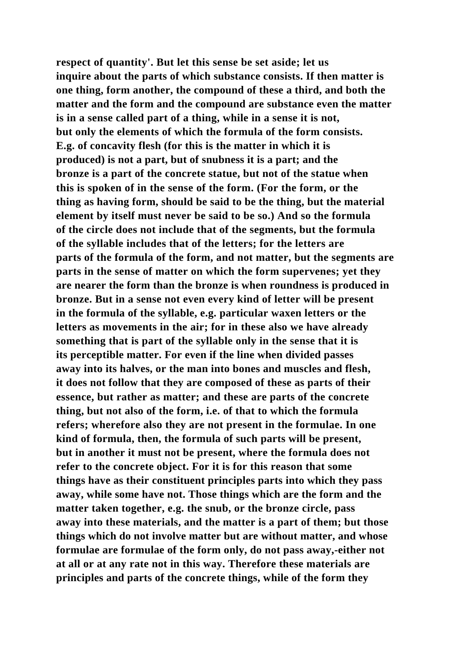**respect of quantity'. But let this sense be set aside; let us inquire about the parts of which substance consists. If then matter is one thing, form another, the compound of these a third, and both the matter and the form and the compound are substance even the matter is in a sense called part of a thing, while in a sense it is not, but only the elements of which the formula of the form consists. E.g. of concavity flesh (for this is the matter in which it is produced) is not a part, but of snubness it is a part; and the bronze is a part of the concrete statue, but not of the statue when this is spoken of in the sense of the form. (For the form, or the thing as having form, should be said to be the thing, but the material element by itself must never be said to be so.) And so the formula of the circle does not include that of the segments, but the formula of the syllable includes that of the letters; for the letters are parts of the formula of the form, and not matter, but the segments are parts in the sense of matter on which the form supervenes; yet they are nearer the form than the bronze is when roundness is produced in bronze. But in a sense not even every kind of letter will be present in the formula of the syllable, e.g. particular waxen letters or the letters as movements in the air; for in these also we have already something that is part of the syllable only in the sense that it is its perceptible matter. For even if the line when divided passes away into its halves, or the man into bones and muscles and flesh, it does not follow that they are composed of these as parts of their essence, but rather as matter; and these are parts of the concrete thing, but not also of the form, i.e. of that to which the formula refers; wherefore also they are not present in the formulae. In one kind of formula, then, the formula of such parts will be present, but in another it must not be present, where the formula does not refer to the concrete object. For it is for this reason that some things have as their constituent principles parts into which they pass away, while some have not. Those things which are the form and the matter taken together, e.g. the snub, or the bronze circle, pass away into these materials, and the matter is a part of them; but those things which do not involve matter but are without matter, and whose formulae are formulae of the form only, do not pass away,-either not at all or at any rate not in this way. Therefore these materials are principles and parts of the concrete things, while of the form they**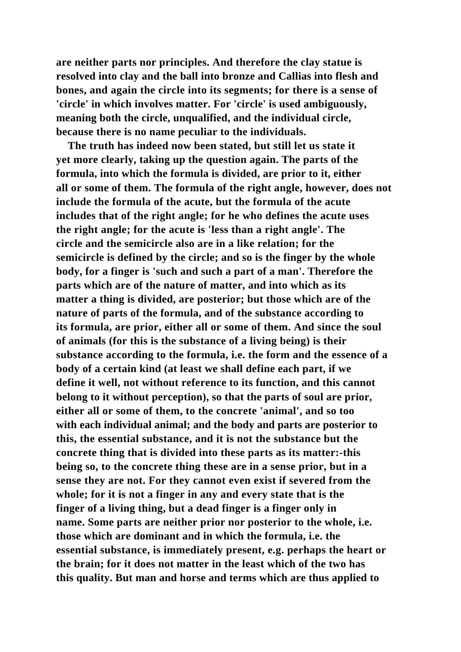**are neither parts nor principles. And therefore the clay statue is resolved into clay and the ball into bronze and Callias into flesh and bones, and again the circle into its segments; for there is a sense of 'circle' in which involves matter. For 'circle' is used ambiguously, meaning both the circle, unqualified, and the individual circle, because there is no name peculiar to the individuals.**

 **The truth has indeed now been stated, but still let us state it yet more clearly, taking up the question again. The parts of the formula, into which the formula is divided, are prior to it, either all or some of them. The formula of the right angle, however, does not include the formula of the acute, but the formula of the acute includes that of the right angle; for he who defines the acute uses the right angle; for the acute is 'less than a right angle'. The circle and the semicircle also are in a like relation; for the semicircle is defined by the circle; and so is the finger by the whole body, for a finger is 'such and such a part of a man'. Therefore the parts which are of the nature of matter, and into which as its matter a thing is divided, are posterior; but those which are of the nature of parts of the formula, and of the substance according to its formula, are prior, either all or some of them. And since the soul of animals (for this is the substance of a living being) is their substance according to the formula, i.e. the form and the essence of a body of a certain kind (at least we shall define each part, if we define it well, not without reference to its function, and this cannot belong to it without perception), so that the parts of soul are prior, either all or some of them, to the concrete 'animal', and so too with each individual animal; and the body and parts are posterior to this, the essential substance, and it is not the substance but the concrete thing that is divided into these parts as its matter:-this being so, to the concrete thing these are in a sense prior, but in a sense they are not. For they cannot even exist if severed from the whole; for it is not a finger in any and every state that is the finger of a living thing, but a dead finger is a finger only in name. Some parts are neither prior nor posterior to the whole, i.e. those which are dominant and in which the formula, i.e. the essential substance, is immediately present, e.g. perhaps the heart or the brain; for it does not matter in the least which of the two has this quality. But man and horse and terms which are thus applied to**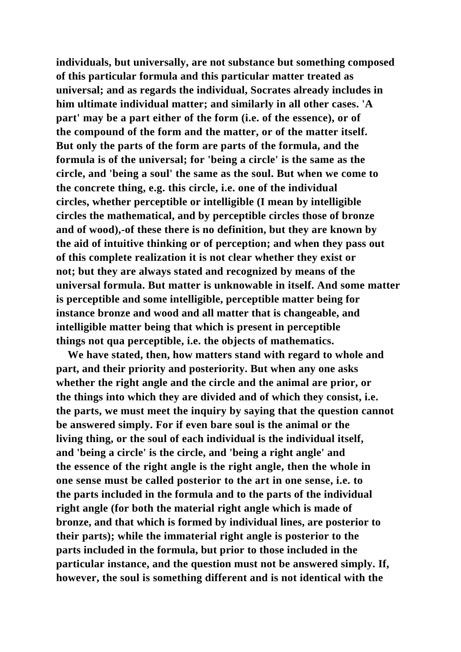**individuals, but universally, are not substance but something composed of this particular formula and this particular matter treated as universal; and as regards the individual, Socrates already includes in him ultimate individual matter; and similarly in all other cases. 'A part' may be a part either of the form (i.e. of the essence), or of the compound of the form and the matter, or of the matter itself. But only the parts of the form are parts of the formula, and the formula is of the universal; for 'being a circle' is the same as the circle, and 'being a soul' the same as the soul. But when we come to the concrete thing, e.g. this circle, i.e. one of the individual circles, whether perceptible or intelligible (I mean by intelligible circles the mathematical, and by perceptible circles those of bronze and of wood),-of these there is no definition, but they are known by the aid of intuitive thinking or of perception; and when they pass out of this complete realization it is not clear whether they exist or not; but they are always stated and recognized by means of the universal formula. But matter is unknowable in itself. And some matter is perceptible and some intelligible, perceptible matter being for instance bronze and wood and all matter that is changeable, and intelligible matter being that which is present in perceptible things not qua perceptible, i.e. the objects of mathematics.**

 **We have stated, then, how matters stand with regard to whole and part, and their priority and posteriority. But when any one asks whether the right angle and the circle and the animal are prior, or the things into which they are divided and of which they consist, i.e. the parts, we must meet the inquiry by saying that the question cannot be answered simply. For if even bare soul is the animal or the living thing, or the soul of each individual is the individual itself, and 'being a circle' is the circle, and 'being a right angle' and the essence of the right angle is the right angle, then the whole in one sense must be called posterior to the art in one sense, i.e. to the parts included in the formula and to the parts of the individual right angle (for both the material right angle which is made of bronze, and that which is formed by individual lines, are posterior to their parts); while the immaterial right angle is posterior to the parts included in the formula, but prior to those included in the particular instance, and the question must not be answered simply. If, however, the soul is something different and is not identical with the**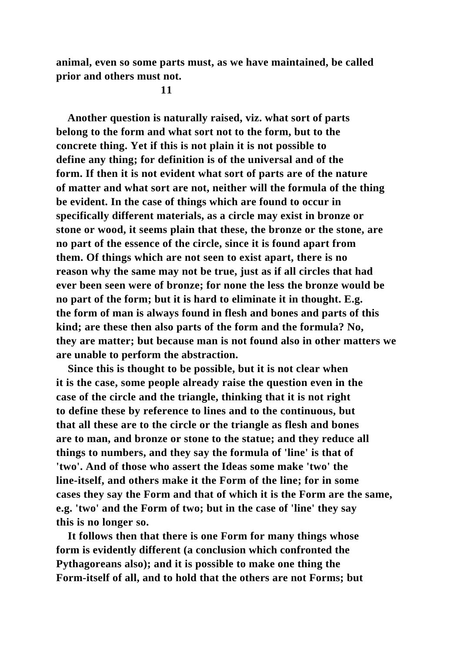**animal, even so some parts must, as we have maintained, be called prior and others must not.**

**11** 

 **Another question is naturally raised, viz. what sort of parts belong to the form and what sort not to the form, but to the concrete thing. Yet if this is not plain it is not possible to define any thing; for definition is of the universal and of the form. If then it is not evident what sort of parts are of the nature of matter and what sort are not, neither will the formula of the thing be evident. In the case of things which are found to occur in specifically different materials, as a circle may exist in bronze or stone or wood, it seems plain that these, the bronze or the stone, are no part of the essence of the circle, since it is found apart from them. Of things which are not seen to exist apart, there is no reason why the same may not be true, just as if all circles that had ever been seen were of bronze; for none the less the bronze would be no part of the form; but it is hard to eliminate it in thought. E.g. the form of man is always found in flesh and bones and parts of this kind; are these then also parts of the form and the formula? No, they are matter; but because man is not found also in other matters we are unable to perform the abstraction.**

 **Since this is thought to be possible, but it is not clear when it is the case, some people already raise the question even in the case of the circle and the triangle, thinking that it is not right to define these by reference to lines and to the continuous, but that all these are to the circle or the triangle as flesh and bones are to man, and bronze or stone to the statue; and they reduce all things to numbers, and they say the formula of 'line' is that of 'two'. And of those who assert the Ideas some make 'two' the line-itself, and others make it the Form of the line; for in some cases they say the Form and that of which it is the Form are the same, e.g. 'two' and the Form of two; but in the case of 'line' they say this is no longer so.**

 **It follows then that there is one Form for many things whose form is evidently different (a conclusion which confronted the Pythagoreans also); and it is possible to make one thing the Form-itself of all, and to hold that the others are not Forms; but**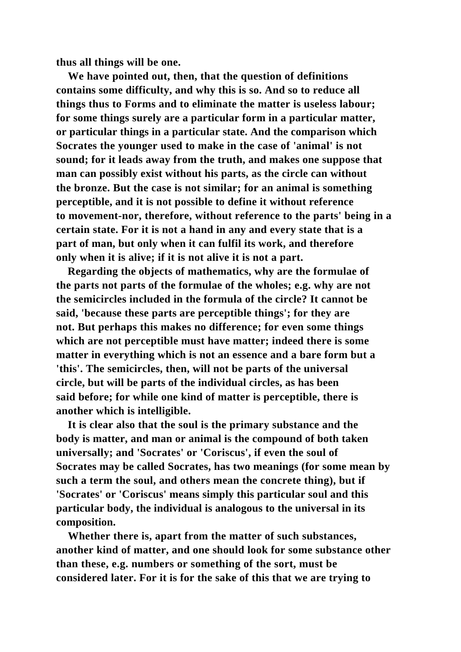**thus all things will be one.**

 **We have pointed out, then, that the question of definitions contains some difficulty, and why this is so. And so to reduce all things thus to Forms and to eliminate the matter is useless labour; for some things surely are a particular form in a particular matter, or particular things in a particular state. And the comparison which Socrates the younger used to make in the case of 'animal' is not sound; for it leads away from the truth, and makes one suppose that man can possibly exist without his parts, as the circle can without the bronze. But the case is not similar; for an animal is something perceptible, and it is not possible to define it without reference to movement-nor, therefore, without reference to the parts' being in a certain state. For it is not a hand in any and every state that is a part of man, but only when it can fulfil its work, and therefore only when it is alive; if it is not alive it is not a part.**

 **Regarding the objects of mathematics, why are the formulae of the parts not parts of the formulae of the wholes; e.g. why are not the semicircles included in the formula of the circle? It cannot be said, 'because these parts are perceptible things'; for they are not. But perhaps this makes no difference; for even some things which are not perceptible must have matter; indeed there is some matter in everything which is not an essence and a bare form but a 'this'. The semicircles, then, will not be parts of the universal circle, but will be parts of the individual circles, as has been said before; for while one kind of matter is perceptible, there is another which is intelligible.**

 **It is clear also that the soul is the primary substance and the body is matter, and man or animal is the compound of both taken universally; and 'Socrates' or 'Coriscus', if even the soul of Socrates may be called Socrates, has two meanings (for some mean by such a term the soul, and others mean the concrete thing), but if 'Socrates' or 'Coriscus' means simply this particular soul and this particular body, the individual is analogous to the universal in its composition.**

 **Whether there is, apart from the matter of such substances, another kind of matter, and one should look for some substance other than these, e.g. numbers or something of the sort, must be considered later. For it is for the sake of this that we are trying to**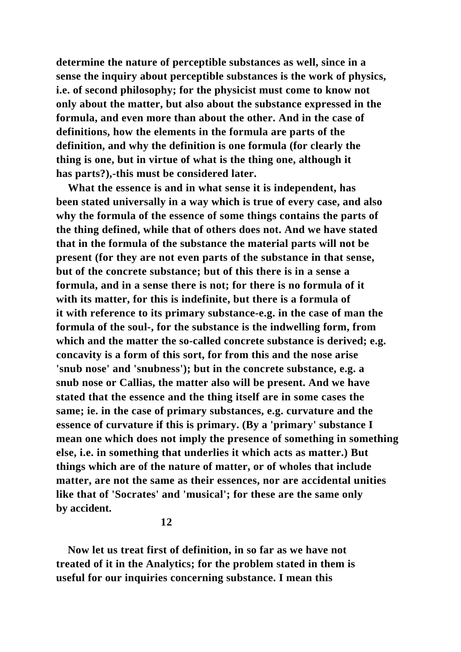**determine the nature of perceptible substances as well, since in a sense the inquiry about perceptible substances is the work of physics, i.e. of second philosophy; for the physicist must come to know not only about the matter, but also about the substance expressed in the formula, and even more than about the other. And in the case of definitions, how the elements in the formula are parts of the definition, and why the definition is one formula (for clearly the thing is one, but in virtue of what is the thing one, although it has parts?),-this must be considered later.**

 **What the essence is and in what sense it is independent, has been stated universally in a way which is true of every case, and also why the formula of the essence of some things contains the parts of the thing defined, while that of others does not. And we have stated that in the formula of the substance the material parts will not be present (for they are not even parts of the substance in that sense, but of the concrete substance; but of this there is in a sense a formula, and in a sense there is not; for there is no formula of it with its matter, for this is indefinite, but there is a formula of it with reference to its primary substance-e.g. in the case of man the formula of the soul-, for the substance is the indwelling form, from which and the matter the so-called concrete substance is derived; e.g. concavity is a form of this sort, for from this and the nose arise 'snub nose' and 'snubness'); but in the concrete substance, e.g. a snub nose or Callias, the matter also will be present. And we have stated that the essence and the thing itself are in some cases the same; ie. in the case of primary substances, e.g. curvature and the essence of curvature if this is primary. (By a 'primary' substance I mean one which does not imply the presence of something in something else, i.e. in something that underlies it which acts as matter.) But things which are of the nature of matter, or of wholes that include matter, are not the same as their essences, nor are accidental unities like that of 'Socrates' and 'musical'; for these are the same only by accident.**

## **12**

 **Now let us treat first of definition, in so far as we have not treated of it in the Analytics; for the problem stated in them is useful for our inquiries concerning substance. I mean this**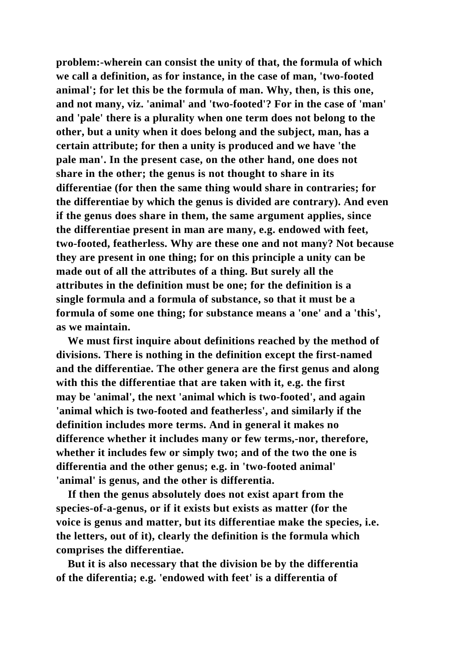**problem:-wherein can consist the unity of that, the formula of which we call a definition, as for instance, in the case of man, 'two-footed animal'; for let this be the formula of man. Why, then, is this one, and not many, viz. 'animal' and 'two-footed'? For in the case of 'man' and 'pale' there is a plurality when one term does not belong to the other, but a unity when it does belong and the subject, man, has a certain attribute; for then a unity is produced and we have 'the pale man'. In the present case, on the other hand, one does not share in the other; the genus is not thought to share in its differentiae (for then the same thing would share in contraries; for the differentiae by which the genus is divided are contrary). And even if the genus does share in them, the same argument applies, since the differentiae present in man are many, e.g. endowed with feet, two-footed, featherless. Why are these one and not many? Not because they are present in one thing; for on this principle a unity can be made out of all the attributes of a thing. But surely all the attributes in the definition must be one; for the definition is a single formula and a formula of substance, so that it must be a formula of some one thing; for substance means a 'one' and a 'this', as we maintain.**

 **We must first inquire about definitions reached by the method of divisions. There is nothing in the definition except the first-named and the differentiae. The other genera are the first genus and along with this the differentiae that are taken with it, e.g. the first may be 'animal', the next 'animal which is two-footed', and again 'animal which is two-footed and featherless', and similarly if the definition includes more terms. And in general it makes no difference whether it includes many or few terms,-nor, therefore, whether it includes few or simply two; and of the two the one is differentia and the other genus; e.g. in 'two-footed animal' 'animal' is genus, and the other is differentia.**

 **If then the genus absolutely does not exist apart from the species-of-a-genus, or if it exists but exists as matter (for the voice is genus and matter, but its differentiae make the species, i.e. the letters, out of it), clearly the definition is the formula which comprises the differentiae.**

 **But it is also necessary that the division be by the differentia of the diferentia; e.g. 'endowed with feet' is a differentia of**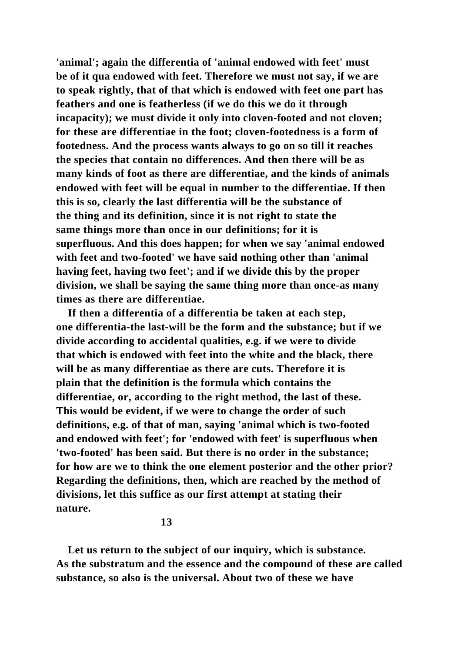**'animal'; again the differentia of 'animal endowed with feet' must be of it qua endowed with feet. Therefore we must not say, if we are to speak rightly, that of that which is endowed with feet one part has feathers and one is featherless (if we do this we do it through incapacity); we must divide it only into cloven-footed and not cloven; for these are differentiae in the foot; cloven-footedness is a form of footedness. And the process wants always to go on so till it reaches the species that contain no differences. And then there will be as many kinds of foot as there are differentiae, and the kinds of animals endowed with feet will be equal in number to the differentiae. If then this is so, clearly the last differentia will be the substance of the thing and its definition, since it is not right to state the same things more than once in our definitions; for it is superfluous. And this does happen; for when we say 'animal endowed with feet and two-footed' we have said nothing other than 'animal having feet, having two feet'; and if we divide this by the proper division, we shall be saying the same thing more than once-as many times as there are differentiae.**

 **If then a differentia of a differentia be taken at each step, one differentia-the last-will be the form and the substance; but if we divide according to accidental qualities, e.g. if we were to divide that which is endowed with feet into the white and the black, there will be as many differentiae as there are cuts. Therefore it is plain that the definition is the formula which contains the differentiae, or, according to the right method, the last of these. This would be evident, if we were to change the order of such definitions, e.g. of that of man, saying 'animal which is two-footed and endowed with feet'; for 'endowed with feet' is superfluous when 'two-footed' has been said. But there is no order in the substance; for how are we to think the one element posterior and the other prior? Regarding the definitions, then, which are reached by the method of divisions, let this suffice as our first attempt at stating their nature.**

**13** 

 **Let us return to the subject of our inquiry, which is substance. As the substratum and the essence and the compound of these are called substance, so also is the universal. About two of these we have**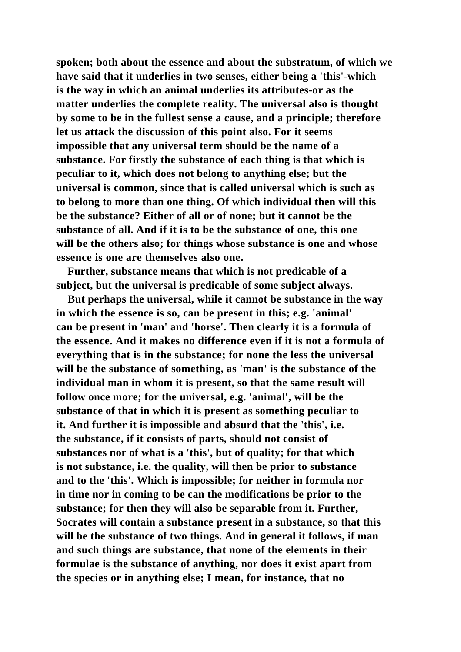**spoken; both about the essence and about the substratum, of which we have said that it underlies in two senses, either being a 'this'-which is the way in which an animal underlies its attributes-or as the matter underlies the complete reality. The universal also is thought by some to be in the fullest sense a cause, and a principle; therefore let us attack the discussion of this point also. For it seems impossible that any universal term should be the name of a substance. For firstly the substance of each thing is that which is peculiar to it, which does not belong to anything else; but the universal is common, since that is called universal which is such as to belong to more than one thing. Of which individual then will this be the substance? Either of all or of none; but it cannot be the substance of all. And if it is to be the substance of one, this one will be the others also; for things whose substance is one and whose essence is one are themselves also one.**

 **Further, substance means that which is not predicable of a subject, but the universal is predicable of some subject always.**

 **But perhaps the universal, while it cannot be substance in the way in which the essence is so, can be present in this; e.g. 'animal' can be present in 'man' and 'horse'. Then clearly it is a formula of the essence. And it makes no difference even if it is not a formula of everything that is in the substance; for none the less the universal will be the substance of something, as 'man' is the substance of the individual man in whom it is present, so that the same result will follow once more; for the universal, e.g. 'animal', will be the substance of that in which it is present as something peculiar to it. And further it is impossible and absurd that the 'this', i.e. the substance, if it consists of parts, should not consist of substances nor of what is a 'this', but of quality; for that which is not substance, i.e. the quality, will then be prior to substance and to the 'this'. Which is impossible; for neither in formula nor in time nor in coming to be can the modifications be prior to the substance; for then they will also be separable from it. Further, Socrates will contain a substance present in a substance, so that this will be the substance of two things. And in general it follows, if man and such things are substance, that none of the elements in their formulae is the substance of anything, nor does it exist apart from the species or in anything else; I mean, for instance, that no**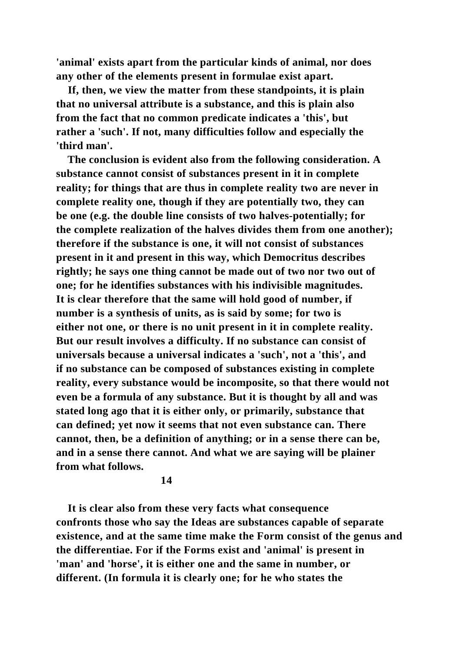**'animal' exists apart from the particular kinds of animal, nor does any other of the elements present in formulae exist apart.**

 **If, then, we view the matter from these standpoints, it is plain that no universal attribute is a substance, and this is plain also from the fact that no common predicate indicates a 'this', but rather a 'such'. If not, many difficulties follow and especially the 'third man'.**

 **The conclusion is evident also from the following consideration. A substance cannot consist of substances present in it in complete reality; for things that are thus in complete reality two are never in complete reality one, though if they are potentially two, they can be one (e.g. the double line consists of two halves-potentially; for the complete realization of the halves divides them from one another); therefore if the substance is one, it will not consist of substances present in it and present in this way, which Democritus describes rightly; he says one thing cannot be made out of two nor two out of one; for he identifies substances with his indivisible magnitudes. It is clear therefore that the same will hold good of number, if number is a synthesis of units, as is said by some; for two is either not one, or there is no unit present in it in complete reality. But our result involves a difficulty. If no substance can consist of universals because a universal indicates a 'such', not a 'this', and if no substance can be composed of substances existing in complete reality, every substance would be incomposite, so that there would not even be a formula of any substance. But it is thought by all and was stated long ago that it is either only, or primarily, substance that can defined; yet now it seems that not even substance can. There cannot, then, be a definition of anything; or in a sense there can be, and in a sense there cannot. And what we are saying will be plainer from what follows.**

## **14**

 **It is clear also from these very facts what consequence confronts those who say the Ideas are substances capable of separate existence, and at the same time make the Form consist of the genus and the differentiae. For if the Forms exist and 'animal' is present in 'man' and 'horse', it is either one and the same in number, or different. (In formula it is clearly one; for he who states the**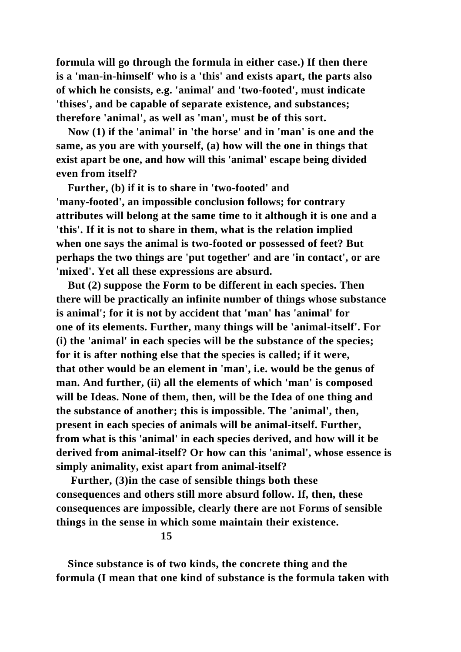**formula will go through the formula in either case.) If then there is a 'man-in-himself' who is a 'this' and exists apart, the parts also of which he consists, e.g. 'animal' and 'two-footed', must indicate 'thises', and be capable of separate existence, and substances; therefore 'animal', as well as 'man', must be of this sort.**

 **Now (1) if the 'animal' in 'the horse' and in 'man' is one and the same, as you are with yourself, (a) how will the one in things that exist apart be one, and how will this 'animal' escape being divided even from itself?**

 **Further, (b) if it is to share in 'two-footed' and 'many-footed', an impossible conclusion follows; for contrary attributes will belong at the same time to it although it is one and a 'this'. If it is not to share in them, what is the relation implied when one says the animal is two-footed or possessed of feet? But perhaps the two things are 'put together' and are 'in contact', or are 'mixed'. Yet all these expressions are absurd.**

 **But (2) suppose the Form to be different in each species. Then there will be practically an infinite number of things whose substance is animal'; for it is not by accident that 'man' has 'animal' for one of its elements. Further, many things will be 'animal-itself'. For (i) the 'animal' in each species will be the substance of the species; for it is after nothing else that the species is called; if it were, that other would be an element in 'man', i.e. would be the genus of man. And further, (ii) all the elements of which 'man' is composed will be Ideas. None of them, then, will be the Idea of one thing and the substance of another; this is impossible. The 'animal', then, present in each species of animals will be animal-itself. Further, from what is this 'animal' in each species derived, and how will it be derived from animal-itself? Or how can this 'animal', whose essence is simply animality, exist apart from animal-itself?**

 **Further, (3)in the case of sensible things both these consequences and others still more absurd follow. If, then, these consequences are impossible, clearly there are not Forms of sensible things in the sense in which some maintain their existence.**

**15** 

 **Since substance is of two kinds, the concrete thing and the formula (I mean that one kind of substance is the formula taken with**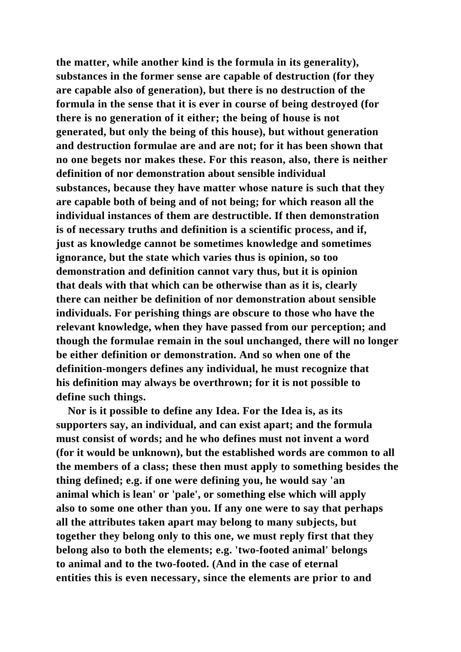**the matter, while another kind is the formula in its generality), substances in the former sense are capable of destruction (for they are capable also of generation), but there is no destruction of the formula in the sense that it is ever in course of being destroyed (for there is no generation of it either; the being of house is not generated, but only the being of this house), but without generation and destruction formulae are and are not; for it has been shown that no one begets nor makes these. For this reason, also, there is neither definition of nor demonstration about sensible individual substances, because they have matter whose nature is such that they are capable both of being and of not being; for which reason all the individual instances of them are destructible. If then demonstration is of necessary truths and definition is a scientific process, and if, just as knowledge cannot be sometimes knowledge and sometimes ignorance, but the state which varies thus is opinion, so too demonstration and definition cannot vary thus, but it is opinion that deals with that which can be otherwise than as it is, clearly there can neither be definition of nor demonstration about sensible individuals. For perishing things are obscure to those who have the relevant knowledge, when they have passed from our perception; and though the formulae remain in the soul unchanged, there will no longer be either definition or demonstration. And so when one of the definition-mongers defines any individual, he must recognize that his definition may always be overthrown; for it is not possible to define such things.**

 **Nor is it possible to define any Idea. For the Idea is, as its supporters say, an individual, and can exist apart; and the formula must consist of words; and he who defines must not invent a word (for it would be unknown), but the established words are common to all the members of a class; these then must apply to something besides the thing defined; e.g. if one were defining you, he would say 'an animal which is lean' or 'pale', or something else which will apply also to some one other than you. If any one were to say that perhaps all the attributes taken apart may belong to many subjects, but together they belong only to this one, we must reply first that they belong also to both the elements; e.g. 'two-footed animal' belongs to animal and to the two-footed. (And in the case of eternal entities this is even necessary, since the elements are prior to and**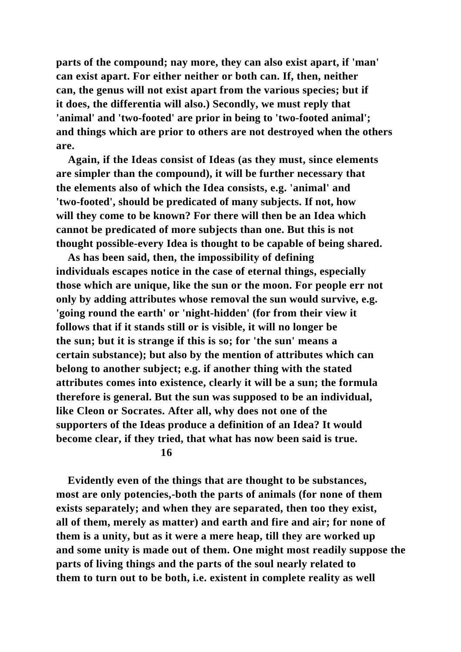**parts of the compound; nay more, they can also exist apart, if 'man' can exist apart. For either neither or both can. If, then, neither can, the genus will not exist apart from the various species; but if it does, the differentia will also.) Secondly, we must reply that 'animal' and 'two-footed' are prior in being to 'two-footed animal'; and things which are prior to others are not destroyed when the others are.**

 **Again, if the Ideas consist of Ideas (as they must, since elements are simpler than the compound), it will be further necessary that the elements also of which the Idea consists, e.g. 'animal' and 'two-footed', should be predicated of many subjects. If not, how will they come to be known? For there will then be an Idea which cannot be predicated of more subjects than one. But this is not thought possible-every Idea is thought to be capable of being shared.**

 **As has been said, then, the impossibility of defining individuals escapes notice in the case of eternal things, especially those which are unique, like the sun or the moon. For people err not only by adding attributes whose removal the sun would survive, e.g. 'going round the earth' or 'night-hidden' (for from their view it follows that if it stands still or is visible, it will no longer be the sun; but it is strange if this is so; for 'the sun' means a certain substance); but also by the mention of attributes which can belong to another subject; e.g. if another thing with the stated attributes comes into existence, clearly it will be a sun; the formula therefore is general. But the sun was supposed to be an individual, like Cleon or Socrates. After all, why does not one of the supporters of the Ideas produce a definition of an Idea? It would become clear, if they tried, that what has now been said is true.**

## **16**

 **Evidently even of the things that are thought to be substances, most are only potencies,-both the parts of animals (for none of them exists separately; and when they are separated, then too they exist, all of them, merely as matter) and earth and fire and air; for none of them is a unity, but as it were a mere heap, till they are worked up and some unity is made out of them. One might most readily suppose the parts of living things and the parts of the soul nearly related to them to turn out to be both, i.e. existent in complete reality as well**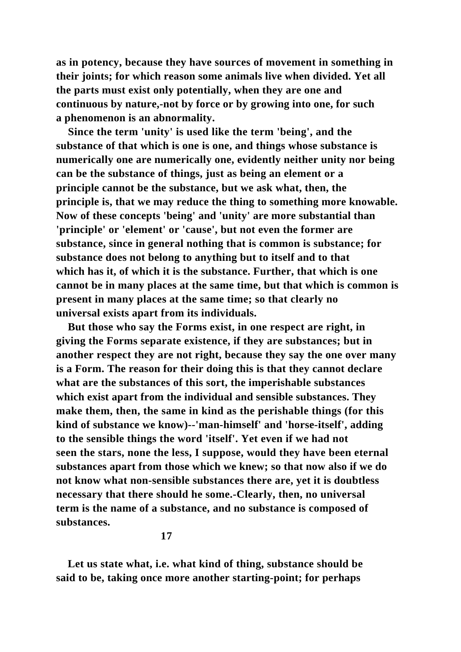**as in potency, because they have sources of movement in something in their joints; for which reason some animals live when divided. Yet all the parts must exist only potentially, when they are one and continuous by nature,-not by force or by growing into one, for such a phenomenon is an abnormality.**

 **Since the term 'unity' is used like the term 'being', and the substance of that which is one is one, and things whose substance is numerically one are numerically one, evidently neither unity nor being can be the substance of things, just as being an element or a principle cannot be the substance, but we ask what, then, the principle is, that we may reduce the thing to something more knowable. Now of these concepts 'being' and 'unity' are more substantial than 'principle' or 'element' or 'cause', but not even the former are substance, since in general nothing that is common is substance; for substance does not belong to anything but to itself and to that which has it, of which it is the substance. Further, that which is one cannot be in many places at the same time, but that which is common is present in many places at the same time; so that clearly no universal exists apart from its individuals.**

 **But those who say the Forms exist, in one respect are right, in giving the Forms separate existence, if they are substances; but in another respect they are not right, because they say the one over many is a Form. The reason for their doing this is that they cannot declare what are the substances of this sort, the imperishable substances which exist apart from the individual and sensible substances. They make them, then, the same in kind as the perishable things (for this kind of substance we know)--'man-himself' and 'horse-itself', adding to the sensible things the word 'itself'. Yet even if we had not seen the stars, none the less, I suppose, would they have been eternal substances apart from those which we knew; so that now also if we do not know what non-sensible substances there are, yet it is doubtless necessary that there should he some.-Clearly, then, no universal term is the name of a substance, and no substance is composed of substances.**

 **17**

 **Let us state what, i.e. what kind of thing, substance should be said to be, taking once more another starting-point; for perhaps**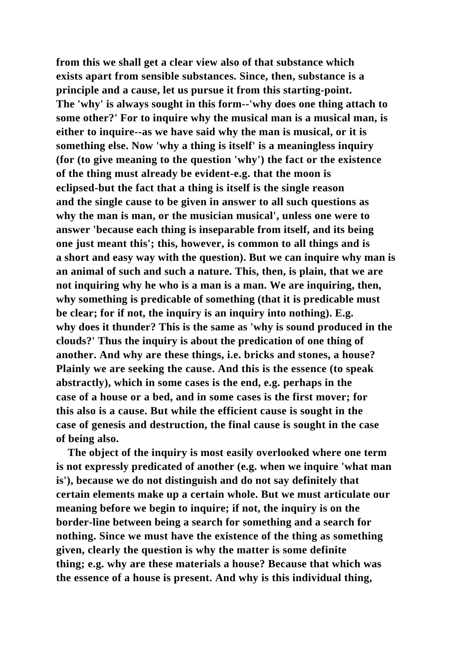**from this we shall get a clear view also of that substance which exists apart from sensible substances. Since, then, substance is a principle and a cause, let us pursue it from this starting-point. The 'why' is always sought in this form--'why does one thing attach to some other?' For to inquire why the musical man is a musical man, is either to inquire--as we have said why the man is musical, or it is something else. Now 'why a thing is itself' is a meaningless inquiry (for (to give meaning to the question 'why') the fact or the existence of the thing must already be evident-e.g. that the moon is eclipsed-but the fact that a thing is itself is the single reason and the single cause to be given in answer to all such questions as why the man is man, or the musician musical', unless one were to answer 'because each thing is inseparable from itself, and its being one just meant this'; this, however, is common to all things and is a short and easy way with the question). But we can inquire why man is an animal of such and such a nature. This, then, is plain, that we are not inquiring why he who is a man is a man. We are inquiring, then, why something is predicable of something (that it is predicable must be clear; for if not, the inquiry is an inquiry into nothing). E.g. why does it thunder? This is the same as 'why is sound produced in the clouds?' Thus the inquiry is about the predication of one thing of another. And why are these things, i.e. bricks and stones, a house? Plainly we are seeking the cause. And this is the essence (to speak abstractly), which in some cases is the end, e.g. perhaps in the case of a house or a bed, and in some cases is the first mover; for this also is a cause. But while the efficient cause is sought in the case of genesis and destruction, the final cause is sought in the case of being also.**

 **The object of the inquiry is most easily overlooked where one term is not expressly predicated of another (e.g. when we inquire 'what man is'), because we do not distinguish and do not say definitely that certain elements make up a certain whole. But we must articulate our meaning before we begin to inquire; if not, the inquiry is on the border-line between being a search for something and a search for nothing. Since we must have the existence of the thing as something given, clearly the question is why the matter is some definite thing; e.g. why are these materials a house? Because that which was the essence of a house is present. And why is this individual thing,**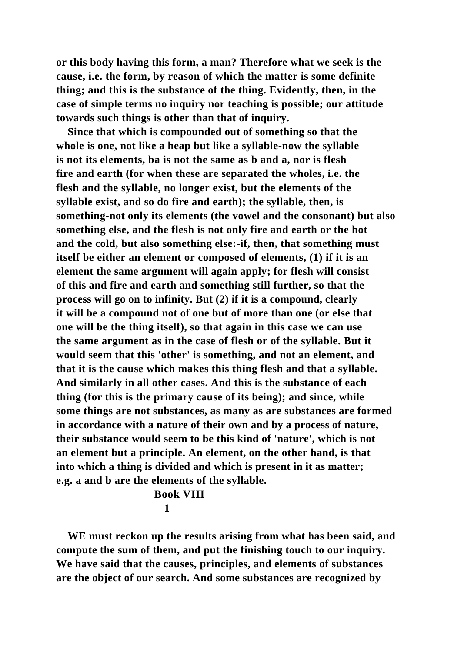**or this body having this form, a man? Therefore what we seek is the cause, i.e. the form, by reason of which the matter is some definite thing; and this is the substance of the thing. Evidently, then, in the case of simple terms no inquiry nor teaching is possible; our attitude towards such things is other than that of inquiry.**

 **Since that which is compounded out of something so that the whole is one, not like a heap but like a syllable-now the syllable is not its elements, ba is not the same as b and a, nor is flesh fire and earth (for when these are separated the wholes, i.e. the flesh and the syllable, no longer exist, but the elements of the syllable exist, and so do fire and earth); the syllable, then, is something-not only its elements (the vowel and the consonant) but also something else, and the flesh is not only fire and earth or the hot and the cold, but also something else:-if, then, that something must itself be either an element or composed of elements, (1) if it is an element the same argument will again apply; for flesh will consist of this and fire and earth and something still further, so that the process will go on to infinity. But (2) if it is a compound, clearly it will be a compound not of one but of more than one (or else that one will be the thing itself), so that again in this case we can use the same argument as in the case of flesh or of the syllable. But it would seem that this 'other' is something, and not an element, and that it is the cause which makes this thing flesh and that a syllable. And similarly in all other cases. And this is the substance of each thing (for this is the primary cause of its being); and since, while some things are not substances, as many as are substances are formed in accordance with a nature of their own and by a process of nature, their substance would seem to be this kind of 'nature', which is not an element but a principle. An element, on the other hand, is that into which a thing is divided and which is present in it as matter; e.g. a and b are the elements of the syllable.**

## **Book VIII 1**

 **WE must reckon up the results arising from what has been said, and compute the sum of them, and put the finishing touch to our inquiry. We have said that the causes, principles, and elements of substances are the object of our search. And some substances are recognized by**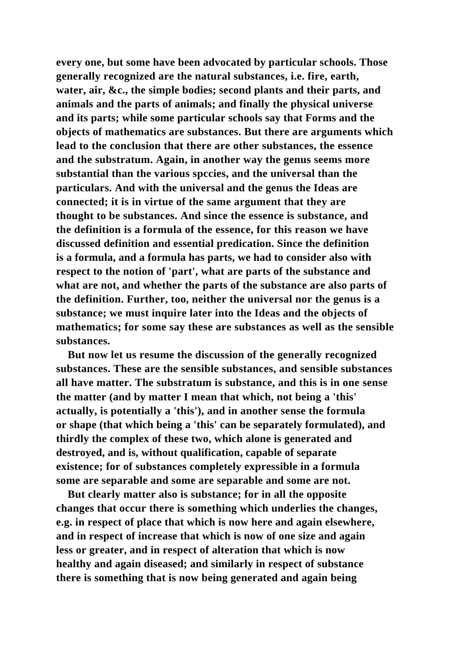**every one, but some have been advocated by particular schools. Those generally recognized are the natural substances, i.e. fire, earth, water, air, &c., the simple bodies; second plants and their parts, and animals and the parts of animals; and finally the physical universe and its parts; while some particular schools say that Forms and the objects of mathematics are substances. But there are arguments which lead to the conclusion that there are other substances, the essence and the substratum. Again, in another way the genus seems more substantial than the various spccies, and the universal than the particulars. And with the universal and the genus the Ideas are connected; it is in virtue of the same argument that they are thought to be substances. And since the essence is substance, and the definition is a formula of the essence, for this reason we have discussed definition and essential predication. Since the definition is a formula, and a formula has parts, we had to consider also with respect to the notion of 'part', what are parts of the substance and what are not, and whether the parts of the substance are also parts of the definition. Further, too, neither the universal nor the genus is a substance; we must inquire later into the Ideas and the objects of mathematics; for some say these are substances as well as the sensible substances.**

 **But now let us resume the discussion of the generally recognized substances. These are the sensible substances, and sensible substances all have matter. The substratum is substance, and this is in one sense the matter (and by matter I mean that which, not being a 'this' actually, is potentially a 'this'), and in another sense the formula or shape (that which being a 'this' can be separately formulated), and thirdly the complex of these two, which alone is generated and destroyed, and is, without qualification, capable of separate existence; for of substances completely expressible in a formula some are separable and some are separable and some are not.**

 **But clearly matter also is substance; for in all the opposite changes that occur there is something which underlies the changes, e.g. in respect of place that which is now here and again elsewhere, and in respect of increase that which is now of one size and again less or greater, and in respect of alteration that which is now healthy and again diseased; and similarly in respect of substance there is something that is now being generated and again being**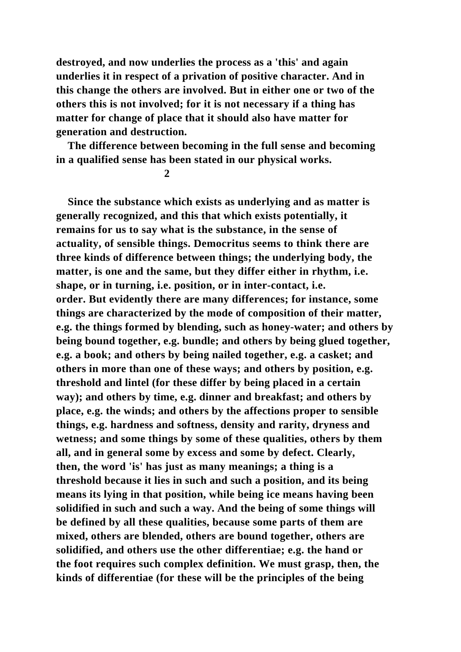**destroyed, and now underlies the process as a 'this' and again underlies it in respect of a privation of positive character. And in this change the others are involved. But in either one or two of the others this is not involved; for it is not necessary if a thing has matter for change of place that it should also have matter for generation and destruction.**

 **The difference between becoming in the full sense and becoming in a qualified sense has been stated in our physical works.**

**2** 

 **Since the substance which exists as underlying and as matter is generally recognized, and this that which exists potentially, it remains for us to say what is the substance, in the sense of actuality, of sensible things. Democritus seems to think there are three kinds of difference between things; the underlying body, the matter, is one and the same, but they differ either in rhythm, i.e. shape, or in turning, i.e. position, or in inter-contact, i.e. order. But evidently there are many differences; for instance, some things are characterized by the mode of composition of their matter, e.g. the things formed by blending, such as honey-water; and others by being bound together, e.g. bundle; and others by being glued together, e.g. a book; and others by being nailed together, e.g. a casket; and others in more than one of these ways; and others by position, e.g. threshold and lintel (for these differ by being placed in a certain way); and others by time, e.g. dinner and breakfast; and others by place, e.g. the winds; and others by the affections proper to sensible things, e.g. hardness and softness, density and rarity, dryness and wetness; and some things by some of these qualities, others by them all, and in general some by excess and some by defect. Clearly, then, the word 'is' has just as many meanings; a thing is a threshold because it lies in such and such a position, and its being means its lying in that position, while being ice means having been solidified in such and such a way. And the being of some things will be defined by all these qualities, because some parts of them are mixed, others are blended, others are bound together, others are solidified, and others use the other differentiae; e.g. the hand or the foot requires such complex definition. We must grasp, then, the kinds of differentiae (for these will be the principles of the being**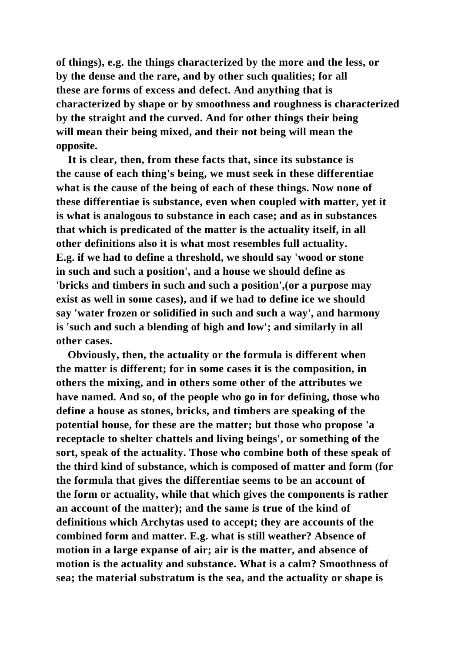**of things), e.g. the things characterized by the more and the less, or by the dense and the rare, and by other such qualities; for all these are forms of excess and defect. And anything that is characterized by shape or by smoothness and roughness is characterized by the straight and the curved. And for other things their being will mean their being mixed, and their not being will mean the opposite.**

 **It is clear, then, from these facts that, since its substance is the cause of each thing's being, we must seek in these differentiae what is the cause of the being of each of these things. Now none of these differentiae is substance, even when coupled with matter, yet it is what is analogous to substance in each case; and as in substances that which is predicated of the matter is the actuality itself, in all other definitions also it is what most resembles full actuality. E.g. if we had to define a threshold, we should say 'wood or stone in such and such a position', and a house we should define as 'bricks and timbers in such and such a position',(or a purpose may exist as well in some cases), and if we had to define ice we should say 'water frozen or solidified in such and such a way', and harmony is 'such and such a blending of high and low'; and similarly in all other cases.**

 **Obviously, then, the actuality or the formula is different when the matter is different; for in some cases it is the composition, in others the mixing, and in others some other of the attributes we have named. And so, of the people who go in for defining, those who define a house as stones, bricks, and timbers are speaking of the potential house, for these are the matter; but those who propose 'a receptacle to shelter chattels and living beings', or something of the sort, speak of the actuality. Those who combine both of these speak of the third kind of substance, which is composed of matter and form (for the formula that gives the differentiae seems to be an account of the form or actuality, while that which gives the components is rather an account of the matter); and the same is true of the kind of definitions which Archytas used to accept; they are accounts of the combined form and matter. E.g. what is still weather? Absence of motion in a large expanse of air; air is the matter, and absence of motion is the actuality and substance. What is a calm? Smoothness of sea; the material substratum is the sea, and the actuality or shape is**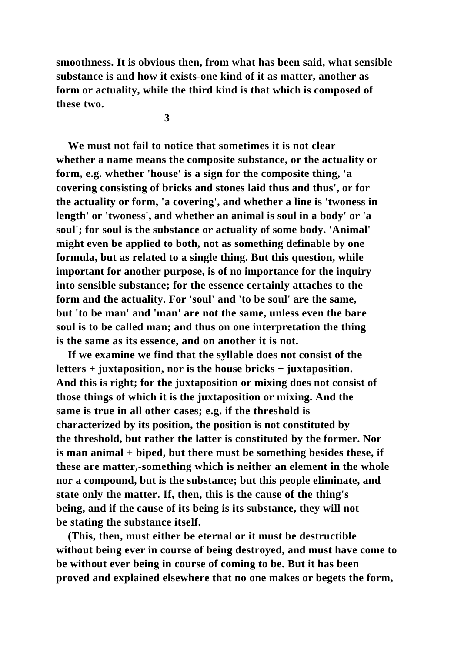**smoothness. It is obvious then, from what has been said, what sensible substance is and how it exists-one kind of it as matter, another as form or actuality, while the third kind is that which is composed of these two.**

**3** 

 **We must not fail to notice that sometimes it is not clear whether a name means the composite substance, or the actuality or form, e.g. whether 'house' is a sign for the composite thing, 'a covering consisting of bricks and stones laid thus and thus', or for the actuality or form, 'a covering', and whether a line is 'twoness in length' or 'twoness', and whether an animal is soul in a body' or 'a soul'; for soul is the substance or actuality of some body. 'Animal' might even be applied to both, not as something definable by one formula, but as related to a single thing. But this question, while important for another purpose, is of no importance for the inquiry into sensible substance; for the essence certainly attaches to the form and the actuality. For 'soul' and 'to be soul' are the same, but 'to be man' and 'man' are not the same, unless even the bare soul is to be called man; and thus on one interpretation the thing is the same as its essence, and on another it is not.**

 **If we examine we find that the syllable does not consist of the letters + juxtaposition, nor is the house bricks + juxtaposition. And this is right; for the juxtaposition or mixing does not consist of those things of which it is the juxtaposition or mixing. And the same is true in all other cases; e.g. if the threshold is characterized by its position, the position is not constituted by the threshold, but rather the latter is constituted by the former. Nor is man animal + biped, but there must be something besides these, if these are matter,-something which is neither an element in the whole nor a compound, but is the substance; but this people eliminate, and state only the matter. If, then, this is the cause of the thing's being, and if the cause of its being is its substance, they will not be stating the substance itself.**

 **(This, then, must either be eternal or it must be destructible without being ever in course of being destroyed, and must have come to be without ever being in course of coming to be. But it has been proved and explained elsewhere that no one makes or begets the form,**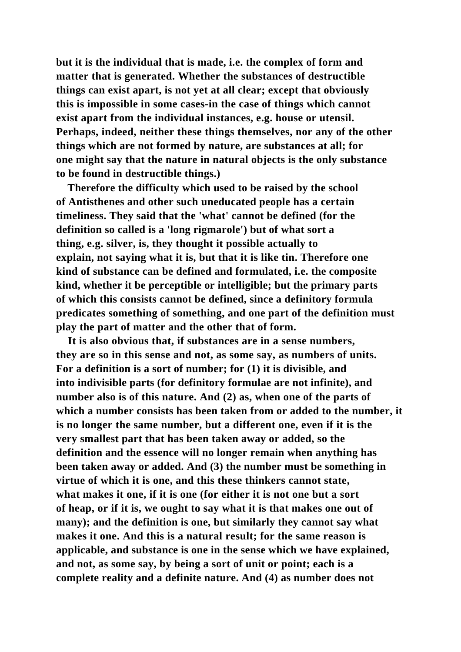**but it is the individual that is made, i.e. the complex of form and matter that is generated. Whether the substances of destructible things can exist apart, is not yet at all clear; except that obviously this is impossible in some cases-in the case of things which cannot exist apart from the individual instances, e.g. house or utensil. Perhaps, indeed, neither these things themselves, nor any of the other things which are not formed by nature, are substances at all; for one might say that the nature in natural objects is the only substance to be found in destructible things.)**

 **Therefore the difficulty which used to be raised by the school of Antisthenes and other such uneducated people has a certain timeliness. They said that the 'what' cannot be defined (for the definition so called is a 'long rigmarole') but of what sort a thing, e.g. silver, is, they thought it possible actually to explain, not saying what it is, but that it is like tin. Therefore one kind of substance can be defined and formulated, i.e. the composite kind, whether it be perceptible or intelligible; but the primary parts of which this consists cannot be defined, since a definitory formula predicates something of something, and one part of the definition must play the part of matter and the other that of form.**

 **It is also obvious that, if substances are in a sense numbers, they are so in this sense and not, as some say, as numbers of units. For a definition is a sort of number; for (1) it is divisible, and into indivisible parts (for definitory formulae are not infinite), and number also is of this nature. And (2) as, when one of the parts of which a number consists has been taken from or added to the number, it is no longer the same number, but a different one, even if it is the very smallest part that has been taken away or added, so the definition and the essence will no longer remain when anything has been taken away or added. And (3) the number must be something in virtue of which it is one, and this these thinkers cannot state, what makes it one, if it is one (for either it is not one but a sort of heap, or if it is, we ought to say what it is that makes one out of many); and the definition is one, but similarly they cannot say what makes it one. And this is a natural result; for the same reason is applicable, and substance is one in the sense which we have explained, and not, as some say, by being a sort of unit or point; each is a complete reality and a definite nature. And (4) as number does not**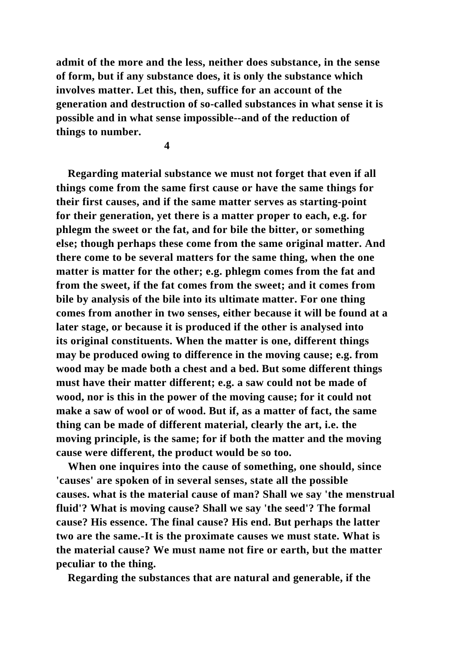**admit of the more and the less, neither does substance, in the sense of form, but if any substance does, it is only the substance which involves matter. Let this, then, suffice for an account of the generation and destruction of so-called substances in what sense it is possible and in what sense impossible--and of the reduction of things to number.**

**4 4** 

 **Regarding material substance we must not forget that even if all things come from the same first cause or have the same things for their first causes, and if the same matter serves as starting-point for their generation, yet there is a matter proper to each, e.g. for phlegm the sweet or the fat, and for bile the bitter, or something else; though perhaps these come from the same original matter. And there come to be several matters for the same thing, when the one matter is matter for the other; e.g. phlegm comes from the fat and from the sweet, if the fat comes from the sweet; and it comes from bile by analysis of the bile into its ultimate matter. For one thing comes from another in two senses, either because it will be found at a later stage, or because it is produced if the other is analysed into its original constituents. When the matter is one, different things may be produced owing to difference in the moving cause; e.g. from wood may be made both a chest and a bed. But some different things must have their matter different; e.g. a saw could not be made of wood, nor is this in the power of the moving cause; for it could not make a saw of wool or of wood. But if, as a matter of fact, the same thing can be made of different material, clearly the art, i.e. the moving principle, is the same; for if both the matter and the moving cause were different, the product would be so too.**

 **When one inquires into the cause of something, one should, since 'causes' are spoken of in several senses, state all the possible causes. what is the material cause of man? Shall we say 'the menstrual fluid'? What is moving cause? Shall we say 'the seed'? The formal cause? His essence. The final cause? His end. But perhaps the latter two are the same.-It is the proximate causes we must state. What is the material cause? We must name not fire or earth, but the matter peculiar to the thing.**

 **Regarding the substances that are natural and generable, if the**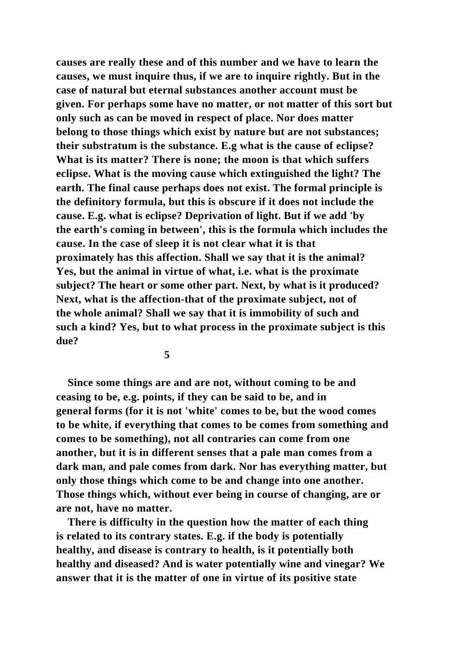**causes are really these and of this number and we have to learn the causes, we must inquire thus, if we are to inquire rightly. But in the case of natural but eternal substances another account must be given. For perhaps some have no matter, or not matter of this sort but only such as can be moved in respect of place. Nor does matter belong to those things which exist by nature but are not substances; their substratum is the substance. E.g what is the cause of eclipse? What is its matter? There is none; the moon is that which suffers eclipse. What is the moving cause which extinguished the light? The earth. The final cause perhaps does not exist. The formal principle is the definitory formula, but this is obscure if it does not include the cause. E.g. what is eclipse? Deprivation of light. But if we add 'by the earth's coming in between', this is the formula which includes the cause. In the case of sleep it is not clear what it is that proximately has this affection. Shall we say that it is the animal? Yes, but the animal in virtue of what, i.e. what is the proximate subject? The heart or some other part. Next, by what is it produced? Next, what is the affection-that of the proximate subject, not of the whole animal? Shall we say that it is immobility of such and such a kind? Yes, but to what process in the proximate subject is this due?**

**5** 

 **Since some things are and are not, without coming to be and ceasing to be, e.g. points, if they can be said to be, and in general forms (for it is not 'white' comes to be, but the wood comes to be white, if everything that comes to be comes from something and comes to be something), not all contraries can come from one another, but it is in different senses that a pale man comes from a dark man, and pale comes from dark. Nor has everything matter, but only those things which come to be and change into one another. Those things which, without ever being in course of changing, are or are not, have no matter.**

 **There is difficulty in the question how the matter of each thing is related to its contrary states. E.g. if the body is potentially healthy, and disease is contrary to health, is it potentially both healthy and diseased? And is water potentially wine and vinegar? We answer that it is the matter of one in virtue of its positive state**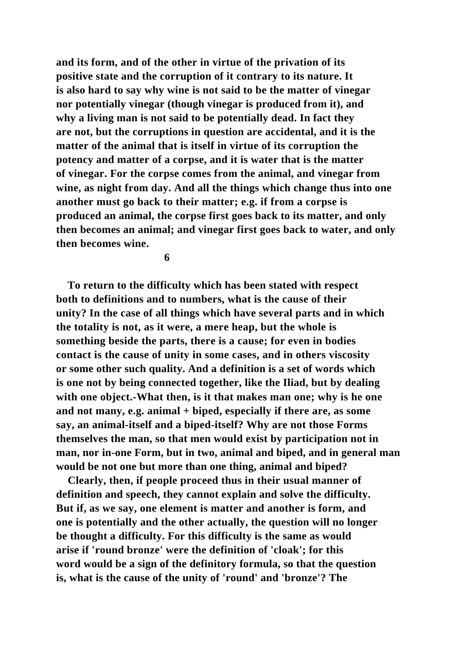**and its form, and of the other in virtue of the privation of its positive state and the corruption of it contrary to its nature. It is also hard to say why wine is not said to be the matter of vinegar nor potentially vinegar (though vinegar is produced from it), and why a living man is not said to be potentially dead. In fact they are not, but the corruptions in question are accidental, and it is the matter of the animal that is itself in virtue of its corruption the potency and matter of a corpse, and it is water that is the matter of vinegar. For the corpse comes from the animal, and vinegar from wine, as night from day. And all the things which change thus into one another must go back to their matter; e.g. if from a corpse is produced an animal, the corpse first goes back to its matter, and only then becomes an animal; and vinegar first goes back to water, and only then becomes wine.**

 **6**

 **To return to the difficulty which has been stated with respect both to definitions and to numbers, what is the cause of their unity? In the case of all things which have several parts and in which the totality is not, as it were, a mere heap, but the whole is something beside the parts, there is a cause; for even in bodies contact is the cause of unity in some cases, and in others viscosity or some other such quality. And a definition is a set of words which is one not by being connected together, like the Iliad, but by dealing with one object.-What then, is it that makes man one; why is he one and not many, e.g. animal + biped, especially if there are, as some say, an animal-itself and a biped-itself? Why are not those Forms themselves the man, so that men would exist by participation not in man, nor in-one Form, but in two, animal and biped, and in general man would be not one but more than one thing, animal and biped?**

 **Clearly, then, if people proceed thus in their usual manner of definition and speech, they cannot explain and solve the difficulty. But if, as we say, one element is matter and another is form, and one is potentially and the other actually, the question will no longer be thought a difficulty. For this difficulty is the same as would arise if 'round bronze' were the definition of 'cloak'; for this word would be a sign of the definitory formula, so that the question is, what is the cause of the unity of 'round' and 'bronze'? The**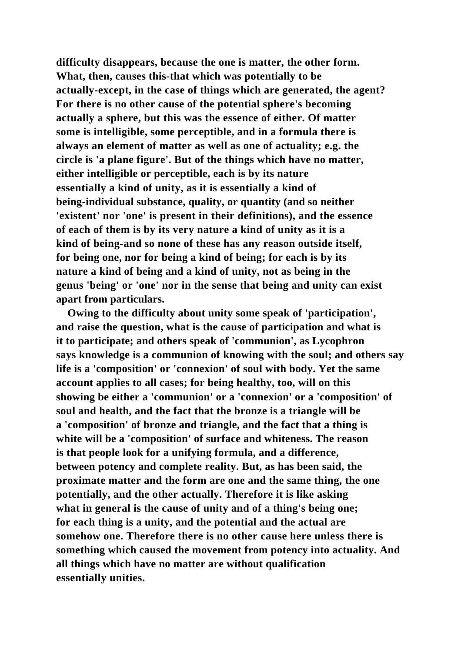**difficulty disappears, because the one is matter, the other form. What, then, causes this-that which was potentially to be actually-except, in the case of things which are generated, the agent? For there is no other cause of the potential sphere's becoming actually a sphere, but this was the essence of either. Of matter some is intelligible, some perceptible, and in a formula there is always an element of matter as well as one of actuality; e.g. the circle is 'a plane figure'. But of the things which have no matter, either intelligible or perceptible, each is by its nature essentially a kind of unity, as it is essentially a kind of being-individual substance, quality, or quantity (and so neither 'existent' nor 'one' is present in their definitions), and the essence of each of them is by its very nature a kind of unity as it is a kind of being-and so none of these has any reason outside itself, for being one, nor for being a kind of being; for each is by its nature a kind of being and a kind of unity, not as being in the genus 'being' or 'one' nor in the sense that being and unity can exist apart from particulars.**

 **Owing to the difficulty about unity some speak of 'participation', and raise the question, what is the cause of participation and what is it to participate; and others speak of 'communion', as Lycophron says knowledge is a communion of knowing with the soul; and others say life is a 'composition' or 'connexion' of soul with body. Yet the same account applies to all cases; for being healthy, too, will on this showing be either a 'communion' or a 'connexion' or a 'composition' of soul and health, and the fact that the bronze is a triangle will be a 'composition' of bronze and triangle, and the fact that a thing is white will be a 'composition' of surface and whiteness. The reason is that people look for a unifying formula, and a difference, between potency and complete reality. But, as has been said, the proximate matter and the form are one and the same thing, the one potentially, and the other actually. Therefore it is like asking what in general is the cause of unity and of a thing's being one; for each thing is a unity, and the potential and the actual are somehow one. Therefore there is no other cause here unless there is something which caused the movement from potency into actuality. And all things which have no matter are without qualification essentially unities.**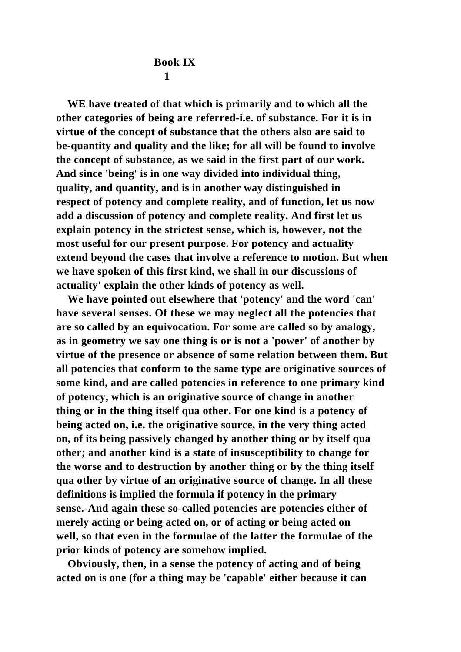**WE have treated of that which is primarily and to which all the other categories of being are referred-i.e. of substance. For it is in virtue of the concept of substance that the others also are said to be-quantity and quality and the like; for all will be found to involve the concept of substance, as we said in the first part of our work. And since 'being' is in one way divided into individual thing, quality, and quantity, and is in another way distinguished in respect of potency and complete reality, and of function, let us now add a discussion of potency and complete reality. And first let us explain potency in the strictest sense, which is, however, not the most useful for our present purpose. For potency and actuality extend beyond the cases that involve a reference to motion. But when we have spoken of this first kind, we shall in our discussions of actuality' explain the other kinds of potency as well.**

 **We have pointed out elsewhere that 'potency' and the word 'can' have several senses. Of these we may neglect all the potencies that are so called by an equivocation. For some are called so by analogy, as in geometry we say one thing is or is not a 'power' of another by virtue of the presence or absence of some relation between them. But all potencies that conform to the same type are originative sources of some kind, and are called potencies in reference to one primary kind of potency, which is an originative source of change in another thing or in the thing itself qua other. For one kind is a potency of being acted on, i.e. the originative source, in the very thing acted on, of its being passively changed by another thing or by itself qua other; and another kind is a state of insusceptibility to change for the worse and to destruction by another thing or by the thing itself qua other by virtue of an originative source of change. In all these definitions is implied the formula if potency in the primary sense.-And again these so-called potencies are potencies either of merely acting or being acted on, or of acting or being acted on well, so that even in the formulae of the latter the formulae of the prior kinds of potency are somehow implied.**

 **Obviously, then, in a sense the potency of acting and of being acted on is one (for a thing may be 'capable' either because it can**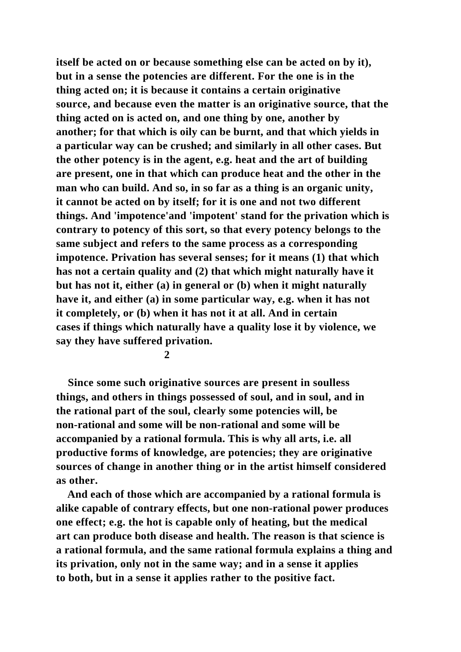**itself be acted on or because something else can be acted on by it), but in a sense the potencies are different. For the one is in the thing acted on; it is because it contains a certain originative source, and because even the matter is an originative source, that the thing acted on is acted on, and one thing by one, another by another; for that which is oily can be burnt, and that which yields in a particular way can be crushed; and similarly in all other cases. But the other potency is in the agent, e.g. heat and the art of building are present, one in that which can produce heat and the other in the man who can build. And so, in so far as a thing is an organic unity, it cannot be acted on by itself; for it is one and not two different things. And 'impotence'and 'impotent' stand for the privation which is contrary to potency of this sort, so that every potency belongs to the same subject and refers to the same process as a corresponding impotence. Privation has several senses; for it means (1) that which has not a certain quality and (2) that which might naturally have it but has not it, either (a) in general or (b) when it might naturally have it, and either (a) in some particular way, e.g. when it has not it completely, or (b) when it has not it at all. And in certain cases if things which naturally have a quality lose it by violence, we say they have suffered privation.**

**2** 

 **Since some such originative sources are present in soulless things, and others in things possessed of soul, and in soul, and in the rational part of the soul, clearly some potencies will, be non-rational and some will be non-rational and some will be accompanied by a rational formula. This is why all arts, i.e. all productive forms of knowledge, are potencies; they are originative sources of change in another thing or in the artist himself considered as other.**

 **And each of those which are accompanied by a rational formula is alike capable of contrary effects, but one non-rational power produces one effect; e.g. the hot is capable only of heating, but the medical art can produce both disease and health. The reason is that science is a rational formula, and the same rational formula explains a thing and its privation, only not in the same way; and in a sense it applies to both, but in a sense it applies rather to the positive fact.**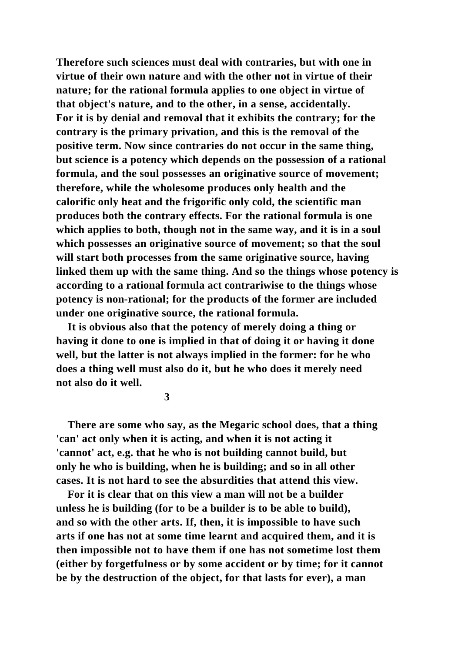**Therefore such sciences must deal with contraries, but with one in virtue of their own nature and with the other not in virtue of their nature; for the rational formula applies to one object in virtue of that object's nature, and to the other, in a sense, accidentally. For it is by denial and removal that it exhibits the contrary; for the contrary is the primary privation, and this is the removal of the positive term. Now since contraries do not occur in the same thing, but science is a potency which depends on the possession of a rational formula, and the soul possesses an originative source of movement; therefore, while the wholesome produces only health and the calorific only heat and the frigorific only cold, the scientific man produces both the contrary effects. For the rational formula is one which applies to both, though not in the same way, and it is in a soul which possesses an originative source of movement; so that the soul will start both processes from the same originative source, having linked them up with the same thing. And so the things whose potency is according to a rational formula act contrariwise to the things whose potency is non-rational; for the products of the former are included under one originative source, the rational formula.**

 **It is obvious also that the potency of merely doing a thing or having it done to one is implied in that of doing it or having it done well, but the latter is not always implied in the former: for he who does a thing well must also do it, but he who does it merely need not also do it well.**

**3** 

 **There are some who say, as the Megaric school does, that a thing 'can' act only when it is acting, and when it is not acting it 'cannot' act, e.g. that he who is not building cannot build, but only he who is building, when he is building; and so in all other cases. It is not hard to see the absurdities that attend this view.**

 **For it is clear that on this view a man will not be a builder unless he is building (for to be a builder is to be able to build), and so with the other arts. If, then, it is impossible to have such arts if one has not at some time learnt and acquired them, and it is then impossible not to have them if one has not sometime lost them (either by forgetfulness or by some accident or by time; for it cannot be by the destruction of the object, for that lasts for ever), a man**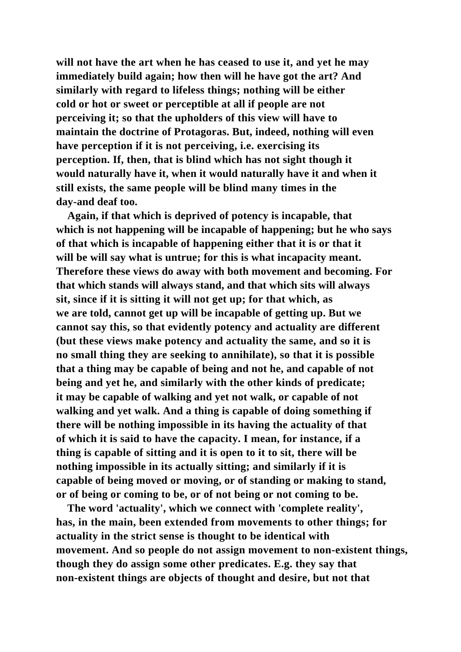**will not have the art when he has ceased to use it, and yet he may immediately build again; how then will he have got the art? And similarly with regard to lifeless things; nothing will be either cold or hot or sweet or perceptible at all if people are not perceiving it; so that the upholders of this view will have to maintain the doctrine of Protagoras. But, indeed, nothing will even have perception if it is not perceiving, i.e. exercising its perception. If, then, that is blind which has not sight though it would naturally have it, when it would naturally have it and when it still exists, the same people will be blind many times in the day-and deaf too.**

 **Again, if that which is deprived of potency is incapable, that which is not happening will be incapable of happening; but he who says of that which is incapable of happening either that it is or that it will be will say what is untrue; for this is what incapacity meant. Therefore these views do away with both movement and becoming. For that which stands will always stand, and that which sits will always sit, since if it is sitting it will not get up; for that which, as we are told, cannot get up will be incapable of getting up. But we cannot say this, so that evidently potency and actuality are different (but these views make potency and actuality the same, and so it is no small thing they are seeking to annihilate), so that it is possible that a thing may be capable of being and not he, and capable of not being and yet he, and similarly with the other kinds of predicate; it may be capable of walking and yet not walk, or capable of not walking and yet walk. And a thing is capable of doing something if there will be nothing impossible in its having the actuality of that of which it is said to have the capacity. I mean, for instance, if a thing is capable of sitting and it is open to it to sit, there will be nothing impossible in its actually sitting; and similarly if it is capable of being moved or moving, or of standing or making to stand, or of being or coming to be, or of not being or not coming to be.**

 **The word 'actuality', which we connect with 'complete reality', has, in the main, been extended from movements to other things; for actuality in the strict sense is thought to be identical with movement. And so people do not assign movement to non-existent things, though they do assign some other predicates. E.g. they say that non-existent things are objects of thought and desire, but not that**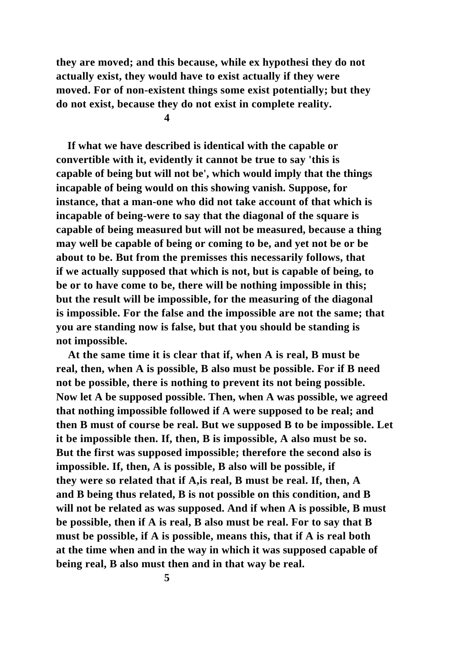**they are moved; and this because, while ex hypothesi they do not actually exist, they would have to exist actually if they were moved. For of non-existent things some exist potentially; but they do not exist, because they do not exist in complete reality.**

**4 4** 

 **If what we have described is identical with the capable or convertible with it, evidently it cannot be true to say 'this is capable of being but will not be', which would imply that the things incapable of being would on this showing vanish. Suppose, for instance, that a man-one who did not take account of that which is incapable of being-were to say that the diagonal of the square is capable of being measured but will not be measured, because a thing may well be capable of being or coming to be, and yet not be or be about to be. But from the premisses this necessarily follows, that if we actually supposed that which is not, but is capable of being, to be or to have come to be, there will be nothing impossible in this; but the result will be impossible, for the measuring of the diagonal is impossible. For the false and the impossible are not the same; that you are standing now is false, but that you should be standing is not impossible.**

 **At the same time it is clear that if, when A is real, B must be real, then, when A is possible, B also must be possible. For if B need not be possible, there is nothing to prevent its not being possible. Now let A be supposed possible. Then, when A was possible, we agreed that nothing impossible followed if A were supposed to be real; and then B must of course be real. But we supposed B to be impossible. Let it be impossible then. If, then, B is impossible, A also must be so. But the first was supposed impossible; therefore the second also is impossible. If, then, A is possible, B also will be possible, if they were so related that if A,is real, B must be real. If, then, A and B being thus related, B is not possible on this condition, and B will not be related as was supposed. And if when A is possible, B must be possible, then if A is real, B also must be real. For to say that B must be possible, if A is possible, means this, that if A is real both at the time when and in the way in which it was supposed capable of being real, B also must then and in that way be real.**

**5**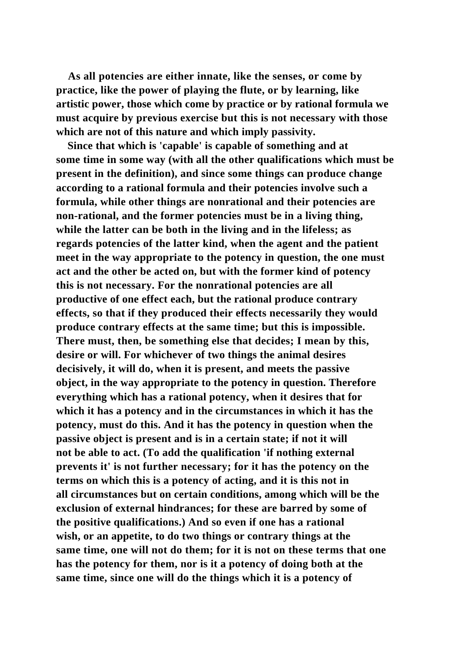**As all potencies are either innate, like the senses, or come by practice, like the power of playing the flute, or by learning, like artistic power, those which come by practice or by rational formula we must acquire by previous exercise but this is not necessary with those which are not of this nature and which imply passivity.**

 **Since that which is 'capable' is capable of something and at some time in some way (with all the other qualifications which must be present in the definition), and since some things can produce change according to a rational formula and their potencies involve such a formula, while other things are nonrational and their potencies are non-rational, and the former potencies must be in a living thing, while the latter can be both in the living and in the lifeless; as regards potencies of the latter kind, when the agent and the patient meet in the way appropriate to the potency in question, the one must act and the other be acted on, but with the former kind of potency this is not necessary. For the nonrational potencies are all productive of one effect each, but the rational produce contrary effects, so that if they produced their effects necessarily they would produce contrary effects at the same time; but this is impossible. There must, then, be something else that decides; I mean by this, desire or will. For whichever of two things the animal desires decisively, it will do, when it is present, and meets the passive object, in the way appropriate to the potency in question. Therefore everything which has a rational potency, when it desires that for which it has a potency and in the circumstances in which it has the potency, must do this. And it has the potency in question when the passive object is present and is in a certain state; if not it will not be able to act. (To add the qualification 'if nothing external prevents it' is not further necessary; for it has the potency on the terms on which this is a potency of acting, and it is this not in all circumstances but on certain conditions, among which will be the exclusion of external hindrances; for these are barred by some of the positive qualifications.) And so even if one has a rational wish, or an appetite, to do two things or contrary things at the same time, one will not do them; for it is not on these terms that one has the potency for them, nor is it a potency of doing both at the same time, since one will do the things which it is a potency of**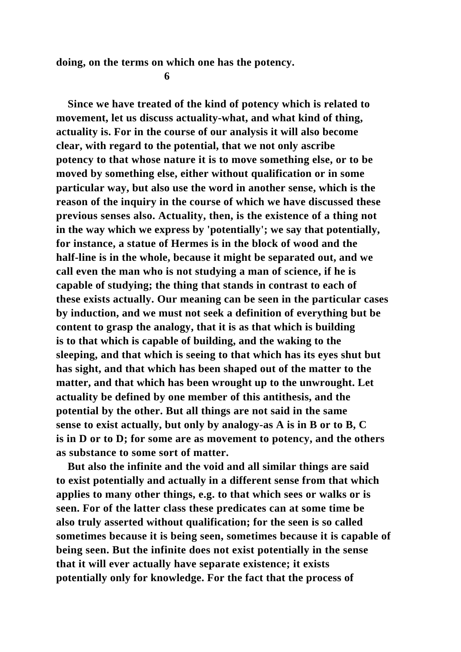**doing, on the terms on which one has the potency.**

 **6**

 **Since we have treated of the kind of potency which is related to movement, let us discuss actuality-what, and what kind of thing, actuality is. For in the course of our analysis it will also become clear, with regard to the potential, that we not only ascribe potency to that whose nature it is to move something else, or to be moved by something else, either without qualification or in some particular way, but also use the word in another sense, which is the reason of the inquiry in the course of which we have discussed these previous senses also. Actuality, then, is the existence of a thing not in the way which we express by 'potentially'; we say that potentially, for instance, a statue of Hermes is in the block of wood and the half-line is in the whole, because it might be separated out, and we call even the man who is not studying a man of science, if he is capable of studying; the thing that stands in contrast to each of these exists actually. Our meaning can be seen in the particular cases by induction, and we must not seek a definition of everything but be content to grasp the analogy, that it is as that which is building is to that which is capable of building, and the waking to the sleeping, and that which is seeing to that which has its eyes shut but has sight, and that which has been shaped out of the matter to the matter, and that which has been wrought up to the unwrought. Let actuality be defined by one member of this antithesis, and the potential by the other. But all things are not said in the same sense to exist actually, but only by analogy-as A is in B or to B, C is in D or to D; for some are as movement to potency, and the others as substance to some sort of matter.**

 **But also the infinite and the void and all similar things are said to exist potentially and actually in a different sense from that which applies to many other things, e.g. to that which sees or walks or is seen. For of the latter class these predicates can at some time be also truly asserted without qualification; for the seen is so called sometimes because it is being seen, sometimes because it is capable of being seen. But the infinite does not exist potentially in the sense that it will ever actually have separate existence; it exists potentially only for knowledge. For the fact that the process of**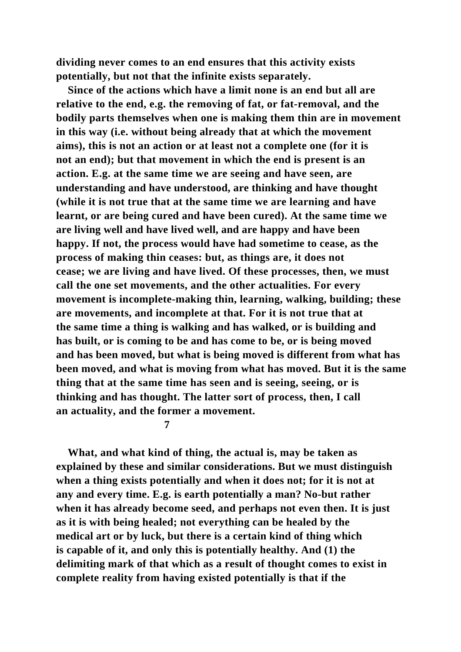**dividing never comes to an end ensures that this activity exists potentially, but not that the infinite exists separately.**

 **Since of the actions which have a limit none is an end but all are relative to the end, e.g. the removing of fat, or fat-removal, and the bodily parts themselves when one is making them thin are in movement in this way (i.e. without being already that at which the movement aims), this is not an action or at least not a complete one (for it is not an end); but that movement in which the end is present is an action. E.g. at the same time we are seeing and have seen, are understanding and have understood, are thinking and have thought (while it is not true that at the same time we are learning and have learnt, or are being cured and have been cured). At the same time we are living well and have lived well, and are happy and have been happy. If not, the process would have had sometime to cease, as the process of making thin ceases: but, as things are, it does not cease; we are living and have lived. Of these processes, then, we must call the one set movements, and the other actualities. For every movement is incomplete-making thin, learning, walking, building; these are movements, and incomplete at that. For it is not true that at the same time a thing is walking and has walked, or is building and has built, or is coming to be and has come to be, or is being moved and has been moved, but what is being moved is different from what has been moved, and what is moving from what has moved. But it is the same thing that at the same time has seen and is seeing, seeing, or is thinking and has thought. The latter sort of process, then, I call an actuality, and the former a movement.**

 **7**

 **What, and what kind of thing, the actual is, may be taken as explained by these and similar considerations. But we must distinguish when a thing exists potentially and when it does not; for it is not at any and every time. E.g. is earth potentially a man? No-but rather when it has already become seed, and perhaps not even then. It is just as it is with being healed; not everything can be healed by the medical art or by luck, but there is a certain kind of thing which is capable of it, and only this is potentially healthy. And (1) the delimiting mark of that which as a result of thought comes to exist in complete reality from having existed potentially is that if the**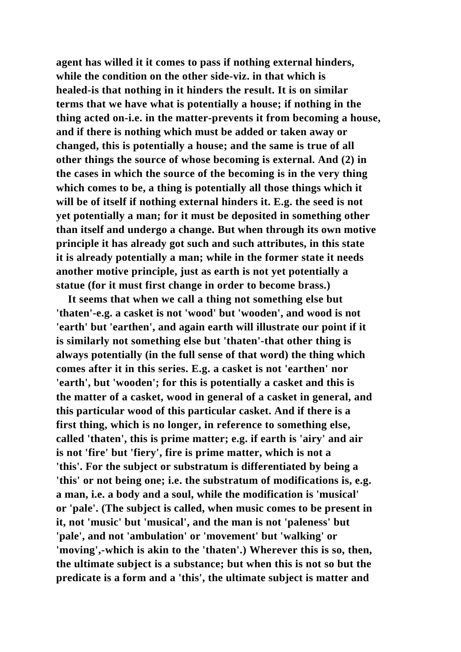**agent has willed it it comes to pass if nothing external hinders, while the condition on the other side-viz. in that which is healed-is that nothing in it hinders the result. It is on similar terms that we have what is potentially a house; if nothing in the thing acted on-i.e. in the matter-prevents it from becoming a house, and if there is nothing which must be added or taken away or changed, this is potentially a house; and the same is true of all other things the source of whose becoming is external. And (2) in the cases in which the source of the becoming is in the very thing which comes to be, a thing is potentially all those things which it will be of itself if nothing external hinders it. E.g. the seed is not yet potentially a man; for it must be deposited in something other than itself and undergo a change. But when through its own motive principle it has already got such and such attributes, in this state it is already potentially a man; while in the former state it needs another motive principle, just as earth is not yet potentially a statue (for it must first change in order to become brass.)**

 **It seems that when we call a thing not something else but 'thaten'-e.g. a casket is not 'wood' but 'wooden', and wood is not 'earth' but 'earthen', and again earth will illustrate our point if it is similarly not something else but 'thaten'-that other thing is always potentially (in the full sense of that word) the thing which comes after it in this series. E.g. a casket is not 'earthen' nor 'earth', but 'wooden'; for this is potentially a casket and this is the matter of a casket, wood in general of a casket in general, and this particular wood of this particular casket. And if there is a first thing, which is no longer, in reference to something else, called 'thaten', this is prime matter; e.g. if earth is 'airy' and air is not 'fire' but 'fiery', fire is prime matter, which is not a 'this'. For the subject or substratum is differentiated by being a 'this' or not being one; i.e. the substratum of modifications is, e.g. a man, i.e. a body and a soul, while the modification is 'musical' or 'pale'. (The subject is called, when music comes to be present in it, not 'music' but 'musical', and the man is not 'paleness' but 'pale', and not 'ambulation' or 'movement' but 'walking' or 'moving',-which is akin to the 'thaten'.) Wherever this is so, then, the ultimate subject is a substance; but when this is not so but the predicate is a form and a 'this', the ultimate subject is matter and**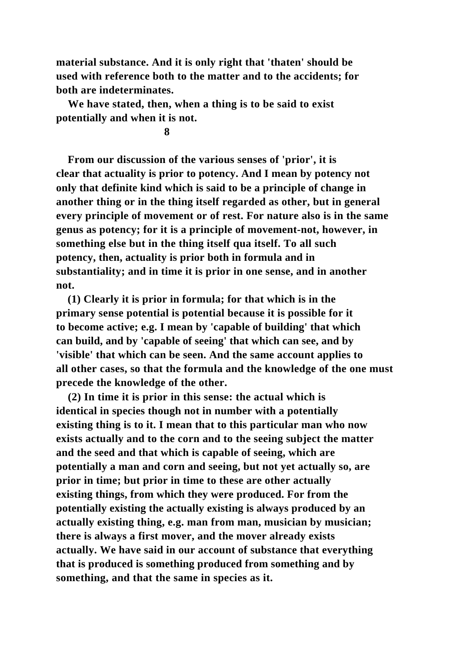**material substance. And it is only right that 'thaten' should be used with reference both to the matter and to the accidents; for both are indeterminates.**

 **We have stated, then, when a thing is to be said to exist potentially and when it is not.**

**8 8 8** 

 **From our discussion of the various senses of 'prior', it is clear that actuality is prior to potency. And I mean by potency not only that definite kind which is said to be a principle of change in another thing or in the thing itself regarded as other, but in general every principle of movement or of rest. For nature also is in the same genus as potency; for it is a principle of movement-not, however, in something else but in the thing itself qua itself. To all such potency, then, actuality is prior both in formula and in substantiality; and in time it is prior in one sense, and in another not.**

 **(1) Clearly it is prior in formula; for that which is in the primary sense potential is potential because it is possible for it to become active; e.g. I mean by 'capable of building' that which can build, and by 'capable of seeing' that which can see, and by 'visible' that which can be seen. And the same account applies to all other cases, so that the formula and the knowledge of the one must precede the knowledge of the other.**

 **(2) In time it is prior in this sense: the actual which is identical in species though not in number with a potentially existing thing is to it. I mean that to this particular man who now exists actually and to the corn and to the seeing subject the matter and the seed and that which is capable of seeing, which are potentially a man and corn and seeing, but not yet actually so, are prior in time; but prior in time to these are other actually existing things, from which they were produced. For from the potentially existing the actually existing is always produced by an actually existing thing, e.g. man from man, musician by musician; there is always a first mover, and the mover already exists actually. We have said in our account of substance that everything that is produced is something produced from something and by something, and that the same in species as it.**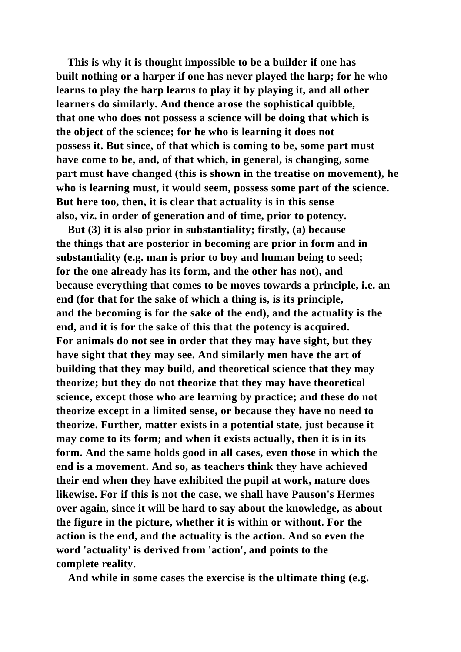**This is why it is thought impossible to be a builder if one has built nothing or a harper if one has never played the harp; for he who learns to play the harp learns to play it by playing it, and all other learners do similarly. And thence arose the sophistical quibble, that one who does not possess a science will be doing that which is the object of the science; for he who is learning it does not possess it. But since, of that which is coming to be, some part must have come to be, and, of that which, in general, is changing, some part must have changed (this is shown in the treatise on movement), he who is learning must, it would seem, possess some part of the science. But here too, then, it is clear that actuality is in this sense also, viz. in order of generation and of time, prior to potency.**

 **But (3) it is also prior in substantiality; firstly, (a) because the things that are posterior in becoming are prior in form and in substantiality (e.g. man is prior to boy and human being to seed; for the one already has its form, and the other has not), and because everything that comes to be moves towards a principle, i.e. an end (for that for the sake of which a thing is, is its principle, and the becoming is for the sake of the end), and the actuality is the end, and it is for the sake of this that the potency is acquired. For animals do not see in order that they may have sight, but they have sight that they may see. And similarly men have the art of building that they may build, and theoretical science that they may theorize; but they do not theorize that they may have theoretical science, except those who are learning by practice; and these do not theorize except in a limited sense, or because they have no need to theorize. Further, matter exists in a potential state, just because it may come to its form; and when it exists actually, then it is in its form. And the same holds good in all cases, even those in which the end is a movement. And so, as teachers think they have achieved their end when they have exhibited the pupil at work, nature does likewise. For if this is not the case, we shall have Pauson's Hermes over again, since it will be hard to say about the knowledge, as about the figure in the picture, whether it is within or without. For the action is the end, and the actuality is the action. And so even the word 'actuality' is derived from 'action', and points to the complete reality.**

 **And while in some cases the exercise is the ultimate thing (e.g.**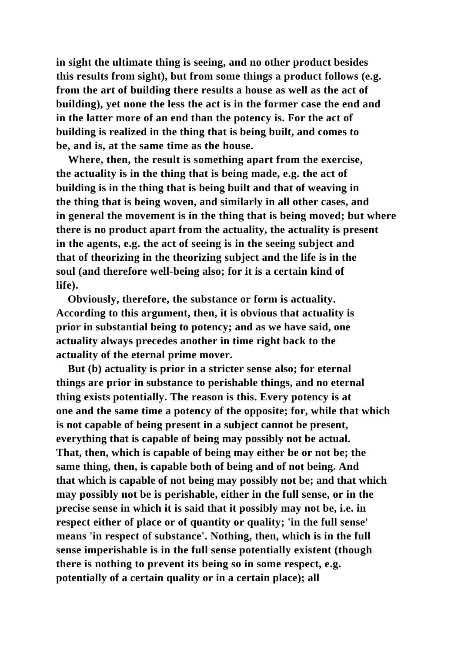**in sight the ultimate thing is seeing, and no other product besides this results from sight), but from some things a product follows (e.g. from the art of building there results a house as well as the act of building), yet none the less the act is in the former case the end and in the latter more of an end than the potency is. For the act of building is realized in the thing that is being built, and comes to be, and is, at the same time as the house.**

 **Where, then, the result is something apart from the exercise, the actuality is in the thing that is being made, e.g. the act of building is in the thing that is being built and that of weaving in the thing that is being woven, and similarly in all other cases, and in general the movement is in the thing that is being moved; but where there is no product apart from the actuality, the actuality is present in the agents, e.g. the act of seeing is in the seeing subject and that of theorizing in the theorizing subject and the life is in the soul (and therefore well-being also; for it is a certain kind of life).**

 **Obviously, therefore, the substance or form is actuality. According to this argument, then, it is obvious that actuality is prior in substantial being to potency; and as we have said, one actuality always precedes another in time right back to the actuality of the eternal prime mover.**

 **But (b) actuality is prior in a stricter sense also; for eternal things are prior in substance to perishable things, and no eternal thing exists potentially. The reason is this. Every potency is at one and the same time a potency of the opposite; for, while that which is not capable of being present in a subject cannot be present, everything that is capable of being may possibly not be actual. That, then, which is capable of being may either be or not be; the same thing, then, is capable both of being and of not being. And that which is capable of not being may possibly not be; and that which may possibly not be is perishable, either in the full sense, or in the precise sense in which it is said that it possibly may not be, i.e. in respect either of place or of quantity or quality; 'in the full sense' means 'in respect of substance'. Nothing, then, which is in the full sense imperishable is in the full sense potentially existent (though there is nothing to prevent its being so in some respect, e.g. potentially of a certain quality or in a certain place); all**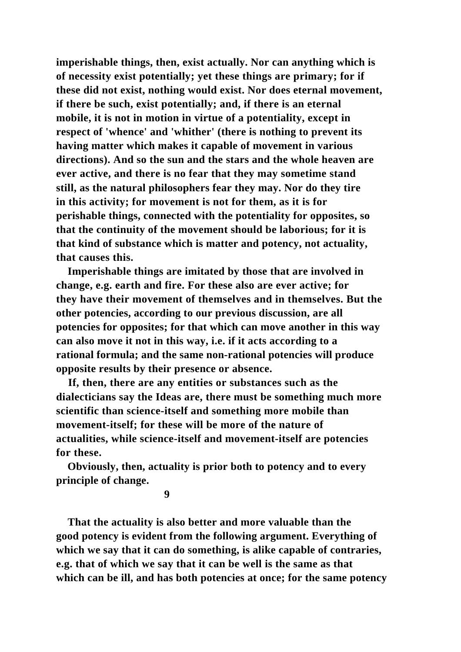**imperishable things, then, exist actually. Nor can anything which is of necessity exist potentially; yet these things are primary; for if these did not exist, nothing would exist. Nor does eternal movement, if there be such, exist potentially; and, if there is an eternal mobile, it is not in motion in virtue of a potentiality, except in respect of 'whence' and 'whither' (there is nothing to prevent its having matter which makes it capable of movement in various directions). And so the sun and the stars and the whole heaven are ever active, and there is no fear that they may sometime stand still, as the natural philosophers fear they may. Nor do they tire in this activity; for movement is not for them, as it is for perishable things, connected with the potentiality for opposites, so that the continuity of the movement should be laborious; for it is that kind of substance which is matter and potency, not actuality, that causes this.**

 **Imperishable things are imitated by those that are involved in change, e.g. earth and fire. For these also are ever active; for they have their movement of themselves and in themselves. But the other potencies, according to our previous discussion, are all potencies for opposites; for that which can move another in this way can also move it not in this way, i.e. if it acts according to a rational formula; and the same non-rational potencies will produce opposite results by their presence or absence.**

 **If, then, there are any entities or substances such as the dialecticians say the Ideas are, there must be something much more scientific than science-itself and something more mobile than movement-itself; for these will be more of the nature of actualities, while science-itself and movement-itself are potencies for these.**

 **Obviously, then, actuality is prior both to potency and to every principle of change.**

**9** 

 **That the actuality is also better and more valuable than the good potency is evident from the following argument. Everything of which we say that it can do something, is alike capable of contraries, e.g. that of which we say that it can be well is the same as that which can be ill, and has both potencies at once; for the same potency**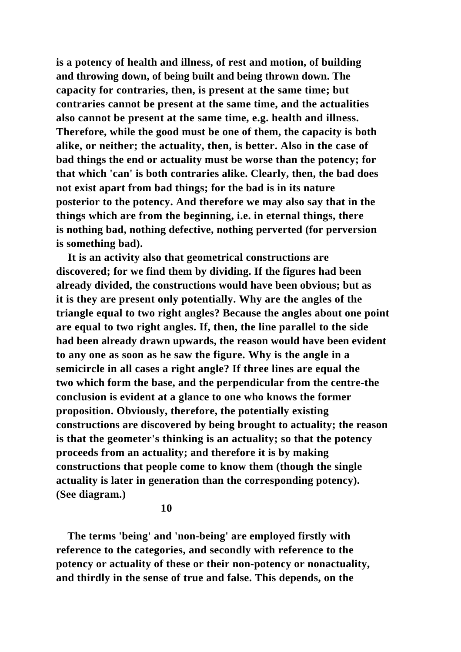**is a potency of health and illness, of rest and motion, of building and throwing down, of being built and being thrown down. The capacity for contraries, then, is present at the same time; but contraries cannot be present at the same time, and the actualities also cannot be present at the same time, e.g. health and illness. Therefore, while the good must be one of them, the capacity is both alike, or neither; the actuality, then, is better. Also in the case of bad things the end or actuality must be worse than the potency; for that which 'can' is both contraries alike. Clearly, then, the bad does not exist apart from bad things; for the bad is in its nature posterior to the potency. And therefore we may also say that in the things which are from the beginning, i.e. in eternal things, there is nothing bad, nothing defective, nothing perverted (for perversion is something bad).**

 **It is an activity also that geometrical constructions are discovered; for we find them by dividing. If the figures had been already divided, the constructions would have been obvious; but as it is they are present only potentially. Why are the angles of the triangle equal to two right angles? Because the angles about one point are equal to two right angles. If, then, the line parallel to the side had been already drawn upwards, the reason would have been evident to any one as soon as he saw the figure. Why is the angle in a semicircle in all cases a right angle? If three lines are equal the two which form the base, and the perpendicular from the centre-the conclusion is evident at a glance to one who knows the former proposition. Obviously, therefore, the potentially existing constructions are discovered by being brought to actuality; the reason is that the geometer's thinking is an actuality; so that the potency proceeds from an actuality; and therefore it is by making constructions that people come to know them (though the single actuality is later in generation than the corresponding potency). (See diagram.)**

## **10**

 **The terms 'being' and 'non-being' are employed firstly with reference to the categories, and secondly with reference to the potency or actuality of these or their non-potency or nonactuality, and thirdly in the sense of true and false. This depends, on the**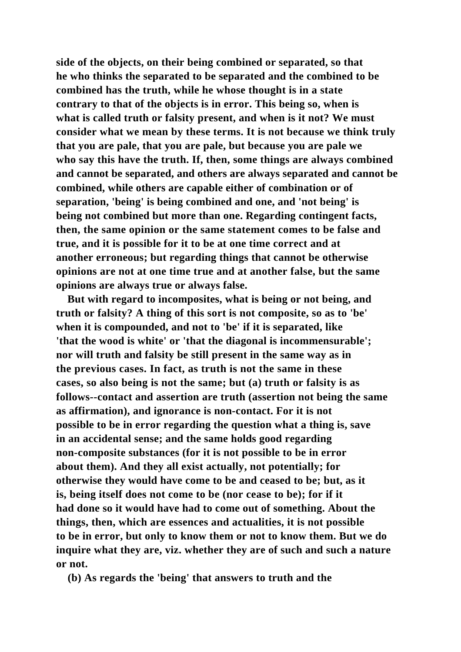**side of the objects, on their being combined or separated, so that he who thinks the separated to be separated and the combined to be combined has the truth, while he whose thought is in a state contrary to that of the objects is in error. This being so, when is what is called truth or falsity present, and when is it not? We must consider what we mean by these terms. It is not because we think truly that you are pale, that you are pale, but because you are pale we who say this have the truth. If, then, some things are always combined and cannot be separated, and others are always separated and cannot be combined, while others are capable either of combination or of separation, 'being' is being combined and one, and 'not being' is being not combined but more than one. Regarding contingent facts, then, the same opinion or the same statement comes to be false and true, and it is possible for it to be at one time correct and at another erroneous; but regarding things that cannot be otherwise opinions are not at one time true and at another false, but the same opinions are always true or always false.**

 **But with regard to incomposites, what is being or not being, and truth or falsity? A thing of this sort is not composite, so as to 'be' when it is compounded, and not to 'be' if it is separated, like 'that the wood is white' or 'that the diagonal is incommensurable'; nor will truth and falsity be still present in the same way as in the previous cases. In fact, as truth is not the same in these cases, so also being is not the same; but (a) truth or falsity is as follows--contact and assertion are truth (assertion not being the same as affirmation), and ignorance is non-contact. For it is not possible to be in error regarding the question what a thing is, save in an accidental sense; and the same holds good regarding non-composite substances (for it is not possible to be in error about them). And they all exist actually, not potentially; for otherwise they would have come to be and ceased to be; but, as it is, being itself does not come to be (nor cease to be); for if it had done so it would have had to come out of something. About the things, then, which are essences and actualities, it is not possible to be in error, but only to know them or not to know them. But we do inquire what they are, viz. whether they are of such and such a nature or not.**

 **(b) As regards the 'being' that answers to truth and the**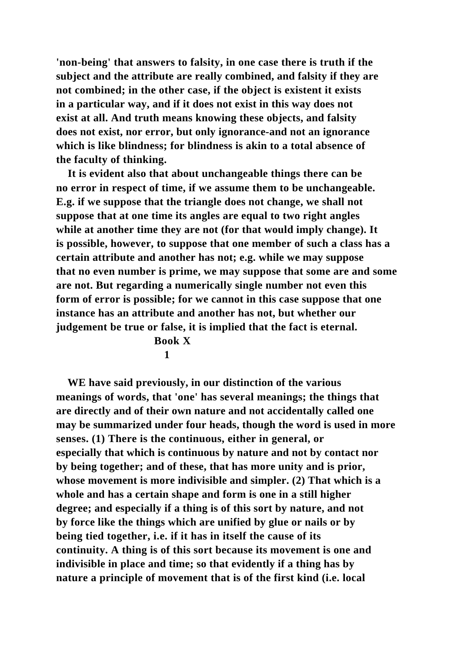**'non-being' that answers to falsity, in one case there is truth if the subject and the attribute are really combined, and falsity if they are not combined; in the other case, if the object is existent it exists in a particular way, and if it does not exist in this way does not exist at all. And truth means knowing these objects, and falsity does not exist, nor error, but only ignorance-and not an ignorance which is like blindness; for blindness is akin to a total absence of the faculty of thinking.**

 **It is evident also that about unchangeable things there can be no error in respect of time, if we assume them to be unchangeable. E.g. if we suppose that the triangle does not change, we shall not suppose that at one time its angles are equal to two right angles while at another time they are not (for that would imply change). It is possible, however, to suppose that one member of such a class has a certain attribute and another has not; e.g. while we may suppose that no even number is prime, we may suppose that some are and some are not. But regarding a numerically single number not even this form of error is possible; for we cannot in this case suppose that one instance has an attribute and another has not, but whether our judgement be true or false, it is implied that the fact is eternal.**

 **Book X 1** 

 **WE have said previously, in our distinction of the various meanings of words, that 'one' has several meanings; the things that are directly and of their own nature and not accidentally called one may be summarized under four heads, though the word is used in more senses. (1) There is the continuous, either in general, or especially that which is continuous by nature and not by contact nor by being together; and of these, that has more unity and is prior, whose movement is more indivisible and simpler. (2) That which is a whole and has a certain shape and form is one in a still higher degree; and especially if a thing is of this sort by nature, and not by force like the things which are unified by glue or nails or by being tied together, i.e. if it has in itself the cause of its continuity. A thing is of this sort because its movement is one and indivisible in place and time; so that evidently if a thing has by nature a principle of movement that is of the first kind (i.e. local**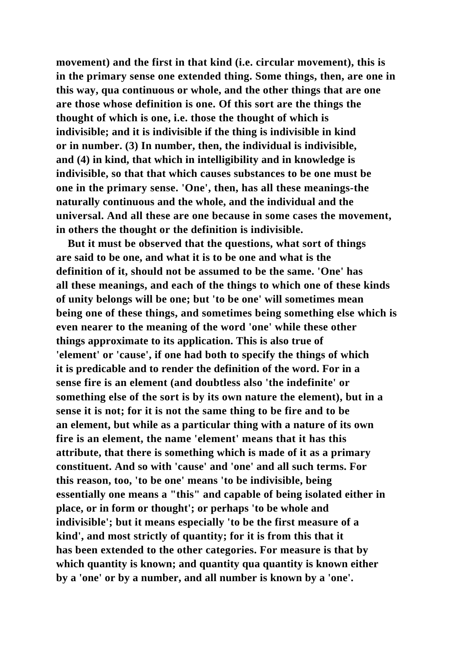**movement) and the first in that kind (i.e. circular movement), this is in the primary sense one extended thing. Some things, then, are one in this way, qua continuous or whole, and the other things that are one are those whose definition is one. Of this sort are the things the thought of which is one, i.e. those the thought of which is indivisible; and it is indivisible if the thing is indivisible in kind or in number. (3) In number, then, the individual is indivisible, and (4) in kind, that which in intelligibility and in knowledge is indivisible, so that that which causes substances to be one must be one in the primary sense. 'One', then, has all these meanings-the naturally continuous and the whole, and the individual and the universal. And all these are one because in some cases the movement, in others the thought or the definition is indivisible.**

 **But it must be observed that the questions, what sort of things are said to be one, and what it is to be one and what is the definition of it, should not be assumed to be the same. 'One' has all these meanings, and each of the things to which one of these kinds of unity belongs will be one; but 'to be one' will sometimes mean being one of these things, and sometimes being something else which is even nearer to the meaning of the word 'one' while these other things approximate to its application. This is also true of 'element' or 'cause', if one had both to specify the things of which it is predicable and to render the definition of the word. For in a sense fire is an element (and doubtless also 'the indefinite' or something else of the sort is by its own nature the element), but in a sense it is not; for it is not the same thing to be fire and to be an element, but while as a particular thing with a nature of its own fire is an element, the name 'element' means that it has this attribute, that there is something which is made of it as a primary constituent. And so with 'cause' and 'one' and all such terms. For this reason, too, 'to be one' means 'to be indivisible, being essentially one means a "this" and capable of being isolated either in place, or in form or thought'; or perhaps 'to be whole and indivisible'; but it means especially 'to be the first measure of a kind', and most strictly of quantity; for it is from this that it has been extended to the other categories. For measure is that by which quantity is known; and quantity qua quantity is known either by a 'one' or by a number, and all number is known by a 'one'.**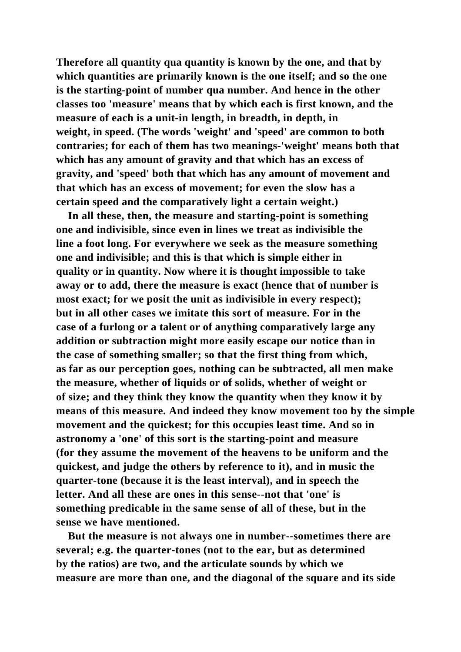**Therefore all quantity qua quantity is known by the one, and that by which quantities are primarily known is the one itself; and so the one is the starting-point of number qua number. And hence in the other classes too 'measure' means that by which each is first known, and the measure of each is a unit-in length, in breadth, in depth, in weight, in speed. (The words 'weight' and 'speed' are common to both contraries; for each of them has two meanings-'weight' means both that which has any amount of gravity and that which has an excess of gravity, and 'speed' both that which has any amount of movement and that which has an excess of movement; for even the slow has a certain speed and the comparatively light a certain weight.)**

 **In all these, then, the measure and starting-point is something one and indivisible, since even in lines we treat as indivisible the line a foot long. For everywhere we seek as the measure something one and indivisible; and this is that which is simple either in quality or in quantity. Now where it is thought impossible to take away or to add, there the measure is exact (hence that of number is most exact; for we posit the unit as indivisible in every respect); but in all other cases we imitate this sort of measure. For in the case of a furlong or a talent or of anything comparatively large any addition or subtraction might more easily escape our notice than in the case of something smaller; so that the first thing from which, as far as our perception goes, nothing can be subtracted, all men make the measure, whether of liquids or of solids, whether of weight or of size; and they think they know the quantity when they know it by means of this measure. And indeed they know movement too by the simple movement and the quickest; for this occupies least time. And so in astronomy a 'one' of this sort is the starting-point and measure (for they assume the movement of the heavens to be uniform and the quickest, and judge the others by reference to it), and in music the quarter-tone (because it is the least interval), and in speech the letter. And all these are ones in this sense--not that 'one' is something predicable in the same sense of all of these, but in the sense we have mentioned.**

 **But the measure is not always one in number--sometimes there are several; e.g. the quarter-tones (not to the ear, but as determined by the ratios) are two, and the articulate sounds by which we measure are more than one, and the diagonal of the square and its side**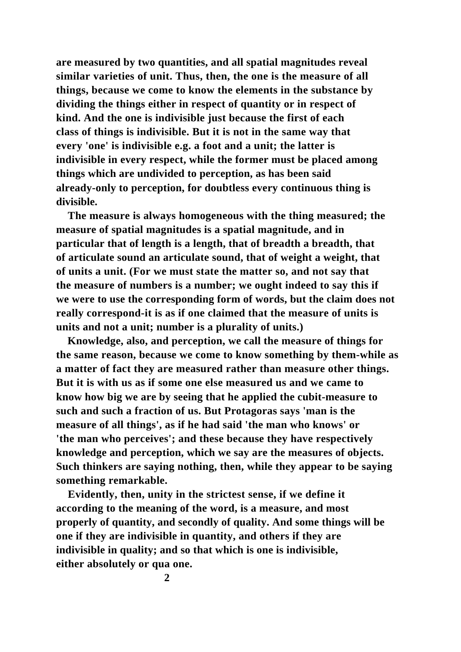**are measured by two quantities, and all spatial magnitudes reveal similar varieties of unit. Thus, then, the one is the measure of all things, because we come to know the elements in the substance by dividing the things either in respect of quantity or in respect of kind. And the one is indivisible just because the first of each class of things is indivisible. But it is not in the same way that every 'one' is indivisible e.g. a foot and a unit; the latter is indivisible in every respect, while the former must be placed among things which are undivided to perception, as has been said already-only to perception, for doubtless every continuous thing is divisible.**

 **The measure is always homogeneous with the thing measured; the measure of spatial magnitudes is a spatial magnitude, and in particular that of length is a length, that of breadth a breadth, that of articulate sound an articulate sound, that of weight a weight, that of units a unit. (For we must state the matter so, and not say that the measure of numbers is a number; we ought indeed to say this if we were to use the corresponding form of words, but the claim does not really correspond-it is as if one claimed that the measure of units is units and not a unit; number is a plurality of units.)**

 **Knowledge, also, and perception, we call the measure of things for the same reason, because we come to know something by them-while as a matter of fact they are measured rather than measure other things. But it is with us as if some one else measured us and we came to know how big we are by seeing that he applied the cubit-measure to such and such a fraction of us. But Protagoras says 'man is the measure of all things', as if he had said 'the man who knows' or 'the man who perceives'; and these because they have respectively knowledge and perception, which we say are the measures of objects. Such thinkers are saying nothing, then, while they appear to be saying something remarkable.**

 **Evidently, then, unity in the strictest sense, if we define it according to the meaning of the word, is a measure, and most properly of quantity, and secondly of quality. And some things will be one if they are indivisible in quantity, and others if they are indivisible in quality; and so that which is one is indivisible, either absolutely or qua one.**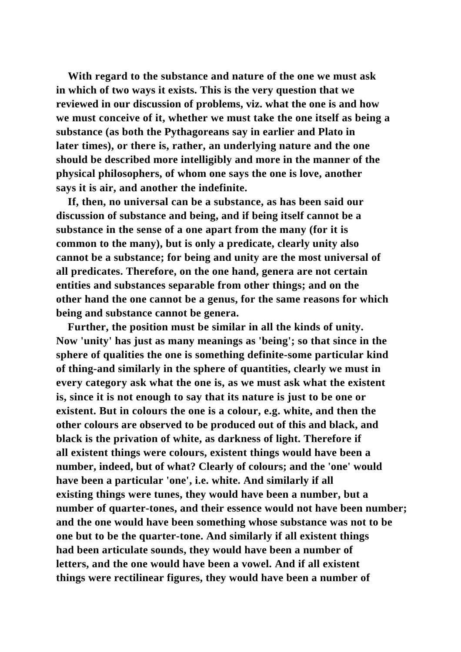**With regard to the substance and nature of the one we must ask in which of two ways it exists. This is the very question that we reviewed in our discussion of problems, viz. what the one is and how we must conceive of it, whether we must take the one itself as being a substance (as both the Pythagoreans say in earlier and Plato in later times), or there is, rather, an underlying nature and the one should be described more intelligibly and more in the manner of the physical philosophers, of whom one says the one is love, another says it is air, and another the indefinite.**

 **If, then, no universal can be a substance, as has been said our discussion of substance and being, and if being itself cannot be a substance in the sense of a one apart from the many (for it is common to the many), but is only a predicate, clearly unity also cannot be a substance; for being and unity are the most universal of all predicates. Therefore, on the one hand, genera are not certain entities and substances separable from other things; and on the other hand the one cannot be a genus, for the same reasons for which being and substance cannot be genera.**

 **Further, the position must be similar in all the kinds of unity. Now 'unity' has just as many meanings as 'being'; so that since in the sphere of qualities the one is something definite-some particular kind of thing-and similarly in the sphere of quantities, clearly we must in every category ask what the one is, as we must ask what the existent is, since it is not enough to say that its nature is just to be one or existent. But in colours the one is a colour, e.g. white, and then the other colours are observed to be produced out of this and black, and black is the privation of white, as darkness of light. Therefore if all existent things were colours, existent things would have been a number, indeed, but of what? Clearly of colours; and the 'one' would have been a particular 'one', i.e. white. And similarly if all existing things were tunes, they would have been a number, but a number of quarter-tones, and their essence would not have been number; and the one would have been something whose substance was not to be one but to be the quarter-tone. And similarly if all existent things had been articulate sounds, they would have been a number of letters, and the one would have been a vowel. And if all existent things were rectilinear figures, they would have been a number of**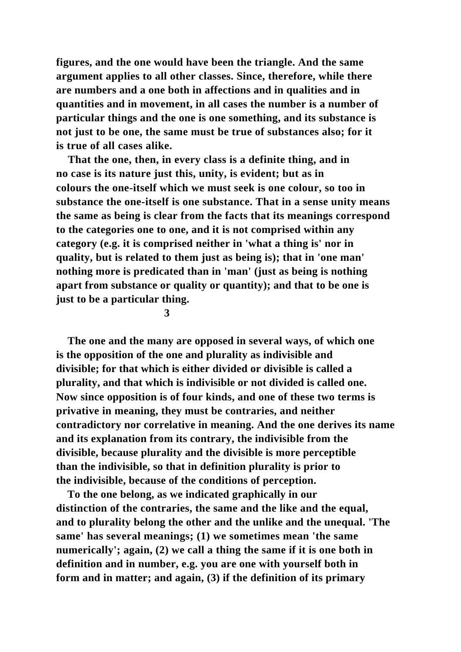**figures, and the one would have been the triangle. And the same argument applies to all other classes. Since, therefore, while there are numbers and a one both in affections and in qualities and in quantities and in movement, in all cases the number is a number of particular things and the one is one something, and its substance is not just to be one, the same must be true of substances also; for it is true of all cases alike.**

 **That the one, then, in every class is a definite thing, and in no case is its nature just this, unity, is evident; but as in colours the one-itself which we must seek is one colour, so too in substance the one-itself is one substance. That in a sense unity means the same as being is clear from the facts that its meanings correspond to the categories one to one, and it is not comprised within any category (e.g. it is comprised neither in 'what a thing is' nor in quality, but is related to them just as being is); that in 'one man' nothing more is predicated than in 'man' (just as being is nothing apart from substance or quality or quantity); and that to be one is just to be a particular thing.**

**3** 

 **The one and the many are opposed in several ways, of which one is the opposition of the one and plurality as indivisible and divisible; for that which is either divided or divisible is called a plurality, and that which is indivisible or not divided is called one. Now since opposition is of four kinds, and one of these two terms is privative in meaning, they must be contraries, and neither contradictory nor correlative in meaning. And the one derives its name and its explanation from its contrary, the indivisible from the divisible, because plurality and the divisible is more perceptible than the indivisible, so that in definition plurality is prior to the indivisible, because of the conditions of perception.**

 **To the one belong, as we indicated graphically in our distinction of the contraries, the same and the like and the equal, and to plurality belong the other and the unlike and the unequal. 'The same' has several meanings; (1) we sometimes mean 'the same numerically'; again, (2) we call a thing the same if it is one both in definition and in number, e.g. you are one with yourself both in form and in matter; and again, (3) if the definition of its primary**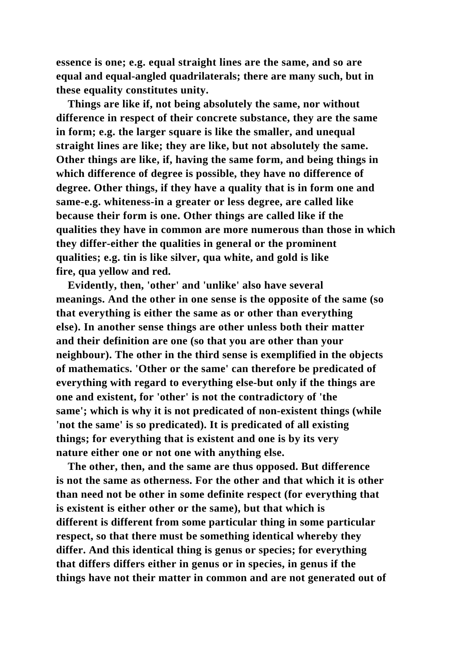**essence is one; e.g. equal straight lines are the same, and so are equal and equal-angled quadrilaterals; there are many such, but in these equality constitutes unity.**

 **Things are like if, not being absolutely the same, nor without difference in respect of their concrete substance, they are the same in form; e.g. the larger square is like the smaller, and unequal straight lines are like; they are like, but not absolutely the same. Other things are like, if, having the same form, and being things in which difference of degree is possible, they have no difference of degree. Other things, if they have a quality that is in form one and same-e.g. whiteness-in a greater or less degree, are called like because their form is one. Other things are called like if the qualities they have in common are more numerous than those in which they differ-either the qualities in general or the prominent qualities; e.g. tin is like silver, qua white, and gold is like fire, qua yellow and red.**

 **Evidently, then, 'other' and 'unlike' also have several meanings. And the other in one sense is the opposite of the same (so that everything is either the same as or other than everything else). In another sense things are other unless both their matter and their definition are one (so that you are other than your neighbour). The other in the third sense is exemplified in the objects of mathematics. 'Other or the same' can therefore be predicated of everything with regard to everything else-but only if the things are one and existent, for 'other' is not the contradictory of 'the same'; which is why it is not predicated of non-existent things (while 'not the same' is so predicated). It is predicated of all existing things; for everything that is existent and one is by its very nature either one or not one with anything else.**

 **The other, then, and the same are thus opposed. But difference is not the same as otherness. For the other and that which it is other than need not be other in some definite respect (for everything that is existent is either other or the same), but that which is different is different from some particular thing in some particular respect, so that there must be something identical whereby they differ. And this identical thing is genus or species; for everything that differs differs either in genus or in species, in genus if the things have not their matter in common and are not generated out of**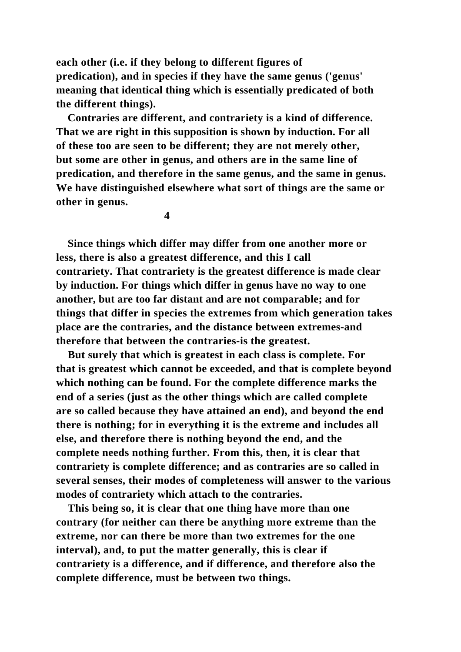**each other (i.e. if they belong to different figures of predication), and in species if they have the same genus ('genus' meaning that identical thing which is essentially predicated of both the different things).**

 **Contraries are different, and contrariety is a kind of difference. That we are right in this supposition is shown by induction. For all of these too are seen to be different; they are not merely other, but some are other in genus, and others are in the same line of predication, and therefore in the same genus, and the same in genus. We have distinguished elsewhere what sort of things are the same or other in genus.**

**4 4** 

 **Since things which differ may differ from one another more or less, there is also a greatest difference, and this I call contrariety. That contrariety is the greatest difference is made clear by induction. For things which differ in genus have no way to one another, but are too far distant and are not comparable; and for things that differ in species the extremes from which generation takes place are the contraries, and the distance between extremes-and therefore that between the contraries-is the greatest.**

 **But surely that which is greatest in each class is complete. For that is greatest which cannot be exceeded, and that is complete beyond which nothing can be found. For the complete difference marks the end of a series (just as the other things which are called complete are so called because they have attained an end), and beyond the end there is nothing; for in everything it is the extreme and includes all else, and therefore there is nothing beyond the end, and the complete needs nothing further. From this, then, it is clear that contrariety is complete difference; and as contraries are so called in several senses, their modes of completeness will answer to the various modes of contrariety which attach to the contraries.**

 **This being so, it is clear that one thing have more than one contrary (for neither can there be anything more extreme than the extreme, nor can there be more than two extremes for the one interval), and, to put the matter generally, this is clear if contrariety is a difference, and if difference, and therefore also the complete difference, must be between two things.**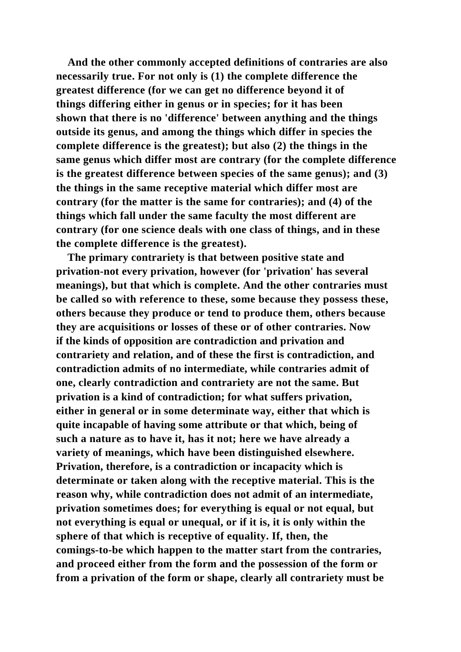**And the other commonly accepted definitions of contraries are also necessarily true. For not only is (1) the complete difference the greatest difference (for we can get no difference beyond it of things differing either in genus or in species; for it has been shown that there is no 'difference' between anything and the things outside its genus, and among the things which differ in species the complete difference is the greatest); but also (2) the things in the same genus which differ most are contrary (for the complete difference is the greatest difference between species of the same genus); and (3) the things in the same receptive material which differ most are contrary (for the matter is the same for contraries); and (4) of the things which fall under the same faculty the most different are contrary (for one science deals with one class of things, and in these the complete difference is the greatest).**

 **The primary contrariety is that between positive state and privation-not every privation, however (for 'privation' has several meanings), but that which is complete. And the other contraries must be called so with reference to these, some because they possess these, others because they produce or tend to produce them, others because they are acquisitions or losses of these or of other contraries. Now if the kinds of opposition are contradiction and privation and contrariety and relation, and of these the first is contradiction, and contradiction admits of no intermediate, while contraries admit of one, clearly contradiction and contrariety are not the same. But privation is a kind of contradiction; for what suffers privation, either in general or in some determinate way, either that which is quite incapable of having some attribute or that which, being of such a nature as to have it, has it not; here we have already a variety of meanings, which have been distinguished elsewhere. Privation, therefore, is a contradiction or incapacity which is determinate or taken along with the receptive material. This is the reason why, while contradiction does not admit of an intermediate, privation sometimes does; for everything is equal or not equal, but not everything is equal or unequal, or if it is, it is only within the sphere of that which is receptive of equality. If, then, the comings-to-be which happen to the matter start from the contraries, and proceed either from the form and the possession of the form or from a privation of the form or shape, clearly all contrariety must be**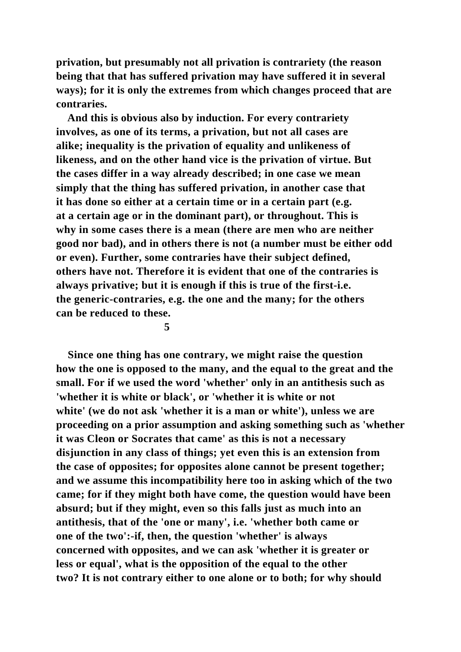**privation, but presumably not all privation is contrariety (the reason being that that has suffered privation may have suffered it in several ways); for it is only the extremes from which changes proceed that are contraries.**

 **And this is obvious also by induction. For every contrariety involves, as one of its terms, a privation, but not all cases are alike; inequality is the privation of equality and unlikeness of likeness, and on the other hand vice is the privation of virtue. But the cases differ in a way already described; in one case we mean simply that the thing has suffered privation, in another case that it has done so either at a certain time or in a certain part (e.g. at a certain age or in the dominant part), or throughout. This is why in some cases there is a mean (there are men who are neither good nor bad), and in others there is not (a number must be either odd or even). Further, some contraries have their subject defined, others have not. Therefore it is evident that one of the contraries is always privative; but it is enough if this is true of the first-i.e. the generic-contraries, e.g. the one and the many; for the others can be reduced to these.**

**5** 

 **Since one thing has one contrary, we might raise the question how the one is opposed to the many, and the equal to the great and the small. For if we used the word 'whether' only in an antithesis such as 'whether it is white or black', or 'whether it is white or not white' (we do not ask 'whether it is a man or white'), unless we are proceeding on a prior assumption and asking something such as 'whether it was Cleon or Socrates that came' as this is not a necessary disjunction in any class of things; yet even this is an extension from the case of opposites; for opposites alone cannot be present together; and we assume this incompatibility here too in asking which of the two came; for if they might both have come, the question would have been absurd; but if they might, even so this falls just as much into an antithesis, that of the 'one or many', i.e. 'whether both came or one of the two':-if, then, the question 'whether' is always concerned with opposites, and we can ask 'whether it is greater or less or equal', what is the opposition of the equal to the other two? It is not contrary either to one alone or to both; for why should**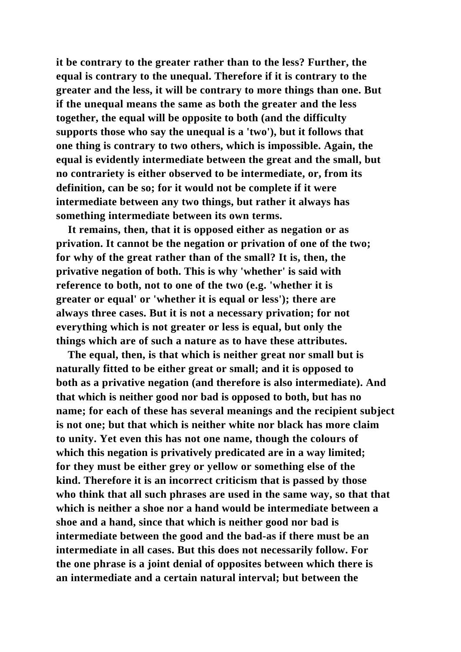**it be contrary to the greater rather than to the less? Further, the equal is contrary to the unequal. Therefore if it is contrary to the greater and the less, it will be contrary to more things than one. But if the unequal means the same as both the greater and the less together, the equal will be opposite to both (and the difficulty supports those who say the unequal is a 'two'), but it follows that one thing is contrary to two others, which is impossible. Again, the equal is evidently intermediate between the great and the small, but no contrariety is either observed to be intermediate, or, from its definition, can be so; for it would not be complete if it were intermediate between any two things, but rather it always has something intermediate between its own terms.**

 **It remains, then, that it is opposed either as negation or as privation. It cannot be the negation or privation of one of the two; for why of the great rather than of the small? It is, then, the privative negation of both. This is why 'whether' is said with reference to both, not to one of the two (e.g. 'whether it is greater or equal' or 'whether it is equal or less'); there are always three cases. But it is not a necessary privation; for not everything which is not greater or less is equal, but only the things which are of such a nature as to have these attributes.**

 **The equal, then, is that which is neither great nor small but is naturally fitted to be either great or small; and it is opposed to both as a privative negation (and therefore is also intermediate). And that which is neither good nor bad is opposed to both, but has no name; for each of these has several meanings and the recipient subject is not one; but that which is neither white nor black has more claim to unity. Yet even this has not one name, though the colours of which this negation is privatively predicated are in a way limited; for they must be either grey or yellow or something else of the kind. Therefore it is an incorrect criticism that is passed by those who think that all such phrases are used in the same way, so that that which is neither a shoe nor a hand would be intermediate between a shoe and a hand, since that which is neither good nor bad is intermediate between the good and the bad-as if there must be an intermediate in all cases. But this does not necessarily follow. For the one phrase is a joint denial of opposites between which there is an intermediate and a certain natural interval; but between the**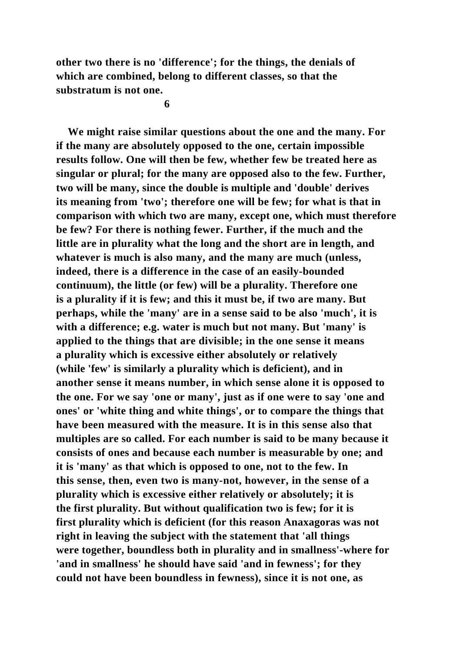**other two there is no 'difference'; for the things, the denials of which are combined, belong to different classes, so that the substratum is not one.**

 **6**

 **We might raise similar questions about the one and the many. For if the many are absolutely opposed to the one, certain impossible results follow. One will then be few, whether few be treated here as singular or plural; for the many are opposed also to the few. Further, two will be many, since the double is multiple and 'double' derives its meaning from 'two'; therefore one will be few; for what is that in comparison with which two are many, except one, which must therefore be few? For there is nothing fewer. Further, if the much and the little are in plurality what the long and the short are in length, and whatever is much is also many, and the many are much (unless, indeed, there is a difference in the case of an easily-bounded continuum), the little (or few) will be a plurality. Therefore one is a plurality if it is few; and this it must be, if two are many. But perhaps, while the 'many' are in a sense said to be also 'much', it is with a difference; e.g. water is much but not many. But 'many' is applied to the things that are divisible; in the one sense it means a plurality which is excessive either absolutely or relatively (while 'few' is similarly a plurality which is deficient), and in another sense it means number, in which sense alone it is opposed to the one. For we say 'one or many', just as if one were to say 'one and ones' or 'white thing and white things', or to compare the things that have been measured with the measure. It is in this sense also that multiples are so called. For each number is said to be many because it consists of ones and because each number is measurable by one; and it is 'many' as that which is opposed to one, not to the few. In this sense, then, even two is many-not, however, in the sense of a plurality which is excessive either relatively or absolutely; it is the first plurality. But without qualification two is few; for it is first plurality which is deficient (for this reason Anaxagoras was not right in leaving the subject with the statement that 'all things were together, boundless both in plurality and in smallness'-where for 'and in smallness' he should have said 'and in fewness'; for they could not have been boundless in fewness), since it is not one, as**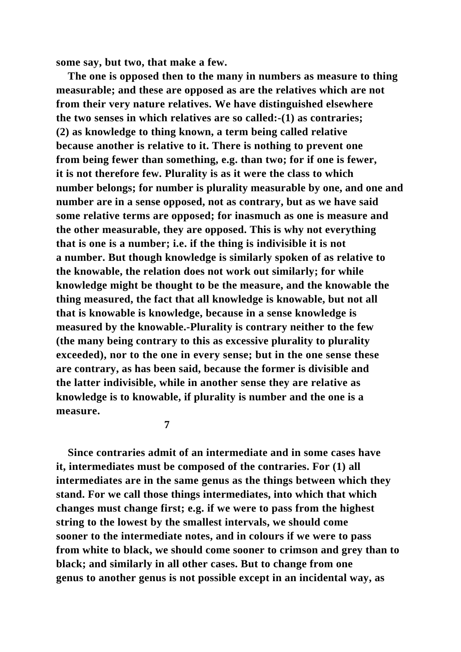**some say, but two, that make a few.**

 **The one is opposed then to the many in numbers as measure to thing measurable; and these are opposed as are the relatives which are not from their very nature relatives. We have distinguished elsewhere the two senses in which relatives are so called:-(1) as contraries; (2) as knowledge to thing known, a term being called relative because another is relative to it. There is nothing to prevent one from being fewer than something, e.g. than two; for if one is fewer, it is not therefore few. Plurality is as it were the class to which number belongs; for number is plurality measurable by one, and one and number are in a sense opposed, not as contrary, but as we have said some relative terms are opposed; for inasmuch as one is measure and the other measurable, they are opposed. This is why not everything that is one is a number; i.e. if the thing is indivisible it is not a number. But though knowledge is similarly spoken of as relative to the knowable, the relation does not work out similarly; for while knowledge might be thought to be the measure, and the knowable the thing measured, the fact that all knowledge is knowable, but not all that is knowable is knowledge, because in a sense knowledge is measured by the knowable.-Plurality is contrary neither to the few (the many being contrary to this as excessive plurality to plurality exceeded), nor to the one in every sense; but in the one sense these are contrary, as has been said, because the former is divisible and the latter indivisible, while in another sense they are relative as knowledge is to knowable, if plurality is number and the one is a measure.**

 **7**

 **Since contraries admit of an intermediate and in some cases have it, intermediates must be composed of the contraries. For (1) all intermediates are in the same genus as the things between which they stand. For we call those things intermediates, into which that which changes must change first; e.g. if we were to pass from the highest string to the lowest by the smallest intervals, we should come sooner to the intermediate notes, and in colours if we were to pass from white to black, we should come sooner to crimson and grey than to black; and similarly in all other cases. But to change from one genus to another genus is not possible except in an incidental way, as**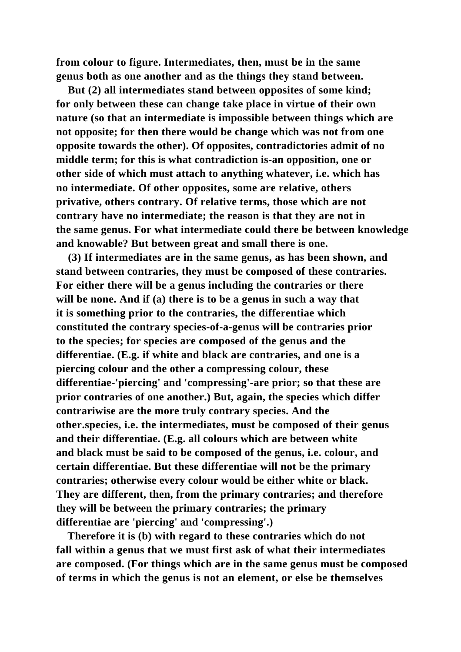**from colour to figure. Intermediates, then, must be in the same genus both as one another and as the things they stand between.**

 **But (2) all intermediates stand between opposites of some kind; for only between these can change take place in virtue of their own nature (so that an intermediate is impossible between things which are not opposite; for then there would be change which was not from one opposite towards the other). Of opposites, contradictories admit of no middle term; for this is what contradiction is-an opposition, one or other side of which must attach to anything whatever, i.e. which has no intermediate. Of other opposites, some are relative, others privative, others contrary. Of relative terms, those which are not contrary have no intermediate; the reason is that they are not in the same genus. For what intermediate could there be between knowledge and knowable? But between great and small there is one.**

 **(3) If intermediates are in the same genus, as has been shown, and stand between contraries, they must be composed of these contraries. For either there will be a genus including the contraries or there will be none. And if (a) there is to be a genus in such a way that it is something prior to the contraries, the differentiae which constituted the contrary species-of-a-genus will be contraries prior to the species; for species are composed of the genus and the differentiae. (E.g. if white and black are contraries, and one is a piercing colour and the other a compressing colour, these differentiae-'piercing' and 'compressing'-are prior; so that these are prior contraries of one another.) But, again, the species which differ contrariwise are the more truly contrary species. And the other.species, i.e. the intermediates, must be composed of their genus and their differentiae. (E.g. all colours which are between white and black must be said to be composed of the genus, i.e. colour, and certain differentiae. But these differentiae will not be the primary contraries; otherwise every colour would be either white or black. They are different, then, from the primary contraries; and therefore they will be between the primary contraries; the primary differentiae are 'piercing' and 'compressing'.)**

 **Therefore it is (b) with regard to these contraries which do not fall within a genus that we must first ask of what their intermediates are composed. (For things which are in the same genus must be composed of terms in which the genus is not an element, or else be themselves**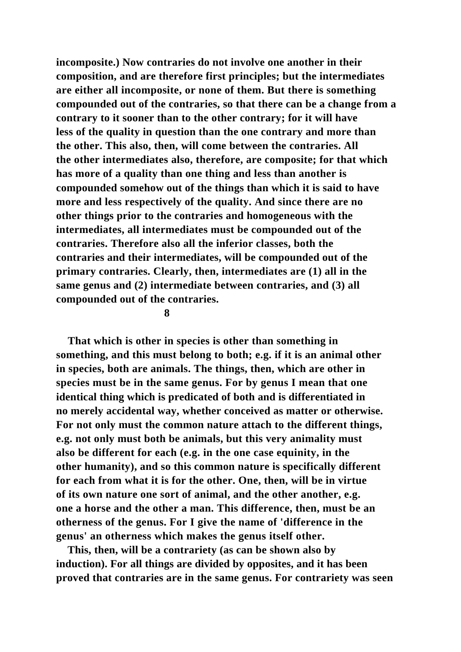**incomposite.) Now contraries do not involve one another in their composition, and are therefore first principles; but the intermediates are either all incomposite, or none of them. But there is something compounded out of the contraries, so that there can be a change from a contrary to it sooner than to the other contrary; for it will have less of the quality in question than the one contrary and more than the other. This also, then, will come between the contraries. All the other intermediates also, therefore, are composite; for that which has more of a quality than one thing and less than another is compounded somehow out of the things than which it is said to have more and less respectively of the quality. And since there are no other things prior to the contraries and homogeneous with the intermediates, all intermediates must be compounded out of the contraries. Therefore also all the inferior classes, both the contraries and their intermediates, will be compounded out of the primary contraries. Clearly, then, intermediates are (1) all in the same genus and (2) intermediate between contraries, and (3) all compounded out of the contraries.**

 **8**

 **That which is other in species is other than something in something, and this must belong to both; e.g. if it is an animal other in species, both are animals. The things, then, which are other in species must be in the same genus. For by genus I mean that one identical thing which is predicated of both and is differentiated in no merely accidental way, whether conceived as matter or otherwise. For not only must the common nature attach to the different things, e.g. not only must both be animals, but this very animality must also be different for each (e.g. in the one case equinity, in the other humanity), and so this common nature is specifically different for each from what it is for the other. One, then, will be in virtue of its own nature one sort of animal, and the other another, e.g. one a horse and the other a man. This difference, then, must be an otherness of the genus. For I give the name of 'difference in the genus' an otherness which makes the genus itself other.**

 **This, then, will be a contrariety (as can be shown also by induction). For all things are divided by opposites, and it has been proved that contraries are in the same genus. For contrariety was seen**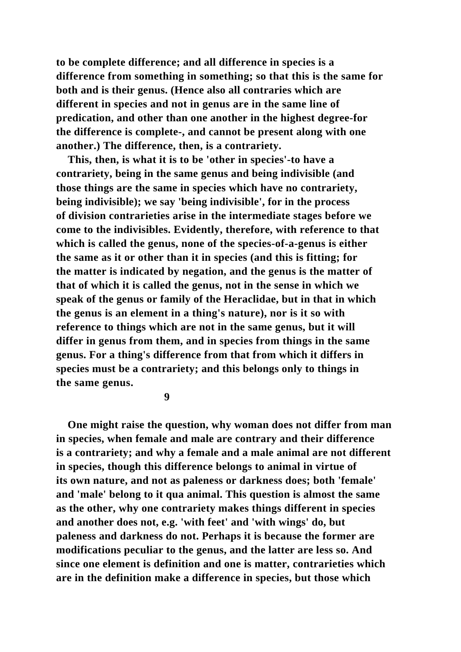**to be complete difference; and all difference in species is a difference from something in something; so that this is the same for both and is their genus. (Hence also all contraries which are different in species and not in genus are in the same line of predication, and other than one another in the highest degree-for the difference is complete-, and cannot be present along with one another.) The difference, then, is a contrariety.**

 **This, then, is what it is to be 'other in species'-to have a contrariety, being in the same genus and being indivisible (and those things are the same in species which have no contrariety, being indivisible); we say 'being indivisible', for in the process of division contrarieties arise in the intermediate stages before we come to the indivisibles. Evidently, therefore, with reference to that which is called the genus, none of the species-of-a-genus is either the same as it or other than it in species (and this is fitting; for the matter is indicated by negation, and the genus is the matter of that of which it is called the genus, not in the sense in which we speak of the genus or family of the Heraclidae, but in that in which the genus is an element in a thing's nature), nor is it so with reference to things which are not in the same genus, but it will differ in genus from them, and in species from things in the same genus. For a thing's difference from that from which it differs in species must be a contrariety; and this belongs only to things in the same genus.**

**9** 

 **One might raise the question, why woman does not differ from man in species, when female and male are contrary and their difference is a contrariety; and why a female and a male animal are not different in species, though this difference belongs to animal in virtue of its own nature, and not as paleness or darkness does; both 'female' and 'male' belong to it qua animal. This question is almost the same as the other, why one contrariety makes things different in species and another does not, e.g. 'with feet' and 'with wings' do, but paleness and darkness do not. Perhaps it is because the former are modifications peculiar to the genus, and the latter are less so. And since one element is definition and one is matter, contrarieties which are in the definition make a difference in species, but those which**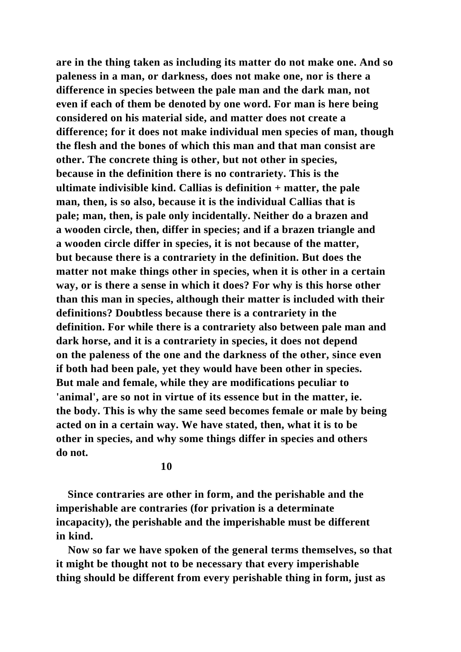**are in the thing taken as including its matter do not make one. And so paleness in a man, or darkness, does not make one, nor is there a difference in species between the pale man and the dark man, not even if each of them be denoted by one word. For man is here being considered on his material side, and matter does not create a difference; for it does not make individual men species of man, though the flesh and the bones of which this man and that man consist are other. The concrete thing is other, but not other in species, because in the definition there is no contrariety. This is the ultimate indivisible kind. Callias is definition + matter, the pale man, then, is so also, because it is the individual Callias that is pale; man, then, is pale only incidentally. Neither do a brazen and a wooden circle, then, differ in species; and if a brazen triangle and a wooden circle differ in species, it is not because of the matter, but because there is a contrariety in the definition. But does the matter not make things other in species, when it is other in a certain way, or is there a sense in which it does? For why is this horse other than this man in species, although their matter is included with their definitions? Doubtless because there is a contrariety in the definition. For while there is a contrariety also between pale man and dark horse, and it is a contrariety in species, it does not depend on the paleness of the one and the darkness of the other, since even if both had been pale, yet they would have been other in species. But male and female, while they are modifications peculiar to 'animal', are so not in virtue of its essence but in the matter, ie. the body. This is why the same seed becomes female or male by being acted on in a certain way. We have stated, then, what it is to be other in species, and why some things differ in species and others do not.**

## **10**

 **Since contraries are other in form, and the perishable and the imperishable are contraries (for privation is a determinate incapacity), the perishable and the imperishable must be different in kind.**

 **Now so far we have spoken of the general terms themselves, so that it might be thought not to be necessary that every imperishable thing should be different from every perishable thing in form, just as**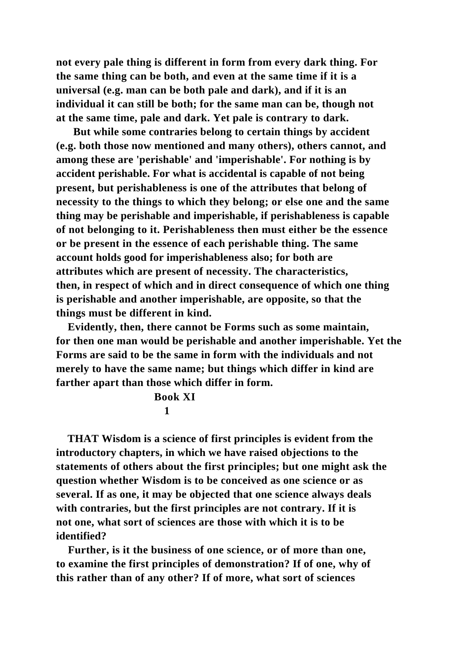**not every pale thing is different in form from every dark thing. For the same thing can be both, and even at the same time if it is a universal (e.g. man can be both pale and dark), and if it is an individual it can still be both; for the same man can be, though not at the same time, pale and dark. Yet pale is contrary to dark.**

 **But while some contraries belong to certain things by accident (e.g. both those now mentioned and many others), others cannot, and among these are 'perishable' and 'imperishable'. For nothing is by accident perishable. For what is accidental is capable of not being present, but perishableness is one of the attributes that belong of necessity to the things to which they belong; or else one and the same thing may be perishable and imperishable, if perishableness is capable of not belonging to it. Perishableness then must either be the essence or be present in the essence of each perishable thing. The same account holds good for imperishableness also; for both are attributes which are present of necessity. The characteristics, then, in respect of which and in direct consequence of which one thing is perishable and another imperishable, are opposite, so that the things must be different in kind.**

 **Evidently, then, there cannot be Forms such as some maintain, for then one man would be perishable and another imperishable. Yet the Forms are said to be the same in form with the individuals and not merely to have the same name; but things which differ in kind are farther apart than those which differ in form.**

 **Book XI 1** 

 **THAT Wisdom is a science of first principles is evident from the introductory chapters, in which we have raised objections to the statements of others about the first principles; but one might ask the question whether Wisdom is to be conceived as one science or as several. If as one, it may be objected that one science always deals with contraries, but the first principles are not contrary. If it is not one, what sort of sciences are those with which it is to be identified?**

 **Further, is it the business of one science, or of more than one, to examine the first principles of demonstration? If of one, why of this rather than of any other? If of more, what sort of sciences**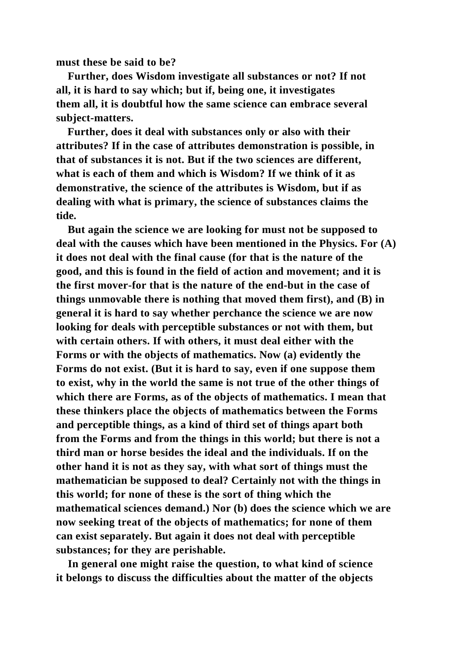**must these be said to be?**

 **Further, does Wisdom investigate all substances or not? If not all, it is hard to say which; but if, being one, it investigates them all, it is doubtful how the same science can embrace several subject-matters.**

 **Further, does it deal with substances only or also with their attributes? If in the case of attributes demonstration is possible, in that of substances it is not. But if the two sciences are different, what is each of them and which is Wisdom? If we think of it as demonstrative, the science of the attributes is Wisdom, but if as dealing with what is primary, the science of substances claims the tide.**

 **But again the science we are looking for must not be supposed to deal with the causes which have been mentioned in the Physics. For (A) it does not deal with the final cause (for that is the nature of the good, and this is found in the field of action and movement; and it is the first mover-for that is the nature of the end-but in the case of things unmovable there is nothing that moved them first), and (B) in general it is hard to say whether perchance the science we are now looking for deals with perceptible substances or not with them, but with certain others. If with others, it must deal either with the Forms or with the objects of mathematics. Now (a) evidently the Forms do not exist. (But it is hard to say, even if one suppose them to exist, why in the world the same is not true of the other things of which there are Forms, as of the objects of mathematics. I mean that these thinkers place the objects of mathematics between the Forms and perceptible things, as a kind of third set of things apart both from the Forms and from the things in this world; but there is not a third man or horse besides the ideal and the individuals. If on the other hand it is not as they say, with what sort of things must the mathematician be supposed to deal? Certainly not with the things in this world; for none of these is the sort of thing which the mathematical sciences demand.) Nor (b) does the science which we are now seeking treat of the objects of mathematics; for none of them can exist separately. But again it does not deal with perceptible substances; for they are perishable.**

 **In general one might raise the question, to what kind of science it belongs to discuss the difficulties about the matter of the objects**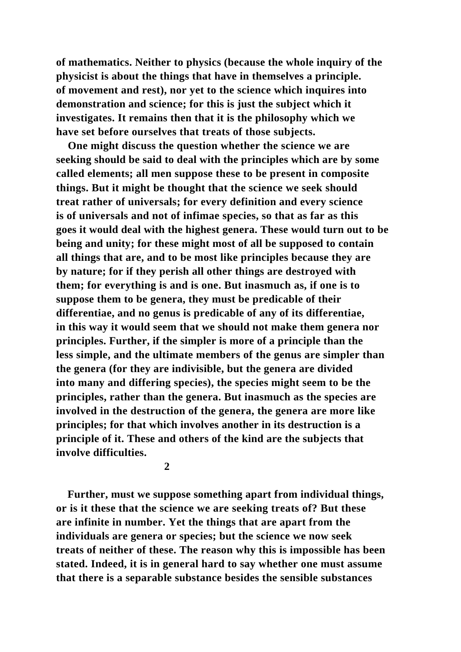**of mathematics. Neither to physics (because the whole inquiry of the physicist is about the things that have in themselves a principle. of movement and rest), nor yet to the science which inquires into demonstration and science; for this is just the subject which it investigates. It remains then that it is the philosophy which we have set before ourselves that treats of those subjects.**

 **One might discuss the question whether the science we are seeking should be said to deal with the principles which are by some called elements; all men suppose these to be present in composite things. But it might be thought that the science we seek should treat rather of universals; for every definition and every science is of universals and not of infimae species, so that as far as this goes it would deal with the highest genera. These would turn out to be being and unity; for these might most of all be supposed to contain all things that are, and to be most like principles because they are by nature; for if they perish all other things are destroyed with them; for everything is and is one. But inasmuch as, if one is to suppose them to be genera, they must be predicable of their differentiae, and no genus is predicable of any of its differentiae, in this way it would seem that we should not make them genera nor principles. Further, if the simpler is more of a principle than the less simple, and the ultimate members of the genus are simpler than the genera (for they are indivisible, but the genera are divided into many and differing species), the species might seem to be the principles, rather than the genera. But inasmuch as the species are involved in the destruction of the genera, the genera are more like principles; for that which involves another in its destruction is a principle of it. These and others of the kind are the subjects that involve difficulties.**

**2** 

 **Further, must we suppose something apart from individual things, or is it these that the science we are seeking treats of? But these are infinite in number. Yet the things that are apart from the individuals are genera or species; but the science we now seek treats of neither of these. The reason why this is impossible has been stated. Indeed, it is in general hard to say whether one must assume that there is a separable substance besides the sensible substances**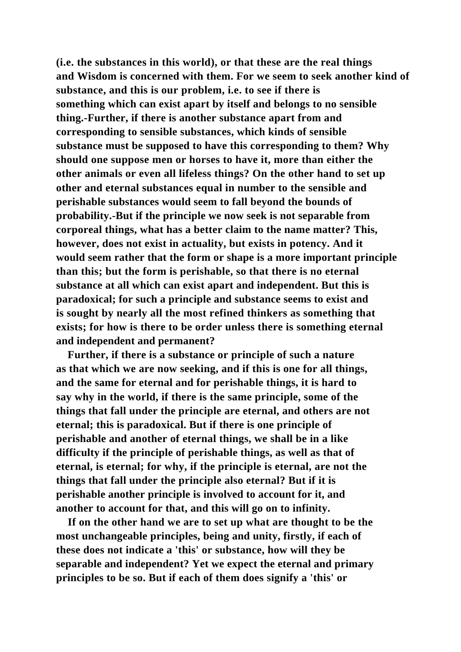**(i.e. the substances in this world), or that these are the real things and Wisdom is concerned with them. For we seem to seek another kind of substance, and this is our problem, i.e. to see if there is something which can exist apart by itself and belongs to no sensible thing.-Further, if there is another substance apart from and corresponding to sensible substances, which kinds of sensible substance must be supposed to have this corresponding to them? Why should one suppose men or horses to have it, more than either the other animals or even all lifeless things? On the other hand to set up other and eternal substances equal in number to the sensible and perishable substances would seem to fall beyond the bounds of probability.-But if the principle we now seek is not separable from corporeal things, what has a better claim to the name matter? This, however, does not exist in actuality, but exists in potency. And it would seem rather that the form or shape is a more important principle than this; but the form is perishable, so that there is no eternal substance at all which can exist apart and independent. But this is paradoxical; for such a principle and substance seems to exist and is sought by nearly all the most refined thinkers as something that exists; for how is there to be order unless there is something eternal and independent and permanent?**

 **Further, if there is a substance or principle of such a nature as that which we are now seeking, and if this is one for all things, and the same for eternal and for perishable things, it is hard to say why in the world, if there is the same principle, some of the things that fall under the principle are eternal, and others are not eternal; this is paradoxical. But if there is one principle of perishable and another of eternal things, we shall be in a like difficulty if the principle of perishable things, as well as that of eternal, is eternal; for why, if the principle is eternal, are not the things that fall under the principle also eternal? But if it is perishable another principle is involved to account for it, and another to account for that, and this will go on to infinity.**

 **If on the other hand we are to set up what are thought to be the most unchangeable principles, being and unity, firstly, if each of these does not indicate a 'this' or substance, how will they be separable and independent? Yet we expect the eternal and primary principles to be so. But if each of them does signify a 'this' or**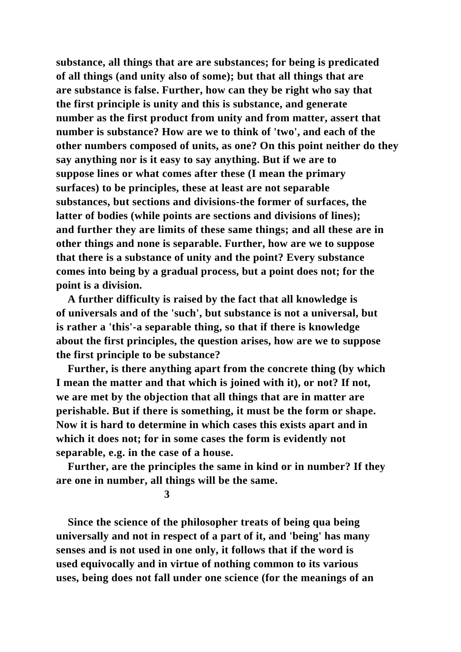**substance, all things that are are substances; for being is predicated of all things (and unity also of some); but that all things that are are substance is false. Further, how can they be right who say that the first principle is unity and this is substance, and generate number as the first product from unity and from matter, assert that number is substance? How are we to think of 'two', and each of the other numbers composed of units, as one? On this point neither do they say anything nor is it easy to say anything. But if we are to suppose lines or what comes after these (I mean the primary surfaces) to be principles, these at least are not separable substances, but sections and divisions-the former of surfaces, the latter of bodies (while points are sections and divisions of lines); and further they are limits of these same things; and all these are in other things and none is separable. Further, how are we to suppose that there is a substance of unity and the point? Every substance comes into being by a gradual process, but a point does not; for the point is a division.**

 **A further difficulty is raised by the fact that all knowledge is of universals and of the 'such', but substance is not a universal, but is rather a 'this'-a separable thing, so that if there is knowledge about the first principles, the question arises, how are we to suppose the first principle to be substance?**

 **Further, is there anything apart from the concrete thing (by which I mean the matter and that which is joined with it), or not? If not, we are met by the objection that all things that are in matter are perishable. But if there is something, it must be the form or shape. Now it is hard to determine in which cases this exists apart and in which it does not; for in some cases the form is evidently not separable, e.g. in the case of a house.**

 **Further, are the principles the same in kind or in number? If they are one in number, all things will be the same.**

**3** 

 **Since the science of the philosopher treats of being qua being universally and not in respect of a part of it, and 'being' has many senses and is not used in one only, it follows that if the word is used equivocally and in virtue of nothing common to its various uses, being does not fall under one science (for the meanings of an**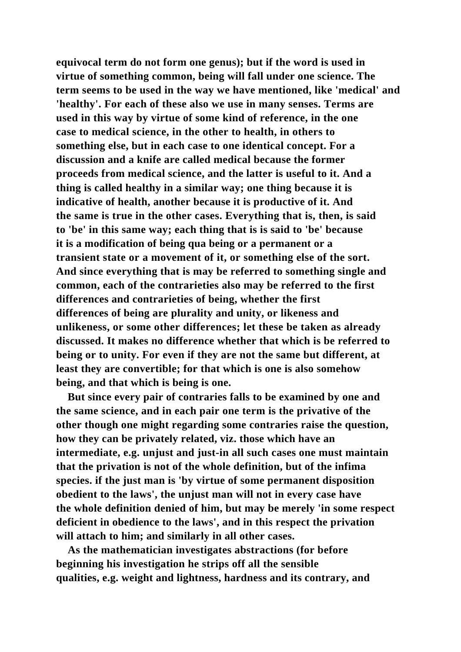**equivocal term do not form one genus); but if the word is used in virtue of something common, being will fall under one science. The term seems to be used in the way we have mentioned, like 'medical' and 'healthy'. For each of these also we use in many senses. Terms are used in this way by virtue of some kind of reference, in the one case to medical science, in the other to health, in others to something else, but in each case to one identical concept. For a discussion and a knife are called medical because the former proceeds from medical science, and the latter is useful to it. And a thing is called healthy in a similar way; one thing because it is indicative of health, another because it is productive of it. And the same is true in the other cases. Everything that is, then, is said to 'be' in this same way; each thing that is is said to 'be' because it is a modification of being qua being or a permanent or a transient state or a movement of it, or something else of the sort. And since everything that is may be referred to something single and common, each of the contrarieties also may be referred to the first differences and contrarieties of being, whether the first differences of being are plurality and unity, or likeness and unlikeness, or some other differences; let these be taken as already discussed. It makes no difference whether that which is be referred to being or to unity. For even if they are not the same but different, at least they are convertible; for that which is one is also somehow being, and that which is being is one.**

 **But since every pair of contraries falls to be examined by one and the same science, and in each pair one term is the privative of the other though one might regarding some contraries raise the question, how they can be privately related, viz. those which have an intermediate, e.g. unjust and just-in all such cases one must maintain that the privation is not of the whole definition, but of the infima species. if the just man is 'by virtue of some permanent disposition obedient to the laws', the unjust man will not in every case have the whole definition denied of him, but may be merely 'in some respect deficient in obedience to the laws', and in this respect the privation will attach to him; and similarly in all other cases.**

 **As the mathematician investigates abstractions (for before beginning his investigation he strips off all the sensible qualities, e.g. weight and lightness, hardness and its contrary, and**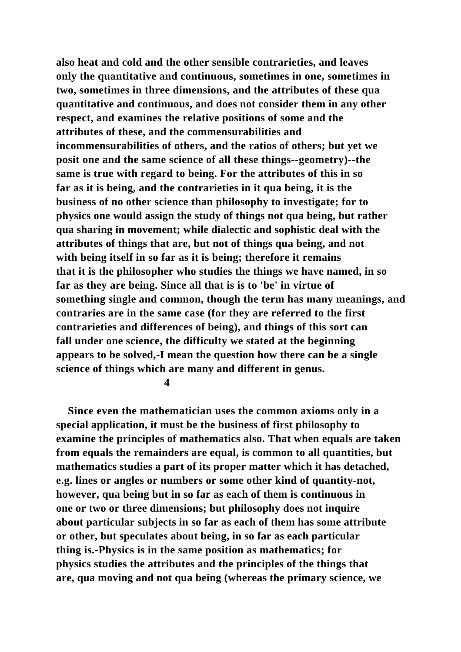**also heat and cold and the other sensible contrarieties, and leaves only the quantitative and continuous, sometimes in one, sometimes in two, sometimes in three dimensions, and the attributes of these qua quantitative and continuous, and does not consider them in any other respect, and examines the relative positions of some and the attributes of these, and the commensurabilities and incommensurabilities of others, and the ratios of others; but yet we posit one and the same science of all these things--geometry)--the same is true with regard to being. For the attributes of this in so far as it is being, and the contrarieties in it qua being, it is the business of no other science than philosophy to investigate; for to physics one would assign the study of things not qua being, but rather qua sharing in movement; while dialectic and sophistic deal with the attributes of things that are, but not of things qua being, and not with being itself in so far as it is being; therefore it remains that it is the philosopher who studies the things we have named, in so far as they are being. Since all that is is to 'be' in virtue of something single and common, though the term has many meanings, and contraries are in the same case (for they are referred to the first contrarieties and differences of being), and things of this sort can fall under one science, the difficulty we stated at the beginning appears to be solved,-I mean the question how there can be a single science of things which are many and different in genus.**

**4 4** 

 **Since even the mathematician uses the common axioms only in a special application, it must be the business of first philosophy to examine the principles of mathematics also. That when equals are taken from equals the remainders are equal, is common to all quantities, but mathematics studies a part of its proper matter which it has detached, e.g. lines or angles or numbers or some other kind of quantity-not, however, qua being but in so far as each of them is continuous in one or two or three dimensions; but philosophy does not inquire about particular subjects in so far as each of them has some attribute or other, but speculates about being, in so far as each particular thing is.-Physics is in the same position as mathematics; for physics studies the attributes and the principles of the things that are, qua moving and not qua being (whereas the primary science, we**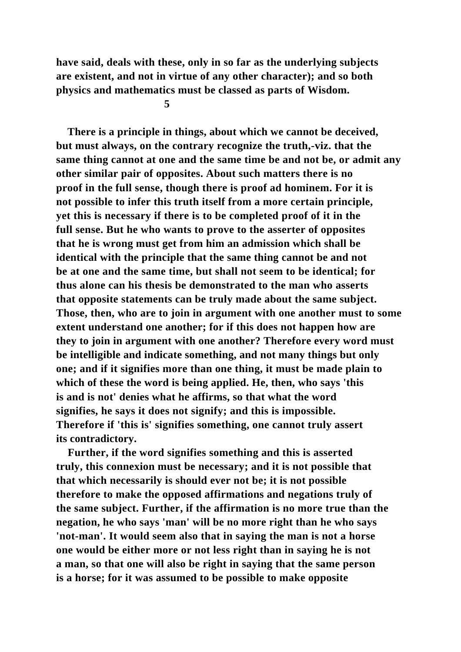**have said, deals with these, only in so far as the underlying subjects are existent, and not in virtue of any other character); and so both physics and mathematics must be classed as parts of Wisdom.**

**5** 

 **There is a principle in things, about which we cannot be deceived, but must always, on the contrary recognize the truth,-viz. that the same thing cannot at one and the same time be and not be, or admit any other similar pair of opposites. About such matters there is no proof in the full sense, though there is proof ad hominem. For it is not possible to infer this truth itself from a more certain principle, yet this is necessary if there is to be completed proof of it in the full sense. But he who wants to prove to the asserter of opposites that he is wrong must get from him an admission which shall be identical with the principle that the same thing cannot be and not be at one and the same time, but shall not seem to be identical; for thus alone can his thesis be demonstrated to the man who asserts that opposite statements can be truly made about the same subject. Those, then, who are to join in argument with one another must to some extent understand one another; for if this does not happen how are they to join in argument with one another? Therefore every word must be intelligible and indicate something, and not many things but only one; and if it signifies more than one thing, it must be made plain to which of these the word is being applied. He, then, who says 'this is and is not' denies what he affirms, so that what the word signifies, he says it does not signify; and this is impossible. Therefore if 'this is' signifies something, one cannot truly assert its contradictory.**

 **Further, if the word signifies something and this is asserted truly, this connexion must be necessary; and it is not possible that that which necessarily is should ever not be; it is not possible therefore to make the opposed affirmations and negations truly of the same subject. Further, if the affirmation is no more true than the negation, he who says 'man' will be no more right than he who says 'not-man'. It would seem also that in saying the man is not a horse one would be either more or not less right than in saying he is not a man, so that one will also be right in saying that the same person is a horse; for it was assumed to be possible to make opposite**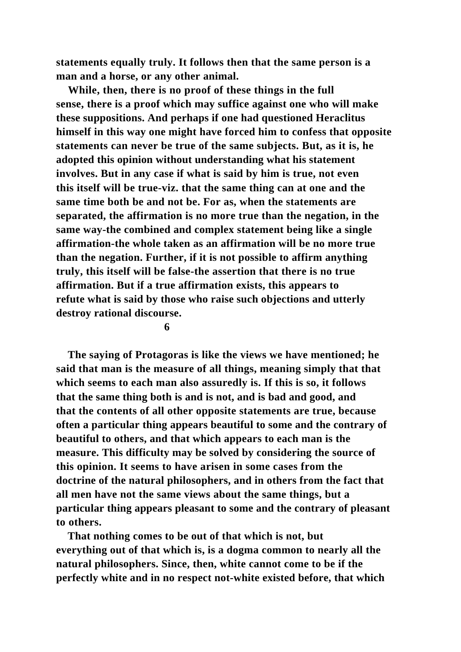**statements equally truly. It follows then that the same person is a man and a horse, or any other animal.**

 **While, then, there is no proof of these things in the full sense, there is a proof which may suffice against one who will make these suppositions. And perhaps if one had questioned Heraclitus himself in this way one might have forced him to confess that opposite statements can never be true of the same subjects. But, as it is, he adopted this opinion without understanding what his statement involves. But in any case if what is said by him is true, not even this itself will be true-viz. that the same thing can at one and the same time both be and not be. For as, when the statements are separated, the affirmation is no more true than the negation, in the same way-the combined and complex statement being like a single affirmation-the whole taken as an affirmation will be no more true than the negation. Further, if it is not possible to affirm anything truly, this itself will be false-the assertion that there is no true affirmation. But if a true affirmation exists, this appears to refute what is said by those who raise such objections and utterly destroy rational discourse.**

 **6**

 **The saying of Protagoras is like the views we have mentioned; he said that man is the measure of all things, meaning simply that that which seems to each man also assuredly is. If this is so, it follows that the same thing both is and is not, and is bad and good, and that the contents of all other opposite statements are true, because often a particular thing appears beautiful to some and the contrary of beautiful to others, and that which appears to each man is the measure. This difficulty may be solved by considering the source of this opinion. It seems to have arisen in some cases from the doctrine of the natural philosophers, and in others from the fact that all men have not the same views about the same things, but a particular thing appears pleasant to some and the contrary of pleasant to others.**

 **That nothing comes to be out of that which is not, but everything out of that which is, is a dogma common to nearly all the natural philosophers. Since, then, white cannot come to be if the perfectly white and in no respect not-white existed before, that which**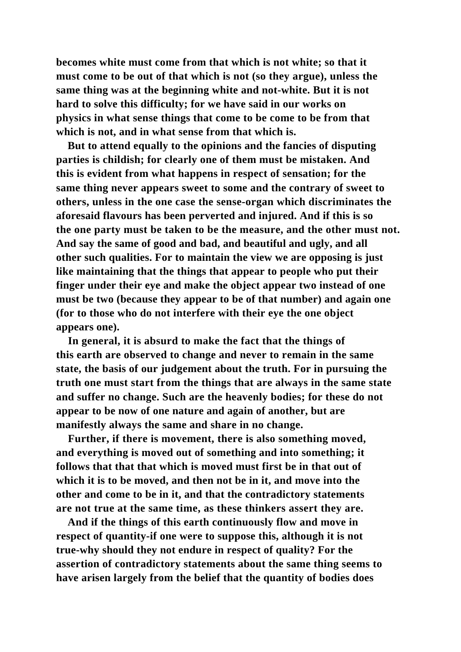**becomes white must come from that which is not white; so that it must come to be out of that which is not (so they argue), unless the same thing was at the beginning white and not-white. But it is not hard to solve this difficulty; for we have said in our works on physics in what sense things that come to be come to be from that which is not, and in what sense from that which is.**

 **But to attend equally to the opinions and the fancies of disputing parties is childish; for clearly one of them must be mistaken. And this is evident from what happens in respect of sensation; for the same thing never appears sweet to some and the contrary of sweet to others, unless in the one case the sense-organ which discriminates the aforesaid flavours has been perverted and injured. And if this is so the one party must be taken to be the measure, and the other must not. And say the same of good and bad, and beautiful and ugly, and all other such qualities. For to maintain the view we are opposing is just like maintaining that the things that appear to people who put their finger under their eye and make the object appear two instead of one must be two (because they appear to be of that number) and again one (for to those who do not interfere with their eye the one object appears one).**

 **In general, it is absurd to make the fact that the things of this earth are observed to change and never to remain in the same state, the basis of our judgement about the truth. For in pursuing the truth one must start from the things that are always in the same state and suffer no change. Such are the heavenly bodies; for these do not appear to be now of one nature and again of another, but are manifestly always the same and share in no change.**

 **Further, if there is movement, there is also something moved, and everything is moved out of something and into something; it follows that that that which is moved must first be in that out of which it is to be moved, and then not be in it, and move into the other and come to be in it, and that the contradictory statements are not true at the same time, as these thinkers assert they are.**

 **And if the things of this earth continuously flow and move in respect of quantity-if one were to suppose this, although it is not true-why should they not endure in respect of quality? For the assertion of contradictory statements about the same thing seems to have arisen largely from the belief that the quantity of bodies does**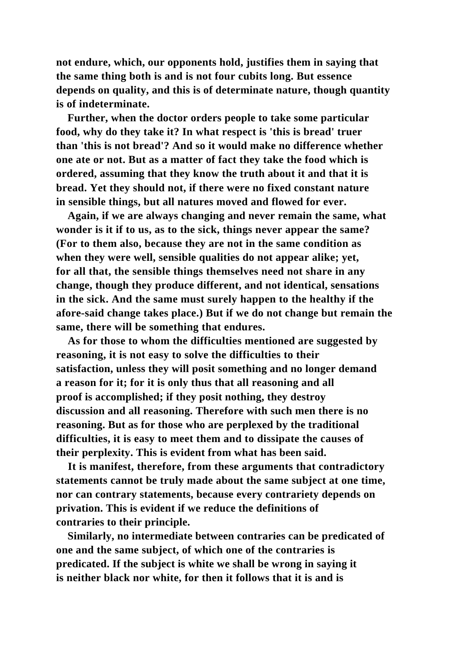**not endure, which, our opponents hold, justifies them in saying that the same thing both is and is not four cubits long. But essence depends on quality, and this is of determinate nature, though quantity is of indeterminate.**

 **Further, when the doctor orders people to take some particular food, why do they take it? In what respect is 'this is bread' truer than 'this is not bread'? And so it would make no difference whether one ate or not. But as a matter of fact they take the food which is ordered, assuming that they know the truth about it and that it is bread. Yet they should not, if there were no fixed constant nature in sensible things, but all natures moved and flowed for ever.**

 **Again, if we are always changing and never remain the same, what wonder is it if to us, as to the sick, things never appear the same? (For to them also, because they are not in the same condition as when they were well, sensible qualities do not appear alike; yet, for all that, the sensible things themselves need not share in any change, though they produce different, and not identical, sensations in the sick. And the same must surely happen to the healthy if the afore-said change takes place.) But if we do not change but remain the same, there will be something that endures.**

 **As for those to whom the difficulties mentioned are suggested by reasoning, it is not easy to solve the difficulties to their satisfaction, unless they will posit something and no longer demand a reason for it; for it is only thus that all reasoning and all proof is accomplished; if they posit nothing, they destroy discussion and all reasoning. Therefore with such men there is no reasoning. But as for those who are perplexed by the traditional difficulties, it is easy to meet them and to dissipate the causes of their perplexity. This is evident from what has been said.**

 **It is manifest, therefore, from these arguments that contradictory statements cannot be truly made about the same subject at one time, nor can contrary statements, because every contrariety depends on privation. This is evident if we reduce the definitions of contraries to their principle.**

 **Similarly, no intermediate between contraries can be predicated of one and the same subject, of which one of the contraries is predicated. If the subject is white we shall be wrong in saying it is neither black nor white, for then it follows that it is and is**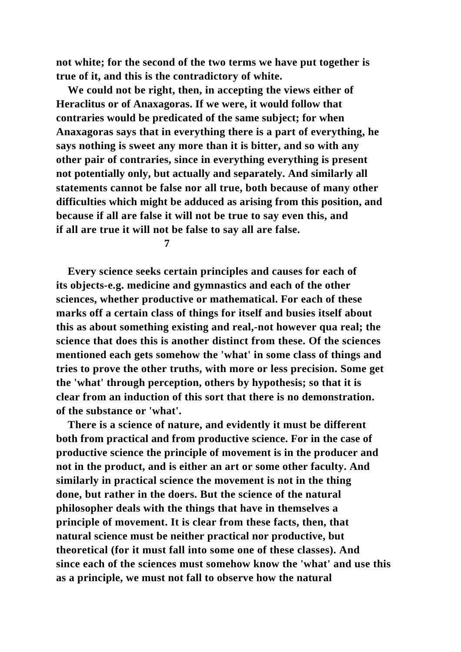**not white; for the second of the two terms we have put together is true of it, and this is the contradictory of white.**

 **We could not be right, then, in accepting the views either of Heraclitus or of Anaxagoras. If we were, it would follow that contraries would be predicated of the same subject; for when Anaxagoras says that in everything there is a part of everything, he says nothing is sweet any more than it is bitter, and so with any other pair of contraries, since in everything everything is present not potentially only, but actually and separately. And similarly all statements cannot be false nor all true, both because of many other difficulties which might be adduced as arising from this position, and because if all are false it will not be true to say even this, and if all are true it will not be false to say all are false.**

 **7**

 **Every science seeks certain principles and causes for each of its objects-e.g. medicine and gymnastics and each of the other sciences, whether productive or mathematical. For each of these marks off a certain class of things for itself and busies itself about this as about something existing and real,-not however qua real; the science that does this is another distinct from these. Of the sciences mentioned each gets somehow the 'what' in some class of things and tries to prove the other truths, with more or less precision. Some get the 'what' through perception, others by hypothesis; so that it is clear from an induction of this sort that there is no demonstration. of the substance or 'what'.**

 **There is a science of nature, and evidently it must be different both from practical and from productive science. For in the case of productive science the principle of movement is in the producer and not in the product, and is either an art or some other faculty. And similarly in practical science the movement is not in the thing done, but rather in the doers. But the science of the natural philosopher deals with the things that have in themselves a principle of movement. It is clear from these facts, then, that natural science must be neither practical nor productive, but theoretical (for it must fall into some one of these classes). And since each of the sciences must somehow know the 'what' and use this as a principle, we must not fall to observe how the natural**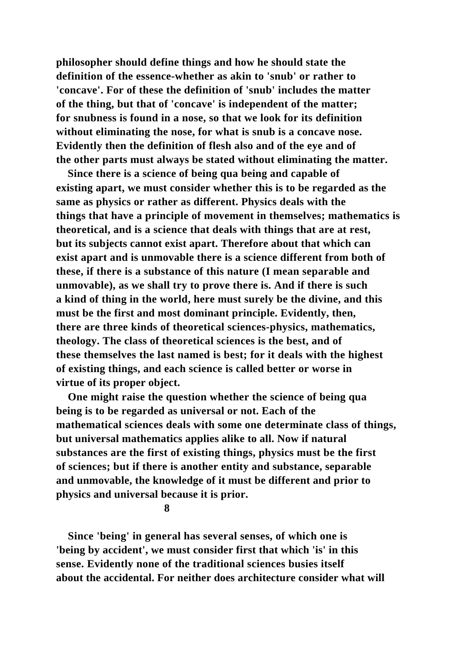**philosopher should define things and how he should state the definition of the essence-whether as akin to 'snub' or rather to 'concave'. For of these the definition of 'snub' includes the matter of the thing, but that of 'concave' is independent of the matter; for snubness is found in a nose, so that we look for its definition without eliminating the nose, for what is snub is a concave nose. Evidently then the definition of flesh also and of the eye and of the other parts must always be stated without eliminating the matter.**

 **Since there is a science of being qua being and capable of existing apart, we must consider whether this is to be regarded as the same as physics or rather as different. Physics deals with the things that have a principle of movement in themselves; mathematics is theoretical, and is a science that deals with things that are at rest, but its subjects cannot exist apart. Therefore about that which can exist apart and is unmovable there is a science different from both of these, if there is a substance of this nature (I mean separable and unmovable), as we shall try to prove there is. And if there is such a kind of thing in the world, here must surely be the divine, and this must be the first and most dominant principle. Evidently, then, there are three kinds of theoretical sciences-physics, mathematics, theology. The class of theoretical sciences is the best, and of these themselves the last named is best; for it deals with the highest of existing things, and each science is called better or worse in virtue of its proper object.**

 **One might raise the question whether the science of being qua being is to be regarded as universal or not. Each of the mathematical sciences deals with some one determinate class of things, but universal mathematics applies alike to all. Now if natural substances are the first of existing things, physics must be the first of sciences; but if there is another entity and substance, separable and unmovable, the knowledge of it must be different and prior to physics and universal because it is prior.**

 **8**

 **Since 'being' in general has several senses, of which one is 'being by accident', we must consider first that which 'is' in this sense. Evidently none of the traditional sciences busies itself about the accidental. For neither does architecture consider what will**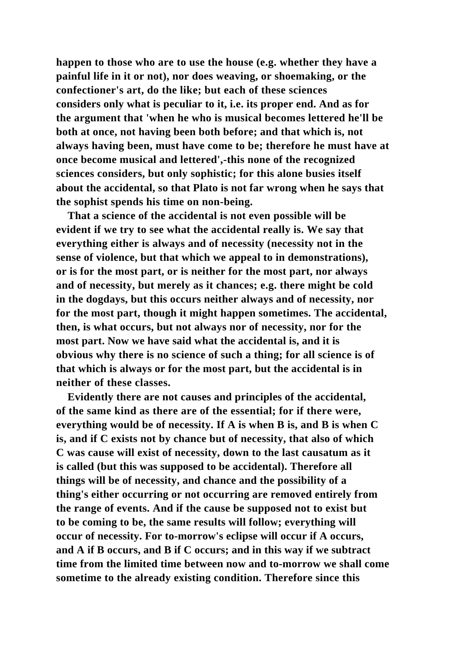**happen to those who are to use the house (e.g. whether they have a painful life in it or not), nor does weaving, or shoemaking, or the confectioner's art, do the like; but each of these sciences considers only what is peculiar to it, i.e. its proper end. And as for the argument that 'when he who is musical becomes lettered he'll be both at once, not having been both before; and that which is, not always having been, must have come to be; therefore he must have at once become musical and lettered',-this none of the recognized sciences considers, but only sophistic; for this alone busies itself about the accidental, so that Plato is not far wrong when he says that the sophist spends his time on non-being.**

 **That a science of the accidental is not even possible will be evident if we try to see what the accidental really is. We say that everything either is always and of necessity (necessity not in the sense of violence, but that which we appeal to in demonstrations), or is for the most part, or is neither for the most part, nor always and of necessity, but merely as it chances; e.g. there might be cold in the dogdays, but this occurs neither always and of necessity, nor for the most part, though it might happen sometimes. The accidental, then, is what occurs, but not always nor of necessity, nor for the most part. Now we have said what the accidental is, and it is obvious why there is no science of such a thing; for all science is of that which is always or for the most part, but the accidental is in neither of these classes.**

 **Evidently there are not causes and principles of the accidental, of the same kind as there are of the essential; for if there were, everything would be of necessity. If A is when B is, and B is when C is, and if C exists not by chance but of necessity, that also of which C was cause will exist of necessity, down to the last causatum as it is called (but this was supposed to be accidental). Therefore all things will be of necessity, and chance and the possibility of a thing's either occurring or not occurring are removed entirely from the range of events. And if the cause be supposed not to exist but to be coming to be, the same results will follow; everything will occur of necessity. For to-morrow's eclipse will occur if A occurs, and A if B occurs, and B if C occurs; and in this way if we subtract time from the limited time between now and to-morrow we shall come sometime to the already existing condition. Therefore since this**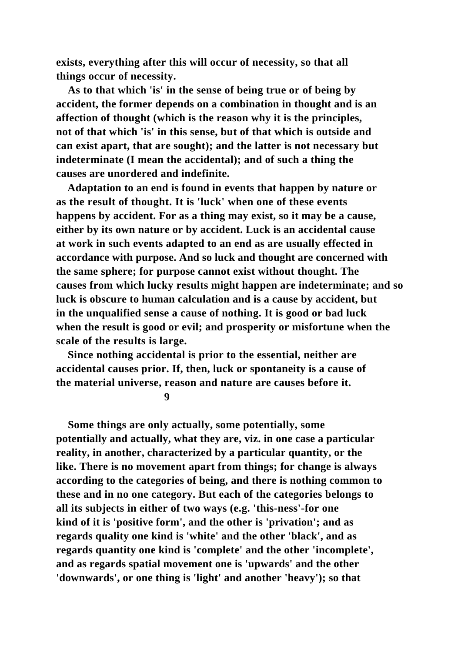**exists, everything after this will occur of necessity, so that all things occur of necessity.**

 **As to that which 'is' in the sense of being true or of being by accident, the former depends on a combination in thought and is an affection of thought (which is the reason why it is the principles, not of that which 'is' in this sense, but of that which is outside and can exist apart, that are sought); and the latter is not necessary but indeterminate (I mean the accidental); and of such a thing the causes are unordered and indefinite.**

 **Adaptation to an end is found in events that happen by nature or as the result of thought. It is 'luck' when one of these events happens by accident. For as a thing may exist, so it may be a cause, either by its own nature or by accident. Luck is an accidental cause at work in such events adapted to an end as are usually effected in accordance with purpose. And so luck and thought are concerned with the same sphere; for purpose cannot exist without thought. The causes from which lucky results might happen are indeterminate; and so luck is obscure to human calculation and is a cause by accident, but in the unqualified sense a cause of nothing. It is good or bad luck when the result is good or evil; and prosperity or misfortune when the scale of the results is large.**

 **Since nothing accidental is prior to the essential, neither are accidental causes prior. If, then, luck or spontaneity is a cause of the material universe, reason and nature are causes before it.**

**9** 

 **Some things are only actually, some potentially, some potentially and actually, what they are, viz. in one case a particular reality, in another, characterized by a particular quantity, or the like. There is no movement apart from things; for change is always according to the categories of being, and there is nothing common to these and in no one category. But each of the categories belongs to all its subjects in either of two ways (e.g. 'this-ness'-for one kind of it is 'positive form', and the other is 'privation'; and as regards quality one kind is 'white' and the other 'black', and as regards quantity one kind is 'complete' and the other 'incomplete', and as regards spatial movement one is 'upwards' and the other 'downwards', or one thing is 'light' and another 'heavy'); so that**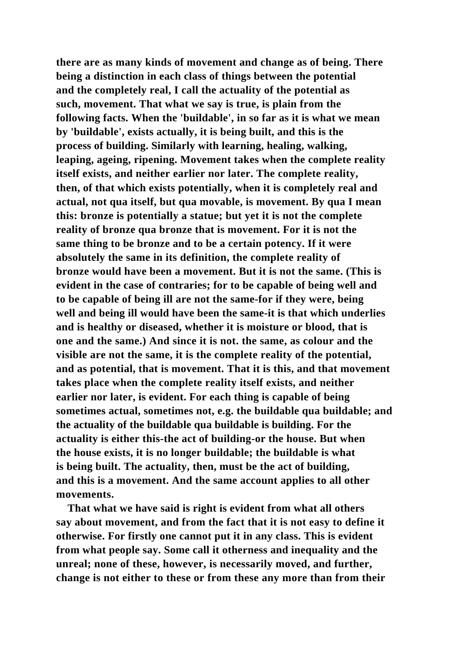**there are as many kinds of movement and change as of being. There being a distinction in each class of things between the potential and the completely real, I call the actuality of the potential as such, movement. That what we say is true, is plain from the following facts. When the 'buildable', in so far as it is what we mean by 'buildable', exists actually, it is being built, and this is the process of building. Similarly with learning, healing, walking, leaping, ageing, ripening. Movement takes when the complete reality itself exists, and neither earlier nor later. The complete reality, then, of that which exists potentially, when it is completely real and actual, not qua itself, but qua movable, is movement. By qua I mean this: bronze is potentially a statue; but yet it is not the complete reality of bronze qua bronze that is movement. For it is not the same thing to be bronze and to be a certain potency. If it were absolutely the same in its definition, the complete reality of bronze would have been a movement. But it is not the same. (This is evident in the case of contraries; for to be capable of being well and to be capable of being ill are not the same-for if they were, being well and being ill would have been the same-it is that which underlies and is healthy or diseased, whether it is moisture or blood, that is one and the same.) And since it is not. the same, as colour and the visible are not the same, it is the complete reality of the potential, and as potential, that is movement. That it is this, and that movement takes place when the complete reality itself exists, and neither earlier nor later, is evident. For each thing is capable of being sometimes actual, sometimes not, e.g. the buildable qua buildable; and the actuality of the buildable qua buildable is building. For the actuality is either this-the act of building-or the house. But when the house exists, it is no longer buildable; the buildable is what is being built. The actuality, then, must be the act of building, and this is a movement. And the same account applies to all other movements.**

 **That what we have said is right is evident from what all others say about movement, and from the fact that it is not easy to define it otherwise. For firstly one cannot put it in any class. This is evident from what people say. Some call it otherness and inequality and the unreal; none of these, however, is necessarily moved, and further, change is not either to these or from these any more than from their**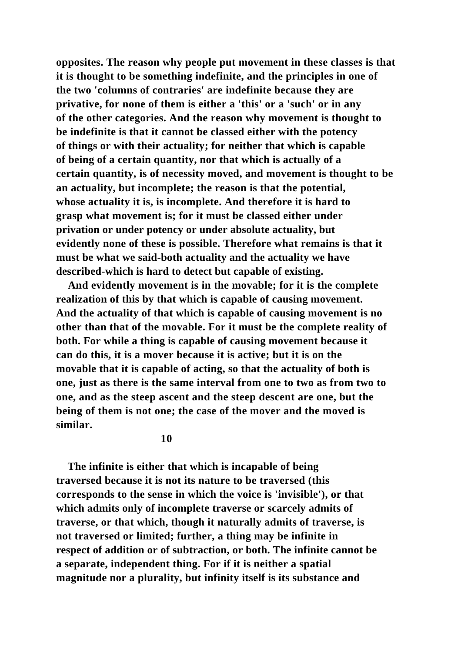**opposites. The reason why people put movement in these classes is that it is thought to be something indefinite, and the principles in one of the two 'columns of contraries' are indefinite because they are privative, for none of them is either a 'this' or a 'such' or in any of the other categories. And the reason why movement is thought to be indefinite is that it cannot be classed either with the potency of things or with their actuality; for neither that which is capable of being of a certain quantity, nor that which is actually of a certain quantity, is of necessity moved, and movement is thought to be an actuality, but incomplete; the reason is that the potential, whose actuality it is, is incomplete. And therefore it is hard to grasp what movement is; for it must be classed either under privation or under potency or under absolute actuality, but evidently none of these is possible. Therefore what remains is that it must be what we said-both actuality and the actuality we have described-which is hard to detect but capable of existing.**

 **And evidently movement is in the movable; for it is the complete realization of this by that which is capable of causing movement. And the actuality of that which is capable of causing movement is no other than that of the movable. For it must be the complete reality of both. For while a thing is capable of causing movement because it can do this, it is a mover because it is active; but it is on the movable that it is capable of acting, so that the actuality of both is one, just as there is the same interval from one to two as from two to one, and as the steep ascent and the steep descent are one, but the being of them is not one; the case of the mover and the moved is similar.**

## **10**

 **The infinite is either that which is incapable of being traversed because it is not its nature to be traversed (this corresponds to the sense in which the voice is 'invisible'), or that which admits only of incomplete traverse or scarcely admits of traverse, or that which, though it naturally admits of traverse, is not traversed or limited; further, a thing may be infinite in respect of addition or of subtraction, or both. The infinite cannot be a separate, independent thing. For if it is neither a spatial magnitude nor a plurality, but infinity itself is its substance and**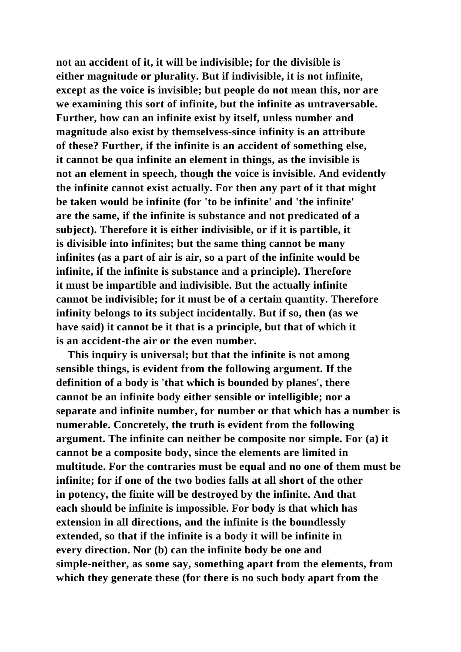**not an accident of it, it will be indivisible; for the divisible is either magnitude or plurality. But if indivisible, it is not infinite, except as the voice is invisible; but people do not mean this, nor are we examining this sort of infinite, but the infinite as untraversable. Further, how can an infinite exist by itself, unless number and magnitude also exist by themselvess-since infinity is an attribute of these? Further, if the infinite is an accident of something else, it cannot be qua infinite an element in things, as the invisible is not an element in speech, though the voice is invisible. And evidently the infinite cannot exist actually. For then any part of it that might be taken would be infinite (for 'to be infinite' and 'the infinite' are the same, if the infinite is substance and not predicated of a subject). Therefore it is either indivisible, or if it is partible, it is divisible into infinites; but the same thing cannot be many infinites (as a part of air is air, so a part of the infinite would be infinite, if the infinite is substance and a principle). Therefore it must be impartible and indivisible. But the actually infinite cannot be indivisible; for it must be of a certain quantity. Therefore infinity belongs to its subject incidentally. But if so, then (as we have said) it cannot be it that is a principle, but that of which it is an accident-the air or the even number.**

 **This inquiry is universal; but that the infinite is not among sensible things, is evident from the following argument. If the definition of a body is 'that which is bounded by planes', there cannot be an infinite body either sensible or intelligible; nor a separate and infinite number, for number or that which has a number is numerable. Concretely, the truth is evident from the following argument. The infinite can neither be composite nor simple. For (a) it cannot be a composite body, since the elements are limited in multitude. For the contraries must be equal and no one of them must be infinite; for if one of the two bodies falls at all short of the other in potency, the finite will be destroyed by the infinite. And that each should be infinite is impossible. For body is that which has extension in all directions, and the infinite is the boundlessly extended, so that if the infinite is a body it will be infinite in every direction. Nor (b) can the infinite body be one and simple-neither, as some say, something apart from the elements, from which they generate these (for there is no such body apart from the**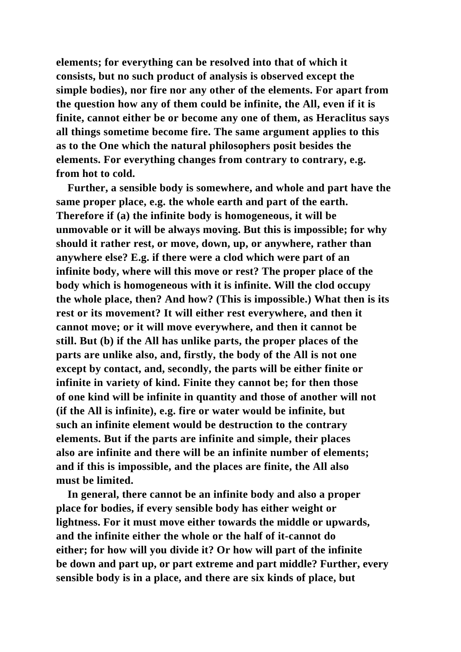**elements; for everything can be resolved into that of which it consists, but no such product of analysis is observed except the simple bodies), nor fire nor any other of the elements. For apart from the question how any of them could be infinite, the All, even if it is finite, cannot either be or become any one of them, as Heraclitus says all things sometime become fire. The same argument applies to this as to the One which the natural philosophers posit besides the elements. For everything changes from contrary to contrary, e.g. from hot to cold.**

 **Further, a sensible body is somewhere, and whole and part have the same proper place, e.g. the whole earth and part of the earth. Therefore if (a) the infinite body is homogeneous, it will be unmovable or it will be always moving. But this is impossible; for why should it rather rest, or move, down, up, or anywhere, rather than anywhere else? E.g. if there were a clod which were part of an infinite body, where will this move or rest? The proper place of the body which is homogeneous with it is infinite. Will the clod occupy the whole place, then? And how? (This is impossible.) What then is its rest or its movement? It will either rest everywhere, and then it cannot move; or it will move everywhere, and then it cannot be still. But (b) if the All has unlike parts, the proper places of the parts are unlike also, and, firstly, the body of the All is not one except by contact, and, secondly, the parts will be either finite or infinite in variety of kind. Finite they cannot be; for then those of one kind will be infinite in quantity and those of another will not (if the All is infinite), e.g. fire or water would be infinite, but such an infinite element would be destruction to the contrary elements. But if the parts are infinite and simple, their places also are infinite and there will be an infinite number of elements; and if this is impossible, and the places are finite, the All also must be limited.**

 **In general, there cannot be an infinite body and also a proper place for bodies, if every sensible body has either weight or lightness. For it must move either towards the middle or upwards, and the infinite either the whole or the half of it-cannot do either; for how will you divide it? Or how will part of the infinite be down and part up, or part extreme and part middle? Further, every sensible body is in a place, and there are six kinds of place, but**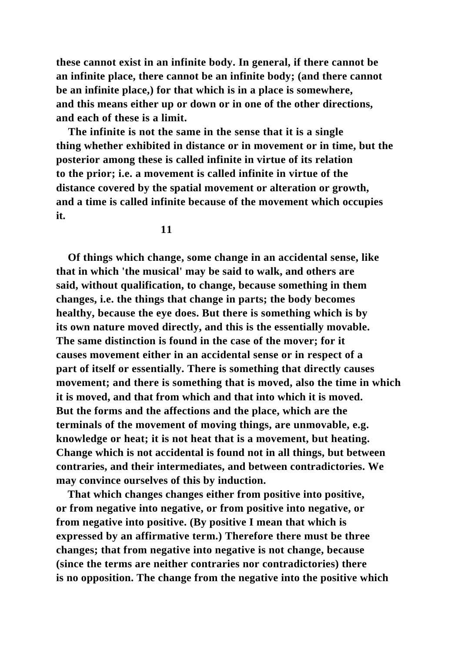**these cannot exist in an infinite body. In general, if there cannot be an infinite place, there cannot be an infinite body; (and there cannot be an infinite place,) for that which is in a place is somewhere, and this means either up or down or in one of the other directions, and each of these is a limit.**

 **The infinite is not the same in the sense that it is a single thing whether exhibited in distance or in movement or in time, but the posterior among these is called infinite in virtue of its relation to the prior; i.e. a movement is called infinite in virtue of the distance covered by the spatial movement or alteration or growth, and a time is called infinite because of the movement which occupies it.**

**11** 

 **Of things which change, some change in an accidental sense, like that in which 'the musical' may be said to walk, and others are said, without qualification, to change, because something in them changes, i.e. the things that change in parts; the body becomes healthy, because the eye does. But there is something which is by its own nature moved directly, and this is the essentially movable. The same distinction is found in the case of the mover; for it causes movement either in an accidental sense or in respect of a part of itself or essentially. There is something that directly causes movement; and there is something that is moved, also the time in which it is moved, and that from which and that into which it is moved. But the forms and the affections and the place, which are the terminals of the movement of moving things, are unmovable, e.g. knowledge or heat; it is not heat that is a movement, but heating. Change which is not accidental is found not in all things, but between contraries, and their intermediates, and between contradictories. We may convince ourselves of this by induction.**

 **That which changes changes either from positive into positive, or from negative into negative, or from positive into negative, or from negative into positive. (By positive I mean that which is expressed by an affirmative term.) Therefore there must be three changes; that from negative into negative is not change, because (since the terms are neither contraries nor contradictories) there is no opposition. The change from the negative into the positive which**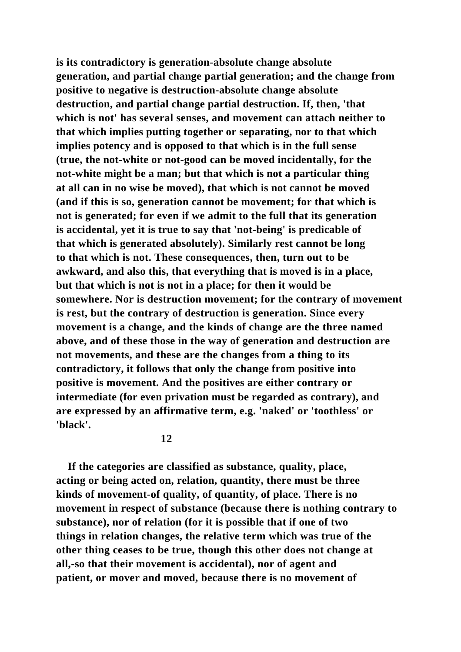**is its contradictory is generation-absolute change absolute generation, and partial change partial generation; and the change from positive to negative is destruction-absolute change absolute destruction, and partial change partial destruction. If, then, 'that which is not' has several senses, and movement can attach neither to that which implies putting together or separating, nor to that which implies potency and is opposed to that which is in the full sense (true, the not-white or not-good can be moved incidentally, for the not-white might be a man; but that which is not a particular thing at all can in no wise be moved), that which is not cannot be moved (and if this is so, generation cannot be movement; for that which is not is generated; for even if we admit to the full that its generation is accidental, yet it is true to say that 'not-being' is predicable of that which is generated absolutely). Similarly rest cannot be long to that which is not. These consequences, then, turn out to be awkward, and also this, that everything that is moved is in a place, but that which is not is not in a place; for then it would be somewhere. Nor is destruction movement; for the contrary of movement is rest, but the contrary of destruction is generation. Since every movement is a change, and the kinds of change are the three named above, and of these those in the way of generation and destruction are not movements, and these are the changes from a thing to its contradictory, it follows that only the change from positive into positive is movement. And the positives are either contrary or intermediate (for even privation must be regarded as contrary), and are expressed by an affirmative term, e.g. 'naked' or 'toothless' or 'black'.**

## **12**

 **If the categories are classified as substance, quality, place, acting or being acted on, relation, quantity, there must be three kinds of movement-of quality, of quantity, of place. There is no movement in respect of substance (because there is nothing contrary to substance), nor of relation (for it is possible that if one of two things in relation changes, the relative term which was true of the other thing ceases to be true, though this other does not change at all,-so that their movement is accidental), nor of agent and patient, or mover and moved, because there is no movement of**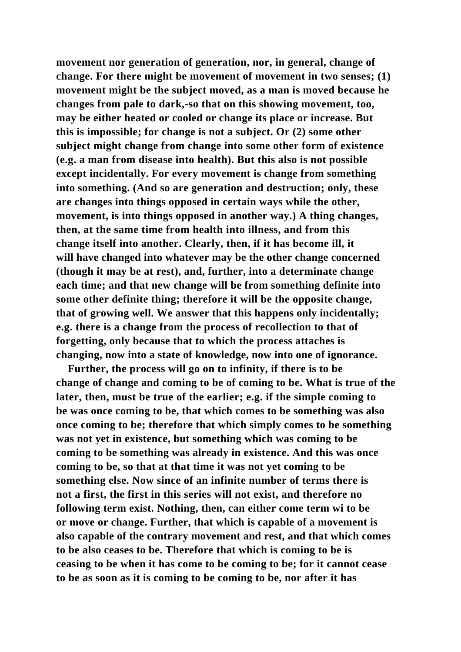**movement nor generation of generation, nor, in general, change of change. For there might be movement of movement in two senses; (1) movement might be the subject moved, as a man is moved because he changes from pale to dark,-so that on this showing movement, too, may be either heated or cooled or change its place or increase. But this is impossible; for change is not a subject. Or (2) some other subject might change from change into some other form of existence (e.g. a man from disease into health). But this also is not possible except incidentally. For every movement is change from something into something. (And so are generation and destruction; only, these are changes into things opposed in certain ways while the other, movement, is into things opposed in another way.) A thing changes, then, at the same time from health into illness, and from this change itself into another. Clearly, then, if it has become ill, it will have changed into whatever may be the other change concerned (though it may be at rest), and, further, into a determinate change each time; and that new change will be from something definite into some other definite thing; therefore it will be the opposite change, that of growing well. We answer that this happens only incidentally; e.g. there is a change from the process of recollection to that of forgetting, only because that to which the process attaches is changing, now into a state of knowledge, now into one of ignorance.**

 **Further, the process will go on to infinity, if there is to be change of change and coming to be of coming to be. What is true of the later, then, must be true of the earlier; e.g. if the simple coming to be was once coming to be, that which comes to be something was also once coming to be; therefore that which simply comes to be something was not yet in existence, but something which was coming to be coming to be something was already in existence. And this was once coming to be, so that at that time it was not yet coming to be something else. Now since of an infinite number of terms there is not a first, the first in this series will not exist, and therefore no following term exist. Nothing, then, can either come term wi to be or move or change. Further, that which is capable of a movement is also capable of the contrary movement and rest, and that which comes to be also ceases to be. Therefore that which is coming to be is ceasing to be when it has come to be coming to be; for it cannot cease to be as soon as it is coming to be coming to be, nor after it has**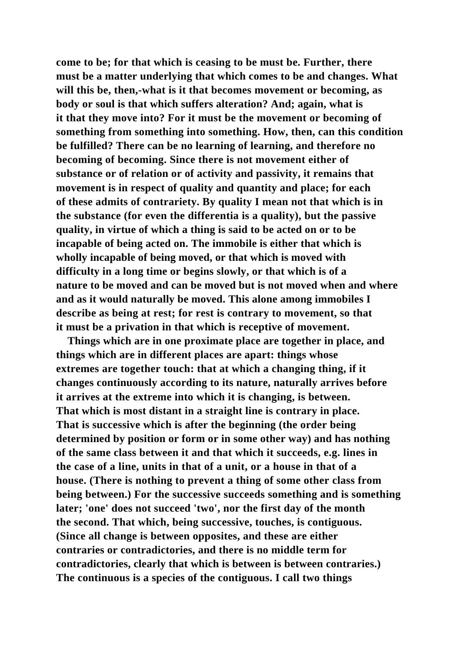**come to be; for that which is ceasing to be must be. Further, there must be a matter underlying that which comes to be and changes. What will this be, then,-what is it that becomes movement or becoming, as body or soul is that which suffers alteration? And; again, what is it that they move into? For it must be the movement or becoming of something from something into something. How, then, can this condition be fulfilled? There can be no learning of learning, and therefore no becoming of becoming. Since there is not movement either of substance or of relation or of activity and passivity, it remains that movement is in respect of quality and quantity and place; for each of these admits of contrariety. By quality I mean not that which is in the substance (for even the differentia is a quality), but the passive quality, in virtue of which a thing is said to be acted on or to be incapable of being acted on. The immobile is either that which is wholly incapable of being moved, or that which is moved with difficulty in a long time or begins slowly, or that which is of a nature to be moved and can be moved but is not moved when and where and as it would naturally be moved. This alone among immobiles I describe as being at rest; for rest is contrary to movement, so that it must be a privation in that which is receptive of movement.**

 **Things which are in one proximate place are together in place, and things which are in different places are apart: things whose extremes are together touch: that at which a changing thing, if it changes continuously according to its nature, naturally arrives before it arrives at the extreme into which it is changing, is between. That which is most distant in a straight line is contrary in place. That is successive which is after the beginning (the order being determined by position or form or in some other way) and has nothing of the same class between it and that which it succeeds, e.g. lines in the case of a line, units in that of a unit, or a house in that of a house. (There is nothing to prevent a thing of some other class from being between.) For the successive succeeds something and is something later; 'one' does not succeed 'two', nor the first day of the month the second. That which, being successive, touches, is contiguous. (Since all change is between opposites, and these are either contraries or contradictories, and there is no middle term for contradictories, clearly that which is between is between contraries.) The continuous is a species of the contiguous. I call two things**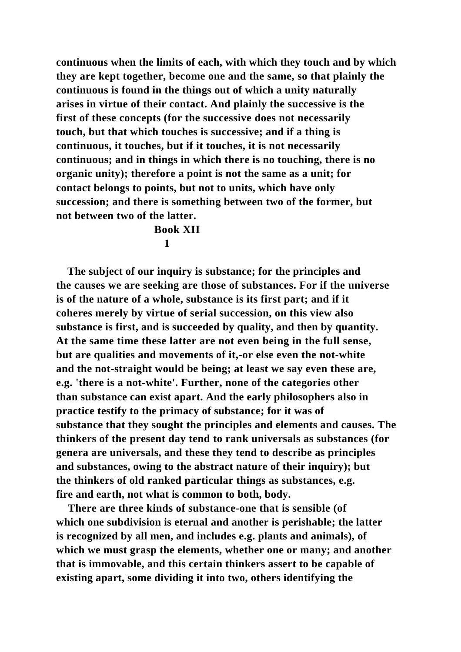**continuous when the limits of each, with which they touch and by which they are kept together, become one and the same, so that plainly the continuous is found in the things out of which a unity naturally arises in virtue of their contact. And plainly the successive is the first of these concepts (for the successive does not necessarily touch, but that which touches is successive; and if a thing is continuous, it touches, but if it touches, it is not necessarily continuous; and in things in which there is no touching, there is no organic unity); therefore a point is not the same as a unit; for contact belongs to points, but not to units, which have only succession; and there is something between two of the former, but not between two of the latter.**

 **Book XII**

**1** 

 **The subject of our inquiry is substance; for the principles and the causes we are seeking are those of substances. For if the universe is of the nature of a whole, substance is its first part; and if it coheres merely by virtue of serial succession, on this view also substance is first, and is succeeded by quality, and then by quantity. At the same time these latter are not even being in the full sense, but are qualities and movements of it,-or else even the not-white and the not-straight would be being; at least we say even these are, e.g. 'there is a not-white'. Further, none of the categories other than substance can exist apart. And the early philosophers also in practice testify to the primacy of substance; for it was of substance that they sought the principles and elements and causes. The thinkers of the present day tend to rank universals as substances (for genera are universals, and these they tend to describe as principles and substances, owing to the abstract nature of their inquiry); but the thinkers of old ranked particular things as substances, e.g. fire and earth, not what is common to both, body.**

 **There are three kinds of substance-one that is sensible (of which one subdivision is eternal and another is perishable; the latter is recognized by all men, and includes e.g. plants and animals), of which we must grasp the elements, whether one or many; and another that is immovable, and this certain thinkers assert to be capable of existing apart, some dividing it into two, others identifying the**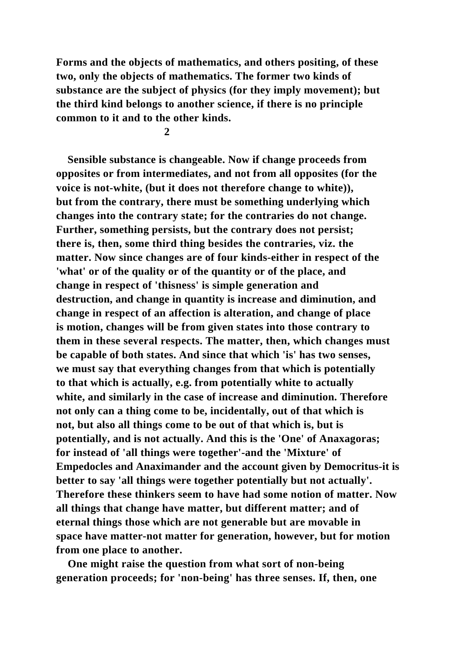**Forms and the objects of mathematics, and others positing, of these two, only the objects of mathematics. The former two kinds of substance are the subject of physics (for they imply movement); but the third kind belongs to another science, if there is no principle common to it and to the other kinds.**

**2** 

 **Sensible substance is changeable. Now if change proceeds from opposites or from intermediates, and not from all opposites (for the voice is not-white, (but it does not therefore change to white)), but from the contrary, there must be something underlying which changes into the contrary state; for the contraries do not change. Further, something persists, but the contrary does not persist; there is, then, some third thing besides the contraries, viz. the matter. Now since changes are of four kinds-either in respect of the 'what' or of the quality or of the quantity or of the place, and change in respect of 'thisness' is simple generation and destruction, and change in quantity is increase and diminution, and change in respect of an affection is alteration, and change of place is motion, changes will be from given states into those contrary to them in these several respects. The matter, then, which changes must be capable of both states. And since that which 'is' has two senses, we must say that everything changes from that which is potentially to that which is actually, e.g. from potentially white to actually white, and similarly in the case of increase and diminution. Therefore not only can a thing come to be, incidentally, out of that which is not, but also all things come to be out of that which is, but is potentially, and is not actually. And this is the 'One' of Anaxagoras; for instead of 'all things were together'-and the 'Mixture' of Empedocles and Anaximander and the account given by Democritus-it is better to say 'all things were together potentially but not actually'. Therefore these thinkers seem to have had some notion of matter. Now all things that change have matter, but different matter; and of eternal things those which are not generable but are movable in space have matter-not matter for generation, however, but for motion from one place to another.**

 **One might raise the question from what sort of non-being generation proceeds; for 'non-being' has three senses. If, then, one**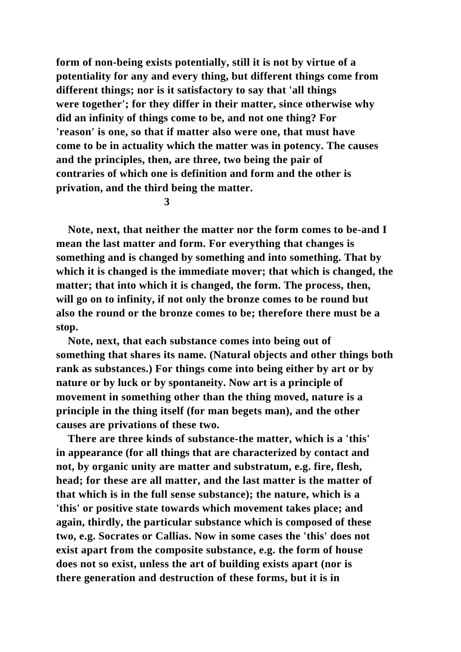**form of non-being exists potentially, still it is not by virtue of a potentiality for any and every thing, but different things come from different things; nor is it satisfactory to say that 'all things were together'; for they differ in their matter, since otherwise why did an infinity of things come to be, and not one thing? For 'reason' is one, so that if matter also were one, that must have come to be in actuality which the matter was in potency. The causes and the principles, then, are three, two being the pair of contraries of which one is definition and form and the other is privation, and the third being the matter.**

**3** 

 **Note, next, that neither the matter nor the form comes to be-and I mean the last matter and form. For everything that changes is something and is changed by something and into something. That by which it is changed is the immediate mover; that which is changed, the matter; that into which it is changed, the form. The process, then, will go on to infinity, if not only the bronze comes to be round but also the round or the bronze comes to be; therefore there must be a stop.**

 **Note, next, that each substance comes into being out of something that shares its name. (Natural objects and other things both rank as substances.) For things come into being either by art or by nature or by luck or by spontaneity. Now art is a principle of movement in something other than the thing moved, nature is a principle in the thing itself (for man begets man), and the other causes are privations of these two.**

 **There are three kinds of substance-the matter, which is a 'this' in appearance (for all things that are characterized by contact and not, by organic unity are matter and substratum, e.g. fire, flesh, head; for these are all matter, and the last matter is the matter of that which is in the full sense substance); the nature, which is a 'this' or positive state towards which movement takes place; and again, thirdly, the particular substance which is composed of these two, e.g. Socrates or Callias. Now in some cases the 'this' does not exist apart from the composite substance, e.g. the form of house does not so exist, unless the art of building exists apart (nor is there generation and destruction of these forms, but it is in**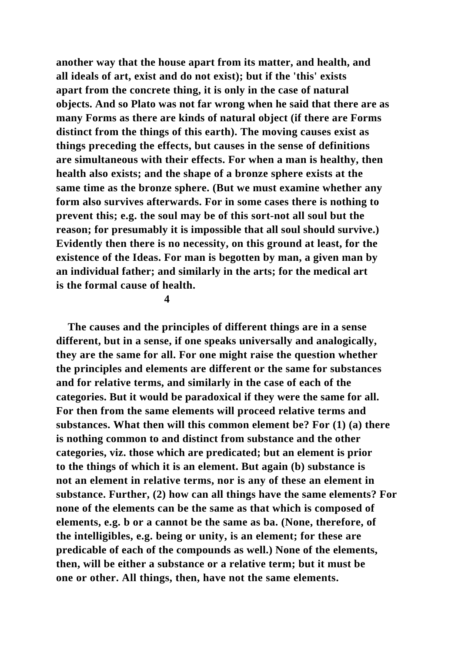**another way that the house apart from its matter, and health, and all ideals of art, exist and do not exist); but if the 'this' exists apart from the concrete thing, it is only in the case of natural objects. And so Plato was not far wrong when he said that there are as many Forms as there are kinds of natural object (if there are Forms distinct from the things of this earth). The moving causes exist as things preceding the effects, but causes in the sense of definitions are simultaneous with their effects. For when a man is healthy, then health also exists; and the shape of a bronze sphere exists at the same time as the bronze sphere. (But we must examine whether any form also survives afterwards. For in some cases there is nothing to prevent this; e.g. the soul may be of this sort-not all soul but the reason; for presumably it is impossible that all soul should survive.) Evidently then there is no necessity, on this ground at least, for the existence of the Ideas. For man is begotten by man, a given man by an individual father; and similarly in the arts; for the medical art is the formal cause of health.**

**4 4** 

 **The causes and the principles of different things are in a sense different, but in a sense, if one speaks universally and analogically, they are the same for all. For one might raise the question whether the principles and elements are different or the same for substances and for relative terms, and similarly in the case of each of the categories. But it would be paradoxical if they were the same for all. For then from the same elements will proceed relative terms and substances. What then will this common element be? For (1) (a) there is nothing common to and distinct from substance and the other categories, viz. those which are predicated; but an element is prior to the things of which it is an element. But again (b) substance is not an element in relative terms, nor is any of these an element in substance. Further, (2) how can all things have the same elements? For none of the elements can be the same as that which is composed of elements, e.g. b or a cannot be the same as ba. (None, therefore, of the intelligibles, e.g. being or unity, is an element; for these are predicable of each of the compounds as well.) None of the elements, then, will be either a substance or a relative term; but it must be one or other. All things, then, have not the same elements.**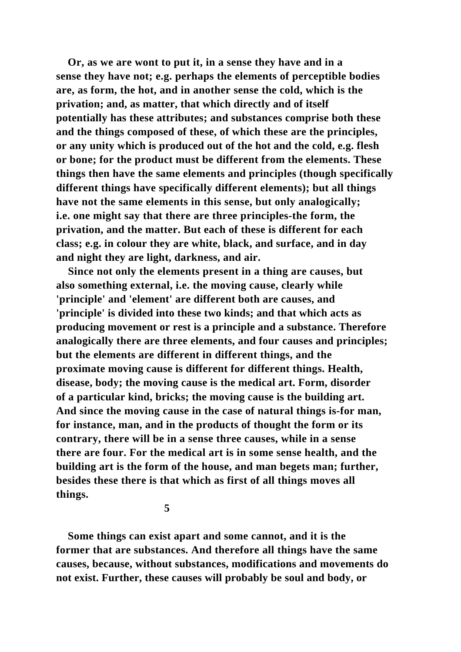**Or, as we are wont to put it, in a sense they have and in a sense they have not; e.g. perhaps the elements of perceptible bodies are, as form, the hot, and in another sense the cold, which is the privation; and, as matter, that which directly and of itself potentially has these attributes; and substances comprise both these and the things composed of these, of which these are the principles, or any unity which is produced out of the hot and the cold, e.g. flesh or bone; for the product must be different from the elements. These things then have the same elements and principles (though specifically different things have specifically different elements); but all things have not the same elements in this sense, but only analogically; i.e. one might say that there are three principles-the form, the privation, and the matter. But each of these is different for each class; e.g. in colour they are white, black, and surface, and in day and night they are light, darkness, and air.**

 **Since not only the elements present in a thing are causes, but also something external, i.e. the moving cause, clearly while 'principle' and 'element' are different both are causes, and 'principle' is divided into these two kinds; and that which acts as producing movement or rest is a principle and a substance. Therefore analogically there are three elements, and four causes and principles; but the elements are different in different things, and the proximate moving cause is different for different things. Health, disease, body; the moving cause is the medical art. Form, disorder of a particular kind, bricks; the moving cause is the building art. And since the moving cause in the case of natural things is-for man, for instance, man, and in the products of thought the form or its contrary, there will be in a sense three causes, while in a sense there are four. For the medical art is in some sense health, and the building art is the form of the house, and man begets man; further, besides these there is that which as first of all things moves all things.**

**5** 

 **Some things can exist apart and some cannot, and it is the former that are substances. And therefore all things have the same causes, because, without substances, modifications and movements do not exist. Further, these causes will probably be soul and body, or**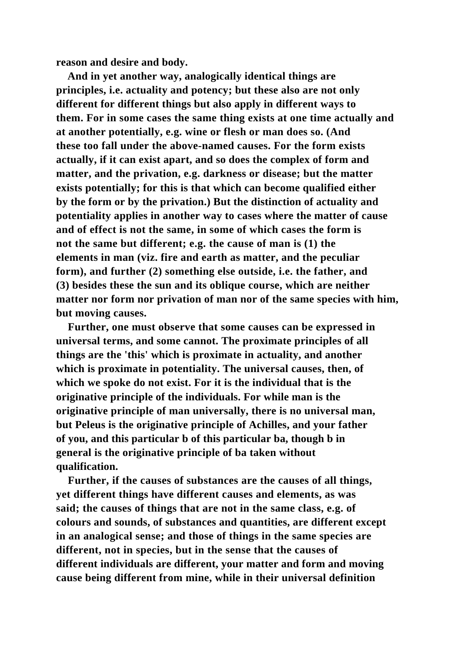**reason and desire and body.**

 **And in yet another way, analogically identical things are principles, i.e. actuality and potency; but these also are not only different for different things but also apply in different ways to them. For in some cases the same thing exists at one time actually and at another potentially, e.g. wine or flesh or man does so. (And these too fall under the above-named causes. For the form exists actually, if it can exist apart, and so does the complex of form and matter, and the privation, e.g. darkness or disease; but the matter exists potentially; for this is that which can become qualified either by the form or by the privation.) But the distinction of actuality and potentiality applies in another way to cases where the matter of cause and of effect is not the same, in some of which cases the form is not the same but different; e.g. the cause of man is (1) the elements in man (viz. fire and earth as matter, and the peculiar form), and further (2) something else outside, i.e. the father, and (3) besides these the sun and its oblique course, which are neither matter nor form nor privation of man nor of the same species with him, but moving causes.**

 **Further, one must observe that some causes can be expressed in universal terms, and some cannot. The proximate principles of all things are the 'this' which is proximate in actuality, and another which is proximate in potentiality. The universal causes, then, of which we spoke do not exist. For it is the individual that is the originative principle of the individuals. For while man is the originative principle of man universally, there is no universal man, but Peleus is the originative principle of Achilles, and your father of you, and this particular b of this particular ba, though b in general is the originative principle of ba taken without qualification.**

 **Further, if the causes of substances are the causes of all things, yet different things have different causes and elements, as was said; the causes of things that are not in the same class, e.g. of colours and sounds, of substances and quantities, are different except in an analogical sense; and those of things in the same species are different, not in species, but in the sense that the causes of different individuals are different, your matter and form and moving cause being different from mine, while in their universal definition**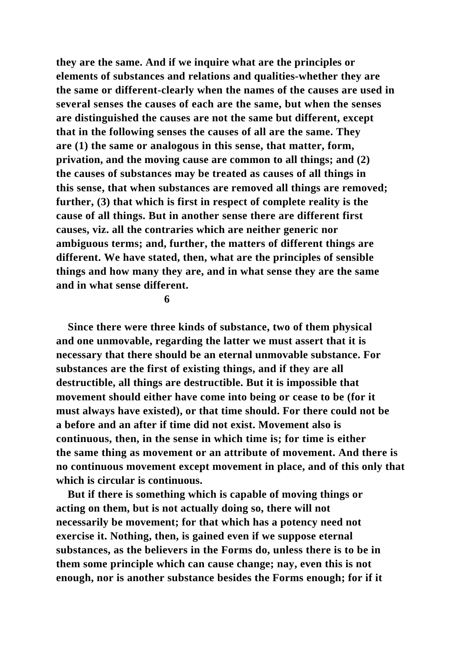**they are the same. And if we inquire what are the principles or elements of substances and relations and qualities-whether they are the same or different-clearly when the names of the causes are used in several senses the causes of each are the same, but when the senses are distinguished the causes are not the same but different, except that in the following senses the causes of all are the same. They are (1) the same or analogous in this sense, that matter, form, privation, and the moving cause are common to all things; and (2) the causes of substances may be treated as causes of all things in this sense, that when substances are removed all things are removed; further, (3) that which is first in respect of complete reality is the cause of all things. But in another sense there are different first causes, viz. all the contraries which are neither generic nor ambiguous terms; and, further, the matters of different things are different. We have stated, then, what are the principles of sensible things and how many they are, and in what sense they are the same and in what sense different.**

 **6**

 **Since there were three kinds of substance, two of them physical and one unmovable, regarding the latter we must assert that it is necessary that there should be an eternal unmovable substance. For substances are the first of existing things, and if they are all destructible, all things are destructible. But it is impossible that movement should either have come into being or cease to be (for it must always have existed), or that time should. For there could not be a before and an after if time did not exist. Movement also is continuous, then, in the sense in which time is; for time is either the same thing as movement or an attribute of movement. And there is no continuous movement except movement in place, and of this only that which is circular is continuous.**

 **But if there is something which is capable of moving things or acting on them, but is not actually doing so, there will not necessarily be movement; for that which has a potency need not exercise it. Nothing, then, is gained even if we suppose eternal substances, as the believers in the Forms do, unless there is to be in them some principle which can cause change; nay, even this is not enough, nor is another substance besides the Forms enough; for if it**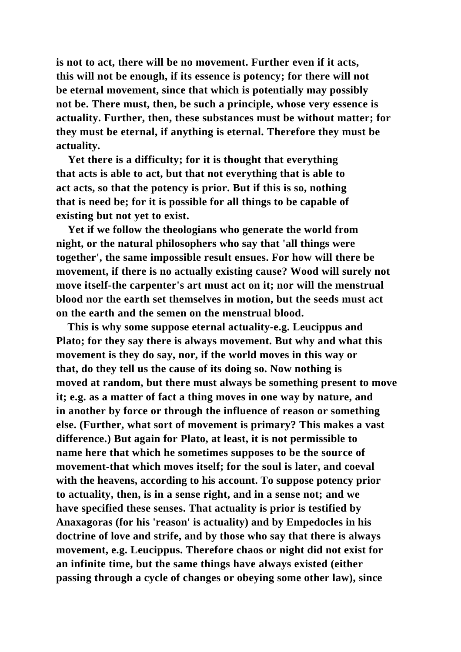**is not to act, there will be no movement. Further even if it acts, this will not be enough, if its essence is potency; for there will not be eternal movement, since that which is potentially may possibly not be. There must, then, be such a principle, whose very essence is actuality. Further, then, these substances must be without matter; for they must be eternal, if anything is eternal. Therefore they must be actuality.**

 **Yet there is a difficulty; for it is thought that everything that acts is able to act, but that not everything that is able to act acts, so that the potency is prior. But if this is so, nothing that is need be; for it is possible for all things to be capable of existing but not yet to exist.**

 **Yet if we follow the theologians who generate the world from night, or the natural philosophers who say that 'all things were together', the same impossible result ensues. For how will there be movement, if there is no actually existing cause? Wood will surely not move itself-the carpenter's art must act on it; nor will the menstrual blood nor the earth set themselves in motion, but the seeds must act on the earth and the semen on the menstrual blood.**

 **This is why some suppose eternal actuality-e.g. Leucippus and Plato; for they say there is always movement. But why and what this movement is they do say, nor, if the world moves in this way or that, do they tell us the cause of its doing so. Now nothing is moved at random, but there must always be something present to move it; e.g. as a matter of fact a thing moves in one way by nature, and in another by force or through the influence of reason or something else. (Further, what sort of movement is primary? This makes a vast difference.) But again for Plato, at least, it is not permissible to name here that which he sometimes supposes to be the source of movement-that which moves itself; for the soul is later, and coeval with the heavens, according to his account. To suppose potency prior to actuality, then, is in a sense right, and in a sense not; and we have specified these senses. That actuality is prior is testified by Anaxagoras (for his 'reason' is actuality) and by Empedocles in his doctrine of love and strife, and by those who say that there is always movement, e.g. Leucippus. Therefore chaos or night did not exist for an infinite time, but the same things have always existed (either passing through a cycle of changes or obeying some other law), since**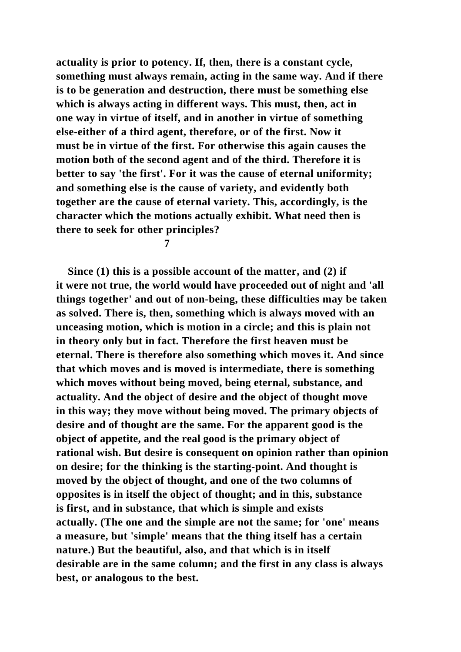**actuality is prior to potency. If, then, there is a constant cycle, something must always remain, acting in the same way. And if there is to be generation and destruction, there must be something else which is always acting in different ways. This must, then, act in one way in virtue of itself, and in another in virtue of something else-either of a third agent, therefore, or of the first. Now it must be in virtue of the first. For otherwise this again causes the motion both of the second agent and of the third. Therefore it is better to say 'the first'. For it was the cause of eternal uniformity; and something else is the cause of variety, and evidently both together are the cause of eternal variety. This, accordingly, is the character which the motions actually exhibit. What need then is there to seek for other principles?**

 **Since (1) this is a possible account of the matter, and (2) if it were not true, the world would have proceeded out of night and 'all things together' and out of non-being, these difficulties may be taken as solved. There is, then, something which is always moved with an unceasing motion, which is motion in a circle; and this is plain not in theory only but in fact. Therefore the first heaven must be eternal. There is therefore also something which moves it. And since that which moves and is moved is intermediate, there is something which moves without being moved, being eternal, substance, and actuality. And the object of desire and the object of thought move in this way; they move without being moved. The primary objects of desire and of thought are the same. For the apparent good is the object of appetite, and the real good is the primary object of rational wish. But desire is consequent on opinion rather than opinion on desire; for the thinking is the starting-point. And thought is moved by the object of thought, and one of the two columns of opposites is in itself the object of thought; and in this, substance is first, and in substance, that which is simple and exists actually. (The one and the simple are not the same; for 'one' means a measure, but 'simple' means that the thing itself has a certain nature.) But the beautiful, also, and that which is in itself desirable are in the same column; and the first in any class is always best, or analogous to the best.**

 **<sup>7</sup>**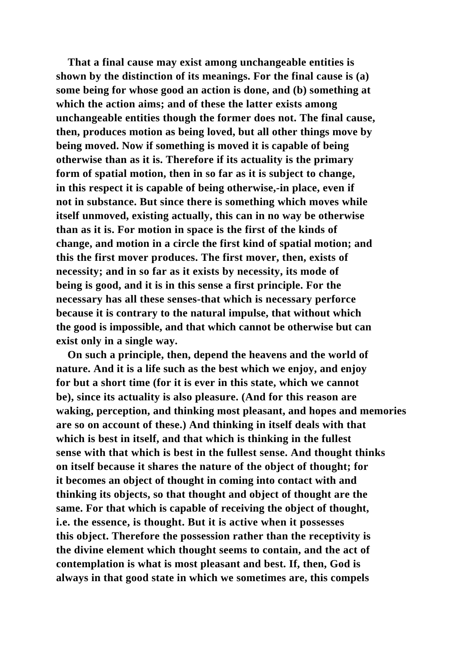**That a final cause may exist among unchangeable entities is shown by the distinction of its meanings. For the final cause is (a) some being for whose good an action is done, and (b) something at which the action aims; and of these the latter exists among unchangeable entities though the former does not. The final cause, then, produces motion as being loved, but all other things move by being moved. Now if something is moved it is capable of being otherwise than as it is. Therefore if its actuality is the primary form of spatial motion, then in so far as it is subject to change, in this respect it is capable of being otherwise,-in place, even if not in substance. But since there is something which moves while itself unmoved, existing actually, this can in no way be otherwise than as it is. For motion in space is the first of the kinds of change, and motion in a circle the first kind of spatial motion; and this the first mover produces. The first mover, then, exists of necessity; and in so far as it exists by necessity, its mode of being is good, and it is in this sense a first principle. For the necessary has all these senses-that which is necessary perforce because it is contrary to the natural impulse, that without which the good is impossible, and that which cannot be otherwise but can exist only in a single way.**

 **On such a principle, then, depend the heavens and the world of nature. And it is a life such as the best which we enjoy, and enjoy for but a short time (for it is ever in this state, which we cannot be), since its actuality is also pleasure. (And for this reason are waking, perception, and thinking most pleasant, and hopes and memories are so on account of these.) And thinking in itself deals with that which is best in itself, and that which is thinking in the fullest sense with that which is best in the fullest sense. And thought thinks on itself because it shares the nature of the object of thought; for it becomes an object of thought in coming into contact with and thinking its objects, so that thought and object of thought are the same. For that which is capable of receiving the object of thought, i.e. the essence, is thought. But it is active when it possesses this object. Therefore the possession rather than the receptivity is the divine element which thought seems to contain, and the act of contemplation is what is most pleasant and best. If, then, God is always in that good state in which we sometimes are, this compels**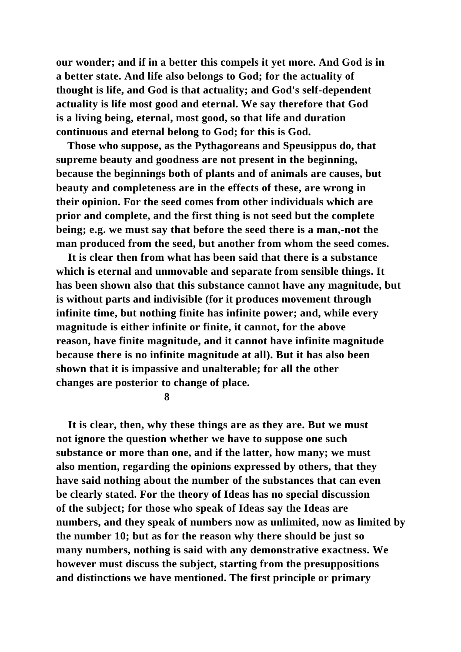**our wonder; and if in a better this compels it yet more. And God is in a better state. And life also belongs to God; for the actuality of thought is life, and God is that actuality; and God's self-dependent actuality is life most good and eternal. We say therefore that God is a living being, eternal, most good, so that life and duration continuous and eternal belong to God; for this is God.**

 **Those who suppose, as the Pythagoreans and Speusippus do, that supreme beauty and goodness are not present in the beginning, because the beginnings both of plants and of animals are causes, but beauty and completeness are in the effects of these, are wrong in their opinion. For the seed comes from other individuals which are prior and complete, and the first thing is not seed but the complete being; e.g. we must say that before the seed there is a man,-not the man produced from the seed, but another from whom the seed comes.**

 **It is clear then from what has been said that there is a substance which is eternal and unmovable and separate from sensible things. It has been shown also that this substance cannot have any magnitude, but is without parts and indivisible (for it produces movement through infinite time, but nothing finite has infinite power; and, while every magnitude is either infinite or finite, it cannot, for the above reason, have finite magnitude, and it cannot have infinite magnitude because there is no infinite magnitude at all). But it has also been shown that it is impassive and unalterable; for all the other changes are posterior to change of place.**

 **8**

 **It is clear, then, why these things are as they are. But we must not ignore the question whether we have to suppose one such substance or more than one, and if the latter, how many; we must also mention, regarding the opinions expressed by others, that they have said nothing about the number of the substances that can even be clearly stated. For the theory of Ideas has no special discussion of the subject; for those who speak of Ideas say the Ideas are numbers, and they speak of numbers now as unlimited, now as limited by the number 10; but as for the reason why there should be just so many numbers, nothing is said with any demonstrative exactness. We however must discuss the subject, starting from the presuppositions and distinctions we have mentioned. The first principle or primary**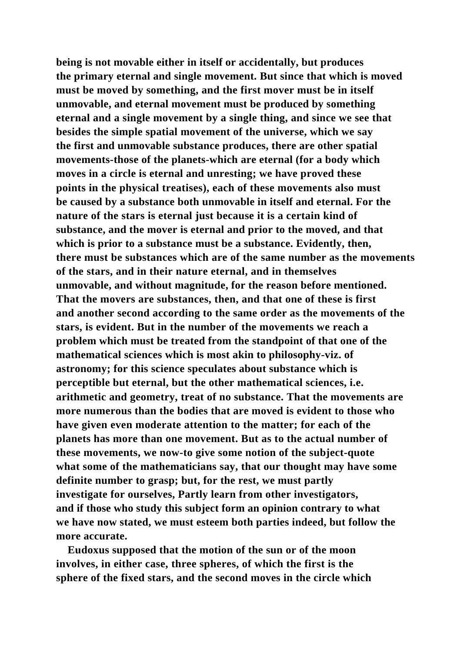**being is not movable either in itself or accidentally, but produces the primary eternal and single movement. But since that which is moved must be moved by something, and the first mover must be in itself unmovable, and eternal movement must be produced by something eternal and a single movement by a single thing, and since we see that besides the simple spatial movement of the universe, which we say the first and unmovable substance produces, there are other spatial movements-those of the planets-which are eternal (for a body which moves in a circle is eternal and unresting; we have proved these points in the physical treatises), each of these movements also must be caused by a substance both unmovable in itself and eternal. For the nature of the stars is eternal just because it is a certain kind of substance, and the mover is eternal and prior to the moved, and that which is prior to a substance must be a substance. Evidently, then, there must be substances which are of the same number as the movements of the stars, and in their nature eternal, and in themselves unmovable, and without magnitude, for the reason before mentioned. That the movers are substances, then, and that one of these is first and another second according to the same order as the movements of the stars, is evident. But in the number of the movements we reach a problem which must be treated from the standpoint of that one of the mathematical sciences which is most akin to philosophy-viz. of astronomy; for this science speculates about substance which is perceptible but eternal, but the other mathematical sciences, i.e. arithmetic and geometry, treat of no substance. That the movements are more numerous than the bodies that are moved is evident to those who have given even moderate attention to the matter; for each of the planets has more than one movement. But as to the actual number of these movements, we now-to give some notion of the subject-quote what some of the mathematicians say, that our thought may have some definite number to grasp; but, for the rest, we must partly investigate for ourselves, Partly learn from other investigators, and if those who study this subject form an opinion contrary to what we have now stated, we must esteem both parties indeed, but follow the more accurate.**

 **Eudoxus supposed that the motion of the sun or of the moon involves, in either case, three spheres, of which the first is the sphere of the fixed stars, and the second moves in the circle which**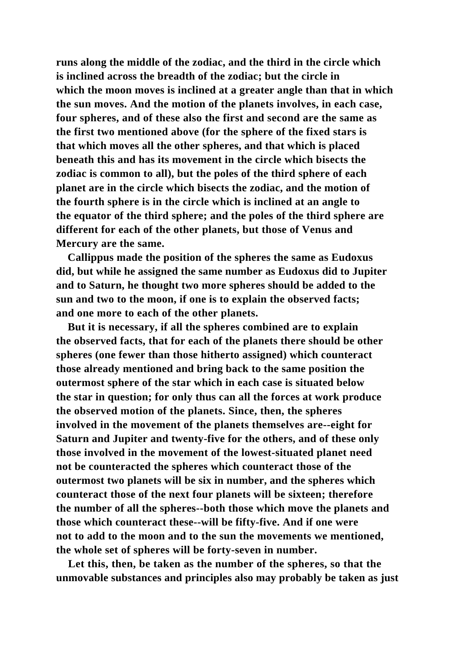**runs along the middle of the zodiac, and the third in the circle which is inclined across the breadth of the zodiac; but the circle in which the moon moves is inclined at a greater angle than that in which the sun moves. And the motion of the planets involves, in each case, four spheres, and of these also the first and second are the same as the first two mentioned above (for the sphere of the fixed stars is that which moves all the other spheres, and that which is placed beneath this and has its movement in the circle which bisects the zodiac is common to all), but the poles of the third sphere of each planet are in the circle which bisects the zodiac, and the motion of the fourth sphere is in the circle which is inclined at an angle to the equator of the third sphere; and the poles of the third sphere are different for each of the other planets, but those of Venus and Mercury are the same.**

 **Callippus made the position of the spheres the same as Eudoxus did, but while he assigned the same number as Eudoxus did to Jupiter and to Saturn, he thought two more spheres should be added to the sun and two to the moon, if one is to explain the observed facts; and one more to each of the other planets.**

 **But it is necessary, if all the spheres combined are to explain the observed facts, that for each of the planets there should be other spheres (one fewer than those hitherto assigned) which counteract those already mentioned and bring back to the same position the outermost sphere of the star which in each case is situated below the star in question; for only thus can all the forces at work produce the observed motion of the planets. Since, then, the spheres involved in the movement of the planets themselves are--eight for Saturn and Jupiter and twenty-five for the others, and of these only those involved in the movement of the lowest-situated planet need not be counteracted the spheres which counteract those of the outermost two planets will be six in number, and the spheres which counteract those of the next four planets will be sixteen; therefore the number of all the spheres--both those which move the planets and those which counteract these--will be fifty-five. And if one were not to add to the moon and to the sun the movements we mentioned, the whole set of spheres will be forty-seven in number.**

 **Let this, then, be taken as the number of the spheres, so that the unmovable substances and principles also may probably be taken as just**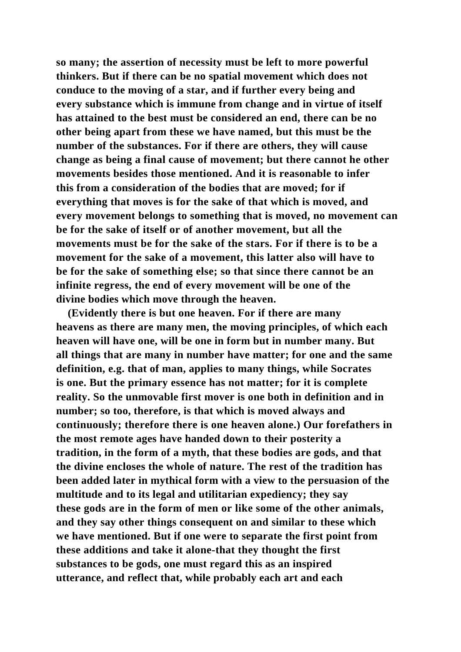**so many; the assertion of necessity must be left to more powerful thinkers. But if there can be no spatial movement which does not conduce to the moving of a star, and if further every being and every substance which is immune from change and in virtue of itself has attained to the best must be considered an end, there can be no other being apart from these we have named, but this must be the number of the substances. For if there are others, they will cause change as being a final cause of movement; but there cannot he other movements besides those mentioned. And it is reasonable to infer this from a consideration of the bodies that are moved; for if everything that moves is for the sake of that which is moved, and every movement belongs to something that is moved, no movement can be for the sake of itself or of another movement, but all the movements must be for the sake of the stars. For if there is to be a movement for the sake of a movement, this latter also will have to be for the sake of something else; so that since there cannot be an infinite regress, the end of every movement will be one of the divine bodies which move through the heaven.**

 **(Evidently there is but one heaven. For if there are many heavens as there are many men, the moving principles, of which each heaven will have one, will be one in form but in number many. But all things that are many in number have matter; for one and the same definition, e.g. that of man, applies to many things, while Socrates is one. But the primary essence has not matter; for it is complete reality. So the unmovable first mover is one both in definition and in number; so too, therefore, is that which is moved always and continuously; therefore there is one heaven alone.) Our forefathers in the most remote ages have handed down to their posterity a tradition, in the form of a myth, that these bodies are gods, and that the divine encloses the whole of nature. The rest of the tradition has been added later in mythical form with a view to the persuasion of the multitude and to its legal and utilitarian expediency; they say these gods are in the form of men or like some of the other animals, and they say other things consequent on and similar to these which we have mentioned. But if one were to separate the first point from these additions and take it alone-that they thought the first substances to be gods, one must regard this as an inspired utterance, and reflect that, while probably each art and each**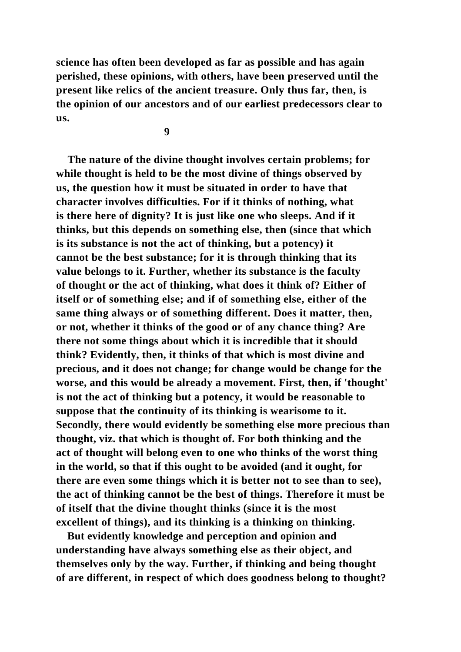**science has often been developed as far as possible and has again perished, these opinions, with others, have been preserved until the present like relics of the ancient treasure. Only thus far, then, is the opinion of our ancestors and of our earliest predecessors clear to us.**

**9** 

 **The nature of the divine thought involves certain problems; for while thought is held to be the most divine of things observed by us, the question how it must be situated in order to have that character involves difficulties. For if it thinks of nothing, what is there here of dignity? It is just like one who sleeps. And if it thinks, but this depends on something else, then (since that which is its substance is not the act of thinking, but a potency) it cannot be the best substance; for it is through thinking that its value belongs to it. Further, whether its substance is the faculty of thought or the act of thinking, what does it think of? Either of itself or of something else; and if of something else, either of the same thing always or of something different. Does it matter, then, or not, whether it thinks of the good or of any chance thing? Are there not some things about which it is incredible that it should think? Evidently, then, it thinks of that which is most divine and precious, and it does not change; for change would be change for the worse, and this would be already a movement. First, then, if 'thought' is not the act of thinking but a potency, it would be reasonable to suppose that the continuity of its thinking is wearisome to it. Secondly, there would evidently be something else more precious than thought, viz. that which is thought of. For both thinking and the act of thought will belong even to one who thinks of the worst thing in the world, so that if this ought to be avoided (and it ought, for there are even some things which it is better not to see than to see), the act of thinking cannot be the best of things. Therefore it must be of itself that the divine thought thinks (since it is the most excellent of things), and its thinking is a thinking on thinking.**

 **But evidently knowledge and perception and opinion and understanding have always something else as their object, and themselves only by the way. Further, if thinking and being thought of are different, in respect of which does goodness belong to thought?**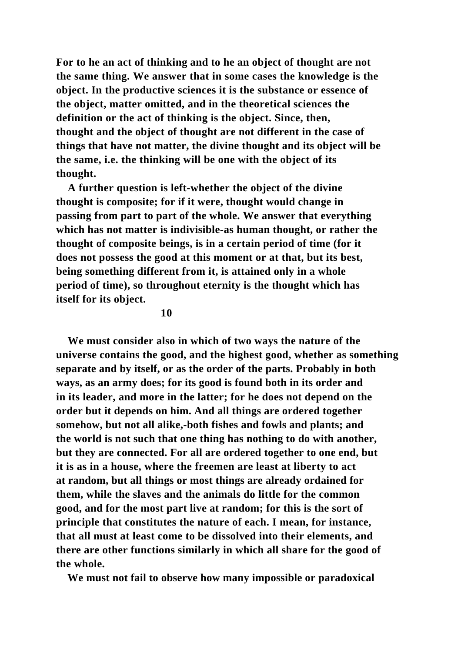**For to he an act of thinking and to he an object of thought are not the same thing. We answer that in some cases the knowledge is the object. In the productive sciences it is the substance or essence of the object, matter omitted, and in the theoretical sciences the definition or the act of thinking is the object. Since, then, thought and the object of thought are not different in the case of things that have not matter, the divine thought and its object will be the same, i.e. the thinking will be one with the object of its thought.**

 **A further question is left-whether the object of the divine thought is composite; for if it were, thought would change in passing from part to part of the whole. We answer that everything which has not matter is indivisible-as human thought, or rather the thought of composite beings, is in a certain period of time (for it does not possess the good at this moment or at that, but its best, being something different from it, is attained only in a whole period of time), so throughout eternity is the thought which has itself for its object.**

**10** 

 **We must consider also in which of two ways the nature of the universe contains the good, and the highest good, whether as something separate and by itself, or as the order of the parts. Probably in both ways, as an army does; for its good is found both in its order and in its leader, and more in the latter; for he does not depend on the order but it depends on him. And all things are ordered together somehow, but not all alike,-both fishes and fowls and plants; and the world is not such that one thing has nothing to do with another, but they are connected. For all are ordered together to one end, but it is as in a house, where the freemen are least at liberty to act at random, but all things or most things are already ordained for them, while the slaves and the animals do little for the common good, and for the most part live at random; for this is the sort of principle that constitutes the nature of each. I mean, for instance, that all must at least come to be dissolved into their elements, and there are other functions similarly in which all share for the good of the whole.**

 **We must not fail to observe how many impossible or paradoxical**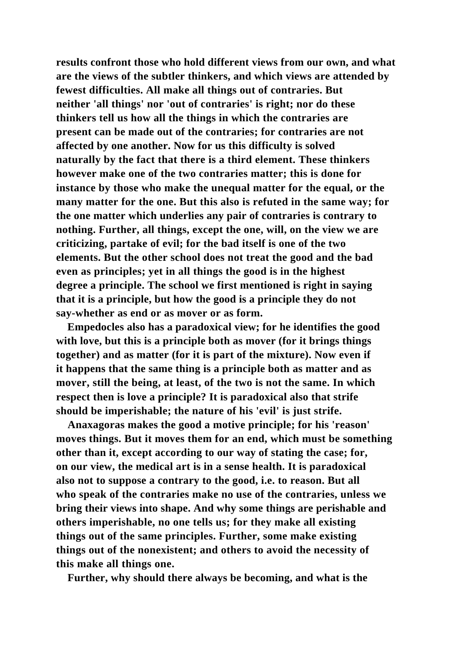**results confront those who hold different views from our own, and what are the views of the subtler thinkers, and which views are attended by fewest difficulties. All make all things out of contraries. But neither 'all things' nor 'out of contraries' is right; nor do these thinkers tell us how all the things in which the contraries are present can be made out of the contraries; for contraries are not affected by one another. Now for us this difficulty is solved naturally by the fact that there is a third element. These thinkers however make one of the two contraries matter; this is done for instance by those who make the unequal matter for the equal, or the many matter for the one. But this also is refuted in the same way; for the one matter which underlies any pair of contraries is contrary to nothing. Further, all things, except the one, will, on the view we are criticizing, partake of evil; for the bad itself is one of the two elements. But the other school does not treat the good and the bad even as principles; yet in all things the good is in the highest degree a principle. The school we first mentioned is right in saying that it is a principle, but how the good is a principle they do not say-whether as end or as mover or as form.**

 **Empedocles also has a paradoxical view; for he identifies the good with love, but this is a principle both as mover (for it brings things together) and as matter (for it is part of the mixture). Now even if it happens that the same thing is a principle both as matter and as mover, still the being, at least, of the two is not the same. In which respect then is love a principle? It is paradoxical also that strife should be imperishable; the nature of his 'evil' is just strife.**

 **Anaxagoras makes the good a motive principle; for his 'reason' moves things. But it moves them for an end, which must be something other than it, except according to our way of stating the case; for, on our view, the medical art is in a sense health. It is paradoxical also not to suppose a contrary to the good, i.e. to reason. But all who speak of the contraries make no use of the contraries, unless we bring their views into shape. And why some things are perishable and others imperishable, no one tells us; for they make all existing things out of the same principles. Further, some make existing things out of the nonexistent; and others to avoid the necessity of this make all things one.**

 **Further, why should there always be becoming, and what is the**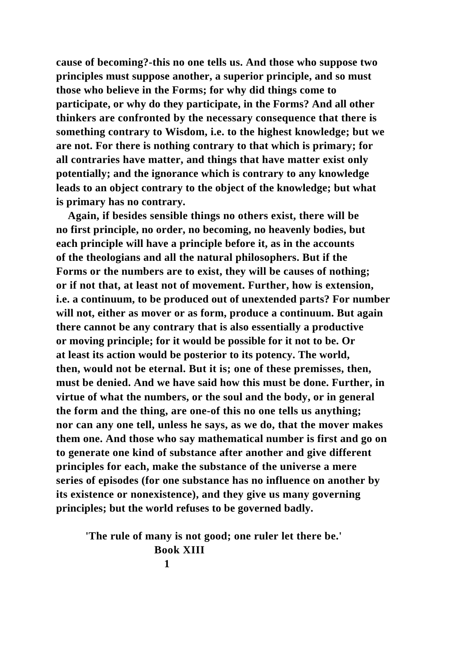**cause of becoming?-this no one tells us. And those who suppose two principles must suppose another, a superior principle, and so must those who believe in the Forms; for why did things come to participate, or why do they participate, in the Forms? And all other thinkers are confronted by the necessary consequence that there is something contrary to Wisdom, i.e. to the highest knowledge; but we are not. For there is nothing contrary to that which is primary; for all contraries have matter, and things that have matter exist only potentially; and the ignorance which is contrary to any knowledge leads to an object contrary to the object of the knowledge; but what is primary has no contrary.**

 **Again, if besides sensible things no others exist, there will be no first principle, no order, no becoming, no heavenly bodies, but each principle will have a principle before it, as in the accounts of the theologians and all the natural philosophers. But if the Forms or the numbers are to exist, they will be causes of nothing; or if not that, at least not of movement. Further, how is extension, i.e. a continuum, to be produced out of unextended parts? For number will not, either as mover or as form, produce a continuum. But again there cannot be any contrary that is also essentially a productive or moving principle; for it would be possible for it not to be. Or at least its action would be posterior to its potency. The world, then, would not be eternal. But it is; one of these premisses, then, must be denied. And we have said how this must be done. Further, in virtue of what the numbers, or the soul and the body, or in general the form and the thing, are one-of this no one tells us anything; nor can any one tell, unless he says, as we do, that the mover makes them one. And those who say mathematical number is first and go on to generate one kind of substance after another and give different principles for each, make the substance of the universe a mere series of episodes (for one substance has no influence on another by its existence or nonexistence), and they give us many governing principles; but the world refuses to be governed badly.**

 **'The rule of many is not good; one ruler let there be.' Book XIII 1**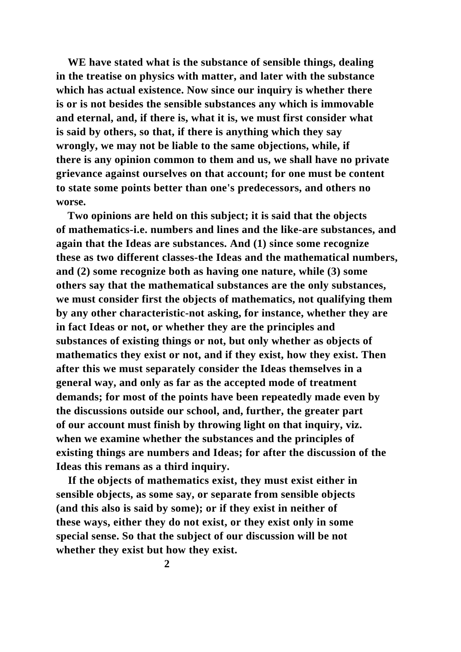**WE have stated what is the substance of sensible things, dealing in the treatise on physics with matter, and later with the substance which has actual existence. Now since our inquiry is whether there is or is not besides the sensible substances any which is immovable and eternal, and, if there is, what it is, we must first consider what is said by others, so that, if there is anything which they say wrongly, we may not be liable to the same objections, while, if there is any opinion common to them and us, we shall have no private grievance against ourselves on that account; for one must be content to state some points better than one's predecessors, and others no worse.**

 **Two opinions are held on this subject; it is said that the objects of mathematics-i.e. numbers and lines and the like-are substances, and again that the Ideas are substances. And (1) since some recognize these as two different classes-the Ideas and the mathematical numbers, and (2) some recognize both as having one nature, while (3) some others say that the mathematical substances are the only substances, we must consider first the objects of mathematics, not qualifying them by any other characteristic-not asking, for instance, whether they are in fact Ideas or not, or whether they are the principles and substances of existing things or not, but only whether as objects of mathematics they exist or not, and if they exist, how they exist. Then after this we must separately consider the Ideas themselves in a general way, and only as far as the accepted mode of treatment demands; for most of the points have been repeatedly made even by the discussions outside our school, and, further, the greater part of our account must finish by throwing light on that inquiry, viz. when we examine whether the substances and the principles of existing things are numbers and Ideas; for after the discussion of the Ideas this remans as a third inquiry.**

 **If the objects of mathematics exist, they must exist either in sensible objects, as some say, or separate from sensible objects (and this also is said by some); or if they exist in neither of these ways, either they do not exist, or they exist only in some special sense. So that the subject of our discussion will be not whether they exist but how they exist.**

**2**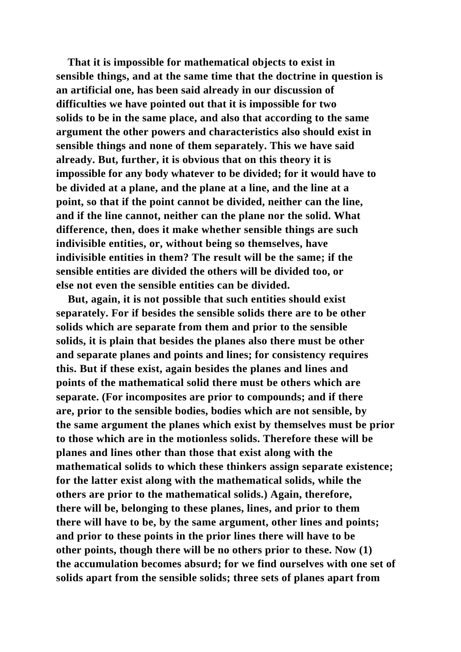**That it is impossible for mathematical objects to exist in sensible things, and at the same time that the doctrine in question is an artificial one, has been said already in our discussion of difficulties we have pointed out that it is impossible for two solids to be in the same place, and also that according to the same argument the other powers and characteristics also should exist in sensible things and none of them separately. This we have said already. But, further, it is obvious that on this theory it is impossible for any body whatever to be divided; for it would have to be divided at a plane, and the plane at a line, and the line at a point, so that if the point cannot be divided, neither can the line, and if the line cannot, neither can the plane nor the solid. What difference, then, does it make whether sensible things are such indivisible entities, or, without being so themselves, have indivisible entities in them? The result will be the same; if the sensible entities are divided the others will be divided too, or else not even the sensible entities can be divided.**

 **But, again, it is not possible that such entities should exist separately. For if besides the sensible solids there are to be other solids which are separate from them and prior to the sensible solids, it is plain that besides the planes also there must be other and separate planes and points and lines; for consistency requires this. But if these exist, again besides the planes and lines and points of the mathematical solid there must be others which are separate. (For incomposites are prior to compounds; and if there are, prior to the sensible bodies, bodies which are not sensible, by the same argument the planes which exist by themselves must be prior to those which are in the motionless solids. Therefore these will be planes and lines other than those that exist along with the mathematical solids to which these thinkers assign separate existence; for the latter exist along with the mathematical solids, while the others are prior to the mathematical solids.) Again, therefore, there will be, belonging to these planes, lines, and prior to them there will have to be, by the same argument, other lines and points; and prior to these points in the prior lines there will have to be other points, though there will be no others prior to these. Now (1) the accumulation becomes absurd; for we find ourselves with one set of solids apart from the sensible solids; three sets of planes apart from**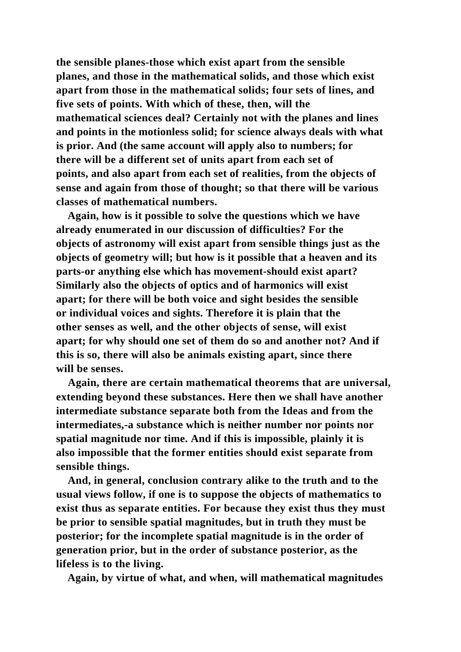**the sensible planes-those which exist apart from the sensible planes, and those in the mathematical solids, and those which exist apart from those in the mathematical solids; four sets of lines, and five sets of points. With which of these, then, will the mathematical sciences deal? Certainly not with the planes and lines and points in the motionless solid; for science always deals with what is prior. And (the same account will apply also to numbers; for there will be a different set of units apart from each set of points, and also apart from each set of realities, from the objects of sense and again from those of thought; so that there will be various classes of mathematical numbers.**

 **Again, how is it possible to solve the questions which we have already enumerated in our discussion of difficulties? For the objects of astronomy will exist apart from sensible things just as the objects of geometry will; but how is it possible that a heaven and its parts-or anything else which has movement-should exist apart? Similarly also the objects of optics and of harmonics will exist apart; for there will be both voice and sight besides the sensible or individual voices and sights. Therefore it is plain that the other senses as well, and the other objects of sense, will exist apart; for why should one set of them do so and another not? And if this is so, there will also be animals existing apart, since there will be senses.**

 **Again, there are certain mathematical theorems that are universal, extending beyond these substances. Here then we shall have another intermediate substance separate both from the Ideas and from the intermediates,-a substance which is neither number nor points nor spatial magnitude nor time. And if this is impossible, plainly it is also impossible that the former entities should exist separate from sensible things.**

 **And, in general, conclusion contrary alike to the truth and to the usual views follow, if one is to suppose the objects of mathematics to exist thus as separate entities. For because they exist thus they must be prior to sensible spatial magnitudes, but in truth they must be posterior; for the incomplete spatial magnitude is in the order of generation prior, but in the order of substance posterior, as the lifeless is to the living.**

 **Again, by virtue of what, and when, will mathematical magnitudes**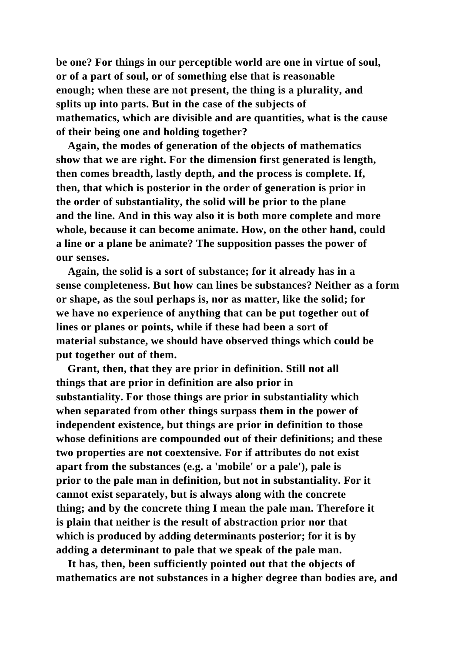**be one? For things in our perceptible world are one in virtue of soul, or of a part of soul, or of something else that is reasonable enough; when these are not present, the thing is a plurality, and splits up into parts. But in the case of the subjects of mathematics, which are divisible and are quantities, what is the cause of their being one and holding together?**

 **Again, the modes of generation of the objects of mathematics show that we are right. For the dimension first generated is length, then comes breadth, lastly depth, and the process is complete. If, then, that which is posterior in the order of generation is prior in the order of substantiality, the solid will be prior to the plane and the line. And in this way also it is both more complete and more whole, because it can become animate. How, on the other hand, could a line or a plane be animate? The supposition passes the power of our senses.**

 **Again, the solid is a sort of substance; for it already has in a sense completeness. But how can lines be substances? Neither as a form or shape, as the soul perhaps is, nor as matter, like the solid; for we have no experience of anything that can be put together out of lines or planes or points, while if these had been a sort of material substance, we should have observed things which could be put together out of them.**

 **Grant, then, that they are prior in definition. Still not all things that are prior in definition are also prior in substantiality. For those things are prior in substantiality which when separated from other things surpass them in the power of independent existence, but things are prior in definition to those whose definitions are compounded out of their definitions; and these two properties are not coextensive. For if attributes do not exist apart from the substances (e.g. a 'mobile' or a pale'), pale is prior to the pale man in definition, but not in substantiality. For it cannot exist separately, but is always along with the concrete thing; and by the concrete thing I mean the pale man. Therefore it is plain that neither is the result of abstraction prior nor that which is produced by adding determinants posterior; for it is by adding a determinant to pale that we speak of the pale man.**

 **It has, then, been sufficiently pointed out that the objects of mathematics are not substances in a higher degree than bodies are, and**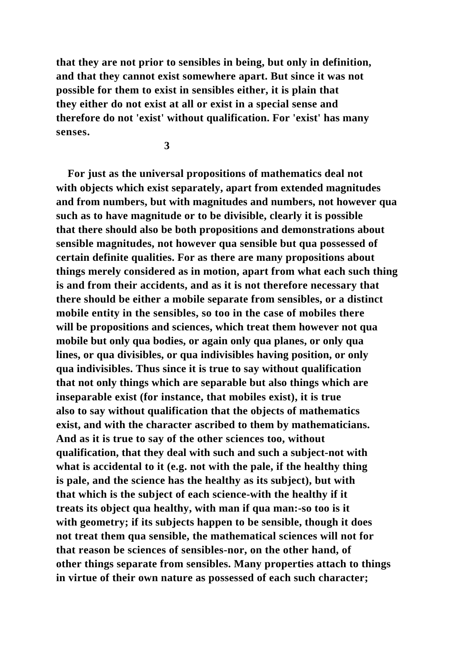**that they are not prior to sensibles in being, but only in definition, and that they cannot exist somewhere apart. But since it was not possible for them to exist in sensibles either, it is plain that they either do not exist at all or exist in a special sense and therefore do not 'exist' without qualification. For 'exist' has many senses.**

**3** 

 **For just as the universal propositions of mathematics deal not with objects which exist separately, apart from extended magnitudes and from numbers, but with magnitudes and numbers, not however qua such as to have magnitude or to be divisible, clearly it is possible that there should also be both propositions and demonstrations about sensible magnitudes, not however qua sensible but qua possessed of certain definite qualities. For as there are many propositions about things merely considered as in motion, apart from what each such thing is and from their accidents, and as it is not therefore necessary that there should be either a mobile separate from sensibles, or a distinct mobile entity in the sensibles, so too in the case of mobiles there will be propositions and sciences, which treat them however not qua mobile but only qua bodies, or again only qua planes, or only qua lines, or qua divisibles, or qua indivisibles having position, or only qua indivisibles. Thus since it is true to say without qualification that not only things which are separable but also things which are inseparable exist (for instance, that mobiles exist), it is true also to say without qualification that the objects of mathematics exist, and with the character ascribed to them by mathematicians. And as it is true to say of the other sciences too, without qualification, that they deal with such and such a subject-not with what is accidental to it (e.g. not with the pale, if the healthy thing is pale, and the science has the healthy as its subject), but with that which is the subject of each science-with the healthy if it treats its object qua healthy, with man if qua man:-so too is it with geometry; if its subjects happen to be sensible, though it does not treat them qua sensible, the mathematical sciences will not for that reason be sciences of sensibles-nor, on the other hand, of other things separate from sensibles. Many properties attach to things in virtue of their own nature as possessed of each such character;**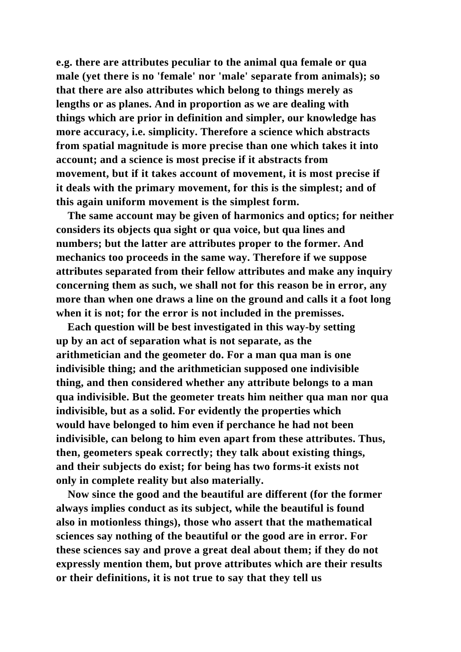**e.g. there are attributes peculiar to the animal qua female or qua male (yet there is no 'female' nor 'male' separate from animals); so that there are also attributes which belong to things merely as lengths or as planes. And in proportion as we are dealing with things which are prior in definition and simpler, our knowledge has more accuracy, i.e. simplicity. Therefore a science which abstracts from spatial magnitude is more precise than one which takes it into account; and a science is most precise if it abstracts from movement, but if it takes account of movement, it is most precise if it deals with the primary movement, for this is the simplest; and of this again uniform movement is the simplest form.**

 **The same account may be given of harmonics and optics; for neither considers its objects qua sight or qua voice, but qua lines and numbers; but the latter are attributes proper to the former. And mechanics too proceeds in the same way. Therefore if we suppose attributes separated from their fellow attributes and make any inquiry concerning them as such, we shall not for this reason be in error, any more than when one draws a line on the ground and calls it a foot long when it is not; for the error is not included in the premisses.**

 **Each question will be best investigated in this way-by setting up by an act of separation what is not separate, as the arithmetician and the geometer do. For a man qua man is one indivisible thing; and the arithmetician supposed one indivisible thing, and then considered whether any attribute belongs to a man qua indivisible. But the geometer treats him neither qua man nor qua indivisible, but as a solid. For evidently the properties which would have belonged to him even if perchance he had not been indivisible, can belong to him even apart from these attributes. Thus, then, geometers speak correctly; they talk about existing things, and their subjects do exist; for being has two forms-it exists not only in complete reality but also materially.**

 **Now since the good and the beautiful are different (for the former always implies conduct as its subject, while the beautiful is found also in motionless things), those who assert that the mathematical sciences say nothing of the beautiful or the good are in error. For these sciences say and prove a great deal about them; if they do not expressly mention them, but prove attributes which are their results or their definitions, it is not true to say that they tell us**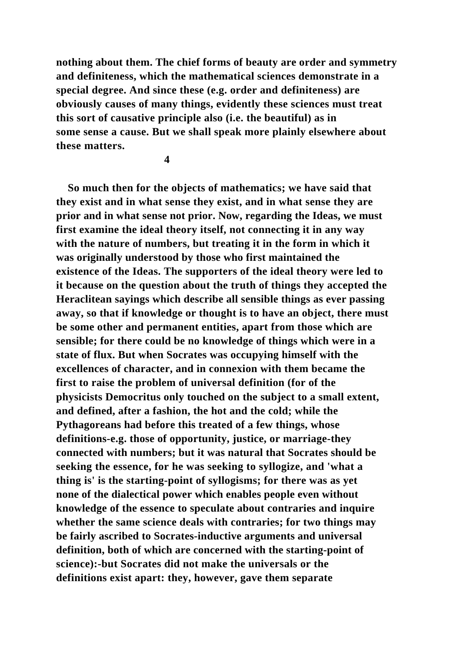**nothing about them. The chief forms of beauty are order and symmetry and definiteness, which the mathematical sciences demonstrate in a special degree. And since these (e.g. order and definiteness) are obviously causes of many things, evidently these sciences must treat this sort of causative principle also (i.e. the beautiful) as in some sense a cause. But we shall speak more plainly elsewhere about these matters.**

**4 4** 

 **So much then for the objects of mathematics; we have said that they exist and in what sense they exist, and in what sense they are prior and in what sense not prior. Now, regarding the Ideas, we must first examine the ideal theory itself, not connecting it in any way with the nature of numbers, but treating it in the form in which it was originally understood by those who first maintained the existence of the Ideas. The supporters of the ideal theory were led to it because on the question about the truth of things they accepted the Heraclitean sayings which describe all sensible things as ever passing away, so that if knowledge or thought is to have an object, there must be some other and permanent entities, apart from those which are sensible; for there could be no knowledge of things which were in a state of flux. But when Socrates was occupying himself with the excellences of character, and in connexion with them became the first to raise the problem of universal definition (for of the physicists Democritus only touched on the subject to a small extent, and defined, after a fashion, the hot and the cold; while the Pythagoreans had before this treated of a few things, whose definitions-e.g. those of opportunity, justice, or marriage-they connected with numbers; but it was natural that Socrates should be seeking the essence, for he was seeking to syllogize, and 'what a thing is' is the starting-point of syllogisms; for there was as yet none of the dialectical power which enables people even without knowledge of the essence to speculate about contraries and inquire whether the same science deals with contraries; for two things may be fairly ascribed to Socrates-inductive arguments and universal definition, both of which are concerned with the starting-point of science):-but Socrates did not make the universals or the definitions exist apart: they, however, gave them separate**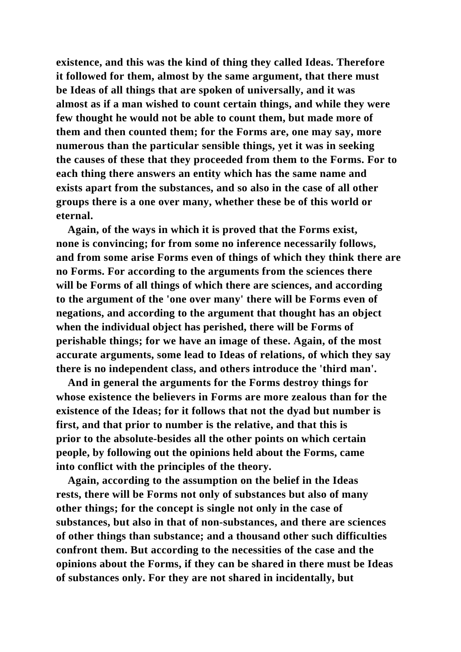**existence, and this was the kind of thing they called Ideas. Therefore it followed for them, almost by the same argument, that there must be Ideas of all things that are spoken of universally, and it was almost as if a man wished to count certain things, and while they were few thought he would not be able to count them, but made more of them and then counted them; for the Forms are, one may say, more numerous than the particular sensible things, yet it was in seeking the causes of these that they proceeded from them to the Forms. For to each thing there answers an entity which has the same name and exists apart from the substances, and so also in the case of all other groups there is a one over many, whether these be of this world or eternal.**

 **Again, of the ways in which it is proved that the Forms exist, none is convincing; for from some no inference necessarily follows, and from some arise Forms even of things of which they think there are no Forms. For according to the arguments from the sciences there will be Forms of all things of which there are sciences, and according to the argument of the 'one over many' there will be Forms even of negations, and according to the argument that thought has an object when the individual object has perished, there will be Forms of perishable things; for we have an image of these. Again, of the most accurate arguments, some lead to Ideas of relations, of which they say there is no independent class, and others introduce the 'third man'.**

 **And in general the arguments for the Forms destroy things for whose existence the believers in Forms are more zealous than for the existence of the Ideas; for it follows that not the dyad but number is first, and that prior to number is the relative, and that this is prior to the absolute-besides all the other points on which certain people, by following out the opinions held about the Forms, came into conflict with the principles of the theory.**

 **Again, according to the assumption on the belief in the Ideas rests, there will be Forms not only of substances but also of many other things; for the concept is single not only in the case of substances, but also in that of non-substances, and there are sciences of other things than substance; and a thousand other such difficulties confront them. But according to the necessities of the case and the opinions about the Forms, if they can be shared in there must be Ideas of substances only. For they are not shared in incidentally, but**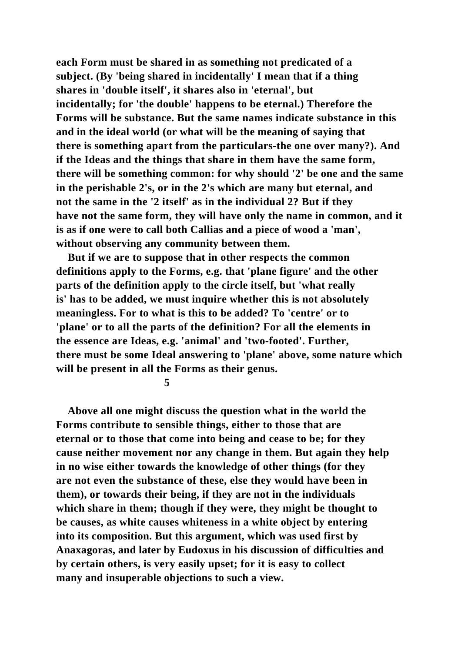**each Form must be shared in as something not predicated of a subject. (By 'being shared in incidentally' I mean that if a thing shares in 'double itself', it shares also in 'eternal', but incidentally; for 'the double' happens to be eternal.) Therefore the Forms will be substance. But the same names indicate substance in this and in the ideal world (or what will be the meaning of saying that there is something apart from the particulars-the one over many?). And if the Ideas and the things that share in them have the same form, there will be something common: for why should '2' be one and the same in the perishable 2's, or in the 2's which are many but eternal, and not the same in the '2 itself' as in the individual 2? But if they have not the same form, they will have only the name in common, and it is as if one were to call both Callias and a piece of wood a 'man', without observing any community between them.**

 **But if we are to suppose that in other respects the common definitions apply to the Forms, e.g. that 'plane figure' and the other parts of the definition apply to the circle itself, but 'what really is' has to be added, we must inquire whether this is not absolutely meaningless. For to what is this to be added? To 'centre' or to 'plane' or to all the parts of the definition? For all the elements in the essence are Ideas, e.g. 'animal' and 'two-footed'. Further, there must be some Ideal answering to 'plane' above, some nature which will be present in all the Forms as their genus.**

**5** 

 **Above all one might discuss the question what in the world the Forms contribute to sensible things, either to those that are eternal or to those that come into being and cease to be; for they cause neither movement nor any change in them. But again they help in no wise either towards the knowledge of other things (for they are not even the substance of these, else they would have been in them), or towards their being, if they are not in the individuals which share in them; though if they were, they might be thought to be causes, as white causes whiteness in a white object by entering into its composition. But this argument, which was used first by Anaxagoras, and later by Eudoxus in his discussion of difficulties and by certain others, is very easily upset; for it is easy to collect many and insuperable objections to such a view.**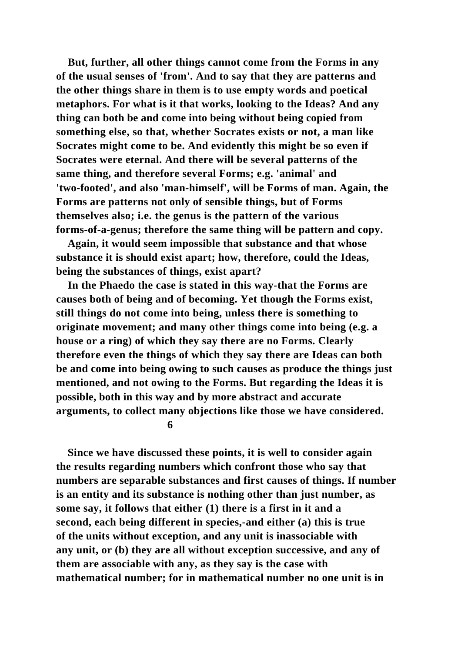**But, further, all other things cannot come from the Forms in any of the usual senses of 'from'. And to say that they are patterns and the other things share in them is to use empty words and poetical metaphors. For what is it that works, looking to the Ideas? And any thing can both be and come into being without being copied from something else, so that, whether Socrates exists or not, a man like Socrates might come to be. And evidently this might be so even if Socrates were eternal. And there will be several patterns of the same thing, and therefore several Forms; e.g. 'animal' and 'two-footed', and also 'man-himself', will be Forms of man. Again, the Forms are patterns not only of sensible things, but of Forms themselves also; i.e. the genus is the pattern of the various forms-of-a-genus; therefore the same thing will be pattern and copy.**

 **Again, it would seem impossible that substance and that whose substance it is should exist apart; how, therefore, could the Ideas, being the substances of things, exist apart?**

 **In the Phaedo the case is stated in this way-that the Forms are causes both of being and of becoming. Yet though the Forms exist, still things do not come into being, unless there is something to originate movement; and many other things come into being (e.g. a house or a ring) of which they say there are no Forms. Clearly therefore even the things of which they say there are Ideas can both be and come into being owing to such causes as produce the things just mentioned, and not owing to the Forms. But regarding the Ideas it is possible, both in this way and by more abstract and accurate arguments, to collect many objections like those we have considered.**

 **6**

 **Since we have discussed these points, it is well to consider again the results regarding numbers which confront those who say that numbers are separable substances and first causes of things. If number is an entity and its substance is nothing other than just number, as some say, it follows that either (1) there is a first in it and a second, each being different in species,-and either (a) this is true of the units without exception, and any unit is inassociable with any unit, or (b) they are all without exception successive, and any of them are associable with any, as they say is the case with mathematical number; for in mathematical number no one unit is in**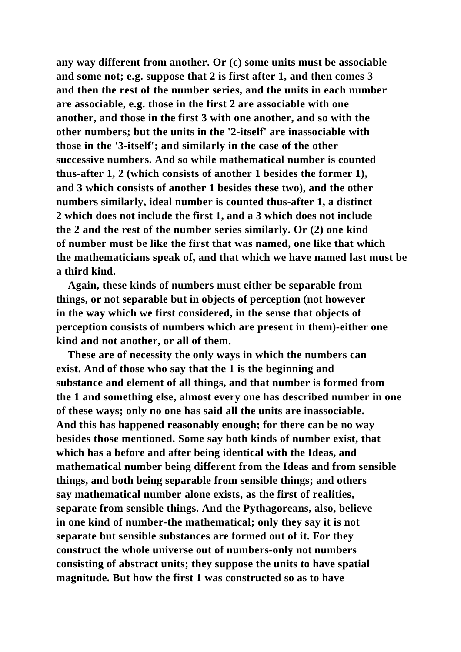**any way different from another. Or (c) some units must be associable and some not; e.g. suppose that 2 is first after 1, and then comes 3 and then the rest of the number series, and the units in each number are associable, e.g. those in the first 2 are associable with one another, and those in the first 3 with one another, and so with the other numbers; but the units in the '2-itself' are inassociable with those in the '3-itself'; and similarly in the case of the other successive numbers. And so while mathematical number is counted thus-after 1, 2 (which consists of another 1 besides the former 1), and 3 which consists of another 1 besides these two), and the other numbers similarly, ideal number is counted thus-after 1, a distinct 2 which does not include the first 1, and a 3 which does not include the 2 and the rest of the number series similarly. Or (2) one kind of number must be like the first that was named, one like that which the mathematicians speak of, and that which we have named last must be a third kind.**

 **Again, these kinds of numbers must either be separable from things, or not separable but in objects of perception (not however in the way which we first considered, in the sense that objects of perception consists of numbers which are present in them)-either one kind and not another, or all of them.**

 **These are of necessity the only ways in which the numbers can exist. And of those who say that the 1 is the beginning and substance and element of all things, and that number is formed from the 1 and something else, almost every one has described number in one of these ways; only no one has said all the units are inassociable. And this has happened reasonably enough; for there can be no way besides those mentioned. Some say both kinds of number exist, that which has a before and after being identical with the Ideas, and mathematical number being different from the Ideas and from sensible things, and both being separable from sensible things; and others say mathematical number alone exists, as the first of realities, separate from sensible things. And the Pythagoreans, also, believe in one kind of number-the mathematical; only they say it is not separate but sensible substances are formed out of it. For they construct the whole universe out of numbers-only not numbers consisting of abstract units; they suppose the units to have spatial magnitude. But how the first 1 was constructed so as to have**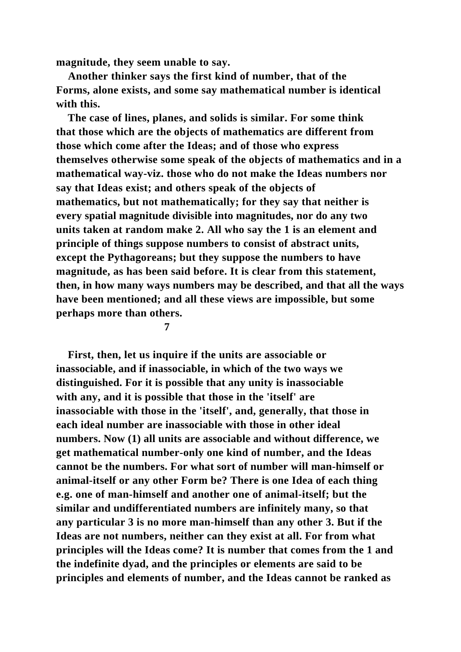**magnitude, they seem unable to say.**

 **Another thinker says the first kind of number, that of the Forms, alone exists, and some say mathematical number is identical with this.**

 **The case of lines, planes, and solids is similar. For some think that those which are the objects of mathematics are different from those which come after the Ideas; and of those who express themselves otherwise some speak of the objects of mathematics and in a mathematical way-viz. those who do not make the Ideas numbers nor say that Ideas exist; and others speak of the objects of mathematics, but not mathematically; for they say that neither is every spatial magnitude divisible into magnitudes, nor do any two units taken at random make 2. All who say the 1 is an element and principle of things suppose numbers to consist of abstract units, except the Pythagoreans; but they suppose the numbers to have magnitude, as has been said before. It is clear from this statement, then, in how many ways numbers may be described, and that all the ways have been mentioned; and all these views are impossible, but some perhaps more than others.**

*<u>7 7 <i>7 7 7*</u>

 **First, then, let us inquire if the units are associable or inassociable, and if inassociable, in which of the two ways we distinguished. For it is possible that any unity is inassociable with any, and it is possible that those in the 'itself' are inassociable with those in the 'itself', and, generally, that those in each ideal number are inassociable with those in other ideal numbers. Now (1) all units are associable and without difference, we get mathematical number-only one kind of number, and the Ideas cannot be the numbers. For what sort of number will man-himself or animal-itself or any other Form be? There is one Idea of each thing e.g. one of man-himself and another one of animal-itself; but the similar and undifferentiated numbers are infinitely many, so that any particular 3 is no more man-himself than any other 3. But if the Ideas are not numbers, neither can they exist at all. For from what principles will the Ideas come? It is number that comes from the 1 and the indefinite dyad, and the principles or elements are said to be principles and elements of number, and the Ideas cannot be ranked as**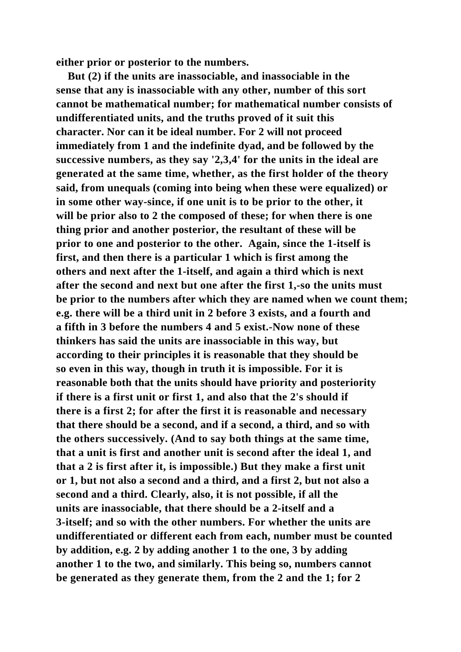**either prior or posterior to the numbers.**

 **But (2) if the units are inassociable, and inassociable in the sense that any is inassociable with any other, number of this sort cannot be mathematical number; for mathematical number consists of undifferentiated units, and the truths proved of it suit this character. Nor can it be ideal number. For 2 will not proceed immediately from 1 and the indefinite dyad, and be followed by the successive numbers, as they say '2,3,4' for the units in the ideal are generated at the same time, whether, as the first holder of the theory said, from unequals (coming into being when these were equalized) or in some other way-since, if one unit is to be prior to the other, it will be prior also to 2 the composed of these; for when there is one thing prior and another posterior, the resultant of these will be prior to one and posterior to the other. Again, since the 1-itself is first, and then there is a particular 1 which is first among the others and next after the 1-itself, and again a third which is next after the second and next but one after the first 1,-so the units must be prior to the numbers after which they are named when we count them; e.g. there will be a third unit in 2 before 3 exists, and a fourth and a fifth in 3 before the numbers 4 and 5 exist.-Now none of these thinkers has said the units are inassociable in this way, but according to their principles it is reasonable that they should be so even in this way, though in truth it is impossible. For it is reasonable both that the units should have priority and posteriority if there is a first unit or first 1, and also that the 2's should if there is a first 2; for after the first it is reasonable and necessary that there should be a second, and if a second, a third, and so with the others successively. (And to say both things at the same time, that a unit is first and another unit is second after the ideal 1, and that a 2 is first after it, is impossible.) But they make a first unit or 1, but not also a second and a third, and a first 2, but not also a second and a third. Clearly, also, it is not possible, if all the units are inassociable, that there should be a 2-itself and a 3-itself; and so with the other numbers. For whether the units are undifferentiated or different each from each, number must be counted by addition, e.g. 2 by adding another 1 to the one, 3 by adding another 1 to the two, and similarly. This being so, numbers cannot be generated as they generate them, from the 2 and the 1; for 2**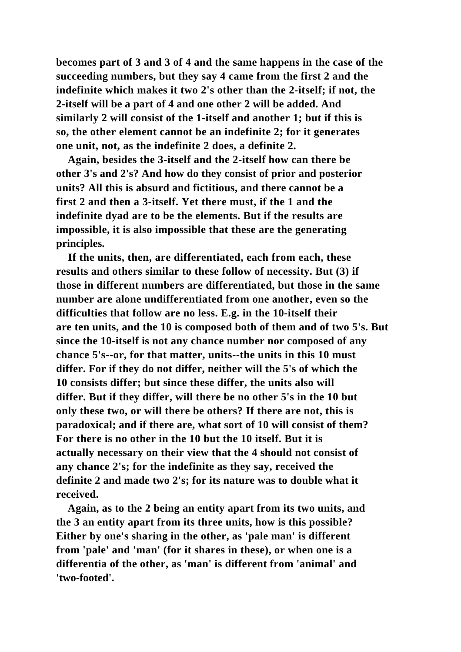**becomes part of 3 and 3 of 4 and the same happens in the case of the succeeding numbers, but they say 4 came from the first 2 and the indefinite which makes it two 2's other than the 2-itself; if not, the 2-itself will be a part of 4 and one other 2 will be added. And similarly 2 will consist of the 1-itself and another 1; but if this is so, the other element cannot be an indefinite 2; for it generates one unit, not, as the indefinite 2 does, a definite 2.**

 **Again, besides the 3-itself and the 2-itself how can there be other 3's and 2's? And how do they consist of prior and posterior units? All this is absurd and fictitious, and there cannot be a first 2 and then a 3-itself. Yet there must, if the 1 and the indefinite dyad are to be the elements. But if the results are impossible, it is also impossible that these are the generating principles.**

 **If the units, then, are differentiated, each from each, these results and others similar to these follow of necessity. But (3) if those in different numbers are differentiated, but those in the same number are alone undifferentiated from one another, even so the difficulties that follow are no less. E.g. in the 10-itself their are ten units, and the 10 is composed both of them and of two 5's. But since the 10-itself is not any chance number nor composed of any chance 5's--or, for that matter, units--the units in this 10 must differ. For if they do not differ, neither will the 5's of which the 10 consists differ; but since these differ, the units also will differ. But if they differ, will there be no other 5's in the 10 but only these two, or will there be others? If there are not, this is paradoxical; and if there are, what sort of 10 will consist of them? For there is no other in the 10 but the 10 itself. But it is actually necessary on their view that the 4 should not consist of any chance 2's; for the indefinite as they say, received the definite 2 and made two 2's; for its nature was to double what it received.**

 **Again, as to the 2 being an entity apart from its two units, and the 3 an entity apart from its three units, how is this possible? Either by one's sharing in the other, as 'pale man' is different from 'pale' and 'man' (for it shares in these), or when one is a differentia of the other, as 'man' is different from 'animal' and 'two-footed'.**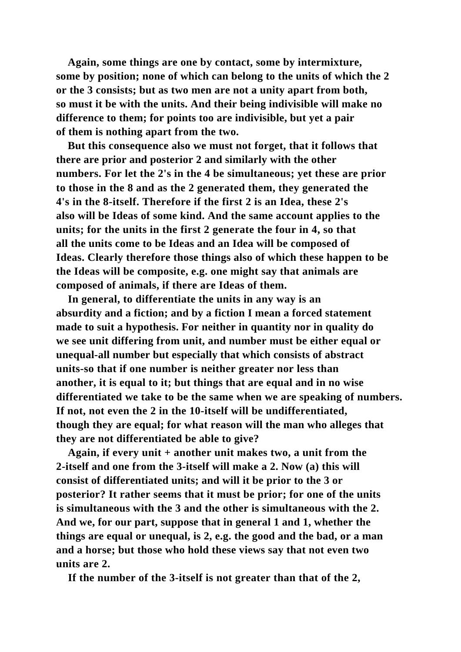**Again, some things are one by contact, some by intermixture, some by position; none of which can belong to the units of which the 2 or the 3 consists; but as two men are not a unity apart from both, so must it be with the units. And their being indivisible will make no difference to them; for points too are indivisible, but yet a pair of them is nothing apart from the two.**

 **But this consequence also we must not forget, that it follows that there are prior and posterior 2 and similarly with the other numbers. For let the 2's in the 4 be simultaneous; yet these are prior to those in the 8 and as the 2 generated them, they generated the 4's in the 8-itself. Therefore if the first 2 is an Idea, these 2's also will be Ideas of some kind. And the same account applies to the units; for the units in the first 2 generate the four in 4, so that all the units come to be Ideas and an Idea will be composed of Ideas. Clearly therefore those things also of which these happen to be the Ideas will be composite, e.g. one might say that animals are composed of animals, if there are Ideas of them.**

 **In general, to differentiate the units in any way is an absurdity and a fiction; and by a fiction I mean a forced statement made to suit a hypothesis. For neither in quantity nor in quality do we see unit differing from unit, and number must be either equal or unequal-all number but especially that which consists of abstract units-so that if one number is neither greater nor less than another, it is equal to it; but things that are equal and in no wise differentiated we take to be the same when we are speaking of numbers. If not, not even the 2 in the 10-itself will be undifferentiated, though they are equal; for what reason will the man who alleges that they are not differentiated be able to give?**

 **Again, if every unit + another unit makes two, a unit from the 2-itself and one from the 3-itself will make a 2. Now (a) this will consist of differentiated units; and will it be prior to the 3 or posterior? It rather seems that it must be prior; for one of the units is simultaneous with the 3 and the other is simultaneous with the 2. And we, for our part, suppose that in general 1 and 1, whether the things are equal or unequal, is 2, e.g. the good and the bad, or a man and a horse; but those who hold these views say that not even two units are 2.**

 **If the number of the 3-itself is not greater than that of the 2,**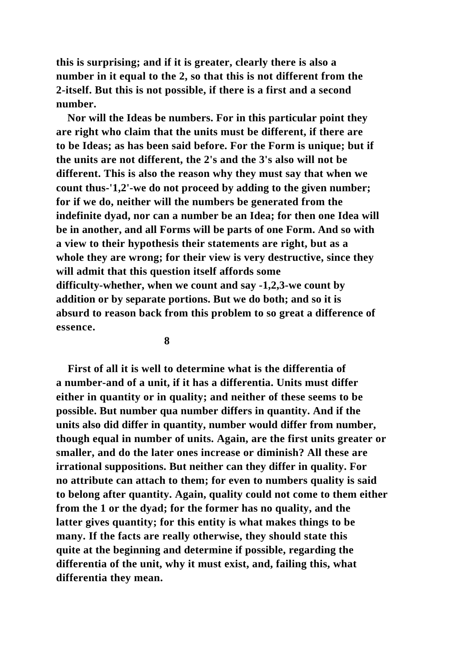**this is surprising; and if it is greater, clearly there is also a number in it equal to the 2, so that this is not different from the 2-itself. But this is not possible, if there is a first and a second number.**

 **Nor will the Ideas be numbers. For in this particular point they are right who claim that the units must be different, if there are to be Ideas; as has been said before. For the Form is unique; but if the units are not different, the 2's and the 3's also will not be different. This is also the reason why they must say that when we count thus-'1,2'-we do not proceed by adding to the given number; for if we do, neither will the numbers be generated from the indefinite dyad, nor can a number be an Idea; for then one Idea will be in another, and all Forms will be parts of one Form. And so with a view to their hypothesis their statements are right, but as a whole they are wrong; for their view is very destructive, since they will admit that this question itself affords some difficulty-whether, when we count and say -1,2,3-we count by addition or by separate portions. But we do both; and so it is absurd to reason back from this problem to so great a difference of essence.**

 **8**

 **First of all it is well to determine what is the differentia of a number-and of a unit, if it has a differentia. Units must differ either in quantity or in quality; and neither of these seems to be possible. But number qua number differs in quantity. And if the units also did differ in quantity, number would differ from number, though equal in number of units. Again, are the first units greater or smaller, and do the later ones increase or diminish? All these are irrational suppositions. But neither can they differ in quality. For no attribute can attach to them; for even to numbers quality is said to belong after quantity. Again, quality could not come to them either from the 1 or the dyad; for the former has no quality, and the latter gives quantity; for this entity is what makes things to be many. If the facts are really otherwise, they should state this quite at the beginning and determine if possible, regarding the differentia of the unit, why it must exist, and, failing this, what differentia they mean.**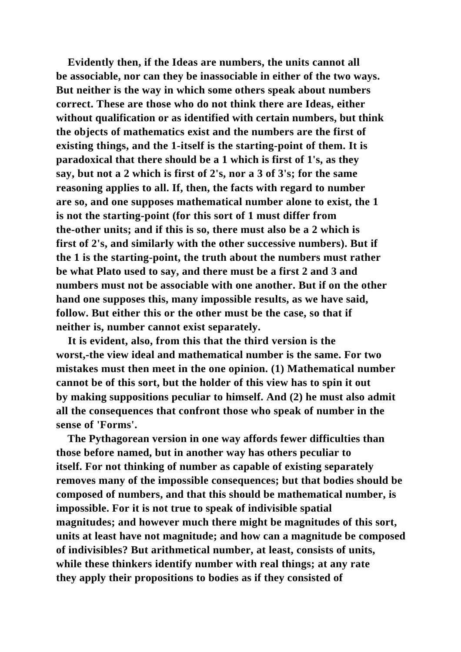**Evidently then, if the Ideas are numbers, the units cannot all be associable, nor can they be inassociable in either of the two ways. But neither is the way in which some others speak about numbers correct. These are those who do not think there are Ideas, either without qualification or as identified with certain numbers, but think the objects of mathematics exist and the numbers are the first of existing things, and the 1-itself is the starting-point of them. It is paradoxical that there should be a 1 which is first of 1's, as they say, but not a 2 which is first of 2's, nor a 3 of 3's; for the same reasoning applies to all. If, then, the facts with regard to number are so, and one supposes mathematical number alone to exist, the 1 is not the starting-point (for this sort of 1 must differ from the-other units; and if this is so, there must also be a 2 which is first of 2's, and similarly with the other successive numbers). But if the 1 is the starting-point, the truth about the numbers must rather be what Plato used to say, and there must be a first 2 and 3 and numbers must not be associable with one another. But if on the other hand one supposes this, many impossible results, as we have said, follow. But either this or the other must be the case, so that if neither is, number cannot exist separately.**

 **It is evident, also, from this that the third version is the worst,-the view ideal and mathematical number is the same. For two mistakes must then meet in the one opinion. (1) Mathematical number cannot be of this sort, but the holder of this view has to spin it out by making suppositions peculiar to himself. And (2) he must also admit all the consequences that confront those who speak of number in the sense of 'Forms'.**

 **The Pythagorean version in one way affords fewer difficulties than those before named, but in another way has others peculiar to itself. For not thinking of number as capable of existing separately removes many of the impossible consequences; but that bodies should be composed of numbers, and that this should be mathematical number, is impossible. For it is not true to speak of indivisible spatial magnitudes; and however much there might be magnitudes of this sort, units at least have not magnitude; and how can a magnitude be composed of indivisibles? But arithmetical number, at least, consists of units, while these thinkers identify number with real things; at any rate they apply their propositions to bodies as if they consisted of**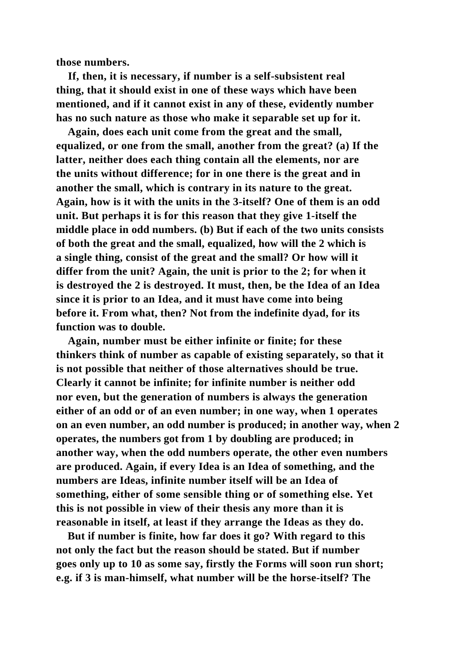**those numbers.**

 **If, then, it is necessary, if number is a self-subsistent real thing, that it should exist in one of these ways which have been mentioned, and if it cannot exist in any of these, evidently number has no such nature as those who make it separable set up for it.**

 **Again, does each unit come from the great and the small, equalized, or one from the small, another from the great? (a) If the latter, neither does each thing contain all the elements, nor are the units without difference; for in one there is the great and in another the small, which is contrary in its nature to the great. Again, how is it with the units in the 3-itself? One of them is an odd unit. But perhaps it is for this reason that they give 1-itself the middle place in odd numbers. (b) But if each of the two units consists of both the great and the small, equalized, how will the 2 which is a single thing, consist of the great and the small? Or how will it differ from the unit? Again, the unit is prior to the 2; for when it is destroyed the 2 is destroyed. It must, then, be the Idea of an Idea since it is prior to an Idea, and it must have come into being before it. From what, then? Not from the indefinite dyad, for its function was to double.**

 **Again, number must be either infinite or finite; for these thinkers think of number as capable of existing separately, so that it is not possible that neither of those alternatives should be true. Clearly it cannot be infinite; for infinite number is neither odd nor even, but the generation of numbers is always the generation either of an odd or of an even number; in one way, when 1 operates on an even number, an odd number is produced; in another way, when 2 operates, the numbers got from 1 by doubling are produced; in another way, when the odd numbers operate, the other even numbers are produced. Again, if every Idea is an Idea of something, and the numbers are Ideas, infinite number itself will be an Idea of something, either of some sensible thing or of something else. Yet this is not possible in view of their thesis any more than it is reasonable in itself, at least if they arrange the Ideas as they do.**

 **But if number is finite, how far does it go? With regard to this not only the fact but the reason should be stated. But if number goes only up to 10 as some say, firstly the Forms will soon run short; e.g. if 3 is man-himself, what number will be the horse-itself? The**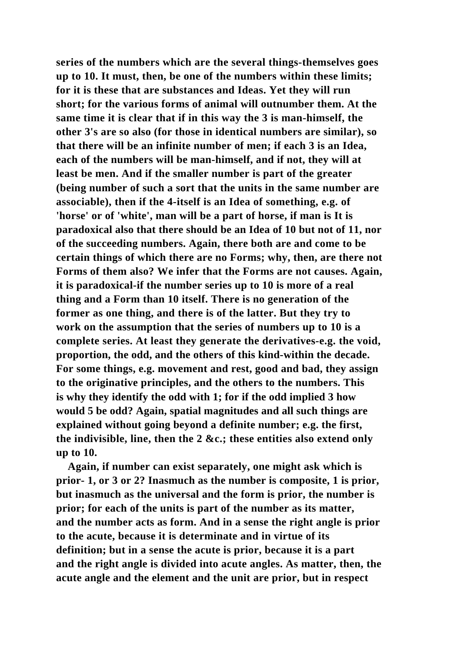**series of the numbers which are the several things-themselves goes up to 10. It must, then, be one of the numbers within these limits; for it is these that are substances and Ideas. Yet they will run short; for the various forms of animal will outnumber them. At the same time it is clear that if in this way the 3 is man-himself, the other 3's are so also (for those in identical numbers are similar), so that there will be an infinite number of men; if each 3 is an Idea, each of the numbers will be man-himself, and if not, they will at least be men. And if the smaller number is part of the greater (being number of such a sort that the units in the same number are associable), then if the 4-itself is an Idea of something, e.g. of 'horse' or of 'white', man will be a part of horse, if man is It is paradoxical also that there should be an Idea of 10 but not of 11, nor of the succeeding numbers. Again, there both are and come to be certain things of which there are no Forms; why, then, are there not Forms of them also? We infer that the Forms are not causes. Again, it is paradoxical-if the number series up to 10 is more of a real thing and a Form than 10 itself. There is no generation of the former as one thing, and there is of the latter. But they try to work on the assumption that the series of numbers up to 10 is a complete series. At least they generate the derivatives-e.g. the void, proportion, the odd, and the others of this kind-within the decade. For some things, e.g. movement and rest, good and bad, they assign to the originative principles, and the others to the numbers. This is why they identify the odd with 1; for if the odd implied 3 how would 5 be odd? Again, spatial magnitudes and all such things are explained without going beyond a definite number; e.g. the first, the indivisible, line, then the 2 &c.; these entities also extend only up to 10.**

 **Again, if number can exist separately, one might ask which is prior- 1, or 3 or 2? Inasmuch as the number is composite, 1 is prior, but inasmuch as the universal and the form is prior, the number is prior; for each of the units is part of the number as its matter, and the number acts as form. And in a sense the right angle is prior to the acute, because it is determinate and in virtue of its definition; but in a sense the acute is prior, because it is a part and the right angle is divided into acute angles. As matter, then, the acute angle and the element and the unit are prior, but in respect**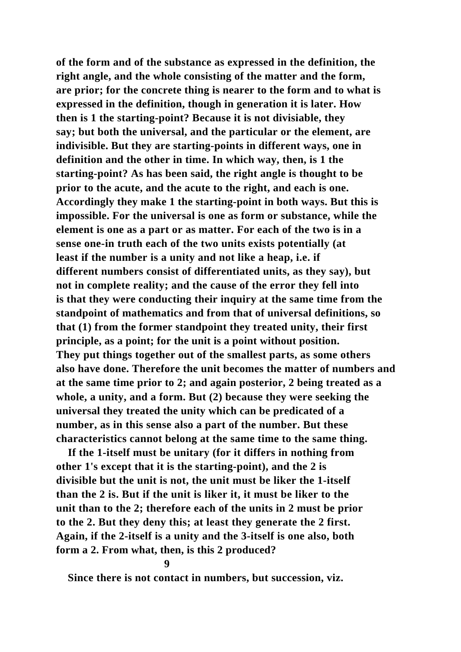**of the form and of the substance as expressed in the definition, the right angle, and the whole consisting of the matter and the form, are prior; for the concrete thing is nearer to the form and to what is expressed in the definition, though in generation it is later. How then is 1 the starting-point? Because it is not divisiable, they say; but both the universal, and the particular or the element, are indivisible. But they are starting-points in different ways, one in definition and the other in time. In which way, then, is 1 the starting-point? As has been said, the right angle is thought to be prior to the acute, and the acute to the right, and each is one. Accordingly they make 1 the starting-point in both ways. But this is impossible. For the universal is one as form or substance, while the element is one as a part or as matter. For each of the two is in a sense one-in truth each of the two units exists potentially (at least if the number is a unity and not like a heap, i.e. if different numbers consist of differentiated units, as they say), but not in complete reality; and the cause of the error they fell into is that they were conducting their inquiry at the same time from the standpoint of mathematics and from that of universal definitions, so that (1) from the former standpoint they treated unity, their first principle, as a point; for the unit is a point without position. They put things together out of the smallest parts, as some others also have done. Therefore the unit becomes the matter of numbers and at the same time prior to 2; and again posterior, 2 being treated as a whole, a unity, and a form. But (2) because they were seeking the universal they treated the unity which can be predicated of a number, as in this sense also a part of the number. But these characteristics cannot belong at the same time to the same thing.**

 **If the 1-itself must be unitary (for it differs in nothing from other 1's except that it is the starting-point), and the 2 is divisible but the unit is not, the unit must be liker the 1-itself than the 2 is. But if the unit is liker it, it must be liker to the unit than to the 2; therefore each of the units in 2 must be prior to the 2. But they deny this; at least they generate the 2 first. Again, if the 2-itself is a unity and the 3-itself is one also, both form a 2. From what, then, is this 2 produced?**

**9** 

 **Since there is not contact in numbers, but succession, viz.**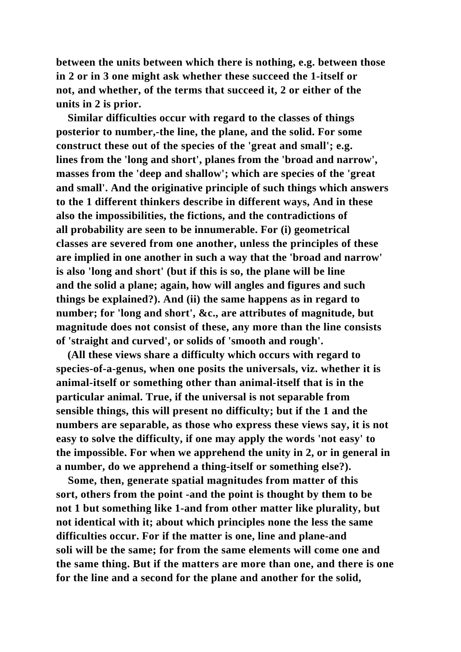**between the units between which there is nothing, e.g. between those in 2 or in 3 one might ask whether these succeed the 1-itself or not, and whether, of the terms that succeed it, 2 or either of the units in 2 is prior.**

 **Similar difficulties occur with regard to the classes of things posterior to number,-the line, the plane, and the solid. For some construct these out of the species of the 'great and small'; e.g. lines from the 'long and short', planes from the 'broad and narrow', masses from the 'deep and shallow'; which are species of the 'great and small'. And the originative principle of such things which answers to the 1 different thinkers describe in different ways, And in these also the impossibilities, the fictions, and the contradictions of all probability are seen to be innumerable. For (i) geometrical classes are severed from one another, unless the principles of these are implied in one another in such a way that the 'broad and narrow' is also 'long and short' (but if this is so, the plane will be line and the solid a plane; again, how will angles and figures and such things be explained?). And (ii) the same happens as in regard to number; for 'long and short', &c., are attributes of magnitude, but magnitude does not consist of these, any more than the line consists of 'straight and curved', or solids of 'smooth and rough'.**

 **(All these views share a difficulty which occurs with regard to species-of-a-genus, when one posits the universals, viz. whether it is animal-itself or something other than animal-itself that is in the particular animal. True, if the universal is not separable from sensible things, this will present no difficulty; but if the 1 and the numbers are separable, as those who express these views say, it is not easy to solve the difficulty, if one may apply the words 'not easy' to the impossible. For when we apprehend the unity in 2, or in general in a number, do we apprehend a thing-itself or something else?).**

 **Some, then, generate spatial magnitudes from matter of this sort, others from the point -and the point is thought by them to be not 1 but something like 1-and from other matter like plurality, but not identical with it; about which principles none the less the same difficulties occur. For if the matter is one, line and plane-and soli will be the same; for from the same elements will come one and the same thing. But if the matters are more than one, and there is one for the line and a second for the plane and another for the solid,**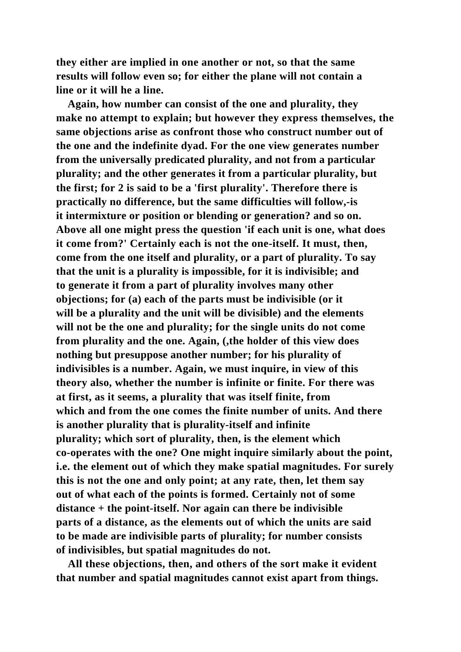**they either are implied in one another or not, so that the same results will follow even so; for either the plane will not contain a line or it will he a line.**

 **Again, how number can consist of the one and plurality, they make no attempt to explain; but however they express themselves, the same objections arise as confront those who construct number out of the one and the indefinite dyad. For the one view generates number from the universally predicated plurality, and not from a particular plurality; and the other generates it from a particular plurality, but the first; for 2 is said to be a 'first plurality'. Therefore there is practically no difference, but the same difficulties will follow,-is it intermixture or position or blending or generation? and so on. Above all one might press the question 'if each unit is one, what does it come from?' Certainly each is not the one-itself. It must, then, come from the one itself and plurality, or a part of plurality. To say that the unit is a plurality is impossible, for it is indivisible; and to generate it from a part of plurality involves many other objections; for (a) each of the parts must be indivisible (or it will be a plurality and the unit will be divisible) and the elements will not be the one and plurality; for the single units do not come from plurality and the one. Again, (,the holder of this view does nothing but presuppose another number; for his plurality of indivisibles is a number. Again, we must inquire, in view of this theory also, whether the number is infinite or finite. For there was at first, as it seems, a plurality that was itself finite, from which and from the one comes the finite number of units. And there is another plurality that is plurality-itself and infinite plurality; which sort of plurality, then, is the element which co-operates with the one? One might inquire similarly about the point, i.e. the element out of which they make spatial magnitudes. For surely this is not the one and only point; at any rate, then, let them say out of what each of the points is formed. Certainly not of some distance + the point-itself. Nor again can there be indivisible parts of a distance, as the elements out of which the units are said to be made are indivisible parts of plurality; for number consists of indivisibles, but spatial magnitudes do not.**

 **All these objections, then, and others of the sort make it evident that number and spatial magnitudes cannot exist apart from things.**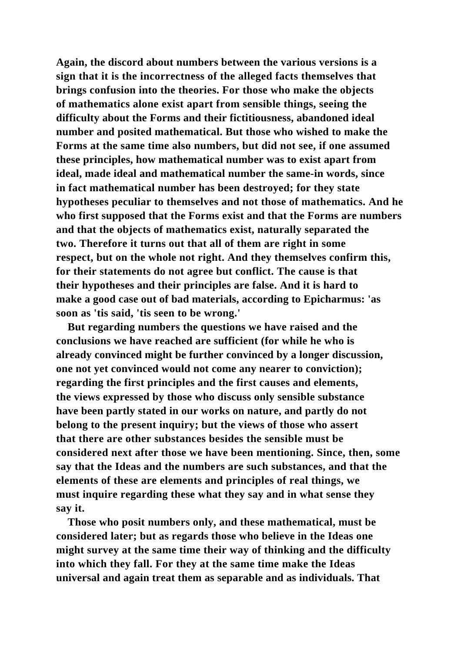**Again, the discord about numbers between the various versions is a sign that it is the incorrectness of the alleged facts themselves that brings confusion into the theories. For those who make the objects of mathematics alone exist apart from sensible things, seeing the difficulty about the Forms and their fictitiousness, abandoned ideal number and posited mathematical. But those who wished to make the Forms at the same time also numbers, but did not see, if one assumed these principles, how mathematical number was to exist apart from ideal, made ideal and mathematical number the same-in words, since in fact mathematical number has been destroyed; for they state hypotheses peculiar to themselves and not those of mathematics. And he who first supposed that the Forms exist and that the Forms are numbers and that the objects of mathematics exist, naturally separated the two. Therefore it turns out that all of them are right in some respect, but on the whole not right. And they themselves confirm this, for their statements do not agree but conflict. The cause is that their hypotheses and their principles are false. And it is hard to make a good case out of bad materials, according to Epicharmus: 'as soon as 'tis said, 'tis seen to be wrong.'**

 **But regarding numbers the questions we have raised and the conclusions we have reached are sufficient (for while he who is already convinced might be further convinced by a longer discussion, one not yet convinced would not come any nearer to conviction); regarding the first principles and the first causes and elements, the views expressed by those who discuss only sensible substance have been partly stated in our works on nature, and partly do not belong to the present inquiry; but the views of those who assert that there are other substances besides the sensible must be considered next after those we have been mentioning. Since, then, some say that the Ideas and the numbers are such substances, and that the elements of these are elements and principles of real things, we must inquire regarding these what they say and in what sense they say it.**

 **Those who posit numbers only, and these mathematical, must be considered later; but as regards those who believe in the Ideas one might survey at the same time their way of thinking and the difficulty into which they fall. For they at the same time make the Ideas universal and again treat them as separable and as individuals. That**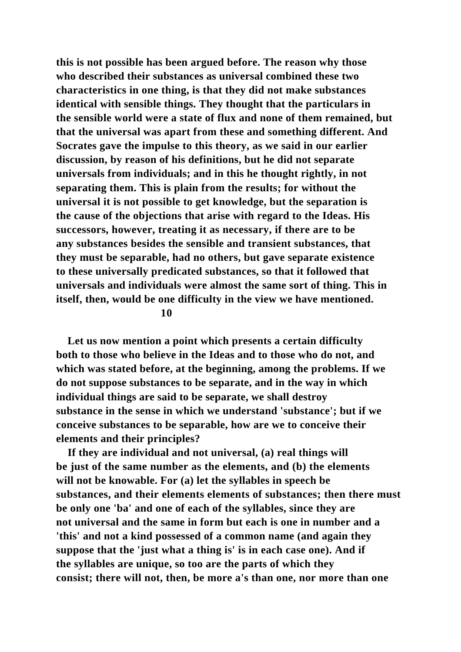**this is not possible has been argued before. The reason why those who described their substances as universal combined these two characteristics in one thing, is that they did not make substances identical with sensible things. They thought that the particulars in the sensible world were a state of flux and none of them remained, but that the universal was apart from these and something different. And Socrates gave the impulse to this theory, as we said in our earlier discussion, by reason of his definitions, but he did not separate universals from individuals; and in this he thought rightly, in not separating them. This is plain from the results; for without the universal it is not possible to get knowledge, but the separation is the cause of the objections that arise with regard to the Ideas. His successors, however, treating it as necessary, if there are to be any substances besides the sensible and transient substances, that they must be separable, had no others, but gave separate existence to these universally predicated substances, so that it followed that universals and individuals were almost the same sort of thing. This in itself, then, would be one difficulty in the view we have mentioned.**

**10** 

 **Let us now mention a point which presents a certain difficulty both to those who believe in the Ideas and to those who do not, and which was stated before, at the beginning, among the problems. If we do not suppose substances to be separate, and in the way in which individual things are said to be separate, we shall destroy substance in the sense in which we understand 'substance'; but if we conceive substances to be separable, how are we to conceive their elements and their principles?**

 **If they are individual and not universal, (a) real things will be just of the same number as the elements, and (b) the elements will not be knowable. For (a) let the syllables in speech be substances, and their elements elements of substances; then there must be only one 'ba' and one of each of the syllables, since they are not universal and the same in form but each is one in number and a 'this' and not a kind possessed of a common name (and again they suppose that the 'just what a thing is' is in each case one). And if the syllables are unique, so too are the parts of which they consist; there will not, then, be more a's than one, nor more than one**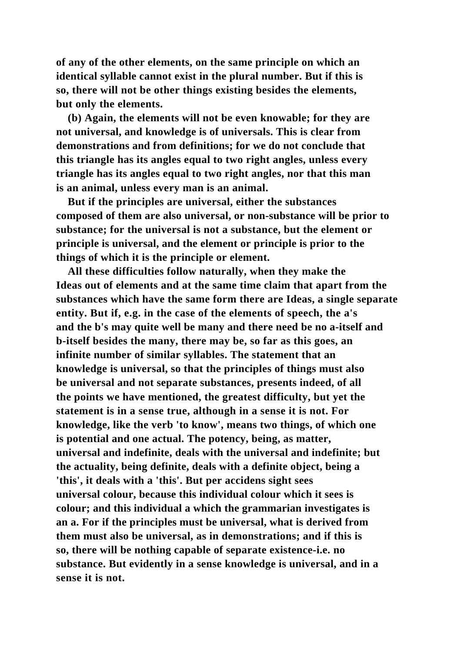**of any of the other elements, on the same principle on which an identical syllable cannot exist in the plural number. But if this is so, there will not be other things existing besides the elements, but only the elements.**

 **(b) Again, the elements will not be even knowable; for they are not universal, and knowledge is of universals. This is clear from demonstrations and from definitions; for we do not conclude that this triangle has its angles equal to two right angles, unless every triangle has its angles equal to two right angles, nor that this man is an animal, unless every man is an animal.**

 **But if the principles are universal, either the substances composed of them are also universal, or non-substance will be prior to substance; for the universal is not a substance, but the element or principle is universal, and the element or principle is prior to the things of which it is the principle or element.**

 **All these difficulties follow naturally, when they make the Ideas out of elements and at the same time claim that apart from the substances which have the same form there are Ideas, a single separate entity. But if, e.g. in the case of the elements of speech, the a's and the b's may quite well be many and there need be no a-itself and b-itself besides the many, there may be, so far as this goes, an infinite number of similar syllables. The statement that an knowledge is universal, so that the principles of things must also be universal and not separate substances, presents indeed, of all the points we have mentioned, the greatest difficulty, but yet the statement is in a sense true, although in a sense it is not. For knowledge, like the verb 'to know', means two things, of which one is potential and one actual. The potency, being, as matter, universal and indefinite, deals with the universal and indefinite; but the actuality, being definite, deals with a definite object, being a 'this', it deals with a 'this'. But per accidens sight sees universal colour, because this individual colour which it sees is colour; and this individual a which the grammarian investigates is an a. For if the principles must be universal, what is derived from them must also be universal, as in demonstrations; and if this is so, there will be nothing capable of separate existence-i.e. no substance. But evidently in a sense knowledge is universal, and in a sense it is not.**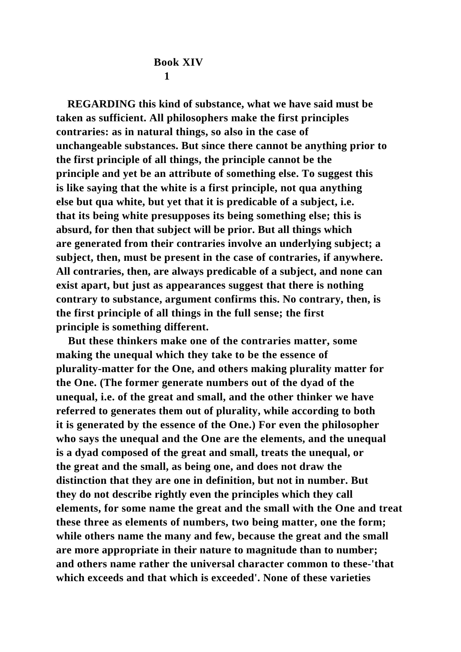## **Book XIV 1**

 **REGARDING this kind of substance, what we have said must be taken as sufficient. All philosophers make the first principles contraries: as in natural things, so also in the case of unchangeable substances. But since there cannot be anything prior to the first principle of all things, the principle cannot be the principle and yet be an attribute of something else. To suggest this is like saying that the white is a first principle, not qua anything else but qua white, but yet that it is predicable of a subject, i.e. that its being white presupposes its being something else; this is absurd, for then that subject will be prior. But all things which are generated from their contraries involve an underlying subject; a subject, then, must be present in the case of contraries, if anywhere. All contraries, then, are always predicable of a subject, and none can exist apart, but just as appearances suggest that there is nothing contrary to substance, argument confirms this. No contrary, then, is the first principle of all things in the full sense; the first principle is something different.**

 **But these thinkers make one of the contraries matter, some making the unequal which they take to be the essence of plurality-matter for the One, and others making plurality matter for the One. (The former generate numbers out of the dyad of the unequal, i.e. of the great and small, and the other thinker we have referred to generates them out of plurality, while according to both it is generated by the essence of the One.) For even the philosopher who says the unequal and the One are the elements, and the unequal is a dyad composed of the great and small, treats the unequal, or the great and the small, as being one, and does not draw the distinction that they are one in definition, but not in number. But they do not describe rightly even the principles which they call elements, for some name the great and the small with the One and treat these three as elements of numbers, two being matter, one the form; while others name the many and few, because the great and the small are more appropriate in their nature to magnitude than to number; and others name rather the universal character common to these-'that which exceeds and that which is exceeded'. None of these varieties**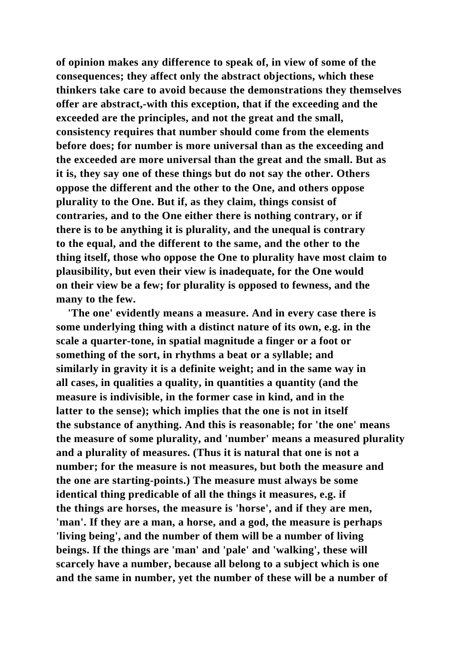**of opinion makes any difference to speak of, in view of some of the consequences; they affect only the abstract objections, which these thinkers take care to avoid because the demonstrations they themselves offer are abstract,-with this exception, that if the exceeding and the exceeded are the principles, and not the great and the small, consistency requires that number should come from the elements before does; for number is more universal than as the exceeding and the exceeded are more universal than the great and the small. But as it is, they say one of these things but do not say the other. Others oppose the different and the other to the One, and others oppose plurality to the One. But if, as they claim, things consist of contraries, and to the One either there is nothing contrary, or if there is to be anything it is plurality, and the unequal is contrary to the equal, and the different to the same, and the other to the thing itself, those who oppose the One to plurality have most claim to plausibility, but even their view is inadequate, for the One would on their view be a few; for plurality is opposed to fewness, and the many to the few.**

 **'The one' evidently means a measure. And in every case there is some underlying thing with a distinct nature of its own, e.g. in the scale a quarter-tone, in spatial magnitude a finger or a foot or something of the sort, in rhythms a beat or a syllable; and similarly in gravity it is a definite weight; and in the same way in all cases, in qualities a quality, in quantities a quantity (and the measure is indivisible, in the former case in kind, and in the latter to the sense); which implies that the one is not in itself the substance of anything. And this is reasonable; for 'the one' means the measure of some plurality, and 'number' means a measured plurality and a plurality of measures. (Thus it is natural that one is not a number; for the measure is not measures, but both the measure and the one are starting-points.) The measure must always be some identical thing predicable of all the things it measures, e.g. if the things are horses, the measure is 'horse', and if they are men, 'man'. If they are a man, a horse, and a god, the measure is perhaps 'living being', and the number of them will be a number of living beings. If the things are 'man' and 'pale' and 'walking', these will scarcely have a number, because all belong to a subject which is one and the same in number, yet the number of these will be a number of**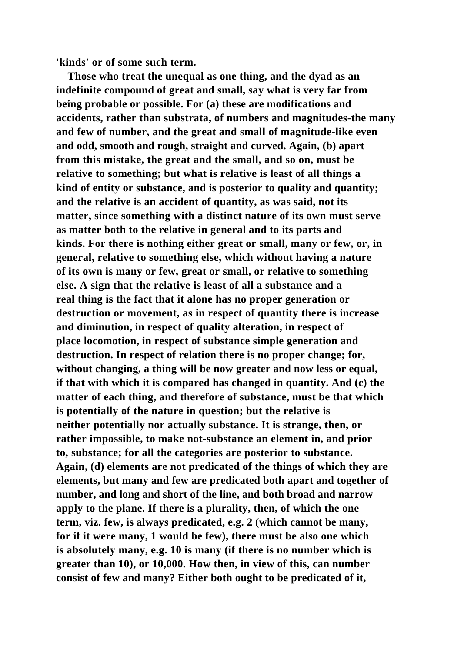**'kinds' or of some such term.**

 **Those who treat the unequal as one thing, and the dyad as an indefinite compound of great and small, say what is very far from being probable or possible. For (a) these are modifications and accidents, rather than substrata, of numbers and magnitudes-the many and few of number, and the great and small of magnitude-like even and odd, smooth and rough, straight and curved. Again, (b) apart from this mistake, the great and the small, and so on, must be relative to something; but what is relative is least of all things a kind of entity or substance, and is posterior to quality and quantity; and the relative is an accident of quantity, as was said, not its matter, since something with a distinct nature of its own must serve as matter both to the relative in general and to its parts and kinds. For there is nothing either great or small, many or few, or, in general, relative to something else, which without having a nature of its own is many or few, great or small, or relative to something else. A sign that the relative is least of all a substance and a real thing is the fact that it alone has no proper generation or destruction or movement, as in respect of quantity there is increase and diminution, in respect of quality alteration, in respect of place locomotion, in respect of substance simple generation and destruction. In respect of relation there is no proper change; for, without changing, a thing will be now greater and now less or equal, if that with which it is compared has changed in quantity. And (c) the matter of each thing, and therefore of substance, must be that which is potentially of the nature in question; but the relative is neither potentially nor actually substance. It is strange, then, or rather impossible, to make not-substance an element in, and prior to, substance; for all the categories are posterior to substance. Again, (d) elements are not predicated of the things of which they are elements, but many and few are predicated both apart and together of number, and long and short of the line, and both broad and narrow apply to the plane. If there is a plurality, then, of which the one term, viz. few, is always predicated, e.g. 2 (which cannot be many, for if it were many, 1 would be few), there must be also one which is absolutely many, e.g. 10 is many (if there is no number which is greater than 10), or 10,000. How then, in view of this, can number consist of few and many? Either both ought to be predicated of it,**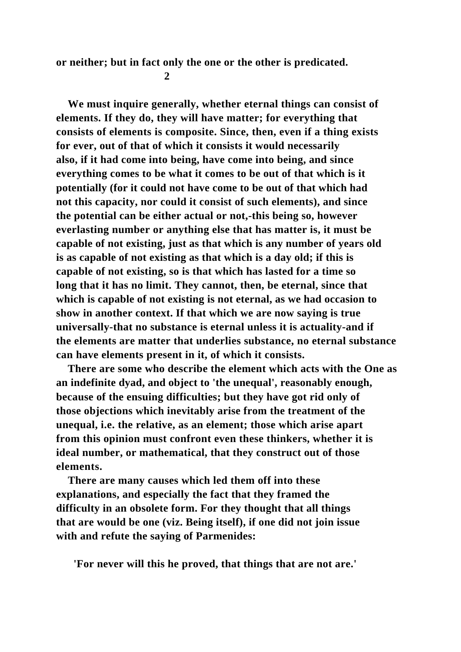**or neither; but in fact only the one or the other is predicated.**

**2** 

 **We must inquire generally, whether eternal things can consist of elements. If they do, they will have matter; for everything that consists of elements is composite. Since, then, even if a thing exists for ever, out of that of which it consists it would necessarily also, if it had come into being, have come into being, and since everything comes to be what it comes to be out of that which is it potentially (for it could not have come to be out of that which had not this capacity, nor could it consist of such elements), and since the potential can be either actual or not,-this being so, however everlasting number or anything else that has matter is, it must be capable of not existing, just as that which is any number of years old is as capable of not existing as that which is a day old; if this is capable of not existing, so is that which has lasted for a time so long that it has no limit. They cannot, then, be eternal, since that which is capable of not existing is not eternal, as we had occasion to show in another context. If that which we are now saying is true universally-that no substance is eternal unless it is actuality-and if the elements are matter that underlies substance, no eternal substance can have elements present in it, of which it consists.**

 **There are some who describe the element which acts with the One as an indefinite dyad, and object to 'the unequal', reasonably enough, because of the ensuing difficulties; but they have got rid only of those objections which inevitably arise from the treatment of the unequal, i.e. the relative, as an element; those which arise apart from this opinion must confront even these thinkers, whether it is ideal number, or mathematical, that they construct out of those elements.**

 **There are many causes which led them off into these explanations, and especially the fact that they framed the difficulty in an obsolete form. For they thought that all things that are would be one (viz. Being itself), if one did not join issue with and refute the saying of Parmenides:**

 **'For never will this he proved, that things that are not are.'**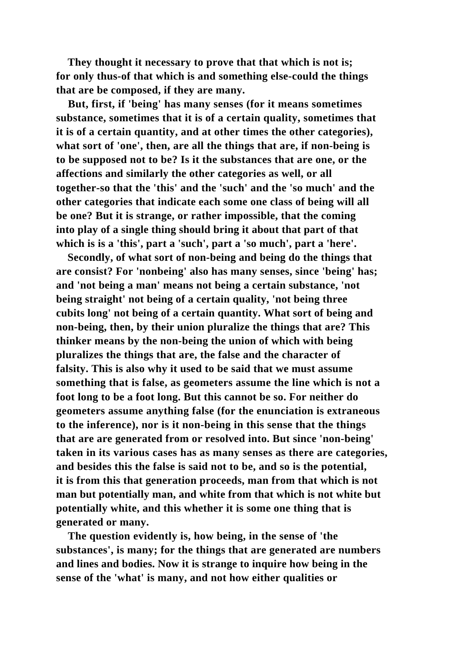**They thought it necessary to prove that that which is not is; for only thus-of that which is and something else-could the things that are be composed, if they are many.**

 **But, first, if 'being' has many senses (for it means sometimes substance, sometimes that it is of a certain quality, sometimes that it is of a certain quantity, and at other times the other categories), what sort of 'one', then, are all the things that are, if non-being is to be supposed not to be? Is it the substances that are one, or the affections and similarly the other categories as well, or all together-so that the 'this' and the 'such' and the 'so much' and the other categories that indicate each some one class of being will all be one? But it is strange, or rather impossible, that the coming into play of a single thing should bring it about that part of that which is is a 'this', part a 'such', part a 'so much', part a 'here'.**

 **Secondly, of what sort of non-being and being do the things that are consist? For 'nonbeing' also has many senses, since 'being' has; and 'not being a man' means not being a certain substance, 'not being straight' not being of a certain quality, 'not being three cubits long' not being of a certain quantity. What sort of being and non-being, then, by their union pluralize the things that are? This thinker means by the non-being the union of which with being pluralizes the things that are, the false and the character of falsity. This is also why it used to be said that we must assume something that is false, as geometers assume the line which is not a foot long to be a foot long. But this cannot be so. For neither do geometers assume anything false (for the enunciation is extraneous to the inference), nor is it non-being in this sense that the things that are are generated from or resolved into. But since 'non-being' taken in its various cases has as many senses as there are categories, and besides this the false is said not to be, and so is the potential, it is from this that generation proceeds, man from that which is not man but potentially man, and white from that which is not white but potentially white, and this whether it is some one thing that is generated or many.**

 **The question evidently is, how being, in the sense of 'the substances', is many; for the things that are generated are numbers and lines and bodies. Now it is strange to inquire how being in the sense of the 'what' is many, and not how either qualities or**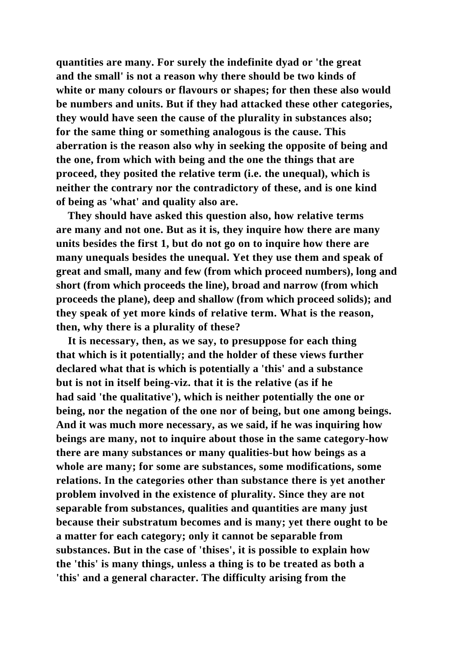**quantities are many. For surely the indefinite dyad or 'the great and the small' is not a reason why there should be two kinds of white or many colours or flavours or shapes; for then these also would be numbers and units. But if they had attacked these other categories, they would have seen the cause of the plurality in substances also; for the same thing or something analogous is the cause. This aberration is the reason also why in seeking the opposite of being and the one, from which with being and the one the things that are proceed, they posited the relative term (i.e. the unequal), which is neither the contrary nor the contradictory of these, and is one kind of being as 'what' and quality also are.**

 **They should have asked this question also, how relative terms are many and not one. But as it is, they inquire how there are many units besides the first 1, but do not go on to inquire how there are many unequals besides the unequal. Yet they use them and speak of great and small, many and few (from which proceed numbers), long and short (from which proceeds the line), broad and narrow (from which proceeds the plane), deep and shallow (from which proceed solids); and they speak of yet more kinds of relative term. What is the reason, then, why there is a plurality of these?**

 **It is necessary, then, as we say, to presuppose for each thing that which is it potentially; and the holder of these views further declared what that is which is potentially a 'this' and a substance but is not in itself being-viz. that it is the relative (as if he had said 'the qualitative'), which is neither potentially the one or being, nor the negation of the one nor of being, but one among beings. And it was much more necessary, as we said, if he was inquiring how beings are many, not to inquire about those in the same category-how there are many substances or many qualities-but how beings as a whole are many; for some are substances, some modifications, some relations. In the categories other than substance there is yet another problem involved in the existence of plurality. Since they are not separable from substances, qualities and quantities are many just because their substratum becomes and is many; yet there ought to be a matter for each category; only it cannot be separable from substances. But in the case of 'thises', it is possible to explain how the 'this' is many things, unless a thing is to be treated as both a 'this' and a general character. The difficulty arising from the**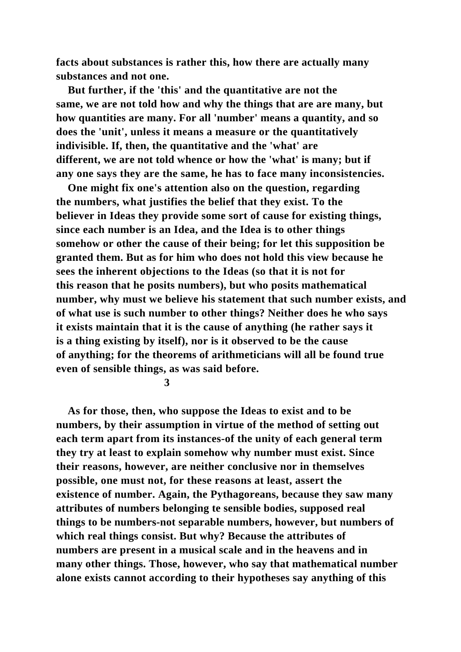**facts about substances is rather this, how there are actually many substances and not one.**

 **But further, if the 'this' and the quantitative are not the same, we are not told how and why the things that are are many, but how quantities are many. For all 'number' means a quantity, and so does the 'unit', unless it means a measure or the quantitatively indivisible. If, then, the quantitative and the 'what' are different, we are not told whence or how the 'what' is many; but if any one says they are the same, he has to face many inconsistencies.**

 **One might fix one's attention also on the question, regarding the numbers, what justifies the belief that they exist. To the believer in Ideas they provide some sort of cause for existing things, since each number is an Idea, and the Idea is to other things somehow or other the cause of their being; for let this supposition be granted them. But as for him who does not hold this view because he sees the inherent objections to the Ideas (so that it is not for this reason that he posits numbers), but who posits mathematical number, why must we believe his statement that such number exists, and of what use is such number to other things? Neither does he who says it exists maintain that it is the cause of anything (he rather says it is a thing existing by itself), nor is it observed to be the cause of anything; for the theorems of arithmeticians will all be found true even of sensible things, as was said before.**

**3** 

 **As for those, then, who suppose the Ideas to exist and to be numbers, by their assumption in virtue of the method of setting out each term apart from its instances-of the unity of each general term they try at least to explain somehow why number must exist. Since their reasons, however, are neither conclusive nor in themselves possible, one must not, for these reasons at least, assert the existence of number. Again, the Pythagoreans, because they saw many attributes of numbers belonging te sensible bodies, supposed real things to be numbers-not separable numbers, however, but numbers of which real things consist. But why? Because the attributes of numbers are present in a musical scale and in the heavens and in many other things. Those, however, who say that mathematical number alone exists cannot according to their hypotheses say anything of this**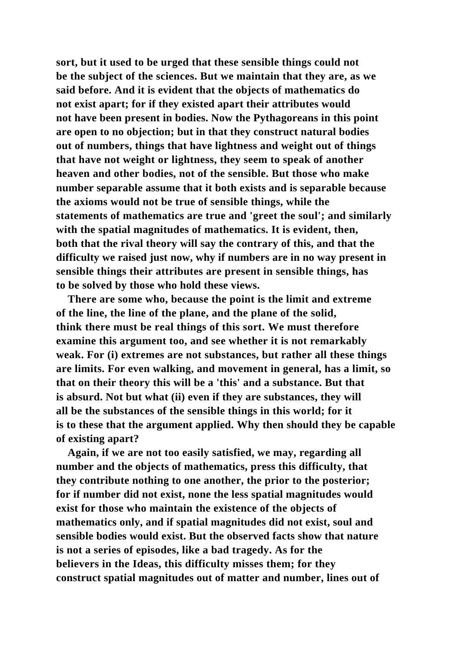**sort, but it used to be urged that these sensible things could not be the subject of the sciences. But we maintain that they are, as we said before. And it is evident that the objects of mathematics do not exist apart; for if they existed apart their attributes would not have been present in bodies. Now the Pythagoreans in this point are open to no objection; but in that they construct natural bodies out of numbers, things that have lightness and weight out of things that have not weight or lightness, they seem to speak of another heaven and other bodies, not of the sensible. But those who make number separable assume that it both exists and is separable because the axioms would not be true of sensible things, while the statements of mathematics are true and 'greet the soul'; and similarly with the spatial magnitudes of mathematics. It is evident, then, both that the rival theory will say the contrary of this, and that the difficulty we raised just now, why if numbers are in no way present in sensible things their attributes are present in sensible things, has to be solved by those who hold these views.**

 **There are some who, because the point is the limit and extreme of the line, the line of the plane, and the plane of the solid, think there must be real things of this sort. We must therefore examine this argument too, and see whether it is not remarkably weak. For (i) extremes are not substances, but rather all these things are limits. For even walking, and movement in general, has a limit, so that on their theory this will be a 'this' and a substance. But that is absurd. Not but what (ii) even if they are substances, they will all be the substances of the sensible things in this world; for it is to these that the argument applied. Why then should they be capable of existing apart?**

 **Again, if we are not too easily satisfied, we may, regarding all number and the objects of mathematics, press this difficulty, that they contribute nothing to one another, the prior to the posterior; for if number did not exist, none the less spatial magnitudes would exist for those who maintain the existence of the objects of mathematics only, and if spatial magnitudes did not exist, soul and sensible bodies would exist. But the observed facts show that nature is not a series of episodes, like a bad tragedy. As for the believers in the Ideas, this difficulty misses them; for they construct spatial magnitudes out of matter and number, lines out of**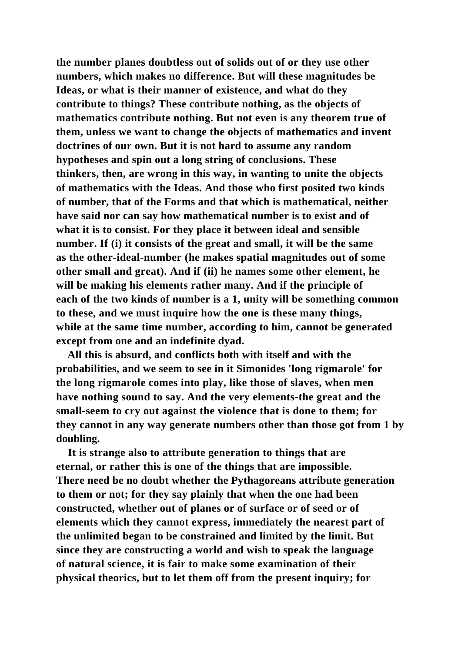**the number planes doubtless out of solids out of or they use other numbers, which makes no difference. But will these magnitudes be Ideas, or what is their manner of existence, and what do they contribute to things? These contribute nothing, as the objects of mathematics contribute nothing. But not even is any theorem true of them, unless we want to change the objects of mathematics and invent doctrines of our own. But it is not hard to assume any random hypotheses and spin out a long string of conclusions. These thinkers, then, are wrong in this way, in wanting to unite the objects of mathematics with the Ideas. And those who first posited two kinds of number, that of the Forms and that which is mathematical, neither have said nor can say how mathematical number is to exist and of what it is to consist. For they place it between ideal and sensible number. If (i) it consists of the great and small, it will be the same as the other-ideal-number (he makes spatial magnitudes out of some other small and great). And if (ii) he names some other element, he will be making his elements rather many. And if the principle of each of the two kinds of number is a 1, unity will be something common to these, and we must inquire how the one is these many things, while at the same time number, according to him, cannot be generated except from one and an indefinite dyad.**

 **All this is absurd, and conflicts both with itself and with the probabilities, and we seem to see in it Simonides 'long rigmarole' for the long rigmarole comes into play, like those of slaves, when men have nothing sound to say. And the very elements-the great and the small-seem to cry out against the violence that is done to them; for they cannot in any way generate numbers other than those got from 1 by doubling.**

 **It is strange also to attribute generation to things that are eternal, or rather this is one of the things that are impossible. There need be no doubt whether the Pythagoreans attribute generation to them or not; for they say plainly that when the one had been constructed, whether out of planes or of surface or of seed or of elements which they cannot express, immediately the nearest part of the unlimited began to be constrained and limited by the limit. But since they are constructing a world and wish to speak the language of natural science, it is fair to make some examination of their physical theorics, but to let them off from the present inquiry; for**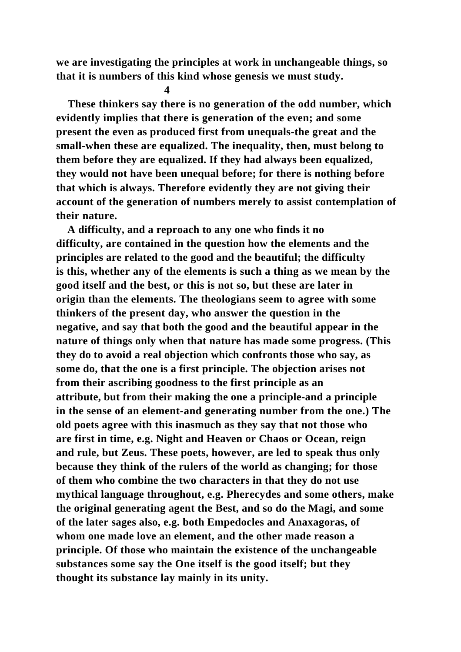**we are investigating the principles at work in unchangeable things, so that it is numbers of this kind whose genesis we must study.**

**4 4** 

 **These thinkers say there is no generation of the odd number, which evidently implies that there is generation of the even; and some present the even as produced first from unequals-the great and the small-when these are equalized. The inequality, then, must belong to them before they are equalized. If they had always been equalized, they would not have been unequal before; for there is nothing before that which is always. Therefore evidently they are not giving their account of the generation of numbers merely to assist contemplation of their nature.**

 **A difficulty, and a reproach to any one who finds it no difficulty, are contained in the question how the elements and the principles are related to the good and the beautiful; the difficulty is this, whether any of the elements is such a thing as we mean by the good itself and the best, or this is not so, but these are later in origin than the elements. The theologians seem to agree with some thinkers of the present day, who answer the question in the negative, and say that both the good and the beautiful appear in the nature of things only when that nature has made some progress. (This they do to avoid a real objection which confronts those who say, as some do, that the one is a first principle. The objection arises not from their ascribing goodness to the first principle as an attribute, but from their making the one a principle-and a principle in the sense of an element-and generating number from the one.) The old poets agree with this inasmuch as they say that not those who are first in time, e.g. Night and Heaven or Chaos or Ocean, reign and rule, but Zeus. These poets, however, are led to speak thus only because they think of the rulers of the world as changing; for those of them who combine the two characters in that they do not use mythical language throughout, e.g. Pherecydes and some others, make the original generating agent the Best, and so do the Magi, and some of the later sages also, e.g. both Empedocles and Anaxagoras, of whom one made love an element, and the other made reason a principle. Of those who maintain the existence of the unchangeable substances some say the One itself is the good itself; but they thought its substance lay mainly in its unity.**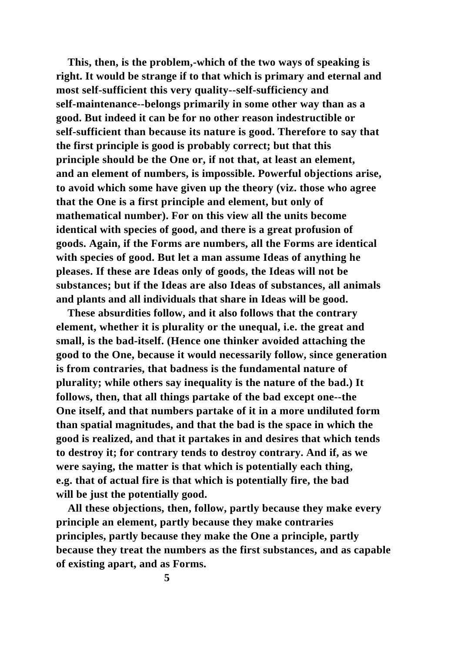**This, then, is the problem,-which of the two ways of speaking is right. It would be strange if to that which is primary and eternal and most self-sufficient this very quality--self-sufficiency and self-maintenance--belongs primarily in some other way than as a good. But indeed it can be for no other reason indestructible or self-sufficient than because its nature is good. Therefore to say that the first principle is good is probably correct; but that this principle should be the One or, if not that, at least an element, and an element of numbers, is impossible. Powerful objections arise, to avoid which some have given up the theory (viz. those who agree that the One is a first principle and element, but only of mathematical number). For on this view all the units become identical with species of good, and there is a great profusion of goods. Again, if the Forms are numbers, all the Forms are identical with species of good. But let a man assume Ideas of anything he pleases. If these are Ideas only of goods, the Ideas will not be substances; but if the Ideas are also Ideas of substances, all animals and plants and all individuals that share in Ideas will be good.**

 **These absurdities follow, and it also follows that the contrary element, whether it is plurality or the unequal, i.e. the great and small, is the bad-itself. (Hence one thinker avoided attaching the good to the One, because it would necessarily follow, since generation is from contraries, that badness is the fundamental nature of plurality; while others say inequality is the nature of the bad.) It follows, then, that all things partake of the bad except one--the One itself, and that numbers partake of it in a more undiluted form than spatial magnitudes, and that the bad is the space in which the good is realized, and that it partakes in and desires that which tends to destroy it; for contrary tends to destroy contrary. And if, as we were saying, the matter is that which is potentially each thing, e.g. that of actual fire is that which is potentially fire, the bad will be just the potentially good.**

 **All these objections, then, follow, partly because they make every principle an element, partly because they make contraries principles, partly because they make the One a principle, partly because they treat the numbers as the first substances, and as capable of existing apart, and as Forms.**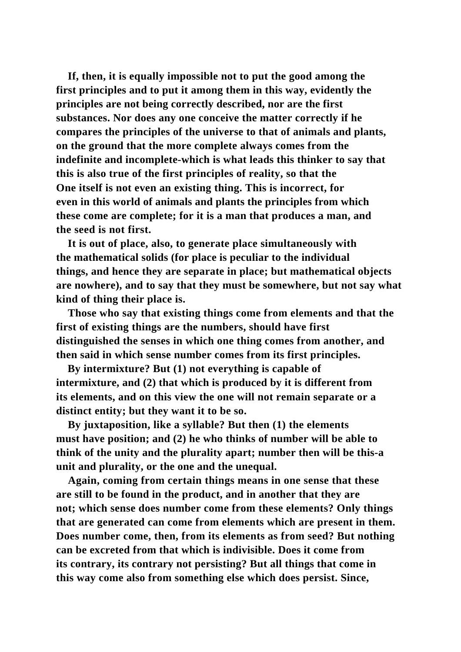**If, then, it is equally impossible not to put the good among the first principles and to put it among them in this way, evidently the principles are not being correctly described, nor are the first substances. Nor does any one conceive the matter correctly if he compares the principles of the universe to that of animals and plants, on the ground that the more complete always comes from the indefinite and incomplete-which is what leads this thinker to say that this is also true of the first principles of reality, so that the One itself is not even an existing thing. This is incorrect, for even in this world of animals and plants the principles from which these come are complete; for it is a man that produces a man, and the seed is not first.**

 **It is out of place, also, to generate place simultaneously with the mathematical solids (for place is peculiar to the individual things, and hence they are separate in place; but mathematical objects are nowhere), and to say that they must be somewhere, but not say what kind of thing their place is.**

 **Those who say that existing things come from elements and that the first of existing things are the numbers, should have first distinguished the senses in which one thing comes from another, and then said in which sense number comes from its first principles.**

 **By intermixture? But (1) not everything is capable of intermixture, and (2) that which is produced by it is different from its elements, and on this view the one will not remain separate or a distinct entity; but they want it to be so.**

 **By juxtaposition, like a syllable? But then (1) the elements must have position; and (2) he who thinks of number will be able to think of the unity and the plurality apart; number then will be this-a unit and plurality, or the one and the unequal.**

 **Again, coming from certain things means in one sense that these are still to be found in the product, and in another that they are not; which sense does number come from these elements? Only things that are generated can come from elements which are present in them. Does number come, then, from its elements as from seed? But nothing can be excreted from that which is indivisible. Does it come from its contrary, its contrary not persisting? But all things that come in this way come also from something else which does persist. Since,**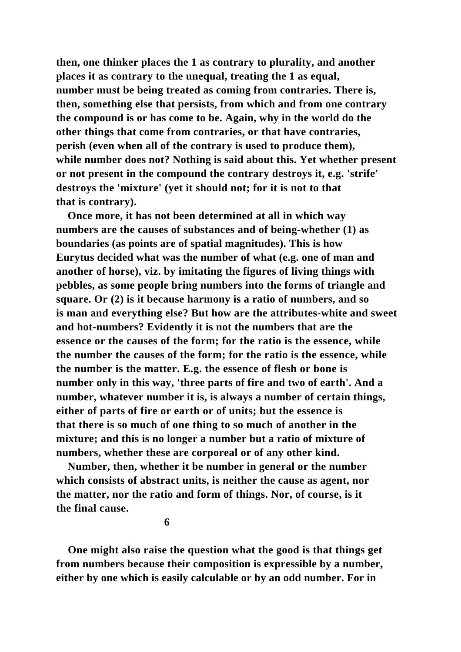**then, one thinker places the 1 as contrary to plurality, and another places it as contrary to the unequal, treating the 1 as equal, number must be being treated as coming from contraries. There is, then, something else that persists, from which and from one contrary the compound is or has come to be. Again, why in the world do the other things that come from contraries, or that have contraries, perish (even when all of the contrary is used to produce them), while number does not? Nothing is said about this. Yet whether present or not present in the compound the contrary destroys it, e.g. 'strife' destroys the 'mixture' (yet it should not; for it is not to that that is contrary).**

 **Once more, it has not been determined at all in which way numbers are the causes of substances and of being-whether (1) as boundaries (as points are of spatial magnitudes). This is how Eurytus decided what was the number of what (e.g. one of man and another of horse), viz. by imitating the figures of living things with pebbles, as some people bring numbers into the forms of triangle and square. Or (2) is it because harmony is a ratio of numbers, and so is man and everything else? But how are the attributes-white and sweet and hot-numbers? Evidently it is not the numbers that are the essence or the causes of the form; for the ratio is the essence, while the number the causes of the form; for the ratio is the essence, while the number is the matter. E.g. the essence of flesh or bone is number only in this way, 'three parts of fire and two of earth'. And a number, whatever number it is, is always a number of certain things, either of parts of fire or earth or of units; but the essence is that there is so much of one thing to so much of another in the mixture; and this is no longer a number but a ratio of mixture of numbers, whether these are corporeal or of any other kind.**

 **Number, then, whether it be number in general or the number which consists of abstract units, is neither the cause as agent, nor the matter, nor the ratio and form of things. Nor, of course, is it the final cause.**

 **6**

 **One might also raise the question what the good is that things get from numbers because their composition is expressible by a number, either by one which is easily calculable or by an odd number. For in**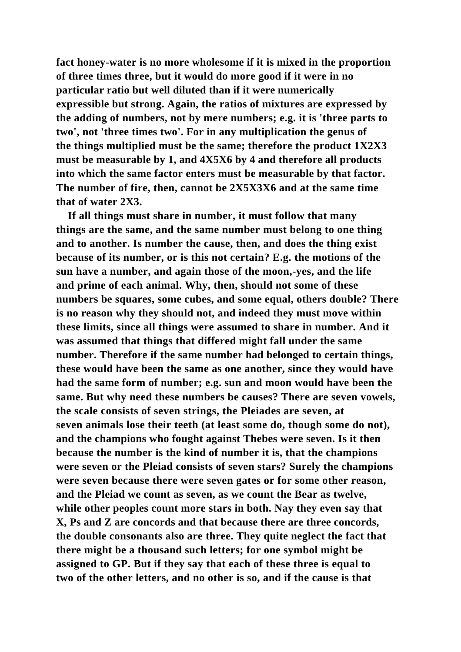**fact honey-water is no more wholesome if it is mixed in the proportion of three times three, but it would do more good if it were in no particular ratio but well diluted than if it were numerically expressible but strong. Again, the ratios of mixtures are expressed by the adding of numbers, not by mere numbers; e.g. it is 'three parts to two', not 'three times two'. For in any multiplication the genus of the things multiplied must be the same; therefore the product 1X2X3 must be measurable by 1, and 4X5X6 by 4 and therefore all products into which the same factor enters must be measurable by that factor. The number of fire, then, cannot be 2X5X3X6 and at the same time that of water 2X3.**

 **If all things must share in number, it must follow that many things are the same, and the same number must belong to one thing and to another. Is number the cause, then, and does the thing exist because of its number, or is this not certain? E.g. the motions of the sun have a number, and again those of the moon,-yes, and the life and prime of each animal. Why, then, should not some of these numbers be squares, some cubes, and some equal, others double? There is no reason why they should not, and indeed they must move within these limits, since all things were assumed to share in number. And it was assumed that things that differed might fall under the same number. Therefore if the same number had belonged to certain things, these would have been the same as one another, since they would have had the same form of number; e.g. sun and moon would have been the same. But why need these numbers be causes? There are seven vowels, the scale consists of seven strings, the Pleiades are seven, at seven animals lose their teeth (at least some do, though some do not), and the champions who fought against Thebes were seven. Is it then because the number is the kind of number it is, that the champions were seven or the Pleiad consists of seven stars? Surely the champions were seven because there were seven gates or for some other reason, and the Pleiad we count as seven, as we count the Bear as twelve, while other peoples count more stars in both. Nay they even say that X, Ps and Z are concords and that because there are three concords, the double consonants also are three. They quite neglect the fact that there might be a thousand such letters; for one symbol might be assigned to GP. But if they say that each of these three is equal to two of the other letters, and no other is so, and if the cause is that**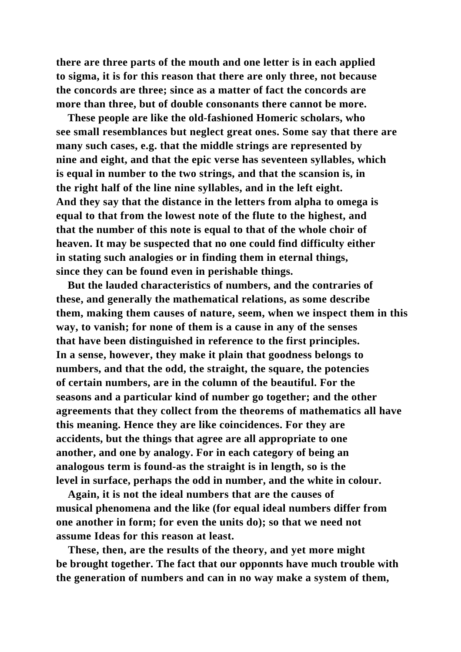**there are three parts of the mouth and one letter is in each applied to sigma, it is for this reason that there are only three, not because the concords are three; since as a matter of fact the concords are more than three, but of double consonants there cannot be more.**

 **These people are like the old-fashioned Homeric scholars, who see small resemblances but neglect great ones. Some say that there are many such cases, e.g. that the middle strings are represented by nine and eight, and that the epic verse has seventeen syllables, which is equal in number to the two strings, and that the scansion is, in the right half of the line nine syllables, and in the left eight. And they say that the distance in the letters from alpha to omega is equal to that from the lowest note of the flute to the highest, and that the number of this note is equal to that of the whole choir of heaven. It may be suspected that no one could find difficulty either in stating such analogies or in finding them in eternal things, since they can be found even in perishable things.**

 **But the lauded characteristics of numbers, and the contraries of these, and generally the mathematical relations, as some describe them, making them causes of nature, seem, when we inspect them in this way, to vanish; for none of them is a cause in any of the senses that have been distinguished in reference to the first principles. In a sense, however, they make it plain that goodness belongs to numbers, and that the odd, the straight, the square, the potencies of certain numbers, are in the column of the beautiful. For the seasons and a particular kind of number go together; and the other agreements that they collect from the theorems of mathematics all have this meaning. Hence they are like coincidences. For they are accidents, but the things that agree are all appropriate to one another, and one by analogy. For in each category of being an analogous term is found-as the straight is in length, so is the level in surface, perhaps the odd in number, and the white in colour.**

 **Again, it is not the ideal numbers that are the causes of musical phenomena and the like (for equal ideal numbers differ from one another in form; for even the units do); so that we need not assume Ideas for this reason at least.**

 **These, then, are the results of the theory, and yet more might be brought together. The fact that our opponnts have much trouble with the generation of numbers and can in no way make a system of them,**